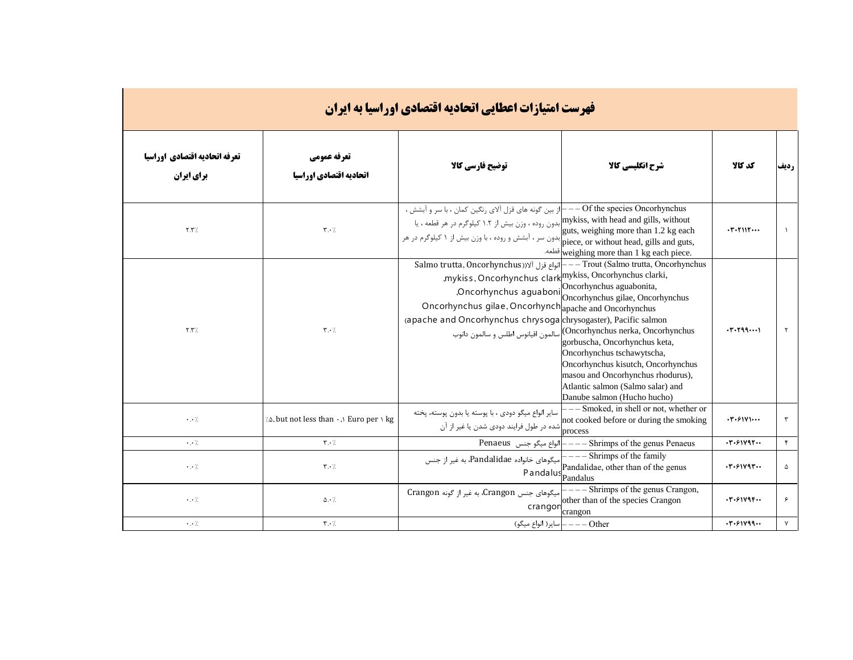| <b>فهرست امتیازات اعطایی اتحادیه اقتصادی اوراسیا به ایران</b> |                                        |                                                                                                                                                                                                                                                                  |                                                                                                                                                                                                                                                                                                                                                                                                                        |                                 |              |  |  |  |
|---------------------------------------------------------------|----------------------------------------|------------------------------------------------------------------------------------------------------------------------------------------------------------------------------------------------------------------------------------------------------------------|------------------------------------------------------------------------------------------------------------------------------------------------------------------------------------------------------------------------------------------------------------------------------------------------------------------------------------------------------------------------------------------------------------------------|---------------------------------|--------------|--|--|--|
| تعرفه اتحاديه اقتصادي اوراسيا<br>برای ایران                   | تعرفه عمومي<br>اتحاديه اقتصادي اوراسيا | توضيح فارسي كالا                                                                                                                                                                                                                                                 | شرح انگلیسی کالا                                                                                                                                                                                                                                                                                                                                                                                                       | كد كالا                         | رديف         |  |  |  |
| $\uparrow \uparrow \uparrow /$                                | $\mathbf{r} \cdot \mathbf{7}$          | از بین گونه های قزل آلای رنگین کمان ، با سر و آبشش ،<br>mykiss, with head and gills, without بدون روده ، وزن بیش از ۱.۲ کیلوگرم در هر قطعه ، یا<br>تابلدون سر ، آبشش و روده ، با وزن بیش از ۱ کیلوگرم در هر piece, or without head, gills and guts,              | $-$ Of the species Oncorhynchus<br>guts, weighing more than 1.2 kg each<br>=weighing more than 1 kg each piece.                                                                                                                                                                                                                                                                                                        |                                 |              |  |  |  |
| Y.Y'.                                                         | $\mathbf{r} \cdot \mathbf{7}$          | Salmo trutta, Oncorhynchus)   انواع قزل آلا(Salmo trutta, Oncorhynchus<br>, mykiss, Oncorhynchus clark mykiss, Oncorhynchus clarki,<br>Oncorhynchus gilae, Oncorhynch apache and Oncorhynchus<br>(apache and Oncorhynchus chrysogalchrysogaster), Pacific salmon | -- Trout (Salmo trutta, Oncorhynchus<br>Oncorhynchus aguabonida,<br>Oncorhynchus aguabonida,<br>Oncorhynchus gilae, Oncorhynchus<br>Oncorhynchus nerka, Oncorhynchus) سالمون اقيانوس اطلس و سالمون دانوب<br>gorbuscha, Oncorhynchus keta,<br>Oncorhynchus tschawytscha,<br>Oncorhynchus kisutch, Oncorhynchus<br>masou and Oncorhynchus rhodurus),<br>Atlantic salmon (Salmo salar) and<br>Danube salmon (Hucho hucho) | .7.799                          | $\mathsf{r}$ |  |  |  |
| $\cdot$ . $\cdot$ /.                                          | 7. but not less than . , Euro per \ kg | سایر انواع میگو دودی ، با پوسته یا بدون پوسته، پخته                                                                                                                                                                                                              | - Smoked, in shell or not, whether or<br>not cooked before or during the smoking                                                                                                                                                                                                                                                                                                                                       | $\cdot$ ۳ $\cdot$ ۶۱۷۱ $\cdots$ |              |  |  |  |
| $\cdot$ . $\cdot$ /.                                          | $\mathbf{r} \cdot \mathbf{A}$          | - انواع میگو جنس Penaeus                                                                                                                                                                                                                                         | - Shrimps of the genus Penaeus                                                                                                                                                                                                                                                                                                                                                                                         | .7.91V97                        | $\mathbf{r}$ |  |  |  |
| $\cdot$ . $\cdot$ /                                           | $\mathbf{r} \cdot \mathbf{1}$          | میگوهای خانواده Pandalidae، به غیر از جنس<br>Pandalus <sub>Pandalus</sub>                                                                                                                                                                                        | - Shrimps of the family<br>Pandalidae, other than of the genus                                                                                                                                                                                                                                                                                                                                                         | .7.91V97                        | ۵            |  |  |  |
| $\cdot$ . $\cdot$ /                                           | $\Delta \cdot$ /                       | میگوهای جنس Crangon، به غیر از گونه Crangon<br>crangon                                                                                                                                                                                                           | Shrimps of the genus Crangon,<br>other than of the species Crangon<br>crangon                                                                                                                                                                                                                                                                                                                                          | .7.91V9F                        | ۶            |  |  |  |
| $\cdot$ . $\cdot$ /                                           | $\mathbf{r} \cdot \mathbf{A}$          | ساير( انواع ميگو)                                                                                                                                                                                                                                                | $--$ Other                                                                                                                                                                                                                                                                                                                                                                                                             | .7.91199                        | $\mathsf{Y}$ |  |  |  |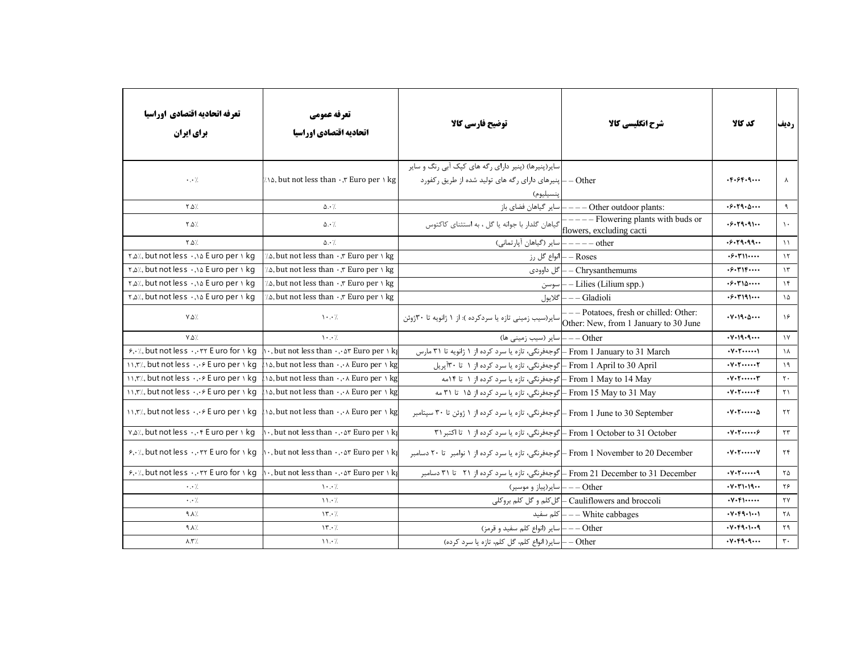| تعرفه اتحاديه اقتصادي اوراسيا<br>برای ایران                       | تعرفه عمومي<br>اتحاديه اقتصادي اوراسيا                                                                                                                                          | توضيح فارسي كالا                                                                                                             | شرح انگلیسی کالا                                                                | كد كالا                                          | رديف                   |
|-------------------------------------------------------------------|---------------------------------------------------------------------------------------------------------------------------------------------------------------------------------|------------------------------------------------------------------------------------------------------------------------------|---------------------------------------------------------------------------------|--------------------------------------------------|------------------------|
| $\cdot$ . $\cdot$ /                                               | $\ln$ $\alpha$ , but not less than $\cdot$ , Euro per $\ln \log$                                                                                                                | سایر(پنیرها) (پنیر دارای رگه های کپک آبی رنگ و سایر<br>Other -   پنیرهای دارای رگه های تولید شده از طریق رکفورد<br>پنسيليوم) |                                                                                 | . 5.95.9                                         | ⋏                      |
| $\lambda$ . $\Delta$                                              | $\Delta \cdot \frac{1}{2}$                                                                                                                                                      |                                                                                                                              |                                                                                 | .5.59.0                                          | $\mathcal{A}$          |
| $Y.\Delta$                                                        | $\Delta \cdot \frac{1}{2}$                                                                                                                                                      |                                                                                                                              |                                                                                 | .6.19.9                                          | $\lambda$ .            |
| $Y.\Delta$                                                        | $\Delta \cdot \frac{1}{2}$                                                                                                                                                      | other -----  سایر (گیاهان آپارتمانی)                                                                                         |                                                                                 | .6.79.99                                         | $\mathcal{N}$          |
| ۲,۵٪, but not less ۰,۱۵ E uro per ۱ kg                            | $\lambda$ . but not less than $\cdot$ , $\tau$ Euro per $\lambda$ kg                                                                                                            |                                                                                                                              | – انواع گل رزM— – Roses                                                         | $.5.7$ $\cdot \cdot \cdot$                       | $\gamma$               |
| ۲,۵٪, but not less ۰,۱۵ E uro per ۱ kg                            | $\lambda$ . but not less than $\cdot$ , $\tau$ Euro per $\lambda$ kg                                                                                                            | گل داوودي                                                                                                                    | - Chrysanthemums                                                                | .5.715                                           | $\gamma$               |
| $\frac{1}{2}$ , but not less $\cdot$ , s E uro per s kg           | $\lambda$ . but not less than $\cdot$ , $\tau$ Euro per $\lambda$ kg                                                                                                            | سوسن                                                                                                                         | - Lilies (Lilium spp.)                                                          | .5.510                                           | $\gamma$               |
| $\frac{1}{2}$ , but not less $\cdot$ , s E uro per s kg           | $\lambda$ . but not less than $\cdot$ , $\tau$ Euro per $\lambda$ kg                                                                                                            | أكلايول                                                                                                                      | - Gladioli                                                                      | .5.191                                           | $\lambda$              |
| $Y.\Delta$                                                        | $\mathcal{N} \cdot \mathcal{N}$                                                                                                                                                 | سایر(سیب زمینی تازه یا سردکرده ): از ۱ ژانویه تا ۳۰ژوئن                                                                      | --- Potatoes, fresh or chilled: Other:<br>Other: New, from 1 January to 30 June | $\cdot V \cdot 19 \cdot \Delta \cdots$           | $\lambda$ ۶            |
| $Y.\Delta$                                                        | $\cdot \cdot$ /                                                                                                                                                                 | – – سایر (سیب زمینی ها)                                                                                                      | - Other                                                                         | .44.9.9                                          | $\gamma$               |
| $5.4$ , but not less  TY E uro for $\setminus$ kg                 | $\cdot$ , but not less than $\cdot$ , or Euro per $\setminus$ kg                                                                                                                | From 1 January to 31 March ـ كوجهفرنگي، تازه يا سرد كرده از ۱ ژانويه تا ۳۱ مارس                                              |                                                                                 | $\cdot V \cdot V \cdot \cdots \cdot V$           | $\lambda$              |
| 11, r'/, but not less  & E uro per 1 kg                           | $\lambda$ . but not less than $\cdot$ , $\cdot \lambda$ Euro per $\lambda$ kg                                                                                                   | From 1 April to 30 April – گوجهفرنگی، تازه یا سرد کرده از ۱ تا ۳۰آپریل                                                       |                                                                                 | $\cdot V \cdot V \cdot \cdots \cdot V$           | $\lambda$              |
| 11, r/, but not less  & E uro per 1 kg                            | $\lambda$ . but not less than $\cdot$ , $\cdot \lambda$ Euro per $\lambda$ kg                                                                                                   | From 1 May to 14 May – گوجەفرنگى، تازە يا سرد كردە از ۱ تا ۱۴مە                                                              |                                                                                 |                                                  | $\mathbf{r}$ .         |
| 11, r/, but not less  & E uro per 1 kg                            | Na, but not less than ۰,٠٨ Euro per ۱ kg                                                                                                                                        | From 15 May to 31 May (جەفرنگى، تازە يا سرد كردە از ۱۵ تا ۳۱ مە                                                              |                                                                                 | $\cdot V \cdot Y \cdot \cdots \cdot f$           | $\gamma$               |
|                                                                   | $\mathcal{N}, \mathcal{K}$ , but not less $\cdot$ , $\cdot \in E$ uro per $\mathcal{N}$ kg $\mathcal{N}$ a, but not less than $\cdot$ , $\mathcal{N}$ Euro per $\mathcal{N}$ kg | From 1 June to 30 September ـ  گوجهفرنگی، تازه یا سرد کرده از ۱ ژوئن تا ۳۰ سپتامبر                                           |                                                                                 | $\cdot V \cdot V \cdot \cdots \Delta$            | $\tau\tau$             |
| v, all, but not less $f$ E uro per $\setminus$ kg                 | $\ \cdot\ $ , but not less than $\cdot\cdot\cdot$ ar Euro per $\wedge$ kg                                                                                                       | From 1 October to 31 October – گوجهفرنگی، تازه یا سرد کرده از ۱ تا اکتبر ۳۱                                                  |                                                                                 | $\cdot v \cdot \tau \cdots \cdot \epsilon$       | $\tau\tau$             |
| $\frac{\epsilon}{2}$ , but not less $\tau$ E uro for $\lambda$ kg | $\cdot$ , but not less than $\cdot$ , or Euro per $\setminus$ kg                                                                                                                | From 1 November to 20 December ـ گوجهفرنگی، تازه یا سرد کرده از ۱ نوامبر  تا ۲۰ دسامبر                                       |                                                                                 | $\cdot V \cdot V \cdot \cdots \cdot V$           | $\mathbf{r}$           |
| $5.4$ , but not less  TY E uro for $\frac{1}{1}$ kg               | $\cdot$ , but not less than $\cdot$ , or Euro per $\cdot$ kg                                                                                                                    | From 21 December to 31 December – گوجهفرنگی، تازه یا سرد کرده از ۲۱٪ تا ۳۱ دسامبر                                            |                                                                                 | $\cdot v \cdot r \cdot \cdots q$                 | $\Upsilon \Delta$      |
| $\cdot$ . $\cdot$ /.                                              | $\mathcal{N} \cdot \cdot \mathcal{N}$                                                                                                                                           | Other —— ساير(پياز و موسير)                                                                                                  |                                                                                 | .44.71.19                                        | ۲۶                     |
| $\cdot$ . $\cdot$ /.                                              | $\mathcal{N} \cdot \mathcal{N}$                                                                                                                                                 |                                                                                                                              | Cauliflowers and broccoli – گل کلم و گل کلم بروکلی                              | $\cdot V \cdot F \cdot \cdots$                   | $\mathsf{Y}\mathsf{Y}$ |
| $\lambda \wedge \rho$                                             | $\gamma$                                                                                                                                                                        |                                                                                                                              | للم سفيد= —— White cabbages —— كلم سفيد                                         | . V. F9. 1                                       | ٢٨                     |
| $\lambda$                                                         | $\gamma$                                                                                                                                                                        | Other ——   سایر (انواع کلم سفید و قرمز)                                                                                      |                                                                                 | . V. F9. 1. .9                                   | ۲۹                     |
| $\lambda$ .۳%                                                     | $\mathcal{N} \cdot \mathcal{N}$                                                                                                                                                 | Other –   سایر( انواع کلم، گل کلم، تازه یا سرد کرده)                                                                         |                                                                                 | $\cdot$ Y $\cdot$ Fq $\cdot$ q $\cdot\cdot\cdot$ | $\mathbf{r}$ .         |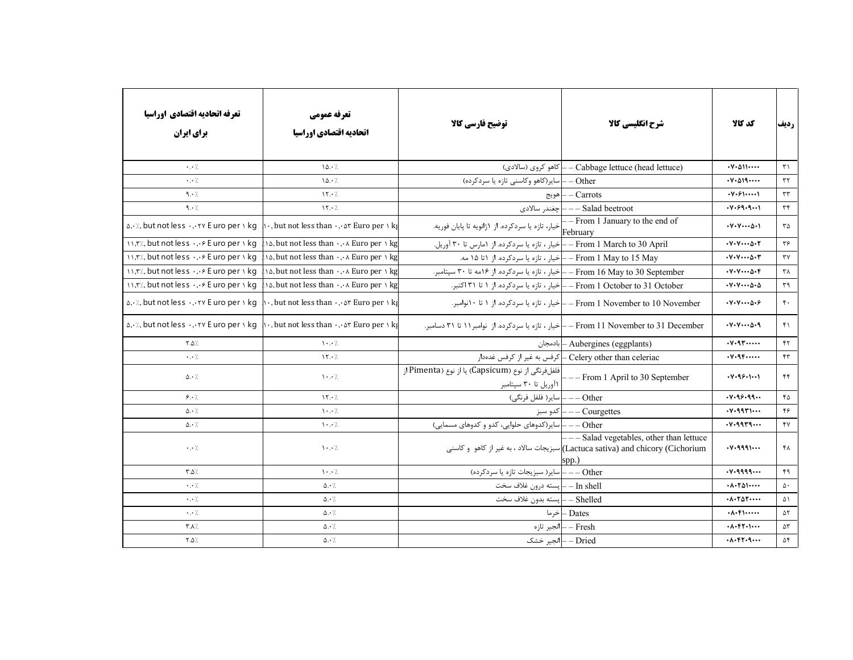| تعرفه اتحاديه اقتصادي اوراسيا<br>برای ایران                                                       | تعرفه عمومي<br>اتحاديه اقتصادي اوراسيا                                                                                                               | توضیح فارسی کالا                                                                             | شرح انگلیسی کالا                                                                                                                    | كد كالا                                                           | رديف                        |
|---------------------------------------------------------------------------------------------------|------------------------------------------------------------------------------------------------------------------------------------------------------|----------------------------------------------------------------------------------------------|-------------------------------------------------------------------------------------------------------------------------------------|-------------------------------------------------------------------|-----------------------------|
| $\cdot$ . $\cdot$ /                                                                               | 10.7                                                                                                                                                 | – كاهو كروى (سالادى)                                                                         | Cabbage lettuce (head lettuce)                                                                                                      | $\cdot \vee \cdot \triangle \vee \cdot \cdot \cdot$               | $\uparrow$                  |
| $\cdot$ . $\cdot$ /                                                                               | 10.7                                                                                                                                                 | اسایر(کاهو وکاسنی تازه یا سردکرده)                                                           | - Other                                                                                                                             | $\cdot \vee \cdot \triangle \vee \neg \cdots$                     | $\tau\tau$                  |
| 9.1                                                                                               | $\gamma \cdot \gamma$                                                                                                                                | اهويج                                                                                        | $- Carrots$                                                                                                                         | $\cdot V \cdot \mathcal{F}$ $\cdots$                              | $\tau\tau$                  |
| 9.1                                                                                               | $\gamma \cdot \gamma$                                                                                                                                | _ _ چغندر سالادى                                                                             | - Salad beetroot                                                                                                                    | .44.99.9                                                          | $\tau$ ۴                    |
| $\Delta$ , $\cdot$ /, but not less $\cdot$ , $\cdot$ $\cdot$ $\cdot$ $\cdot$ E uro per $\cdot$ kg | $\cdot$ , but not less than $\cdot$ , or Euro per $\setminus$ kg                                                                                     | — From 1 January to the end of خیار، تازه یا سردکرده. از ۱ژانویه تا پایان فوریه.<br>February |                                                                                                                                     | $\cdot V \cdot V \cdots \Delta \cdot V$                           | $\mathbf{r}\mathbf{\Delta}$ |
| 11, r/, but not less  & E uro per 1 kg                                                            | $\lambda$ . but not less than $\cdot$ , $\cdot$ Euro per $\lambda$ kg                                                                                | From 1 March to 30 April –  خیار ، تازه یا سردکرده. از ۱مارس تا ۳۰ آوریل.                    |                                                                                                                                     | $\cdot V \cdot V \cdots \Delta \cdot Y$                           | $\mathbf{y}$                |
| 11, r/, but not less  & E uro per 1 kg                                                            | $\Lambda$ . but not less than $\cdot$ , $\cdot \wedge$ Euro per $\wedge$ kg                                                                          | From 1 May to 15 May — خيار ، تازه يا سردكرده. از ١٥ مه.                                     |                                                                                                                                     | $\cdot V \cdot V \cdots \Delta \cdot Y$                           | $\tau\gamma$                |
| $\binom{1}{r}$ , but not less $\cdot$ , $\cdot \in E$ uro per $\cdot$ kg                          | $\Lambda$ . but not less than $\cdot$ , $\cdot \wedge$ Euro per $\wedge$ kg                                                                          | From 16 May to 30 September –  خیار ، تازه یا سردکرده. از ۱۶مه تا ۳۰ سپتامبر.                |                                                                                                                                     | $\cdot V \cdot V \cdots \Delta \cdot F$                           | $\tau \wedge$               |
| $\binom{1}{r}$ , but not less $\cdot$ , $\cdot \in E$ uro per $\cdot$ kg                          | $\Lambda$ . but not less than $\cdot$ , $\cdot$ Euro per $\Lambda$ kg                                                                                |                                                                                              | From 1 October to 31 October –  خیار ، تازه یا سردکرده. از ۱ تا ۳۱ اکتبر.                                                           | $\cdot V \cdot V \cdots \Delta \cdot \Delta$                      | $\mathbf{r}$ ٩              |
| $\Delta$ , $\cdot$ /, but not less $\cdot$ , $\cdot$ $\cdot$ $\cdot$ $\cdot$ E uro per $\cdot$ kg | $\cdot$ , but not less than $\cdot$ , or Euro per $\cdot$ kg                                                                                         |                                                                                              | From 1 November to 10 November –  خيار ، تازه يا سردكرده. از ۱ تا ۱۰نوامبر.                                                         | $\cdot V \cdot V \cdots \Delta \cdot F$                           | $\mathfrak{r}$ .            |
|                                                                                                   | $\alpha$ , $\alpha$ , but not less $\cdot$ , $\cdot$ $\cdot$ E uro per $\alpha$ kg $\alpha$ , but not less than $\cdot$ , $\alpha$ Euro per $\alpha$ |                                                                                              | From 11 November to 31 December – إخيار ، تازه يا سردكرده. از  نوامبر ١١ تا ٣١ دسامبر.                                              | $\cdot V \cdot V \cdots \Delta \cdot q$                           | $f \cap$                    |
| ∕`۵. ۲                                                                                            | $\mathcal{N}$ . $\mathcal{N}$                                                                                                                        |                                                                                              | Aubergines (eggplants) – بادمجان                                                                                                    | $\cdot v \cdot 97 \cdots$                                         | $\mathsf{f}\mathsf{r}$      |
| $\cdot$ . $\cdot$ /                                                                               | $\gamma$                                                                                                                                             |                                                                                              | Celery other than celeriac – كرفس به غير از كرفس غدهدار                                                                             | $\cdot \vee \cdot \vee \vee \cdots$                               | $\mathfrak{f}\mathfrak{r}$  |
| $\Delta \cdot \frac{1}{2}$                                                                        | $\cdot \cdot$ /                                                                                                                                      | فلفلفرنگی از نوع (Capsicum) یا از نوع (Pimenta از<br>  ۱آوریل تا ۳۰ سپتامبر                  | $---$ From 1 April to 30 September                                                                                                  | .499.1                                                            | $\mathfrak{f}\mathfrak{f}$  |
| 9.1                                                                                               | $\mathcal{N} \cdot \mathcal{L}$                                                                                                                      | Other ——   ساير( فلفل فرنگي)                                                                 |                                                                                                                                     | .449.99                                                           | $f \Delta$                  |
| $\Delta \cdot /$                                                                                  | $\cdot \cdot$ /                                                                                                                                      | كدو سبز                                                                                      | – Courgettes                                                                                                                        | $\cdot$ $\vee$ $\cdot$ $\vee$ $\vee$ $\vee$ $\cdots$              | ۴۶                          |
| $\Delta \cdot /$                                                                                  | $\mathcal{N} \cdot \cdot \mathcal{N}$                                                                                                                | ---) – – – باسایر(کدوهای حلوایی، کدو و کدوهای مسمایی)                                        |                                                                                                                                     | $\cdot$ v $\cdot$ qqrq $\cdots$                                   | YY                          |
| $\cdot$ . $\cdot$ /.                                                                              | $\cdot \cdot$ /                                                                                                                                      |                                                                                              | ---Salad vegetables, other than lettuce<br>Lactuca sativa) and chicory (Cichorium)(سبزيجات سالاد ، به غير از كاهو  و كاسنى<br>spp.) | .44991                                                            | ۴۸                          |
| $\uparrow \Delta$ /                                                                               | $\mathcal{N}$ . $\mathcal{N}$                                                                                                                        | ---   سایر( سبزیجات تازه یا سردکرده)                                                         |                                                                                                                                     | .44999                                                            | 49                          |
| $\cdot$ . $\cdot$ /                                                                               | $\Delta \cdot \frac{1}{2}$                                                                                                                           | In shell —  پسته درون غلاف سخت                                                               |                                                                                                                                     | $\cdot \wedge \cdot \wedge \wedge \wedge \cdots$                  | $\Delta$ .                  |
| $\cdot$ . $\cdot$ /                                                                               | $\Delta \cdot \frac{1}{2}$                                                                                                                           | Shelled — إيسته بدون غلاف سخت                                                                |                                                                                                                                     | $\cdot \wedge \cdot \wedge \wedge \wedge \cdots$                  | ۵۱                          |
| $\cdot$ . $\cdot$ /                                                                               | $\Delta \cdot \frac{1}{2}$                                                                                                                           |                                                                                              | $-$ Dates                                                                                                                           | $\cdot \wedge \cdot \wedge \cdot \cdot \cdot \cdot$               | $\Delta \Upsilon$           |
| ـ⁄ ۸. ۳                                                                                           | $\Delta \cdot \frac{1}{2}$                                                                                                                           |                                                                                              | – انجير تازه – – Fresh                                                                                                              | $\cdot \wedge \cdot \wedge \wedge \cdot \cdot \cdot$              | $\Delta \Upsilon$           |
| ∕`۵. ۲                                                                                            | $\Delta \cdot \frac{1}{2}$                                                                                                                           |                                                                                              | Dried - - انجير خشک                                                                                                                 | $\cdot \wedge \cdot \wedge \wedge \cdot \cdot \wedge \cdot \cdot$ | ۵۴                          |
|                                                                                                   |                                                                                                                                                      |                                                                                              |                                                                                                                                     |                                                                   |                             |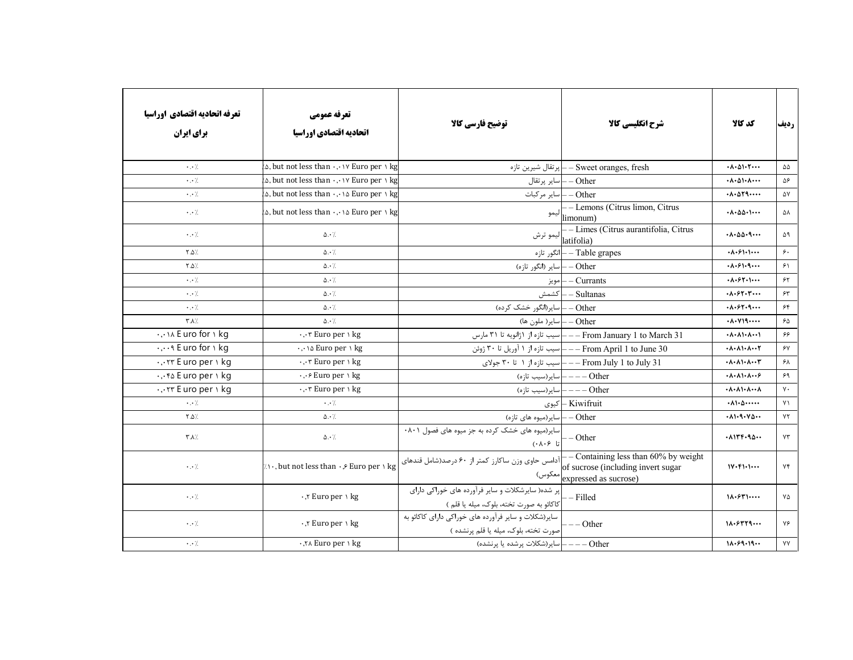| تعرفه اتحاديه اقتصادي اوراسيا<br>برای ایران                   | تعرفه عمومي<br>اتحاديه اقتصادي اوراسيا                                     | توضیح فارسی کالا                                                                              | شرح انگلیسی کالا                                                                                      | كد كالا                                                          | رديف                                  |
|---------------------------------------------------------------|----------------------------------------------------------------------------|-----------------------------------------------------------------------------------------------|-------------------------------------------------------------------------------------------------------|------------------------------------------------------------------|---------------------------------------|
| $\cdot$ . $\cdot$ /                                           | $\infty$ , but not less than $\cdot, \cdot \vee$ Euro per $\vee$ kg        |                                                                                               | پرتقال شیرین تازہH – Sweet oranges, fresh                                                             | $\cdot \wedge \cdot \wedge \cdot \wedge \cdot \cdots$            | $\Delta\Delta$                        |
| $\cdot$ . $\cdot$ /.                                          | $\alpha$ , but not less than $\cdot$ , $\cdot$ $\vee$ Euro per $\wedge$ kg |                                                                                               | Other –  ساير پرتقال                                                                                  | $\cdot \wedge \cdot \wedge \cdot \wedge \cdot \cdot \cdot$       | ۵۶                                    |
| $\cdot$ . $\cdot$ /                                           | $\Delta$ , but not less than $\cdot$ , $\cdot$ a Euro per $\Delta$ kg      | Other –  سایر مرکبات                                                                          |                                                                                                       | $\cdot \wedge \cdot \wedge \vee \wedge \cdot \cdot \cdot$        | ۵۷                                    |
| $\cdot$ . $\cdot$ /.                                          | $\Delta$ , but not less than $\cdot$ , $\cdot$ a Euro per $\lambda$ kg     |                                                                                               | - Lemons (Citrus limon, Citrus<br>ليمو $\left  \right _{\hbox{limonum}}$                              | $\cdot \wedge \cdot \wedge \wedge \cdot \cdot \cdot$             | ۵۸                                    |
| $\cdot$ . $\cdot$ /.                                          | $\Delta \cdot \frac{1}{2}$                                                 |                                                                                               | - Limes (Citrus aurantifolia, Citrus<br>ليمو ترش lat <u>ifolia</u>                                    | $\cdot \lambda \cdot \Delta \Delta \cdot$ q                      | ۵۹                                    |
| $Y.\Delta$                                                    | $\Delta \cdot \gamma$                                                      |                                                                                               | انگور تازه — — Table grapes                                                                           | $\cdot \wedge \cdot \circ \wedge \cdot \wedge \cdots$            | $\zeta$ .                             |
| $Y.\Delta$                                                    | $\Delta \cdot \gamma$                                                      | Other —  سایر (انگور تازه)                                                                    |                                                                                                       | $\cdot \wedge \cdot \circ \wedge \cdot \circ \cdots$             | 51                                    |
| $\cdot \cdot$ /.                                              | $\Delta \cdot \gamma$                                                      |                                                                                               | Currants –  مويز                                                                                      | $\cdot \wedge \cdot \circ \wedge \cdot \wedge \cdot \cdot \cdot$ | 55                                    |
| $\cdot$ . $\cdot$ /.                                          | $\Delta \cdot \gamma$                                                      |                                                                                               | Sultanas — كشمش                                                                                       | $\cdot \wedge \cdot \circ \vee \cdot \vee \cdots$                | $\mathop{\rm \mathfrak{Fr}}\nolimits$ |
| $\cdot \cdot$ /.                                              | $\Delta \cdot \frac{1}{2}$                                                 | - Other —   سایر(انگور خشک کرده)                                                              |                                                                                                       | $\cdot \wedge \cdot \circ \gamma \cdot q \cdots$                 | 55                                    |
| ٣.٨/                                                          | $\Delta \cdot \frac{1}{2}$                                                 | Other —   ساير( ملون ها)                                                                      |                                                                                                       | $\cdot \lambda \cdot V$ $9 \cdots$                               | $\mathcal{S}\Delta$                   |
| In Euro for I kg                                              | $\cdot$ , $\cdot$ $\tau$ Euro per $\wedge$ kg                              |                                                                                               | ———————————————————— سيب تازه از ۱ژانويه تا ۳۱ مارس                                                   | $\cdot \wedge \cdot \wedge \cdot \wedge \cdot \cdot \wedge$      | ۶۶                                    |
| $\cdot$ , $\cdot$ $\cdot$ $\cdot$ E uro for $\cdot$ kg        | ., a Euro per \ kg                                                         |                                                                                               | F• اسیب تازه از ۱ آوریل تا ۳۰ ژوئنN – – – From April 1 to June 30                                     | $\cdot \wedge \cdot \wedge \cdot \wedge \cdot \cdot \wedge$      | ۶۷                                    |
| TT E uro per 1 kg                                             | $\cdot$ , $\cdot$ $\tau$ Euro per $\wedge$ kg                              |                                                                                               | S1 ولای – – – From July 1 to July 31 – – – سیب تازه از ۱ تا ۳۰ جولای                                  | $\cdot \wedge \cdot \wedge \cdot \wedge \cdot \cdot \tau$        | ۶۸                                    |
| $\cdot$ , $\cdot$ $\uparrow$ $\upbeta$ E uro per $\upbeta$ kg | $\cdot$ , $\cdot \in$ Euro per \ kg                                        |                                                                                               | Other ———— ساير(سيب تازه)                                                                             | $\cdot \wedge \cdot \wedge \cdot \wedge \cdot \cdot \cdot$       | 59                                    |
| $\cdot$ , $\cdot$ rr E uro per $\cdot$ kg                     | $\cdot$ , $\cdot$ $\tau$ Euro per $\setminus$ kg                           |                                                                                               | Other ——— ساير(سيب تازه)                                                                              | $\cdot \wedge \cdot \wedge \cdot \wedge \cdot \wedge$            | $\mathsf{v}\cdot$                     |
| $\cdot \cdot /$                                               | $\cdot$ . $\cdot$ /                                                        |                                                                                               | Kiwifruit –  کیوی                                                                                     | $\cdot \wedge \cdot \wedge \cdots$                               | $Y \setminus$                         |
| Y.Q.                                                          | $\Delta \cdot L$                                                           | —   سایر(میوه های تازه) —   صا                                                                |                                                                                                       | $. \lambda \rightarrow . \lambda \rightarrow .$                  | YY                                    |
| ٣٨⁄                                                           | $\Delta \cdot$ /.                                                          | سایر (میوه های خشک کرده به جز میوه های فصول ۰۸۰۱<br>تا ۰۸۰۶)                                  | $-$ Other                                                                                             | $. \lambda$ 134.94.                                              | $Y\Upsilon$                           |
| $\cdot$ . $\cdot$ /                                           | At a but not less than $\cdot$ , Euro per \ kg                             | آدامس حاوی وزن ساکارز کمتر از ۶۰ درصد(شامل قندهای<br> معکوس)                                  | $-$ Containing less than 60% by weight<br>of sucrose (including invert sugar<br>expressed as sucrose) | 11.51.1                                                          | Yf                                    |
| $\cdot$ . $\cdot$ /.                                          | $\cdot$ , Euro per \ kg                                                    | پر شده( سایرشکلات و سایر فرآورده های خوراکی دارای<br>كاكائو به صورت تخته، بلوك، ميله يا قلم ) | - Filled                                                                                              | $1\Lambda.5$ r $1\cdots$                                         | ٧۵                                    |
| $\cdot$ . $\cdot$ /.                                          | $\cdot$ , Euro per \ kg                                                    | سایر(شکلات و سایر فرآورده های خوراکی دارای کاکائو به<br>صورت تخته، بلوک، میله یا قلم پرنشده ) | $-$ Other                                                                                             | $1\lambda.5779$                                                  | ٧۶                                    |
| $\cdot$ . $\cdot$ /.                                          | ., T∧ Euro per \ kg                                                        | ————   ساير(شكلات پرشده يا پرنشده)                                                            |                                                                                                       | 11.59.19                                                         | YY                                    |
|                                                               |                                                                            |                                                                                               |                                                                                                       |                                                                  |                                       |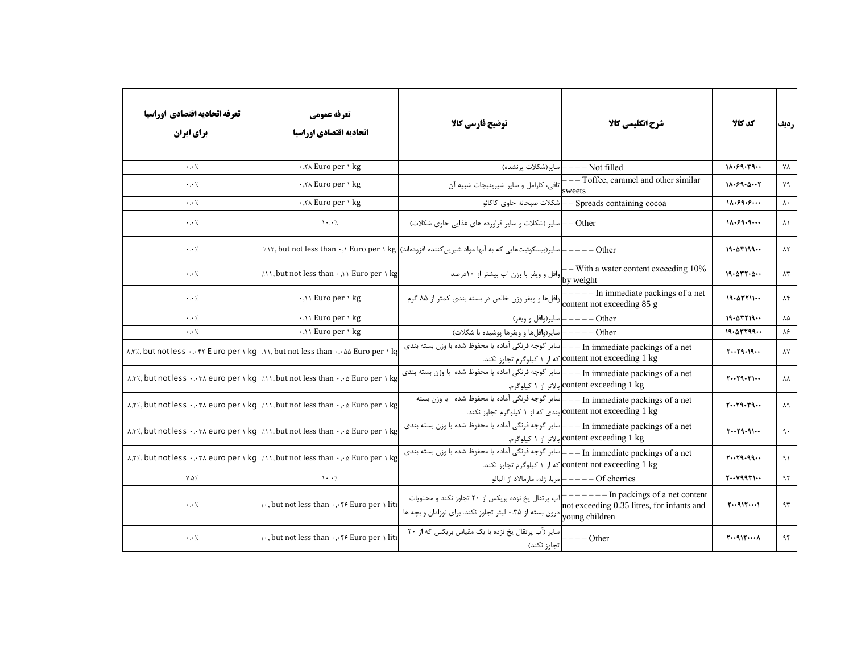| تعرفه اتحاديه اقتصادي اوراسيا<br>برای ایران                                           | تعرفه عمومي<br>اتحاديه اقتصادي اوراسيا                                                                                                                                          | توضيح فارسي كالأ                                                                                          | شرح انگلیسی کالا                                                                           | كد كالا                                | رديف                |
|---------------------------------------------------------------------------------------|---------------------------------------------------------------------------------------------------------------------------------------------------------------------------------|-----------------------------------------------------------------------------------------------------------|--------------------------------------------------------------------------------------------|----------------------------------------|---------------------|
| $\cdot$ . $\cdot$ /                                                                   | .,۲∧ Euro per \ kg                                                                                                                                                              | ساير (شكلات پرنشده)                                                                                       | -- Not filled                                                                              | 11.59.79                               | YA                  |
| $\cdot$ . $\cdot$ /.                                                                  | $\cdot$ , $\cdot$ X Euro per \ kg                                                                                                                                               | [تافی، کارامل و سایر شیرینیجات شبیه آن                                                                    | --- Toffee, caramel and other similar<br>sweets                                            | 11.59.0.7                              | ٧٩                  |
| $\cdot$ . /                                                                           | ., T∧ Euro per \ kg                                                                                                                                                             | شكلات صبحانه حاوى كاكائو                                                                                  | Spreads containing cocoa                                                                   | 11.99.9                                | $\lambda$ .         |
| $\cdot$ . $\cdot$ /.                                                                  | $\cdot \cdot$ /                                                                                                                                                                 | Other —  سایر (شکلات و سایر فراورده های غذایی حاوی شکلات)                                                 |                                                                                            | 11.59.9                                | $\lambda$           |
| $\cdot$ . $\cdot$ /.                                                                  |                                                                                                                                                                                 | — سایر(بیسکوئیتهایی که به آنها مواد شیرین کننده افزودهاند) kg ۱ ( ۱۲, but not less than ۰,۱ Euro per ۱ ): | $---Other$                                                                                 | 19.21199                               | $\lambda$ ٢         |
| $\cdot \cdot$ /                                                                       | $\mathcal{N}$ , but not less than $\cdot$ , $\mathcal{N}$ Euro per $\mathcal{N}$ kg                                                                                             | ۰۰ ۲۰۰۰۰ <sup>— ۱</sup> ۰ وافل و ویفر با وزن آب بیشتر از ۱۰درصد<br>by weig <u>ht</u>                      | $-$ With a water content exceeding 10%                                                     | 19.077.0                               | $\Lambda \tau$      |
| $\cdot$ . $\cdot$ /.                                                                  | $\cdot$ ,\\ Euro per \ kg                                                                                                                                                       | وافلها و ويفر وزن خالص در بسته بندى كمتر از ٨۵ گرم                                                        | $---$ In immediate packings of a net<br>content not exceeding 85 g                         | $19.0$ $T11$                           | $\lambda$ ۴         |
| $\cdot$ . $\cdot$ /                                                                   | $\cdot$ , \ \ Euro per \ kg                                                                                                                                                     |                                                                                                           | Other ————   سایر(وافل و ویفر)                                                             | 19.07719                               | $\Lambda\Delta$     |
| $\cdot$ . $\cdot$ /                                                                   | $\cdot$ ,\\ Euro per \ kg                                                                                                                                                       | Other ———— سایر(وافلها و ویفرها پوشیده با شکلات)                                                          |                                                                                            | 19.01199                               | ۸۶                  |
|                                                                                       | $\lambda$ , $\gamma$ , but not less $\cdot$ , $\cdot$ $\cdot$ F $\cdot$ E uro per $\lambda$ kg $\lambda$ $\lambda$ but not less than $\cdot$ , $\cdot$ as Euro per $\lambda$ kg | In immediate packings of a net ـــ ــ ــ ــ اساير گوجه فرنگي آماده يا محفوظ شده با وزن بسته بندي          | content not exceeding 1 kg که از ۱ کیلوگرم تجاوز نکند.                                     | 1.19.19                                | $\lambda\mathrm{V}$ |
|                                                                                       | $\lambda$ , $\mathsf{r}$ / but not less $\cdot$ , $\cdot$ $\mathsf{r}$ a euro per $\lambda$ kg $\lambda$ $\lambda$ but not less than $\cdot$ , $\cdot$ a Euro per $\lambda$ kg  | _ ساير گوجه فرنگي آماده يا محفوظ شده  با وزن بسته بندي                                                    | - In immediate packings of a net<br>content exceeding 1 kg بالاتر از ۱ كيلوگرم.            | $Y \cdot Y 9 \cdot Y$                  | λV                  |
|                                                                                       | $\lambda$ , $\mathsf{r}$ / but not less $\cdot$ , $\cdot$ $\mathsf{r}$ a euro per $\lambda$ kg $\lambda$ $\lambda$ but not less than $\cdot$ , $\cdot$ a Euro per $\lambda$ kg  | In immediate packings of a net —— سایر گوجه فرنگی آماده یا محفوظ شده با وزن بسته                          | content not exceeding 1 kg بندی که از ۱ کیلوگرم تجاوز نکند.                                | $Y \cdot Y$ 9. $Y$ 9                   | $\lambda$ ٩         |
|                                                                                       | $\lambda$ , $\mathsf{r}$ / but not less $\cdot$ , $\cdot\mathsf{r}$ euro per $\lambda$ kg $\lambda$ $\lambda$ but not less than $\cdot$ , $\lambda$ Euro per $\lambda$ kg       | In immediate packings of a net ـــ ــ ــ اساير گوجه فرنگي آماده يا محفوظ شده با وزن بسته بندي             | content exceeding 1 kg بالاتر از ۱ كيلوگرم.                                                | 1.119.91                               | $\mathcal{A}$ .     |
| $\lambda$ , $\lambda$ , but not less $\cdot$ , $\cdot$ $\kappa$ euro per $\lambda$ kq | $\langle \cdot \rangle$ , but not less than $\cdot \cdot \cdot \rangle$ Euro per $\setminus$ kg                                                                                 | .[ساير گوجه فرنگي آماده يا محفوظ شده با وزن بسته بندي                                                     | - In immediate packings of a net<br>content not exceeding 1 kg که از ۱ کیلوگرم تجاوز نکند. | $Y \cdot Y$ 9.99 $\cdot \cdot$         | 91                  |
| $Y.\Delta'.$                                                                          | $\cdot \cdot$ /                                                                                                                                                                 |                                                                                                           | of cherries ———— مربا، ژله، مارمالاد از آلبالو                                             | $Y \cdot Y 997$                        | 95                  |
| $\cdot \cdot /$                                                                       | , but not less than $\cdot$ , $\cdot$ $\cdot$ Fe Euro per $\cdot$ liti                                                                                                          | ۱ n۱ —————— آب پرتقال یخ نزده بریکس از ۲۰ تجاوز نکند و محتویات<br>.not exceeding 0<br>young children      | $---$ In packings of a net content<br>not exceeding 0.35 litres, for infants and           | 1.4111                                 | 95                  |
| $\cdot \cdot /$                                                                       | , but not less than  f Euro per \ liti                                                                                                                                          | سایر (آب پرتقال یخ نزده با یک مقیاس بریکس که از ۲۰<br> تجاوز نكند)                                        | – – Other                                                                                  | $T \cdot 91T \cdot \cdot \cdot \wedge$ | ۹۴                  |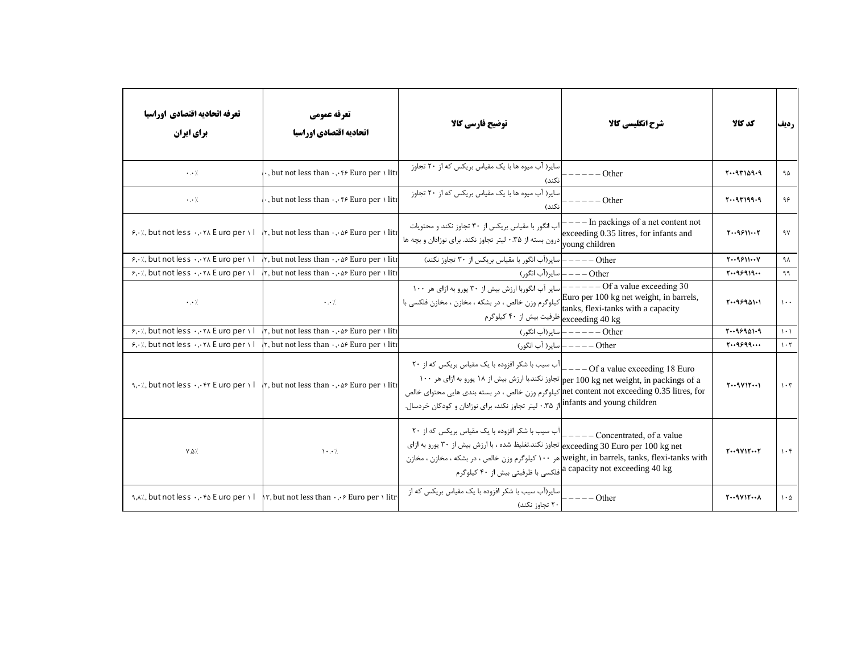| تعرفه اتحاديه اقتصادي اوراسيا<br>برای ایران                                                                  | تعرفه عمومي<br>اتحاديه اقتصادي اوراسيا                                              | توضيح فارسي كالآ                                                                                                                                                                                                                                                                                                                  | شرح انگلیسی کالا                                                                 | كد كالا                | رديف                            |
|--------------------------------------------------------------------------------------------------------------|-------------------------------------------------------------------------------------|-----------------------------------------------------------------------------------------------------------------------------------------------------------------------------------------------------------------------------------------------------------------------------------------------------------------------------------|----------------------------------------------------------------------------------|------------------------|---------------------------------|
| $\cdot \cdot \cdot$                                                                                          | , but not less than  f Euro per \ liti                                              | سایر( آب میوه ها با یک مقیاس بریکس که از ۲۰ تجاوز<br>نكند)                                                                                                                                                                                                                                                                        | Other                                                                            | $T-9T109-9$            | ۹۵                              |
| $\cdot$ . $\cdot$ /                                                                                          | , but not less than  f Euro per \ liti                                              | سایر( آب میوه ها با یک مقیاس بریکس که از ۲۰ تجاوز<br>نكند)                                                                                                                                                                                                                                                                        | Other                                                                            | $T - 9T199 - 9$        | ۹۶                              |
| $5.4$ , but not less $.4.71$ E uro per 1                                                                     | r, but not less than  of Euro per \ liti                                            | آب انگور با مقیاس بریکس از ۳۰ تجاوز نکند و محتویات $\hspace{0.1 cm} \mid$<br>ر مستعمل المستمر از ۰.۳۵ لیتر تجاوز نکند. برای نوزادان و بچه ها $\bigcup_{\text{young children}}$                                                                                                                                                    | $---$ In packings of a net content not<br>exceeding 0.35 litres, for infants and | $T - 9911 - T$         | ۹۷                              |
| $\mathcal{F}, \dot{\cdot}$ but not less $\dot{\cdot}, \dot{\cdot}$ and $\dot{\cdot}$ are per $\dot{\cdot}$ l | $\tau$ , but not less than $\cdot$ , $\circ$ Euro per \ liti                        | Other ———— سایر(آب انگور با مقیاس بریکس از ۳۰ تجاوز نکند)                                                                                                                                                                                                                                                                         |                                                                                  | $T - 9911 - V$         | ۹۸                              |
| $\frac{1}{2}$ , but not less  The Euro per 1                                                                 | $\tau$ , but not less than $\cdot$ , $\circ$ Euro per \ liti                        |                                                                                                                                                                                                                                                                                                                                   | Other ——— ساير(اّب انگور)                                                        | 1.199919               | ۹۹                              |
| $\cdot$ . $\cdot$ /                                                                                          | $\cdot$ . $\cdot$ /                                                                 | اسایر آب انگوربا ارزش بیش از ۳۰ پورو به ازای هر ۱۰۰<br>.Euro per 100 kg net weight, in barrels<br>اکیلوگرم وزن خالص ، در بشکه ، مخازن ، مخازن فلکسی با karlar c<br>ظرفیت بیش از ۴۰ کیلوگرم $\big  \text{exceeding 40 kg} \big $                                                                                                   | $---Of a value exceeding 30$<br>tanks, flexi-tanks with a capacity               | 1.189901.1             | $\lambda$                       |
| ۶,٠٪, but not less ٠,٠٢٨ E uro per ١١                                                                        | , but not less than  ۵۶ Euro per ۱ liti                                             |                                                                                                                                                                                                                                                                                                                                   | Other —————  ساير(أب انگور)                                                      | 1.199901.9             | $\lambda$ . $\lambda$           |
| $\mathcal{F}, \dot{\cdot}$ , but not less $\dot{\cdot}$ , $\dot{\cdot}$ x E uro per $\dot{\cdot}$ l          | $\tau$ , but not less than $\cdot$ , $\circ$ Euro per \ liti                        |                                                                                                                                                                                                                                                                                                                                   | Other ————   سایر( آب انگور)                                                     | 1.19999                | $\mathcal{N} \cdot \mathcal{N}$ |
| $\mathcal{A}, \mathcal{A}, \mathcal{A}$ but not less $\mathcal{A}, \mathcal{A}$ are per $\mathcal{A}$ l      | $\vert \cdot \vert$ , but not less than $\cdot \cdot \cdot \cdot$ . Euro per \ liti | آب سیب با شکر افزوده با یک مقیاس بریکس که از ۲۰<br>1 per 100 kg net weight, in packings of a تجاوز نكند.با ارزش بيش از ١٨ يورو به ازاى هر ١٠٠<br>net content not exceeding 0.35 litres, for[كيلوگرم وزن خالص ، در بسته بندي هايي محتواي خالص<br>infants and young children از ۳۵.۰ لیتر تجاوز نکند، برای نوزادان و کودکان خردسال. | $---$ Of a value exceeding 18 Euro                                               | $T \cdot 9V$           | $\mathcal{N} \cdot \mathcal{K}$ |
| $Y.\Delta'.$                                                                                                 | $\mathcal{N} \cdot \cdot \mathcal{N}$                                               | ۲۰ آب سیب با شکر افزوده با یک مقیاس بریکس که از ۲۰ $\bigl]_{-----\text{Concentrated, of a value}}$<br>exceeding 30 Euro per 100 kg net تجاوز نكند.تغليظ شده ، با ارزش بيش از ٣٠ يورو به ازاي<br>weight, in barrels, tanks, flexi-tanks with هر ۱۰۰ کیلوگرم وزن خالص ، در بشکه ، مخازن ، مخازن                                     | a capacity not exceeding 40 kg فلكسى با ظرفيتي بيش از ۴۰ كيلوگرم $\,$            | $T \cdot 9V1T \cdot T$ | $\mathcal{N} \cdot \mathcal{K}$ |
| $9, 4, 7, 6$ but not less $\cdot$ , $\cdot$ $\cdot$ E uro per $\cdot$ l                                      | $\uparrow$ , but not less than $\cdot$ , $\cdot$ Euro per $\cdot$ litr              | ـاير(آب سيب با شكر افزوده با يک مقياس بريکس که از<br>۲۰ تجاوز نکند)                                                                                                                                                                                                                                                               | Other                                                                            | $T \cdot 9V$           | $\mathcal{L} \cdot \mathcal{L}$ |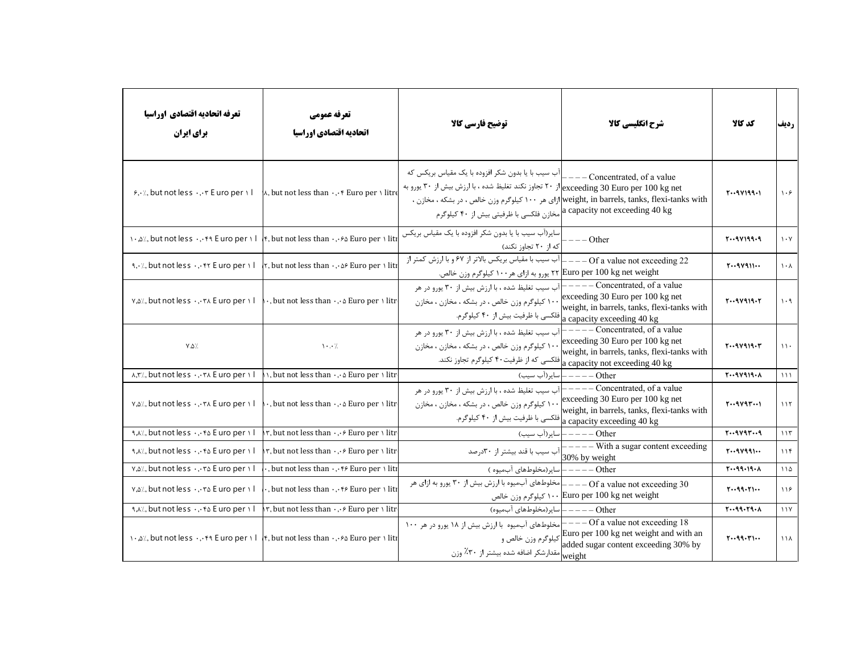| تعرفه اتحاديه اقتصادي اوراسيا<br>برای ایران                                 | تعرفه عمومي<br>اتحاديه اقتصادي اوراسيا                                                                                                                           | توضيح فارسي كالا                                                                                                                                                                                                                                                                                                                                                           | شرح انگلیسی کالا                                                                                                                                    | كد كالا                          | رديف                            |
|-----------------------------------------------------------------------------|------------------------------------------------------------------------------------------------------------------------------------------------------------------|----------------------------------------------------------------------------------------------------------------------------------------------------------------------------------------------------------------------------------------------------------------------------------------------------------------------------------------------------------------------------|-----------------------------------------------------------------------------------------------------------------------------------------------------|----------------------------------|---------------------------------|
| $5.4$ , but not less $.4.4$ F uro per $1$                                   | $\lambda$ , but not less than $\cdot$ , $\cdot$ Euro per $\cdot$ litre                                                                                           | آب سیب با یا بدون شکر افزوده با یک مقیاس بریکس که<br>از ۲۰ تجاوز نکند تغلیظ شده ، با ارزش بیش از ۳۰ یورو به $ \textrm{exceeding 30 Euro per 100 kg net} $<br>ازای هر ۱۰۰ کیلوگرم وزن خالص ، در بشکه ، مخازن ، $ {\rm weight}, {\rm in \, \, {barrels}, \, {tanks}, {\rm flexi-tanks \, \, with}$<br>a capacity not exceeding 40 kg مخازن فلکسی با ظرفیتی بیش از ۴۰ کیلوگرم | Concentrated, of a value                                                                                                                            | $Y \cdot 9 Y 199 \cdot 1$        | $\lambda \cdot 5$               |
|                                                                             | $\cdot$ , $\Delta \times \Delta$ , but not less $\cdot$ , $\cdot$ $\cdot$ E uro per $\cdot$   $\cdot$ , but not less than $\cdot$ , $\cdot$ Euro per $\cdot$ lit | سایر(آب سیب با یا بدون شکر افزوده با یک مقیاس بریکس<br>که از ۲۰ تجاوز نکند)                                                                                                                                                                                                                                                                                                | $--$ Other                                                                                                                                          | $Y \cdot 9 Y 199.9$              | $\mathcal{N} \cdot \mathcal{N}$ |
| 1. A. A. but not less  fr E uro per il                                      | $\vert \tau$ , but not less than $\cdot$ , $\circ$ Euro per \ liti                                                                                               | ـ آب سيب با مقياس بريكس بالاتر از ۶۷ و با ارزش كمتر از<br>۲۲ Euro per 100 kg net weight) یورو به ازای هر ۱۰۰ کیلوگرم وزن خالص.                                                                                                                                                                                                                                             | $---$ Of a value not exceeding 22                                                                                                                   | $T \cdot 9V911 \cdot \cdot$      | $\lambda \cdot \lambda$         |
| V, all, but not less  The Euro per II                                       | $\cdot$ , but not less than $\cdot$ , $\cdot$ Euro per $\cdot$ litr                                                                                              | آب سیب تغلیظ شده ، با ارزش بیش از ۳۰ پورو در هر<br>۱۰۰ کیلوگرم وزن خالص ، در بشکه ، مخازن ، مخازن<br> فلکسی با ظرفیت بیش از ۴۰ کیلوگرم.                                                                                                                                                                                                                                    | --Concentrated, of a value<br>exceeding 30 Euro per 100 kg net<br>weight, in barrels, tanks, flexi-tanks with<br>a capacity exceeding 40 kg         | $Y \cdot 9 Y 9 19 \cdot Y$       | $\eta \cdot \eta$               |
| $Y.\Delta'.$                                                                | $\cdots$                                                                                                                                                         | آب سیب تغلیظ شده ، با ارزش بیش از ۳۰ پورو در هر<br>۱۰۰ کیلوگرم وزن خالص ، در بشکه ، مخازن ، مخازن<br>افلکسی که از ظرفیت۴۰ کیلوگرم تجاوز نکند.                                                                                                                                                                                                                              | $---$ Concentrated, of a value<br>exceeding 30 Euro per 100 kg net<br>weight, in barrels, tanks, flexi-tanks with<br>a capacity not exceeding 40 kg | $T - 9V919 - T$                  | $\mathcal{U}$                   |
| A, T/, but not less  The Euro per 11                                        | $\big\setminus$ , but not less than $\cdot$ , $\cdot$ a Euro per $\setminus$ litr                                                                                |                                                                                                                                                                                                                                                                                                                                                                            | Other ————   سایر(آب سیب)                                                                                                                           | $T - 9V919 - A$                  | $\mathcal{N}$                   |
| $v, \delta$ %, but not less $\cdot, \cdot \tau \wedge E$ uro per $\wedge$ l | $\cdot$ , but not less than $\cdot$ , $\cdot$ Euro per $\cdot$ litr                                                                                              | آب سیب تغلیظ شده ، با ارزش بیش از ۳۰ یورو در هر<br>۱۰۰ کیلوگرم وزن خالص ، در بشکه ، مخازن ، مخازن<br>فلكسى با ظرفيت بيش از ۴۰ كيلوگرم. $_{\rm a\ capacity\ exceeding\ 40\ kg}$                                                                                                                                                                                             | $---$ Concentrated, of a value<br>exceeding 30 Euro per 100 kg net<br>weight, in barrels, tanks, flexi-tanks with                                   | $T - 9V9T - 1$                   | 115                             |
| 1, A/, but not less  fa E uro per 1                                         | $\uparrow$ , but not less than $\cdot$ , $\cdot$ Euro per \ litr                                                                                                 |                                                                                                                                                                                                                                                                                                                                                                            | Other ————   ساير(أب سيب)                                                                                                                           | 1.44419                          | 115                             |
| 1, A/, but not less  fa E uro per 1                                         | $\uparrow$ , but not less than $\cdot$ , $\cdot \circ$ Euro per $\cdot$ litr                                                                                     | ِاآب سیب با قند بیشتر از ۳۰درصد                                                                                                                                                                                                                                                                                                                                            | - With a sugar content exceeding<br>30% by weight                                                                                                   | $Y \cdot 9Y99 \cdot \cdot \cdot$ | 118                             |
| v, all, but not less  Ta E uro per 1 l                                      | $\cdot$ , but not less than $\cdot$ , $\cdot$ $\cdot$ $\cdot$ Euro per $\cdot$ liti                                                                              | Other —————   سایر (مخلوطهای آبمیوه )                                                                                                                                                                                                                                                                                                                                      |                                                                                                                                                     | 1.49.19.1                        | 110                             |
| $v, \Delta$ %, but not less $\cdot, \cdot \tau \Delta$ E uro per $\Delta$ I | , but not less than  f Euro per \ liti                                                                                                                           | مخلوطهای آبمیوه با ارزش بیش از ۳۰ پورو به ازای هر                                                                                                                                                                                                                                                                                                                          | $---$ Of a value not exceeding 30<br>۱۰۰ Euro per 100 kg net weight (۱۵۵ kg بلوگرم وزن خالص                                                         | 1.49.71                          | 119                             |
| 1, A/, but not less  fa E uro per 1                                         | $\uparrow$ , but not less than $\cdot$ , $\cdot$ Euro per $\cdot$ litr                                                                                           | Other ———— سایر(مخلوطهای آبمیوه)                                                                                                                                                                                                                                                                                                                                           |                                                                                                                                                     | $Y \cdot 99 \cdot Y9 \cdot A$    | 11Y                             |
|                                                                             | $\cdot$ , $\alpha$ %, but not less $\cdot$ , $\cdot$ $\cdot$ E uro per $\cdot$   $\cdot$   $\cdot$ , but not less than $\cdot$ , $\cdot$ E uro per $\cdot$ liti  | 18 −−− Of a value not exceeding بمخلوطهای آبمیوه با ارزش بیش از ۱۸ یورو در هر ۱۰۰                                                                                                                                                                                                                                                                                          | د سیاست سنده سیست سنده سیستر از سیستر از سیستر از سیستر از ۳۰٪ وزن<br>added sugar content exceeding 30% byا weight                                  | 1.49.11                          | 11 <sub>Y</sub>                 |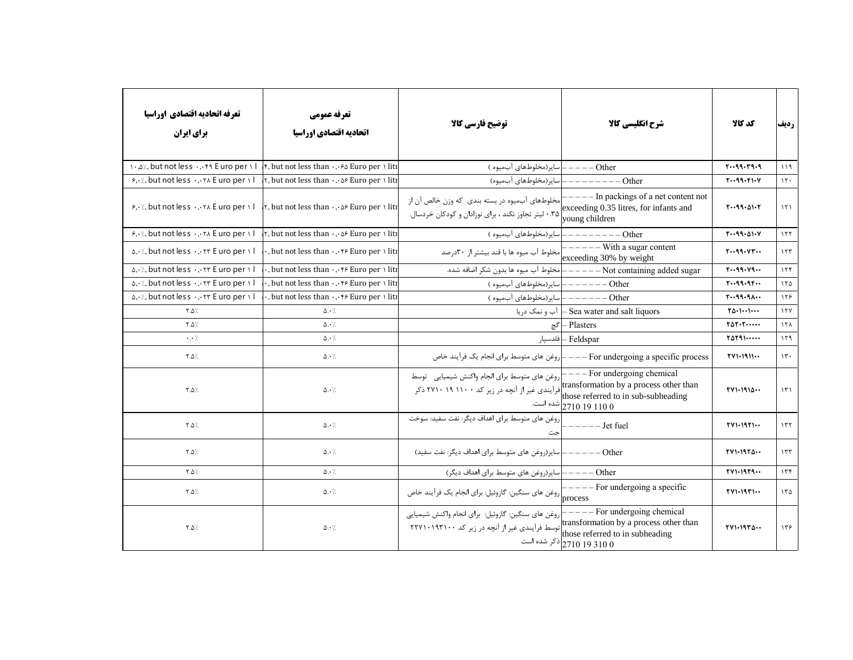| تعرفه اتحاديه اقتصادي اوراسيا<br>برای ایران                                     | تعرفه عمومي<br>اتحاديه اقتصادي اوراسيا                       | توضيح فارسي كالا                                                                                                                                                              | شرح انگلیسی کالا                                                                                   | كد كالا                                   | رديف               |
|---------------------------------------------------------------------------------|--------------------------------------------------------------|-------------------------------------------------------------------------------------------------------------------------------------------------------------------------------|----------------------------------------------------------------------------------------------------|-------------------------------------------|--------------------|
| 1., a/, but not less  . f a E uro per 1                                         | f, but not less than  fo Euro per \ liti                     | اسایر(مخلوطهای آبمیوه )                                                                                                                                                       | $---Other$                                                                                         | 1.49.79.9                                 | 119                |
| $5.4$ , but not less $.4.4$ E uro per $\sqrt{1}$                                | r, but not less than $\cdot$ , $\circ$ Euro per $\cdot$ liti | سایر(مخلوطهای آبمیوه)                                                                                                                                                         | Other                                                                                              | $Y \cdot 99 \cdot F1 \cdot V$             | $\mathcal{N}$      |
| $s, y, z$ , but not less $y, z, z$ E uro per $y \mid z$                         | r, but not less than  of Euro per \ liti                     | مخلوطهای آبمیوه در بسته بندی که وزن خالص آن از<br>.۳۵ لیتر تجاوز نکند ، برای نوزادان و کودکان خردسال.                                                                         | $---$ In packings of a net content not<br>exceeding 0.35 litres, for infants and<br>young children | 1.49.01.7                                 | $\binom{1}{1}$     |
| $5.4$ , but not less $.4.71$ E uro per 1                                        | r, but not less than  A Euro per I liti                      | سایر (مخلوطهای آبمیوه)                                                                                                                                                        | Other                                                                                              | $Y \cdot 99 \cdot 01 \cdot V$             | $\sqrt{7}$         |
| $\Delta$ , $\cdot$ / but not less $\cdot$ , $\cdot$ $\tau$ E uro per $\theta$ l |                                                              | مخلوط آب ميوه ها با قند بيشتر از ٣٠درصد                                                                                                                                       | $---$ With a sugar content<br>exceeding 30% by weight                                              | $Y \cdot 99 \cdot VY \cdot 4$             | 157                |
| $\Delta$ , $\cdot$ / but not less $\cdot$ , $\cdot$ $\tau$ E uro per $\theta$ l |                                                              | امخلوط آب ميوه ها بدون شكر اضافه شده.                                                                                                                                         | - Not containing added sugar                                                                       | 1.49.19.1                                 | 156                |
| $\alpha$ , $\alpha$ , but not less $\alpha$ , $\alpha$ r E uro per $\alpha$     |                                                              | سایر (مخلوطهای آبمیوه)                                                                                                                                                        | Other                                                                                              | $Y \cdot 99 \cdot 99 \cdot \cdot$         | 150                |
| $\alpha$ , $\cdot$ / but not less $\cdot$ , $\cdot$ $\tau$ E uro per $\theta$ l |                                                              | سایر (مخلوطهای آبمیوه)                                                                                                                                                        | – Other                                                                                            | 1.49.9                                    | 159                |
| $Y.\Delta$                                                                      | $\Delta \cdot \gamma$                                        | آب و نمک دریا                                                                                                                                                                 | - Sea water and salt liquors                                                                       | $\Upsilon \Delta \cdot 1 \cdots 1 \cdots$ | 17Y                |
| $Y.\Delta$                                                                      | $\Delta \cdot \frac{1}{2}$                                   | گچ                                                                                                                                                                            | - Plasters                                                                                         | $Y\Delta Y\cdot Y\cdot\cdots\cdot Y$      | 15 <sub>A</sub>    |
| $\cdot$ . $\cdot$ /                                                             | $\Delta \cdot \gamma$                                        |                                                                                                                                                                               | Feldspar – فلدسپار                                                                                 | $Y\Delta Y$ 91                            | 159                |
| $Y.\Delta$                                                                      | $\Delta \cdot \frac{1}{2}$                                   |                                                                                                                                                                               |                                                                                                    | TV1.1911                                  | $\mathcal{N}$ .    |
| $Y.\Delta$                                                                      | $\Delta \cdot$ /.                                            | روغن های متوسط برای انجام واکنش شیمیایی۔ توسط<br>transformation by a process other than<br>فرآیندی غیر از آنچه در زیر کد ۲۷۱۰ ۱۹ ۲۱۰۰ ذکر those referred to in sub-subheading | $---$ For undergoing chemical<br>شده است. 2710 19 110 0                                            | TV1.1914                                  | $\mathcal{N}$      |
| $\uparrow$ . $\uparrow$ .                                                       | $\Delta \cdot$ /.                                            | روغن های متوسط برای اهداف دیگر: نفت سفید: سوخت<br>جت                                                                                                                          | - Jet fuel                                                                                         | $YV1.19Y1$                                | 177                |
| $\uparrow$ . $\uparrow$ .                                                       | $\Delta \cdot$ /                                             | سایر(روغن های متوسط برای اهداف دیگر: نفت سفید)                                                                                                                                | Other                                                                                              | TV1.1970                                  | $\gamma \tau \tau$ |
| $\uparrow$ .0 /                                                                 | $\Delta \cdot \frac{1}{2}$                                   | Other ————   سایر(روغن های متوسط برای اهداف دیگر)                                                                                                                             |                                                                                                    | TV1.1979                                  | 156                |
| ∴۵. ۲                                                                           | $\Delta \cdot$ /                                             | - - - - -  <br>process روغن های سنگین: گازوئیل: برای انجام یک فرآیند خاص                                                                                                      | For undergoing a specific                                                                          | $TV1.19T1$                                | 170                |
| ∴۵. ۲                                                                           | $\Delta \cdot \frac{1}{2}$                                   |                                                                                                                                                                               | ذکر شده است $\big  2710\ 19\ 310\ 0 \big $                                                         | $TV1.19Y\Delta$                           | 155                |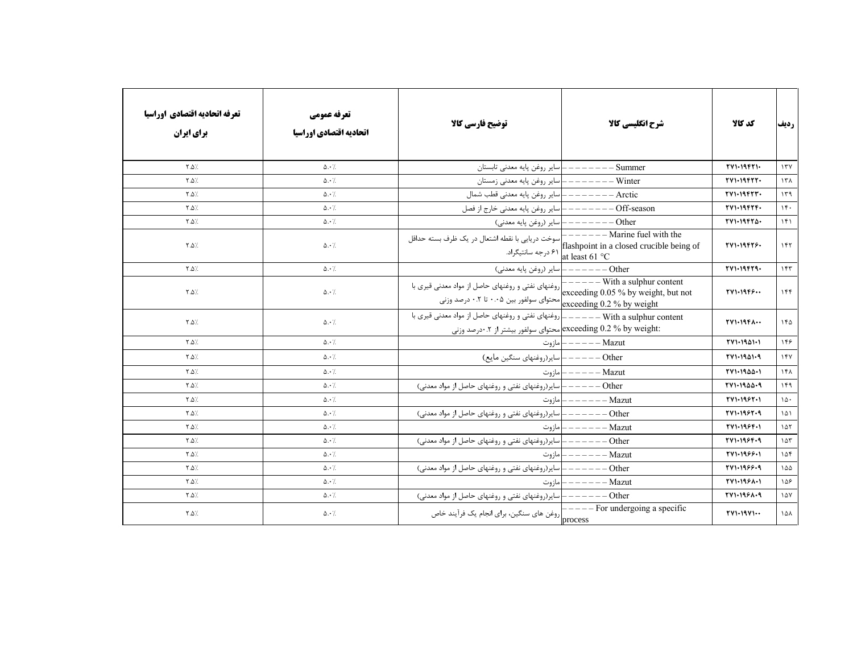| تعرفه اتحاديه اقتصادي اوراسيا<br><b>برای ایران</b> | تعرفه عمومي<br>اتحاديه اقتصادي اوراسيا | توضيح فارسي كالا                                                 | شرح انگلیسی کالا                    | كد كالا          | رديف                  |
|----------------------------------------------------|----------------------------------------|------------------------------------------------------------------|-------------------------------------|------------------|-----------------------|
| $\lambda$ . $\Delta$                               | $\Delta \cdot \gamma$                  | سایر روغن پایه معدنی تابستان                                     | Summer                              | TV1.19F11.       | 177                   |
| $Y.\Delta$                                         | $\Delta \cdot \gamma$                  | سایر روغن پایه معدنی زمستان                                      | - Winter                            | TV1.19FYY.       | $17\lambda$           |
| $Y.\Delta$                                         | $\Delta \cdot \gamma$                  | ساير روغن پايه معدني قطب شمال                                    | – Arctic                            | TV1.19FYY.       | 179                   |
| $Y.\Delta$                                         | $\Delta \cdot \gamma$                  | ساير روغن پايه معدني خارج از فصل                                 | - Off-season                        | TV1.19FTT.       | 14.                   |
| $Y.\Delta$                                         | $\Delta \cdot \frac{1}{2}$             |                                                                  | Other —————— ساير (روغن پايه معدني) | $TV1.1957\Delta$ | 151                   |
| $Y.\Delta$                                         | $\Delta \cdot \frac{1}{2}$             |                                                                  |                                     | TV1.19979.       | 157                   |
| $Y.\Delta$                                         | $\Delta \cdot \gamma$                  |                                                                  | Other —————— ساير (روغن پايه معدني) | TV1.19FT9.       | 157                   |
| $Y.\Delta$                                         | $\Delta \cdot \frac{1}{2}$             | axceeding 0.2 % by weight محتواى سولفور بين ۰.۵ تا ۰.۲ درصد وزنى | exceeding 0.05 % by weight, but not | TV1.19F5         | 156                   |
| $Y.\Delta$                                         | $\Delta \cdot$ /                       | :exceeding 0.2 % by weightا محتواى سولفور بيشتر از ٢. •درصد وزني |                                     | TV1.19F          | 150                   |
| $Y.\Delta$                                         | $\Delta \cdot \gamma$                  |                                                                  | Mazut —————   مازوت                 | TV1.1901.1       | 148                   |
| $Y.\Delta$                                         | $\Delta \cdot \frac{1}{2}$             | Other ------  سایر(روغنهای سنگین مایع)                           |                                     | 771.1901.9       | 154                   |
| $Y.\Delta$                                         | $\Delta \cdot \frac{1}{2}$             |                                                                  | $-$ Mazut<br>— — — —   مازوت        | TV1.1900.1       | $1f\Lambda$           |
| $\lambda$ . $\Delta$                               | $\Delta \cdot \gamma$                  | – سایر(روغنهای نفتی و روغنهای حاصل از مواد معدنی)                | Other                               | 771.1900.9       | 149                   |
| $Y.\Delta$                                         | $\Delta \cdot \frac{1}{2}$             | مازوت                                                            | – Mazut                             | TV1.1987.1       | $\lambda \Delta$ .    |
| $Y.\Delta$                                         | $\Delta \cdot \frac{1}{2}$             | ـ سایر(روغنهای نفتی و روغنهای حاصل از مواد معدنی)                | $-$ Other                           | 771.1987.9       | 101                   |
| 7.∆∵                                               | $\Delta \cdot \frac{1}{2}$             |                                                                  |                                     | TV1.1984.1       | 107                   |
| $Y.\Delta$                                         | $\Delta \cdot$ /.                      | ————— سایر(روغنهای نفتی و روغنهای حاصل از مواد معدنی)            | – Other                             | 771.1984.9       | $\lambda \Delta \tau$ |
| $\lambda \Delta$                                   | $\Delta \cdot \frac{1}{2}$             |                                                                  | Mazut —————— مازوت                  | TV1.1999.1       | 10f                   |
| $\lambda \Delta$                                   | $\Delta \cdot$ /                       | —————   سایر(روغنهای نفتی و روغنهای حاصل از مواد معدنی)          | $-$ Other                           | 771.1988.9       | $\Delta\Delta$        |
| $\lambda \Delta$                                   | $\Delta \cdot \frac{1}{2}$             |                                                                  | Mazut — — — — —   مازوت             | TV1.1981.1       | ۱۵۶                   |
| 7.∆∵                                               | $\Delta \cdot \frac{1}{2}$             |                                                                  |                                     | TV1.1981.9       | $\lambda \Delta V$    |
| $\uparrow \Delta$ /.                               | $\Delta \cdot$ /                       |                                                                  |                                     | TV1.19V1         | $\lambda$             |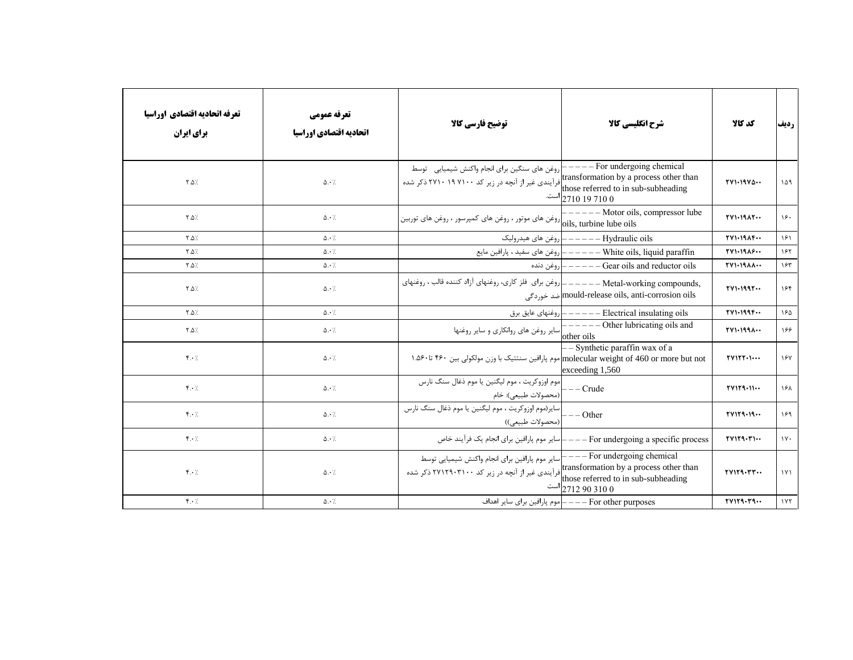| تعرفه اتحاديه اقتصادي اوراسيا<br><b>برای ایران</b> | تعرفه عمومي<br>اتحاديه اقتصادي اوراسيا | توضیح فارسی کالا                                                                                                                                                                  | شرح انگلیسی کالا                                                                | كد كالا         | رديف     |
|----------------------------------------------------|----------------------------------------|-----------------------------------------------------------------------------------------------------------------------------------------------------------------------------------|---------------------------------------------------------------------------------|-----------------|----------|
| $\uparrow \Delta$ /                                | $\Delta \cdot \frac{1}{2}$             | روغن های سنگین برای انجام واکنش شیمیایی توسط<br>transformation by a process other than افرآیندی غیر از آنچه در زیر کد ۲۷۱۰ ۱۹ ۲۷۱۰ ذکر شده<br>those referred to in sub-subheading | $---$ For undergoing chemical<br>است. 2710 19 710 $\sim$                        | $TV1.19V\Delta$ | 109      |
| $Y.\Delta$                                         | $\Delta \cdot \frac{1}{2}$             |                                                                                                                                                                                   | $---$ Motor oils, compressor lube                                               | TV1.19AT        | ۱۶۰      |
| $Y.\Delta$                                         | $\Delta \cdot \gamma$                  |                                                                                                                                                                                   | Hydraulic oils —————— إروغن هاي هيدروليك                                        | TV1.19          | 151      |
| $Y.\Delta$                                         | $\Delta \cdot \gamma$                  |                                                                                                                                                                                   |                                                                                 | YY1.1915        | ۱۶۲      |
| $Y.\Delta$                                         | $\Delta \cdot \gamma$                  |                                                                                                                                                                                   | روغن دنده $\vert -----$ Gear oils and reductor oils                             | <b>TVI-1911</b> | ۱۶۳      |
| $Y.\Delta$                                         | $\Delta \cdot \frac{1}{2}$             |                                                                                                                                                                                   | mould-release oils, anti-corrosion oils] ضد خوردگی                              | YY1.1997        | ۱۶۴      |
| $Y.\Delta$                                         | $\Delta \cdot \gamma$                  |                                                                                                                                                                                   |                                                                                 | TV1.199F        | ١۶۵      |
| $Y.\Delta$                                         | $\Delta \cdot \frac{1}{2}$             |                                                                                                                                                                                   |                                                                                 | TV1.199         | ۱۶۶      |
| $f \cdot /$                                        | $\Delta \cdot \frac{1}{2}$             | molecular weight of 460 or more but not. موم پارافین سنتتیک با وزن مولکولی بین ۴۶۰ تا۴۶۰. ۱                                                                                       | - Synthetic paraffin wax of a<br>exceeding 1,560                                | $YV1YY$         | 187      |
| $f \cdot /$                                        | $\Delta \cdot \gamma$                  |                                                                                                                                                                                   | $---Crude$                                                                      | TV1Y9.11        | ۱۶۸      |
| $f \cdot /$                                        | $\Delta \cdot$ /.                      | سایر(موم اوزوکریت ، موم لیگنین یا موم ذغال سنگ نارس<br>(محصولات طبيعي))                                                                                                           | $\left ---\text{Other}\right $                                                  | TV1Y9.19        | ۱۶۹      |
| $\mathbf{f} \cdot \mathbf{A}$                      | $\Delta \cdot \frac{1}{2}$             |                                                                                                                                                                                   | For undergoing a specific process ——— سایر موم پارافین برای انجام یک فرآیند خاص | YV1Y9.71        | $\gamma$ |
| $f \cdot /$                                        | $\Delta \cdot$ /.                      | سایر موم پارافین برای انجام واکنش شیمیایی توسط<br>transformation by a process other than فرآیندی غیر از آنچه در زیر کد ۲۷۱۲۹۰۳۱۰۰ ذکر شده<br>those referred to in sub-subheading  | $---$ For undergoing chemical<br>است $ 2712\,90\,310\,0 $                       | YV1Y9.YY        | 1Y1      |
| $f \cdot /$                                        | $\Delta \cdot \frac{1}{2}$             |                                                                                                                                                                                   | For other purposes ———  موم پارافین برای سایر اهداف                             | TV1Y9.79        | 1YY      |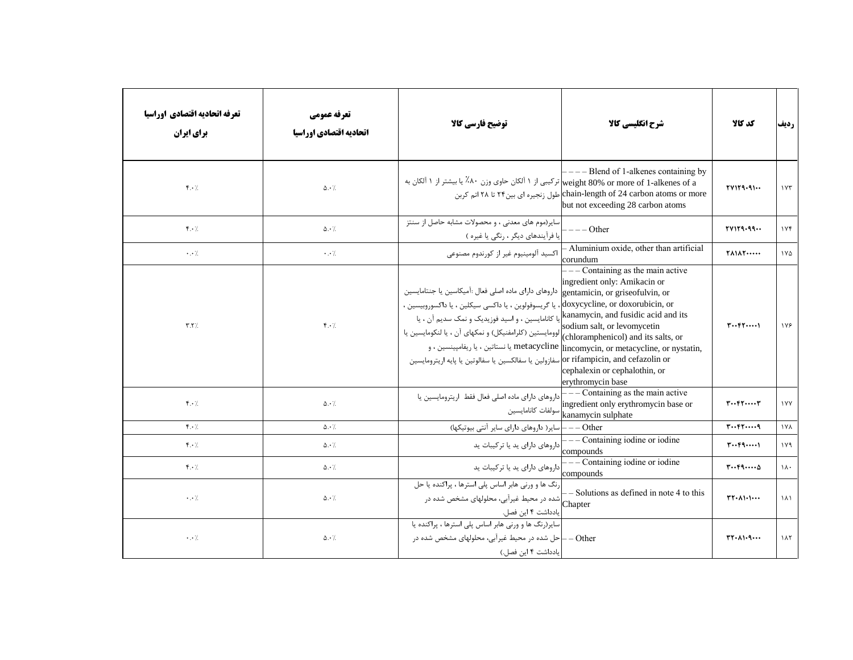| تعرفه اتحاديه اقتصادي اوراسيا<br>برای ایران | تعرفه عمومي<br>اتحاديه اقتصادي اوراسيا | توضيح فارسي كالا                                                                                                                                                                                                                                                                                                                                                                                                                   | شرح انگلیسی کالا                                                                                                                                                                                                                                                                                                                                                                                                                                                                                                                                                                                                               | كد كالا                                                   | رديف                  |
|---------------------------------------------|----------------------------------------|------------------------------------------------------------------------------------------------------------------------------------------------------------------------------------------------------------------------------------------------------------------------------------------------------------------------------------------------------------------------------------------------------------------------------------|--------------------------------------------------------------------------------------------------------------------------------------------------------------------------------------------------------------------------------------------------------------------------------------------------------------------------------------------------------------------------------------------------------------------------------------------------------------------------------------------------------------------------------------------------------------------------------------------------------------------------------|-----------------------------------------------------------|-----------------------|
| $\mathbf{f} \cdot \mathbf{h}$               | $\Delta \cdot \frac{1}{2}$             | weight 80% or more of 1-alkenes of a  ترکیبی از ۱ آلکان حاوی وزن ۸۰٪ یا بیشتر از ۱ آلکان به                                                                                                                                                                                                                                                                                                                                        | $---$ Blend of 1-alkenes containing by<br>chain-length of 24 carbon atoms or more)طول زنجیرہ ای بین۲۴ تا ۲۸ اتم کربن<br>but not exceeding 28 carbon atoms                                                                                                                                                                                                                                                                                                                                                                                                                                                                      | YV1Y9.91                                                  | $\gamma \gamma \tau$  |
| $\mathfrak{f} \cdot \mathfrak{h}$           | $\Delta \cdot \gamma$                  | سایر(موم های معدنی ، و محصولات مشابه حاصل از سنتز<br>یا فرآیندهای دیگر ، رنگی یا غیره )                                                                                                                                                                                                                                                                                                                                            | $--- Other$                                                                                                                                                                                                                                                                                                                                                                                                                                                                                                                                                                                                                    | YV1Y9.99                                                  | 1Yf                   |
| $\cdot$ . $\cdot$ /.                        | $\cdot \cdot$ /                        | اکسید آلومینیوم غیر از کورندوم مصنوعی                                                                                                                                                                                                                                                                                                                                                                                              | - Aluminium oxide, other than artificial<br>corundum                                                                                                                                                                                                                                                                                                                                                                                                                                                                                                                                                                           | <b>TAIAT</b>                                              | $1Y\Delta$            |
| Y.Y'.                                       | $\mathfrak{f} \cdot \mathfrak{h}$      | داروهای دارای ماده اصلی فعال :آمیکاسین یا جنتامایسین<br>doxycycline, or doxorubicin, or)، يا گريسوفولوين ، يا داكسي سيكلين ، يا داكسوروبيسين ،<br>kanamycin, and fusidic acid and its]یا کانامایسین ، و اسید فوزیدیک و نمک سدیم آن ، یا<br>ر مستحدد العرامفنيكل) و نمكهاي أن ، يا لنكومايسين يا /<br>(chloramphenicol) and its salts, or)<br>or rifampicin, and cefazolin or سفازولين يا سفالكسين يا سفالوتين يا پايه اريترومايسين | Containing as the main active<br>ingredient only: Amikacin or<br>gentamicin, or griseofulvin, or<br>sodium salt, or levomycetin<br>metacycline  lincomycin, or metacycline, or nystatin, یا نستاتین ، یا ریفامپینسین ، و<br>cephalexin or cephalothin, or<br>erythromycin base                                                                                                                                                                                                                                                                                                                                                 | $T \cdot \cdot F \cdot \cdot \cdot \cdot$                 | 178                   |
| $f \cdot /$                                 | $\Delta \cdot \frac{1}{2}$             | داروهای دارای ماده اصلی فعال فقط اریترومایسین یا                                                                                                                                                                                                                                                                                                                                                                                   | - Containing as the main active<br>ingredient only erythromycin base or<br>سولفات كانامايسين $\begin{bmatrix} \overline{\phantom{aa}} & \phantom{\overline{a}} & \phantom{\overline{a}} & \phantom{\overline{a}} & \phantom{\overline{a}} & \phantom{\overline{a}} & \phantom{\overline{a}} & \phantom{\overline{a}} & \phantom{\overline{a}} & \phantom{\overline{a}} & \phantom{\overline{a}} & \phantom{\overline{a}} & \phantom{\overline{a}} & \phantom{\overline{a}} & \phantom{\overline{a}} & \phantom{\overline{a}} & \phantom{\overline{a}} & \phantom{\overline{a}} & \phantom{\overline{a}} & \phantom{\overline{$ | $r \cdots r$                                              | $\sqrt{V}$            |
| $\mathbf{f} \cdot \mathbf{A}$               | $\Delta \cdot \gamma$                  | — — سایر( داروهای دارای سایر آنتی بیوتیکها)                                                                                                                                                                                                                                                                                                                                                                                        | $-$ Other                                                                                                                                                                                                                                                                                                                                                                                                                                                                                                                                                                                                                      | $r \cdots r$                                              | $1 \lambda$           |
| $f \cdot \gamma$                            | $\Delta \cdot \frac{1}{2}$             | داروهای دارای ید یا ترکیبات ید                                                                                                                                                                                                                                                                                                                                                                                                     | - Containing iodine or iodine<br>compounds                                                                                                                                                                                                                                                                                                                                                                                                                                                                                                                                                                                     | $T \cdot F 9 \cdot \cdot \cdot 1$                         | 119                   |
| $\mathbf{f} \cdot \mathbf{A}$               | $\Delta \cdot \frac{1}{2}$             | داروهای دارای ید یا ترکیبات ید                                                                                                                                                                                                                                                                                                                                                                                                     | Containing iodine or iodine<br>compounds                                                                                                                                                                                                                                                                                                                                                                                                                                                                                                                                                                                       | $r \cdots r$ 9 $\cdots \Delta$                            | $\lambda$ .           |
| $\cdot$ . $\cdot$ /.                        | $\Delta \cdot$ /.                      | رنگ ها و ورنی هابر اساس پلی استرها ، پراکنده یا حل<br> شده در محیط غیرآبی، محلولهای مشخص شده در<br>یادداشت ۴ این فصل.                                                                                                                                                                                                                                                                                                              | - Solutions as defined in note 4 to this<br>Chapter                                                                                                                                                                                                                                                                                                                                                                                                                                                                                                                                                                            | $\Upsilon\Upsilon\cdot\Lambda\Upsilon\cdot\Upsilon\cdots$ | $\lambda$             |
| $\cdot$ . $\cdot$ /.                        | $\Delta \cdot \frac{1}{2}$             | سایر(رنگ ها و ورنی هابر اساس پلی استرها ، پراکنده یا<br>- حل شده در محیط غیرآبی، محلولهای مشخص شده در<br> يادداشت ۴ اين فصل.)                                                                                                                                                                                                                                                                                                      | - - Other                                                                                                                                                                                                                                                                                                                                                                                                                                                                                                                                                                                                                      | $\Upsilon\Upsilon\cdot\Lambda\Upsilon\cdot\varphi\cdots$  | $\lambda \wedge \tau$ |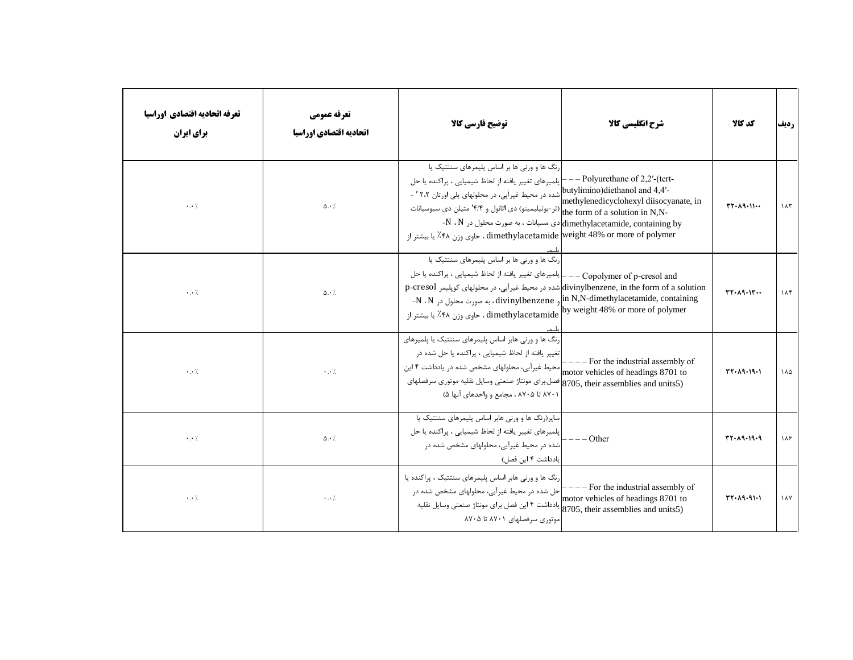| تعرفه اتحاديه اقتصادي اوراسيا<br><b>برای ایران</b> | تعرفه عمومي<br>اتحاديه اقتصادي اوراسيا | توضيح فارسي كالأ                                                                                                                                                                                                                                                                                                                                                                          | شرح انگلیسی کالا                                                                                                                                | كد كالا                   | رديف               |
|----------------------------------------------------|----------------------------------------|-------------------------------------------------------------------------------------------------------------------------------------------------------------------------------------------------------------------------------------------------------------------------------------------------------------------------------------------------------------------------------------------|-------------------------------------------------------------------------------------------------------------------------------------------------|---------------------------|--------------------|
| $\cdot$ . $\cdot$ /.                               | $\Delta \cdot \frac{1}{2}$             | رنگ ها و ورنی ها بر اساس پلیمرهای سنتتیک یا<br>بلمیرهای تغییر یافته از لحاظ شیمیایی ، پراکنده یا حل $\vdash$<br>-'۲،۲ butylimino)diethanol and 4,4'- اشده در محیط غیرآبی، در محلولهای پلی اورتان ۲،۲ '<br>تر-بوتیلیمینو) دی اتانول و ۴/۴ متیلن دی سیوسیانات $\big _{\mbox{the form of a solution in N,N-}}$<br>dimethylacetamide weight 48% or more of polymer ، حاوي وزن ۴۸٪ يا بيشتر از | $--$ Polyurethane of 2,2'-(tert-<br>methylenedicyclohexyl diisocyanate, in<br>-N ، N میانات ، به صورت محلول در aimethylacetamide, containing by | $TT - \lambda 9 - 11 - 1$ | $\lambda \uparrow$ |
| $\cdot$ . $\cdot$ /.                               | $\Delta \cdot \frac{1}{2}$             | رنگ ها و ورنی ها بر اساس پلیمرهای سنتتیک یا<br> لمیرهای تغییر یافته از لحاظ شیمیایی ، پراکنده یا حل<br>divinylbenzene, in the form of a solution)شده در محیط غیرآبی، در محلولهای کوپلیمر p-cresol<br>-N ، N ) به صورت محلول در divinylbenzene , the N,N-dimethylacetamide, containing<br>by weight 48% or more of polymer، حاوی وزن ۴۸٪ یا بیشتر از                                       | - Copolymer of p-cresol and                                                                                                                     | $rr-A9.1r$                | 115                |
| $\cdot$ . $\cdot$ /.                               | $\cdot$ . $\cdot$ /                    | رنگ ها و ورنی هابر اساس پلیمرهای سنتتیک یا پلمیرهای<br>تغییر یافته از لحاظ شیمیایی ، پراکنده یا حل شده در<br> محیط غیرآبی، محلولهای مشخص شده در یادداشت ۴ این<br>8705, their assemblies and units5) فصل براي مونتاژ صنعتي وسايل نقليه موتوري سرفصلهاي<br>۸۷۰۱ تا ۸۷۰۵ ، مجامع و واحدهای آنها ۵)                                                                                           | $---$ For the industrial assembly of<br>motor vehicles of headings 8701 to                                                                      | $TT - A9 - 19 - 1$        | ۱۸۵                |
| $\cdot$ . $\cdot$ /.                               | $\Delta \cdot /$                       | سایر(رنگ ها و ورنی هابر اساس پلیمرهای سنتتیک یا<br> پلمیرهای تغییر یافته از لحاظ شیمیایی ، پراکنده یا حل<br>شده در محیط غیرآبی، محلولهای مشخص شده در<br>یادداشت ۴ این فصل)                                                                                                                                                                                                                | - Other                                                                                                                                         | $TT - A9 - 19 - 9$        | ۱۸۶                |
| $\cdot$ . $\cdot$ /                                | $\cdot \cdot$ /                        | رنگ ها و ورنی هابر اساس پلیمرهای سنتتیک ، پراکنده یا<br>حل شده در محیط غیرآبی، محلولهای مشخص شده در<br>این فصل برای مونتاژ صنعتی وسایل نقلیه (8705, their assemblies and units5)<br>موتوري سرفصلهاي ٨٧٠١ تا ٨٧٠۵                                                                                                                                                                          | - For the industrial assembly of<br>motor vehicles of headings 8701 to                                                                          | $TT - \lambda 9 - 91 - 1$ | $\lambda$          |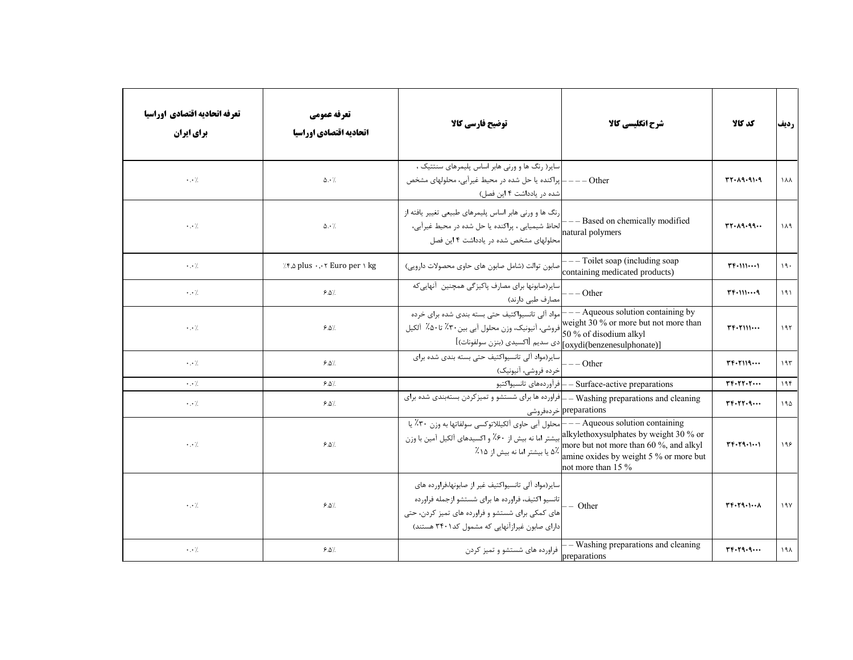| تعرفه اتحاديه اقتصادي اوراسيا<br>برای ایران | تعرفه عمومي<br>اتحاديه اقتصادي اوراسيا                                                                | توضيح فارسي كالآ                                                                                                                                                                                                                 | شرح انگلیسی کالا                                                          | كد كالا                                              | رديف        |
|---------------------------------------------|-------------------------------------------------------------------------------------------------------|----------------------------------------------------------------------------------------------------------------------------------------------------------------------------------------------------------------------------------|---------------------------------------------------------------------------|------------------------------------------------------|-------------|
| $\cdot$ . $\cdot$ /                         | $\Delta \cdot$ /                                                                                      | سایر( رنگ ها و ورنی هابر اساس پلیمرهای سنتتیک ،<br>ـ  پراکنده یا حل شده در محیط غیرآبی، محلولهای مشخص<br> شده در یادداشت ۴ این فصل)                                                                                              | $---Other$                                                                | $TT - A9 - 91 - 9$                                   | $\lambda$   |
| $\cdot$ . $\cdot$ /                         | $\Delta \cdot$ /                                                                                      | رنگ ها و ورنی هابر اساس پلیمرهای طبیعی تغییر یافته از<br> لحاظ شیمیایی ، پراکنده یا حل شده در محیط غیرآبی،<br>محلولهای مشخص شده در یادداشت ۴ این فصل                                                                             | - Based on chemically modified<br>natural polymers                        | rr.A9.99                                             | ۱۸۹         |
| $\cdot$ . $\cdot$ /                         | $\therefore$ $\mathsf{A}$ , $\mathsf{B}$ plus $\cdot$ , $\cdot$ $\mathsf{F}$ Euro per $\mathsf{B}$ kg | صابون توالت (شامل صابون های حاوی محصولات دارویی)                                                                                                                                                                                 | ---Toilet soap (including soap<br>containing medicated products)          | $T_{\text{F-111}}$                                   | 19.         |
| $\cdot$ . $\cdot$ /                         | 9.0/                                                                                                  | سایر(صابونها برای مصارف پاکیز گی همچنین آنهایی که<br>مصارف طبی دارند)                                                                                                                                                            | $---Other$                                                                | $TF+1119$                                            | ۱۹۱         |
| $\cdot$ . $\cdot$ /                         | 9.0/                                                                                                  | - مواد آلی تانسیواکتیف حتی بسته بندی شده برای خرده<br>۔ ۔۔۔۔۔۔ یہ در سویں سے انیونیک، وزن محلول آبی بین ۳۰٪ تا۵۰٪ آلکیل (۵۰٪<br>S0 % of disodium alkyl<br>[(oxydi(benzenesulphonate)] ادى سديم [اكسيدي (بنزن سولفونات)]          | - Aqueous solution containing by<br>weight 30 % or more but not more than | $TF+T111$                                            | ۱۹۲         |
| $\cdot \cdot \cdot$ /.                      | 9.0                                                                                                   | سایر(مواد آلی تانسیواکتیف حتی بسته بندی شده برای<br>خرده فروشي، آنيونيک)                                                                                                                                                         | $--$ Other                                                                | $T F - T 119$                                        | 195         |
| $\cdot$ . $\cdot$ /                         | 9.0                                                                                                   |                                                                                                                                                                                                                                  | Surface-active preparations — إفرآوردههاى تانسيواكتيو                     | $r_{\mathsf{F}}\cdot r_{\mathsf{F}}\cdot r_{\cdots}$ | 195         |
| $\cdot$ . $\cdot$ /                         | 9.0/                                                                                                  | Washing preparations and cleaning ـــ ــ إفراورده ها براي شستشو و تميزكردن بستهبندي شده براي                                                                                                                                     | preparations خردەفروشى                                                    | rr.7r.9                                              | 190         |
| $\cdot$ . $\cdot$ /.                        | 9.0                                                                                                   | Aqueous solution containing الجمعه به وزن ۳۰٪ یا —— Aqueous solution containing ابیشتر اما نه بیش از ۶۰٪ و اکسیدهای آلکیل آمین با وزن<br>alkylethoxysulphates by weight 30 % or ابیشتر اما نه بیش از ۶۰٪ و اکسیدهای آلکیل آمین ب | amine oxides by weight 5 % or more but<br>not more than 15 %              | $T F - T 9 - 1 - 1$                                  | ۱۹۶         |
| $\cdot$ . $\cdot$ /                         | $9.0\%$                                                                                               | سایر(مواد آلی تانسیواکتیف غیر از صابونها،فراورده های<br>ِ تانسیو اکتیف، فراورده ها برای شستشو ازجمله فراورده<br>-<br>عای کمکی برای شستشو و فراورده های تمیز کردن، حتی<br>دارای صابون غیرازآنهایی که مشمول کد۲۴۰۱ هستند)          | - Other                                                                   | $T F \cdot T 9 \cdot 1 \cdots \lambda$               | 19V         |
| $\cdot$ . $\cdot$ /.                        | 9.0                                                                                                   | فراورده های شستشو و تمیز کردن                                                                                                                                                                                                    | - Washing preparations and cleaning<br>preparations                       | $r_{r}$ . $r_{q}$ .,                                 | $19\lambda$ |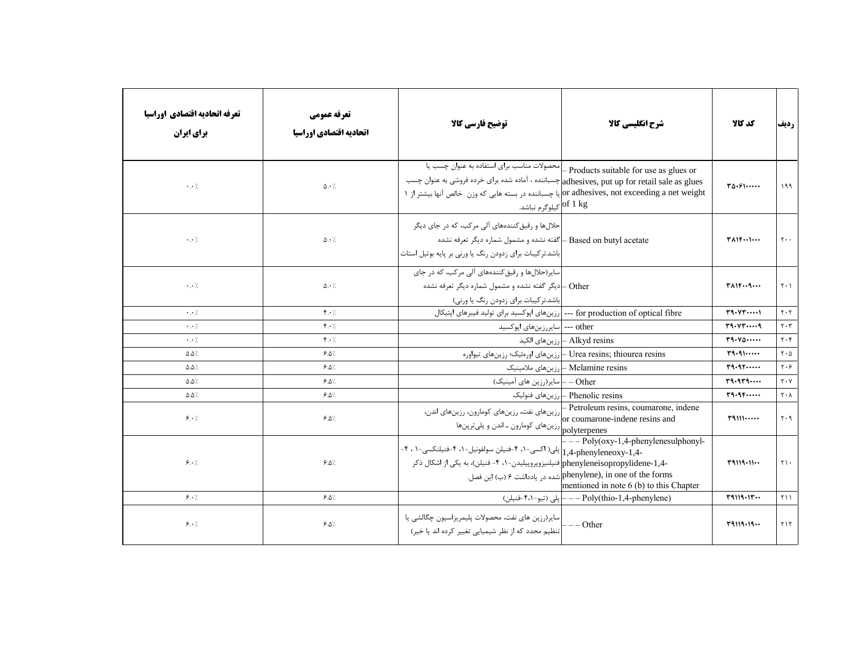| تعرفه اتحاديه اقتصادي اوراسيا<br>برای ایران | تعرفه عمومي<br>اتحاديه اقتصادي اوراسيا | توضیح فارسی کالا                                                                                                                                                                                                                                                               | شرح انگلیسی کالا                                                                                                                                  | كد كالا                             | رديف                                     |
|---------------------------------------------|----------------------------------------|--------------------------------------------------------------------------------------------------------------------------------------------------------------------------------------------------------------------------------------------------------------------------------|---------------------------------------------------------------------------------------------------------------------------------------------------|-------------------------------------|------------------------------------------|
| $\cdot$ . $\cdot$ /                         | $\Delta \cdot$ /                       | محصولات مناسب برای استفاده به عنوان چسب یا<br>adhesives, put up for retail sale as glues= چسباننده ، آماده شده برای خرده فروشی به عنوان چسب<br>or adhesives, not exceeding a net weight)یا چسباننده در بسته هایی که وزن  خالص آنها بیشتر از ۱<br>of 1 kg كيلوگرم <u>نباشد.</u> | - Products suitable for use as glues or                                                                                                           | $T\Delta S$                         | 199                                      |
| $\cdot$ . $\cdot$ /                         | $\Delta \cdot \gamma$                  | حلالها و رقیق کنندههای آلی مرکب، که در جای دیگر<br>Based on butyl acetate ـ كفته نشده و مشمول شماره ديگر تعرفه نشده<br>باشد.ترکیبات برای زدودن رنگ یا ورنی بر پایه بوتیل استات                                                                                                 |                                                                                                                                                   | <b>TAIF</b>                         | $\mathsf{Y} \cdot \cdot$                 |
| $\cdot$ . $\cdot$ /                         | $\Delta \cdot$ /                       | سایر(حلالها و رقیق کنندههای آلی مرکب، که در جای<br>Other –ادیگر گفته نشده و مشمول شماره دیگر تعرفه نشده<br> باشد.ترکیبات برای زدودن رنگ یا ورنی)                                                                                                                               |                                                                                                                                                   | $T\Lambda$ $T\cdot$ $T\cdot$        | $\mathsf{Y} \cdot \mathsf{Y}$            |
| $\cdot$ . $\cdot$ /                         | $f \cdot /$                            | for production of optical fibre ---  رزینهای اپوکسید برای تولید فیبرهای اپتیکال                                                                                                                                                                                                |                                                                                                                                                   | $\Upsilon$ 9. $\Upsilon$ $\Upsilon$ | $\mathbf{Y} \cdot \mathbf{Y}$            |
| $\cdot$ . $\cdot$ /                         | F.                                     | other ---  سایررزینهای اپوکسید                                                                                                                                                                                                                                                 |                                                                                                                                                   | $r_1, v_1, \ldots, q$               | $\mathbf{r} \cdot \mathbf{r}$            |
| $\cdot \cdot$ /                             | $f \cdot \gamma$                       |                                                                                                                                                                                                                                                                                | Alkyd resins – رزين هاى الكيد                                                                                                                     | T9.40                               | $Y \cdot Y$                              |
| $\Delta \Delta$ /.                          | 9.0                                    |                                                                                                                                                                                                                                                                                | Urea resins; thiourea resins— رزینهای اورهئیک؛ رزینهای تیواوره                                                                                    | T9.9                                | $\mathbf{Y} \cdot \mathbf{A}$            |
| $\Delta \Delta$ %                           | 9.0                                    |                                                                                                                                                                                                                                                                                | Melamine resins – رزینهای ملامینیک                                                                                                                | $r_1, r_1, \ldots$                  | $\mathbf{y} \cdot \mathbf{y}$            |
| $\Delta \Delta$ /.                          | 9.0                                    | Other —  سایر(رزین های آمینیک)                                                                                                                                                                                                                                                 |                                                                                                                                                   | $r_1.1r_1$                          | $Y \cdot Y$                              |
| $\Delta \Delta$ /.                          | $9.0\%$                                |                                                                                                                                                                                                                                                                                | Phenolic resins – رزینهای فنولیک                                                                                                                  | $r_1, r_2, \ldots$                  | $\mathsf{Y} \cdot \mathsf{Y}$            |
| 8.1                                         | $9.0\%$                                |                                                                                                                                                                                                                                                                                | رزینهای نفت، رزینهای کومارون، رزینهای اندن)<br>or coumarone-indene resins and<br>رزینهای کومارون ـ اندن و پلی ترپنها<br>polyterpenes              | T9111                               | $\mathsf{I} \mathsf{r} \cdot \mathsf{q}$ |
| 8.1                                         | $9.8\%$                                | r Sty(OAy 1,+ pne) إيلى( اكسى-١، ۴-فنيلن سولفونيل-١، ۴-فنيلنكسى-١ ، ۴-<br>-1,4-phenyleneisopropylidene فنیلنیزوپروپیلیدن-۱، ۴- فنیلن)، به یکی از اشکال ذکر                                                                                                                     | $-- Poly(0xy-1,4-phenylenesulphonyl-$<br>شده در یادداشت ۶ (ب) این فصل. phenylene), in one of the forms<br>mentioned in note 6 (b) to this Chapter | T9119.11                            | $\gamma \wedge$                          |
| 9.1                                         | 9.0                                    |                                                                                                                                                                                                                                                                                | (Poly(thio-1,4-phenylene) =−− إيلى (تيو-۴،۱−فنيلن)                                                                                                | T9119.1T                            | 511                                      |
| 9.1                                         | 9.0                                    | سایر(رزین های نفت، محصولات پلیمریزاسیون چگالشی یا<br> <br> تنظیم مجدد که از نظر شیمیایی تغییر کرده اند یا خیر)                                                                                                                                                                 | $-$ - Other                                                                                                                                       | T9119.19                            | 515                                      |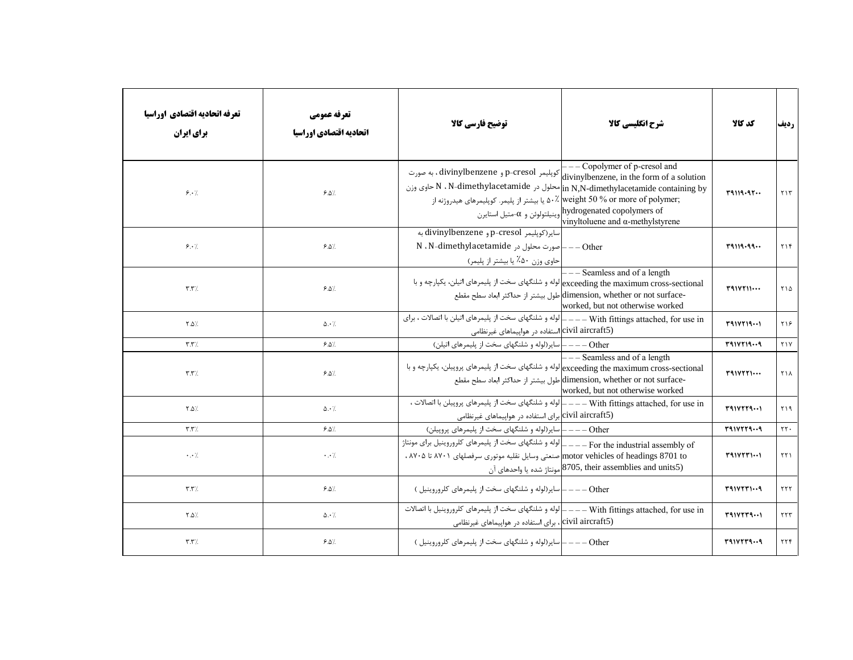| تعرفه اتحاديه اقتصادي اوراسيا<br>برای ایران | تعرفه عمومي<br>اتحاديه اقتصادي اوراسيا | توضيح فارسي كالآ                                                                                                                                                                                                                                             | شرح انگلیسی کالا                                                                                                                            | كد كالا     | رديف                       |
|---------------------------------------------|----------------------------------------|--------------------------------------------------------------------------------------------------------------------------------------------------------------------------------------------------------------------------------------------------------------|---------------------------------------------------------------------------------------------------------------------------------------------|-------------|----------------------------|
| 9.1                                         | 9.0                                    | p-cresol و divinylbenzene و divinylbenzene ، به صورت p-cresol و divinylbenzene ، به صورت<br>in N,N-dimethylacetamide containing by محلول در N - dimethylacetamide معاوى وزن<br>:weight 50 % or more of polymer أ.^ يا بيشتر از پليمر. كوپليمرهاي هيدروژنه از | - Copolymer of p-cresol and<br>pydrogenated copolymers of وينيلتولوئن و $\alpha$ -متيل استايرن<br>vinyltoluene and α-methylstyrene          | T9119.97    | $Y \setminus Y$            |
| 9.1                                         | 9.0                                    | ساير(كوپليمر p-cresol و divinylbenzene به<br>N ، N-dimethylacetamide $\sim$ - - - - - - - - - Other<br> حاوي وزن ۵۰٪ يا بيشتر از پليمر)                                                                                                                      |                                                                                                                                             | $r$ 9119.99 | YY                         |
| $\mathbf{r}.\mathbf{r}$                     | 9.0                                    | exceeding the maximum cross-sectional لوله و شلنگهای سخت از پلیمرهای اتیلن، یکپارچه و با                                                                                                                                                                     | - Seamless and of a length<br>-dimension, whether or not surface طول بيشتر از حداكثر ابعاد سطح مقطع<br>worked, but not otherwise worked     | T41VT11     | 510                        |
| $Y.\Delta$                                  | $\Delta \cdot$ /                       | civil aircraft5) استفاده در هواپیماهای غیرنظامی                                                                                                                                                                                                              |                                                                                                                                             | T41VT19     | ۲۱۶                        |
| $\mathbf{r}.\mathbf{r}$                     | 9.0                                    | Other ———  سایر(لوله و شلنگهای سخت از پلیمرهای اتیلن)                                                                                                                                                                                                        |                                                                                                                                             | T91VT199    | YY                         |
| $\mathbf{r}.\mathbf{r}$                     | 9.0                                    | exceeding the maximum cross-sectional لوله و شلنگهای سخت از پلیمرهای پروپیلن، یکپارچه و با                                                                                                                                                                   | $---$ Seamless and of a length<br>-dimension, whether or not surface طول بيشتر از حداكثر ابعاد سطح مقطع<br>worked, but not otherwise worked | T41VTT      | ٢١٨                        |
| $Y.\Delta$                                  | $\Delta \cdot$ /                       | ، لوله و شلنگهای سخت از پلیمرهای پروپیلن با اتصالات $\mathrel{\rule{0.4cm}{0.4cm}=-\mathrel{\rule{0.2cm}{0.7cm}-\mathrel{\rule{0.2cm}{0.7cm}}}$ لوله و شلنگهای سخت از پلیمرهای پروپیلن با اتصالات<br>civil aircraft5) برای استفاده در هواپیماهای غیرنظامی    |                                                                                                                                             | T41VTT4     | ۲۱۹                        |
| $\mathbf{r}.\mathbf{r}$                     | 9.0                                    | Other ——— اسایر(لوله و شلنگهای سخت از پلیمرهای پروپیلن)                                                                                                                                                                                                      |                                                                                                                                             | T91VTT99    | $\tau\tau$ .               |
| $\cdot$ . $\cdot$ /                         | $\cdot$ . $\cdot$ /                    | For the industrial assembly of _ _ _ _ لوله و شلنگهای سخت از پلیمرهای کلروروینیل برای مونتاژ<br>motor vehicles of headings 8701 to. صنعتی وسایل نقلیه موتوری سرفصلهای ۸۷۰۱ تا ۸۷۰۵ .                                                                         | رونتاژ شده یا واحدهای آنN3705, their assemblies and units5)                                                                                 | $T91VTT1$   | $\uparrow\uparrow\uparrow$ |
| $\mathbf{r}.\mathbf{r}$                     | 9.0                                    | Other – – – – اسایر(لوله و شلنگهای سخت از پلیمرهای کلروروینیل)                                                                                                                                                                                               |                                                                                                                                             | T41VTT19    | ۲۲۲                        |
| ∴۵. ۲                                       | $\Delta \cdot \frac{1}{2}$             | With fittings attached, for use in ـــ ـــ ـــ ـــ الوله و شلنگهای سخت از پلیمرهای کلروروینیل با اتصالات<br>civil aircraft5)، برای استفاده در هواپیماهای غیرنظامی                                                                                            |                                                                                                                                             | T41VTT9     | ۲۲۳                        |
| $\mathbf{r}.\mathbf{r}$                     | 9.0                                    | Other ——— سایر(لوله و شلنگهای سخت از پلیمرهای کلروروینیل )                                                                                                                                                                                                   |                                                                                                                                             | T41VTT99    | ۲۲۴                        |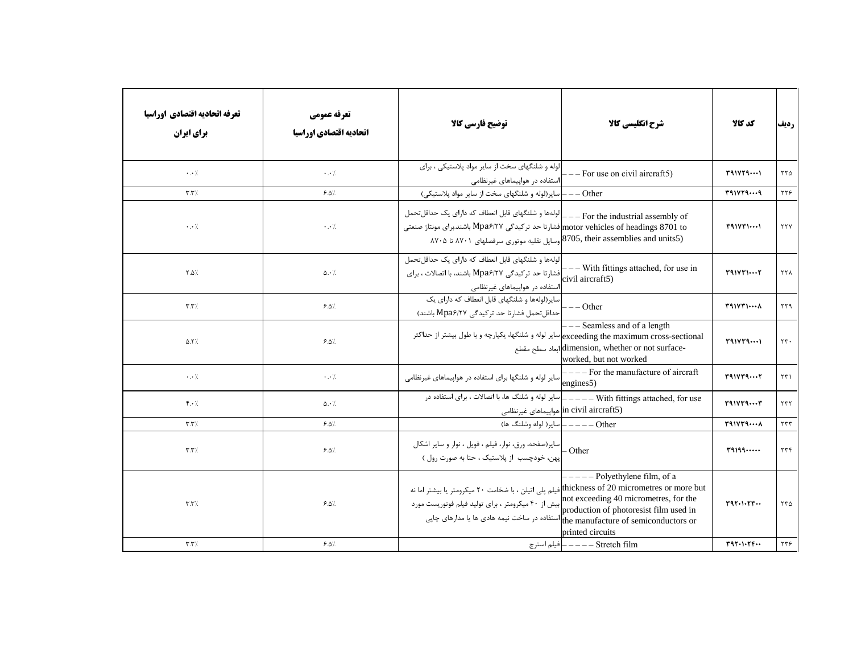| تعرفه اتحاديه اقتصادي اوراسيا<br><b>برای ایران</b> | تعرفه عمومي<br>اتحاديه اقتصادي اوراسيا | توضیح فارسی کالا                                                                                                                                                                                                                                              | شرح انگلیسی کالا                                                                                            | كد كالا      | رديف            |
|----------------------------------------------------|----------------------------------------|---------------------------------------------------------------------------------------------------------------------------------------------------------------------------------------------------------------------------------------------------------------|-------------------------------------------------------------------------------------------------------------|--------------|-----------------|
| $\cdot$ . $\cdot$ /                                | $\cdot$ . $\cdot$ /                    | الوله و شلنگهای سخت از سایر مواد پلاستیکی ، برای<br>استفاده در هواپیماهای غیرنظامی                                                                                                                                                                            | $---$ For use on civil aircraft5)                                                                           | T41VT4       | ۲۲۵             |
| $\mathbf{r}.\mathbf{r}$                            | 9.0/                                   | Other ——   سایر (لوله و شلنگهای سخت از سایر مواد پلاستیکی)                                                                                                                                                                                                    |                                                                                                             | T91VT99      | ٢٢۶             |
| $\cdot$ . $\cdot$ /                                | $\cdot$ . $\cdot$ /                    | For the industrial assembly of —— [لولهها و شلنگهای قابل انعطاف که دارای یک حداقلتحمل<br>motor vehicles of headings 8701 toإفشارتا حد تركيدگي Mpa۶/۲۷ باشند.براي مونتاژ صنعتي<br>(8705, their assemblies and units5) وسایل نقلیه موتوری سرفصلهای ۸۷۰۱ تا ۸۷۰۵ |                                                                                                             | $T41V$ $T11$ | <b>TTY</b>      |
| $Y.\Delta$                                         | $\Delta \cdot \frac{1}{2}$             | لولهها و شلنگهای قابل انعطاف که دارای یک حداقل تحمل<br>[فشارتا حد ترکیدگی Mpa۶/۲۷ باشند، با اتصالات ، برای<br> استفاده در هواپیماهای غیرنظامی                                                                                                                 | -- With fittings attached, for use in<br>civil aircraft5)                                                   | T41VT1       | ۲۲۸             |
| $\mathbf{r}.\mathbf{r}$                            | 9.0                                    | سایر(لولهها و شلنگهای قابل انعطاف که دارای یک<br>حداقل تحمل فشارتا حد تركيدگي Mpa۶/۲۷ باشند)                                                                                                                                                                  | $---Other$                                                                                                  | $T41V$ $T1$  | $\gamma \gamma$ |
| $\Delta$ . Y/.                                     | 9.0                                    | exceeding the maximum cross-sectional)سایر لوله و شلنگها، یکپارچه و با طول بیشتر از حداکثر                                                                                                                                                                    | --- Seamless and of a length<br>-dimension, whether or not surface ابعاد سطح مقطع<br>worked, but not worked | T41VT4       | $\tau\tau$ .    |
| $\cdot$ . $\cdot$ /                                | $\cdot$ . $\cdot$ /                    |                                                                                                                                                                                                                                                               | engines <sub>5</sub> )                                                                                      | T41VT4       | ۲۳۱             |
| $f \cdot \gamma$                                   | $\Delta \cdot$ /                       |                                                                                                                                                                                                                                                               | in civil aircraft5) هواپيماهاي غيرنظامي                                                                     | T41VT4T      | ۲۳۲             |
| $\mathbf{r}.\mathbf{r}$                            | 9.0                                    | Other ————   ساير( لوله وشلنگ ها)                                                                                                                                                                                                                             |                                                                                                             | T41VT4       | $\tau\tau\tau$  |
| $\mathbf{r}.\mathbf{r}$                            | $9.0\%$                                | سایر(صفحه، ورق، نوار، فیلم ، فویل ، نوار و سایر اشکال<br> <br> پهن، خودچسب  ز پلاستیک ، حتا به صورت رول )                                                                                                                                                     | $-$ Other                                                                                                   | r9199        | ۲۳۴             |
| $\mathbf{r}.\mathbf{r}$                            | $9.0\%$                                | thickness of 20 micrometres or more but<br>not exceeding 40 micrometres, for the افیلم پلی اتیلن ، با ضخامت ۲۰ میکرومتر و بیست مورد<br>production of photoresist film used in استفاده در ساخت نیمه هادی ها یا مدارهای چاپی                                    | $---$ Polyethylene film, of a<br>printed circuits                                                           | T97.1.77     | ۲۳۵             |
| $\mathbf{r}.\mathbf{r}$                            | $9.8\%$                                |                                                                                                                                                                                                                                                               | stretch film ———— فيلم استرچ ————                                                                           | T97.1.77     | ۲۳۶             |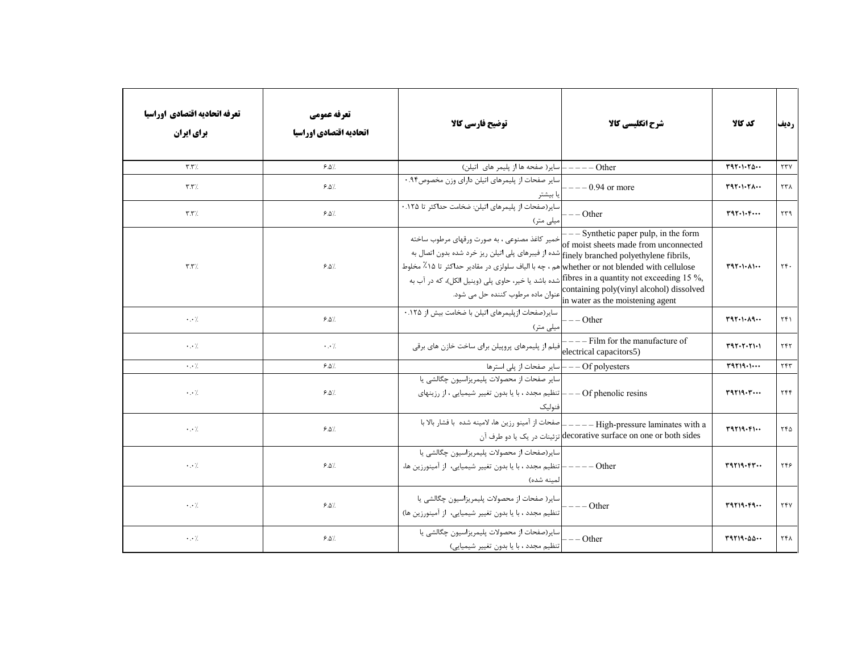| تعرفه اتحاديه اقتصادي اوراسيا<br><b>برای ایران</b> | تعرفه عمومي<br>اتحاديه اقتصادي اوراسيا | توضیح فارسی کالا                                                                                                                                                                                                                                                                                                                            | شرح انگلیسی کالا                                                                                                                                                                                                | كد كالا    | رديف             |
|----------------------------------------------------|----------------------------------------|---------------------------------------------------------------------------------------------------------------------------------------------------------------------------------------------------------------------------------------------------------------------------------------------------------------------------------------------|-----------------------------------------------------------------------------------------------------------------------------------------------------------------------------------------------------------------|------------|------------------|
| $\mathbf{r}.\mathbf{r}$                            | 9.0                                    | Other ———— سایر( صفحه ها از پلیمر های اتیلن)                                                                                                                                                                                                                                                                                                |                                                                                                                                                                                                                 | T97.1.70   | $\tau\tau\gamma$ |
| $\mathbf{r}.\mathbf{r}$                            | 9.0                                    | سایر صفحات از پلیمرهای اتیلن دارای وزن مخصوص۹۴.۰<br>با بیشتر                                                                                                                                                                                                                                                                                | $-$ - 0.94 or more                                                                                                                                                                                              | T97.1.71   | ۲۳۸              |
| $\mathbf{r}.\mathbf{r}$                            | 9.0                                    | سایر(صفحات از پلیمرهای اتیلن: ضخامت حداکثر تا ۱۲۵.۰<br>یلی متر)                                                                                                                                                                                                                                                                             | $---Other$                                                                                                                                                                                                      | T97.1.5    | ۲۳۹              |
| $\mathbf{r}.\mathbf{r}$                            | 9.0                                    | خمیر کاغذ مصنوعی ، به صورت ورقهای مرطوب ساخته<br>.finely branched polyethylene fibrils شده از فیبرهای پلی اتیلن ریز خرد شده بدون اتصال به<br>whether or not blended with cellulose هم ، چه با الياف سلولزي در مقادير حداكثر تا ۱۵٪ مخلوط<br>, fibres in a quantity not exceeding 15 %, أشده باشد یا خیر، حاوی پلی (وینیل الکل)، که در آب به | $--$ Synthetic paper pulp, in the form<br>of moist sheets made from unconnected<br>containing poly(vinyl alcohol) dissolved<br>a عنوان ماده مرطوب کننده حل می شود.<br>in water as the moistening agent          | T97.1.11   | $\tau$ .         |
| $\cdot \cdot \cdot$ /                              | 9.0                                    | سایر(صفحات ازپلیمرهای اتیلن با ضخامت بیش از ۱۲۵.۰<br>ىيلى متر)                                                                                                                                                                                                                                                                              | $---Other$                                                                                                                                                                                                      | T97.1.19   | ۲۴۱              |
| $\cdot \cdot \cdot$ /                              | $\cdot \cdot \cdot$                    | فیلم از پلیمرهای پروپیلن برای ساخت خازن های برقی                                                                                                                                                                                                                                                                                            | $---$ Film for the manufacture of<br>electrical capacitors5)                                                                                                                                                    | T97.7.71.1 | ٢۴٢              |
| $\cdot$ . $\cdot$ /                                | 9.0                                    | — — سایر صفحات از پلی استرها                                                                                                                                                                                                                                                                                                                | $-$ Of polyesters                                                                                                                                                                                               | T9719.1    | YYY              |
| $\cdot$ . $\cdot$ /                                | 9.0                                    | سایر صفحات از محصولات پلیمریزاسیون چگالشی یا<br>of phenolic resins=) التظیم مجدد ، با یا بدون تغییر شیمیایی ، از رزینهای<br>فنوليك                                                                                                                                                                                                          |                                                                                                                                                                                                                 | T9719.7    | ۲۴۴              |
| $\cdot$ . $\cdot$ /                                | 9.0                                    |                                                                                                                                                                                                                                                                                                                                             | مفحات از آمینو رزین ها، لامینه شده  با فشار بالا با $\hspace{0.1cm} \_\mathrm{=-} \_\mathrm{High\mbox{-}pressure \laminates \ with \ a}$<br>decorative surface on one or both sides] تزئينات در يک يا دو طرف آن | T9719. F1  | ۲۴۵              |
| $\cdot \cdot \cdot$ /                              | $9.8\%$                                | سایر(صفحات از محصولات پلیمریزاسیون چگالشی یا<br>Other ———— تنظيم مجدد ، با يا بدون تغيير شيميايي،  از آمينورزين ها،<br>المينه شده)                                                                                                                                                                                                          |                                                                                                                                                                                                                 | T9719.57   | ۲۴۶              |
| $\cdot$ . $\cdot$ /.                               | $9.8\%$                                | سایر( صفحات از محصولات پلیمریزاسیون چگالشی یا<br> -<br> تنظیم مجدد ، با یا بدون تغییر شیمیایی، از آمینورزین ها)                                                                                                                                                                                                                             | $---Other$                                                                                                                                                                                                      | T9719.59   | <b>٢۴</b> ٧      |
| $\cdot$ . $\cdot$ /                                | 9.0/                                   |                                                                                                                                                                                                                                                                                                                                             |                                                                                                                                                                                                                 | T9719.00   | ۲۴۸              |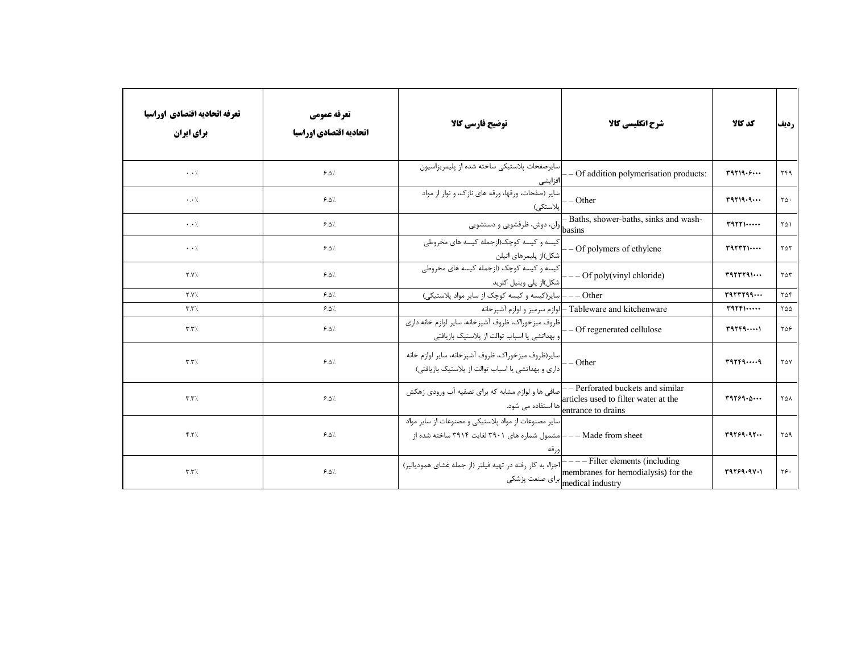| تعرفه اتحاديه اقتصادي اوراسيا<br>برای ایران | تعرفه عمومي<br>اتحاديه اقتصادي اوراسيا | توضیح فارسی کالا                                                                                               | شرح انگلیسی کالا                                                                                            | كد كالا                                   | رديف                 |
|---------------------------------------------|----------------------------------------|----------------------------------------------------------------------------------------------------------------|-------------------------------------------------------------------------------------------------------------|-------------------------------------------|----------------------|
| $\cdot \cdot \cdot$                         | 9.0                                    | ساير صفحات پلاستيكي ساخته شده از پليمريزاسيون<br>افزايشى                                                       | - Of addition polymerisation products:                                                                      | T9719.5                                   | ۲۴۹                  |
| $\cdot \cdot \cdot$                         | 9.0                                    | سایر (صفحات، ورقها، ورقه های نازک، و نوار از مواد<br>پلاستكى)                                                  | - Other                                                                                                     | $r$ 9719.9                                | $\mathsf{Y}\Delta$ . |
| $\cdot$ . $\cdot$ /                         | 9.0                                    | --------<br>  basins  وان، دوش، ظرفشویی و دستشویی                                                              | - Baths, shower-baths, sinks and wash-                                                                      | $r$ <sup>4</sup> $r$                      | ٢۵١                  |
| $\cdot \cdot \cdot$                         | 9.0/                                   | کیسه و کیسه کوچک(ازجمله کیسه های مخروطی<br>شکل)از پلیمرهای اتیلن                                               | - Of polymers of ethylene                                                                                   | T2TTT1                                    | ٢۵٢                  |
| Y.Y'.                                       | 9.0/                                   | کیسه و کیسه کوچک (ازجمله کیسه های مخروطی<br> شکل)از پلی وینیل کلرید                                            | $-$ Of poly(vinyl chloride)                                                                                 | $r$ <sup>4</sup> $r$ $r$ $r$ $r$ $\cdots$ | $\tau \Delta \tau$   |
| Y.Y                                         | 9.0                                    | Other — —   سایر(کیسه و کیسه کوچک از سایر مواد پلاستیکی)                                                       |                                                                                                             |                                           | ۲۵۴                  |
| $\mathbf{r}.\mathbf{r}$                     | 9.0                                    |                                                                                                                | Tableware and kitchenware —إلوازم سرميز و لوازم آشپزخانه                                                    | $T$ 97 $F$ $\cdots$                       | ۲۵۵                  |
| $\mathbf{r}.\mathbf{r}$                     | 9.0                                    | ظروف میزخوراک، ظروف آشپزخانه، سایر لوازم خانه داری<br>بهداتشی یا اسباب توالت از پلاستیک بازیافتی               | - Of regenerated cellulose                                                                                  | rqrrq                                     | ۲۵۶                  |
| $\mathbf{r}.\mathbf{r}$                     | 9.0                                    | ساير(ظروف ميزخوراك، ظروف آشپزخانه، ساير لوازم خانه<br>داری و بهداتشی یا اسباب توالت از پلاستیک بازیافتی)       | $-$ Other                                                                                                   | rqrrqq                                    | <b>TAY</b>           |
| $\mathbf{r}.\mathbf{r}$                     | 9.0                                    | صافی ها و لوازم مشابه که برای تصفیه آب ورودی زهکش<br>ها استفاده می شود.                                        | - Perforated buckets and similar<br>articles used to filter water at the<br>entrance to drains              | T9759.0                                   | <b>TAA</b>           |
| Y.7/                                        | $9.0\%$                                | سایر مصنوعات از مواد پلاستیکی و مصنوعات از سایر مواد<br>- مشمول شماره های ۳۹۰۱ لغایت ۳۹۱۴ ساخته شده از<br>ورقه | $--$ Made from sheet                                                                                        | 19759.97                                  | ۲۵۹                  |
| $\mathbf{r}.\mathbf{r}$                     | $9.0\%$                                | <sup>-</sup>  اجزاء به کار رفته در تهیه فیلتر (از جمله غشای همودیالیز)                                         | $---$ Filter elements (including<br>membranes for hemodialysis) for the<br>برای صنعت پزشکی medical industry | 19159.911                                 | ۲۶۰                  |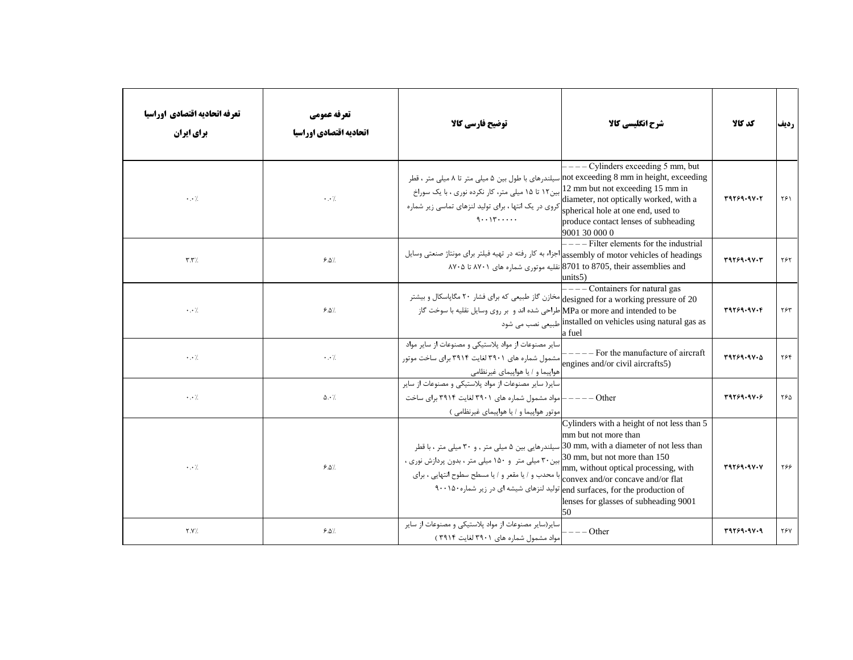| تعرفه اتحاديه اقتصادي اوراسيا<br>برای ایران | تعرفه عمومي<br>اتحاديه اقتصادي اوراسيا | توضيح فارسي كالآ                                                                                                                                                                                                                                                                                                                                                                                    | شرح انگلیسی کالا                                                                                                                                                                                                 | كد كالا           | رديف |
|---------------------------------------------|----------------------------------------|-----------------------------------------------------------------------------------------------------------------------------------------------------------------------------------------------------------------------------------------------------------------------------------------------------------------------------------------------------------------------------------------------------|------------------------------------------------------------------------------------------------------------------------------------------------------------------------------------------------------------------|-------------------|------|
| $\cdot \cdot \cdot$ /                       | $\cdot$ . $\cdot$ /                    | not exceeding 8 mm in height, exceeding سیلندرهای با طول بین ۵ میلی متر تا ۸ میلی متر ، قطر<br>بین۱۲ تا ۱۵ میلی متر، کار نکرده نوری ، با یک سوراخ<br>کروی در یک انتها ، برای تولید لنزهای تماسی زیر شماره<br>$9 \cdot \cdot 17 \cdot \cdot \cdot \cdot$                                                                                                                                             | $---$ Cylinders exceeding 5 mm, but<br>12 mm but not exceeding 15 mm in<br>diameter, not optically worked, with a<br>spherical hole at one end, used to<br>produce contact lenses of subheading<br>9001 30 000 0 | 31769.97.7        | ۲۶۱  |
| $\mathbf{r}.\mathbf{r}$                     | 9.0                                    | assembly of motor vehicles of headings اجزاء به كار رفته در تهيه فيلتر براي مونتاژ صنعتي وسايل                                                                                                                                                                                                                                                                                                      | $---$ Filter elements for the industrial<br>8701 to 8705, their assemblies and نقلیه موتوری شماره های ۸۷۰۱ تا ۸۷۰۵<br>units5)                                                                                    | T9759.9V·T        | ٢۶٢  |
| $\cdot$ . $\cdot$ /                         | 9.0                                    | designed for a working pressure of 20 مخازن گاز طبیعی که برای فشار ۲۰ مگاپاسکال و بیشتر<br>MPa or more and intended to beاطراحی شده اند و بر روی وسایل نقلیه با سوخت گاز                                                                                                                                                                                                                            | $---$ Containers for natural gas<br>installed on vehicles using natural gas as أطبيعي نصب مي شود<br>la fuel                                                                                                      | 31769.97.4        | ۲۶۳  |
| $\cdot \cdot \cdot$                         | $\cdot \cdot$ /                        | سایر مصنوعات از مواد پلاستیکی و مصنوعات از سایر مواد<br> مشمول شماره های ۳۹۰۱ لغایت ۳۹۱۴ برای ساخت موتور<br>هواپیما و / یا هواپیمای غیرنظامی                                                                                                                                                                                                                                                        | $---$ For the manufacture of aircraft<br>engines and/or civil aircrafts5)                                                                                                                                        | T9759.9V.0        | ۲۶۴  |
| $\cdot$ . $\cdot$ /                         | $\Delta \cdot \frac{1}{2}$             | سایر( سایر مصنوعات از مواد پلاستیکی و مصنوعات از سایر<br>امواد مشمول شماره های ۳۹۰۱ لغایت ۳۹۱۴ برای ساخت<br>موتور هواپیما و / یا هواپیمای غیرنظامی )                                                                                                                                                                                                                                                | $---Other$                                                                                                                                                                                                       | 3.1979.47         | ۲۶۵  |
| $\cdot$ . $\cdot$ /                         | $9.0\%$                                | سیلندرهایی بین ۵ میلی متر , و ۳۰ میلی متر ، با قطر $\ket{30 \text{ mm}}$ , with a diameter of not less than<br>0 میں میں 30 30 30 30 30 amm, but not more than بین ۳۰ میلی متر و ۱۵۰ میلی متر ، بدون پردازش نوری ،<br>mm, without optical processing, wiبرای<br>با محدب و / یا مقعر و / یا مسطح سطوح انتهایی ، برای<br>end surfaces, for the production of تولید لنزهای شیشه ای در زیر شماره ۹۰۰۱۵۰ | Cylinders with a height of not less than 5<br>mm but not more than<br>mm, without optical processing, with<br>lenses for glasses of subheading 9001<br>50                                                        | <b>٣٩٢۶٩٠٩٧٠٧</b> | ۲۶۶  |
| Y.Y'.                                       | $9.0\%$                                | سایر(سایر مصنوعات از مواد پلاستیکی و مصنوعات از سایر<br>مواد مشمول شماره های ۳۹۰۱ لغایت ۳۹۱۴)                                                                                                                                                                                                                                                                                                       | $--$ Other                                                                                                                                                                                                       | 31769.97.9        | ۲۶۷  |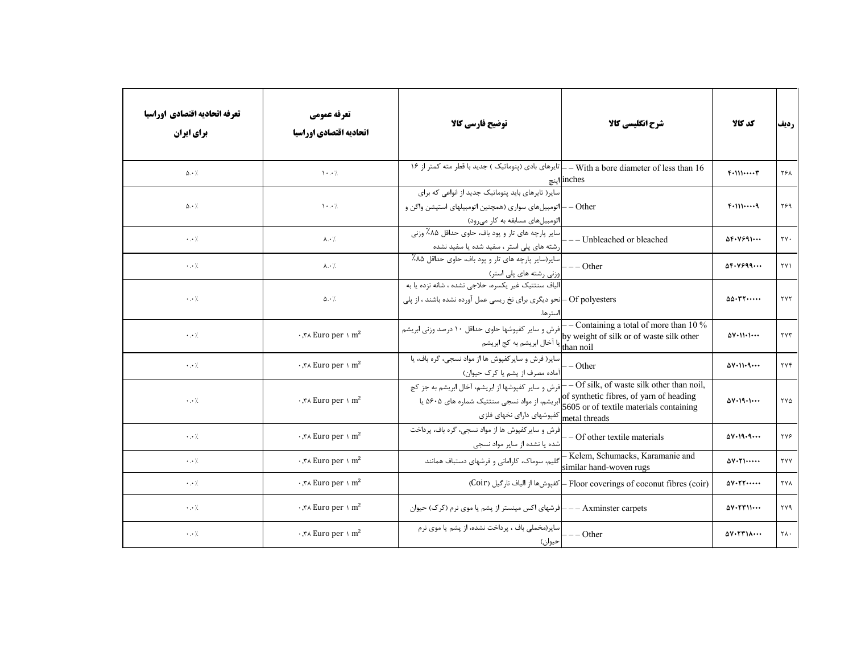| تعرفه اتحاديه اقتصادي اوراسيا<br><b>برای ایران</b> | تعرفه عمومي<br>اتحاديه اقتصادي اوراسيا          | توضيح فارسي كالا                                                                                                                                     | شرح انگلیسی کالا                                                                     | كد كالا                                          | رديف             |
|----------------------------------------------------|-------------------------------------------------|------------------------------------------------------------------------------------------------------------------------------------------------------|--------------------------------------------------------------------------------------|--------------------------------------------------|------------------|
| $\Delta \cdot \frac{1}{2}$                         | $\mathcal{N} \cdot \cdot \mathcal{N}$           | _ تایرهای بادی (پنوماتیک ) جدید با قطر مته کمتر از ۱۶                                                                                                | - With a bore diameter of less than 16<br>inches اینچ                                | $F+111T$                                         | ۲۶۸              |
| $\Delta \cdot$ /                                   | $\mathcal{N} \cdot \cdot \mathcal{N}$           | سایر( تایرهای باید پنوماتیک جدید از انواعی که برای<br>Other —  اتومبیلهای سواری (همچنین اتومبیلهای استیشن واگن و<br> اتومبیلهای مسابقه به کار میرود) |                                                                                      | $F-1119$                                         | ۲۶۹              |
| $\cdot$ . $\cdot$ /                                | $\lambda \cdot \gamma$                          | سایر پارچه های تار و پود باف، حاوی حداقل ۸۵٪ وزنی<br>رشته های پلی استر ، سفید شده یا سفید نشده                                                       | - Unbleached or bleached                                                             | $\Delta F - V991$                                | $\tau v$ .       |
| $\cdot$ . $\cdot$ /                                | $\lambda \cdot \gamma$                          | اسایر(سایر پارچه های تار و پود باف، حاوی حداقل ۸۵٪<br>وزنی رشته های پلی استر)                                                                        | $---Other$                                                                           | $\Delta F - V999$                                | ۲۷۱              |
| $\cdot \cdot$ /                                    | $\Delta \cdot \frac{1}{2}$                      | الياف سنتتيك غير يكسره، حلاجي نشده ، شانه نزده يا به<br>Of polyesters –انحو دیگری برای نخ ریسی عمل آورده نشده باشند ، از پلی<br>ستر ها.              |                                                                                      | $\Delta \Delta \cdot \text{TT} \cdots$           | <b>TYT</b>       |
| $\cdot \cdot$ /                                    | $\cdot$ , $\forall$ A Euro per \ m <sup>2</sup> | .<br>[فرش و سایر کفپوشها حاوی حداقل ۱۰ درصد وزنی ابریشم<br>ے۔۔  . ر <sup>س</sup> یا آخال ابریشم به کج ابریشم<br>than noil <del>)</del>               | - Containing a total of more than $10\%$<br>by weight of silk or of waste silk other | $\Delta V \cdot 11 \cdot 1 \cdots$               | ۲۷۳              |
| $\cdot$ . $\cdot$ /                                | $\cdot$ , $\forall$ Euro per \ m <sup>2</sup>   | سایر( فرش و سایر کفپوش ها از مواد نسجی، گره باف، یا<br>آماده مصرف از پشم یا کرک حیوان)                                                               | $-$ Other                                                                            | $\Delta V \cdot 11 \cdot 9 \cdots$               | $\tau \vee \tau$ |
| $\cdot$ . $\cdot$ /                                | $\cdot$ , $\forall$ Euro per \ m <sup>2</sup>   | - فرش و سایر کفپوشها از ابریشم، آخال ابریشم به جز کج<br>netal threads کفپوشهای دارای نخهای فلزی                                                      | - Of silk, of waste silk other than noil,<br>of synthetic fibres, of yarn of heading | $\Delta V \cdot 19 \cdot 1 \cdots$               | ۲۷۵              |
| $\cdot$ . $\cdot$ /.                               | $\cdot$ , $\forall$ A Euro per \ m <sup>2</sup> | فرش و سایر کفپوش ها از مواد نسجی، گره باف، پرداخت<br>شده یا نشده از سایر مواد نسجی                                                                   | - Of other textile materials                                                         | $\Delta V \cdot 19 \cdot 9 \cdots$               | ۲۷۶              |
| $\cdot$ . $\cdot$ /.                               | $\cdot$ , $\forall$ Euro per \ m <sup>2</sup>   | گلیم، سوماک، کارامانی و فرشهای دستباف همانند                                                                                                         | Kelem, Schumacks, Karamanie and<br>similar hand-woven rugs                           | $\Delta V \cdot Y \cdot \cdots$                  | <b>TYY</b>       |
| $\cdot$ . $\cdot$ /.                               | $\cdot$ , $\forall$ Euro per \ m <sup>2</sup>   |                                                                                                                                                      | (Coir) كغپوش@ا از الياف نارگيل (Coir) Floor coverings of coconut fibres (coir        | $\Delta V \cdot \Upsilon \Upsilon \cdots$        | <b>TYA</b>       |
| $\cdot$ . $\cdot$ /.                               | $\cdot$ , $\forall$ A Euro per \ m <sup>2</sup> | Axminster carpets ——  فرشهای اکس مینستر از پشم یا موی نرم (کرک) حیوان                                                                                |                                                                                      | $\Delta V \cdot \Upsilon V \cup \cdots$          | ۲۷۹              |
| $\cdot \cdot /$                                    | $\cdot$ , $\forall$ Euro per \ m <sup>2</sup>   | سایر(مخملی باف ، پرداخت نشده، از پشم یا موی نرم<br>حيوان)                                                                                            | $---Other$                                                                           | $\Delta V \cdot \Upsilon \Upsilon \wedge \cdots$ | ۲۸۰              |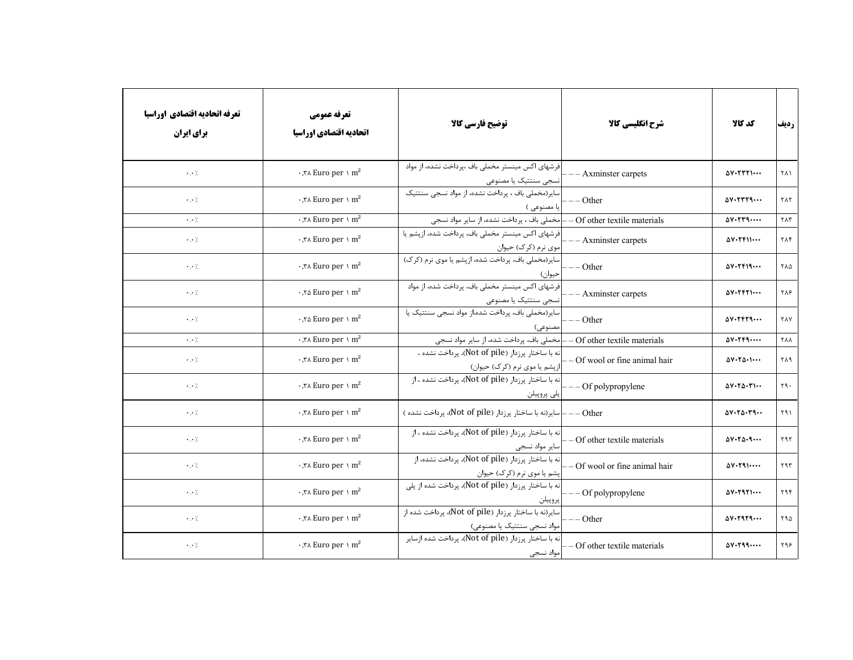| تعرفه اتحاديه اقتصادي اوراسيا<br>برای ایران | تعرفه عمومي<br>اتحاديه اقتصادي اوراسيا            | توضيح فارسي كالا                                                                                  | شرح انگلیسی کالا                | كد كالا                                                     | رديف                      |
|---------------------------------------------|---------------------------------------------------|---------------------------------------------------------------------------------------------------|---------------------------------|-------------------------------------------------------------|---------------------------|
| $\cdot$ . $\cdot$ /                         | $\cdot$ , $\forall$ A Euro per \ m <sup>2</sup>   | فرشهای اکس مینستر مخملی باف ،پرداخت نشده، از مواد<br>نسجى سنتتيك يا مصنوعى                        | --- Axminster carpets           | $\Delta V \cdot \Upsilon \Upsilon \Upsilon \cdots$          | <b>٢٨١</b>                |
| $\cdot$ . $\cdot$ /                         | $\cdot$ , $\forall$ Euro per \ m <sup>2</sup>     | سایر (مخملی باف ، پرداخت نشده، از مواد نسجی سنتتیک<br> يا مصنوعي )                                | $---Other$                      | $\Delta V \cdot \Upsilon \Upsilon \Upsilon \Upsilon \cdots$ | ٢٨٢                       |
| $\cdot \cdot$ /.                            | י, א $\texttt{Func}$ per א $\texttt{m}^2$         | امخملی باف ، پرداخت نشده، از سایر مواد نسجی                                                       | - Of other textile materials    | $\Delta V \cdot \Upsilon \Upsilon \varphi \cdots$           | $\gamma \wedge \gamma$    |
| $\cdot$ . $\cdot$ /                         | $\cdot$ , $\forall$ A Euro per \ m <sup>2</sup>   | فرشهای اکس مینستر مخملی باف، پرداخت شده، ازپشم یا<br> موی نرم (کرک) حیوان                         | - - Axminster carpets           | $\Delta V \cdot Y \cdot V \cdot \cdot \cdot$                | ۲۸۴                       |
| $\cdot$ . $\cdot$ /                         | $\cdot$ , $\forall$ Euro per \ m <sup>2</sup>     | سایر(مخملی باف، پرداخت شده، ازیشم یا موی نرم (کرک)<br>حيوان)                                      | $--$ Other                      | $\Delta V \cdot YF19$                                       | ٢٨۵                       |
| $\cdot$ . $\cdot$ /                         | $\cdot$ , $\tau \Delta$ Euro per \ m <sup>2</sup> | فرشهای اکس مینستر مخملی باف، پرداخت شده، از مواد<br>نسجى سنتتيك يا مصنوعى                         | $--$ Axminster carpets          | $\Delta V \cdot Y F Y$                                      | ۲۸۶                       |
| $\cdot$ . $\cdot$ /                         | $\cdot$ , $\infty$ Euro per \ m <sup>2</sup>      | اسایر(مخملی باف، پرداخت شده،از مواد نسجی سنتتیک یا<br>ىصنوعى)                                     | $--$ Other                      | $\Delta V \cdot Y F Y 9 \cdots$                             | <b>TAY</b>                |
| $\cdot$ . $\cdot$ /.                        | י, א $\text{Func per} \setminus \text{m}^2$       | - مخملی باف، پرداخت شده، از سایر مواد نسجی                                                        | - Of other textile materials    | $\Delta V \cdot Y F 9 \cdots$                               | <b>TAA</b>                |
| $\cdot$ . $\cdot$ /.                        | $\cdot$ , $\forall$ A Euro per \ m <sup>2</sup>   | نه با ساختار پرزدار (Not of pile)، پرداخت نشده ،<br>ازپشم یا موی نرم (کرک) حیوان)                 | - Of wool or fine animal hair   | $\Delta V \cdot Y \Delta \cdot 1 \cdots$                    | ٢٨٩                       |
| $\cdot$ . $\cdot$ /.                        | $\cdot$ , $\forall$ Euro per \ m <sup>2</sup>     | نه با ساختار پرزدار (Not of pile)، پرداخت نشده ، از<br>پلى پروپيلن                                | - Of polypropylene              | $\Delta V \cdot Y \Delta \cdot Y \cdot \cdot$               | $\mathbf{y} \mathbf{y}$ . |
| $\cdot$ . $\cdot$ /                         | $\cdot$ , $\forall$ Euro per \ m <sup>2</sup>     | Other --  سایر(نه با ساختار پرزدار (Not of pile)، پرداخت نشده )                                   |                                 | $\Delta V \cdot Y \Delta \cdot Y \cdot \cdot$               | ۲۹۱                       |
| $\cdot$ . $\cdot$ /.                        | $\cdot$ , $\forall$ A Euro per \ m <sup>2</sup>   | نه با ساختار پرزدار (Not of pile)، پرداخت نشده ، از<br>سایر مواد نسجی                             | - Of other textile materials    | $\Delta V \cdot Y \Delta \cdot q \cdots$                    | $Y$ 9 $Y$                 |
| $\cdot$ . $\cdot$ /.                        | $\cdot$ , $\forall$ A Euro per \ m <sup>2</sup>   | نه با ساختار پرزدار (Not of pile)، پرداخت نشده، از<br>پشم یا موی نرم (کرک) حیوان                  | $-$ Of wool or fine animal hair | $\Delta V \cdot Y \cdot \cdot \cdot \cdot$                  | ۲۹۳                       |
| $\cdot$ . $\cdot$ /.                        | $\cdot$ , $\forall$ A Euro per \ m <sup>2</sup>   | نه با ساختار پرزدار (Not of pile)، پرداخت شده از پلی<br>پروپيلن                                   | $--$ Of polypropylene           | $\Delta V \cdot Y 9 Y 1 \cdots$                             | ۲۹۴                       |
| $\cdot$ . $\cdot$ /.                        | $\cdot$ , $\forall$ Euro per \ m <sup>2</sup>     | سایر(نه با ساختار پرزدار (Not of pile)، پرداخت شده از<br> <br> مواد نسجی سنتتیک یا <u>مصنوعی)</u> | $---Other$                      | $\Delta V \cdot Y9Y9$                                       | ۲۹۵                       |
| $\cdot$ . $\cdot$ /.                        | $\cdot$ , $\forall$ Euro per \ m <sup>2</sup>     | <mark>نه با ساختار پرزدار (Not of pile)، پرداخت</mark> شده ازسایر<br>مواد نسجى                    | - Of other textile materials    | $\Delta V \cdot Y$ 99                                       | ۲۹۶                       |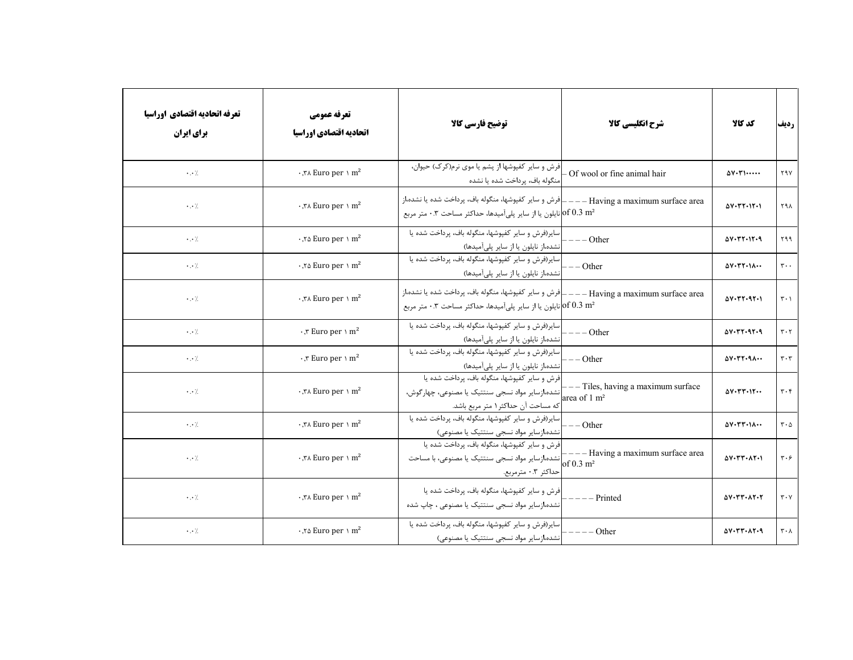| تعرفه اتحاديه اقتصادي اوراسيا<br>برای ایران | تعرفه عمومي<br>اتحاديه اقتصادي اوراسيا             | توضيح فارسي كالا                                                                                                                                                    | شرح انگلیسی کالا                                                 | كد كالا                                                                  | رديف                          |
|---------------------------------------------|----------------------------------------------------|---------------------------------------------------------------------------------------------------------------------------------------------------------------------|------------------------------------------------------------------|--------------------------------------------------------------------------|-------------------------------|
| $\cdot \cdot$ /.                            | $\cdot$ , $\forall$ Euro per \ m <sup>2</sup>      | فرش و سایر کفپوشها از پشم یا موی نرم(کرک) حیوان،<br>منگوله باف، پرداخت شده یا نشده                                                                                  | - Of wool or fine animal hair                                    | $\Delta V \cdot \Gamma \cdot \cdots$                                     | ۲۹۷                           |
| $\cdot$ . $\cdot$ /                         | $\cdot$ , $\forall$ A Euro per \ m <sup>2</sup>    | نایلون یا از سایر پلیآمیدها، حداکثر مساحت ۰.۳ متر مربع $\rm{of}~0.3~m^2$                                                                                            |                                                                  | $\Delta V \cdot \Upsilon V \cdot V \cdot V$                              | ۲۹۸                           |
| $\cdot$ . $\cdot$ /.                        | $\cdot$ , $\infty$ Euro per $\cdot$ m <sup>2</sup> | اساير(فرش و ساير كفپوشها، منگوله باف، پرداخت شده يا<br>انشده،از نایلون یا از سایر پلیآمیدها)                                                                        | $---Other$                                                       | $\Delta V \cdot \Upsilon \Upsilon \cdot V \cdot q$                       | ۲۹۹                           |
| $\cdot$ . $\cdot$ /.                        | $\cdot$ , $\infty$ Euro per $\cdot$ m <sup>2</sup> | سایر(فرش و سایر کفپوشها، منگوله باف، پرداخت شده یا<br>انشده،از نایلون یا از سایر پلیآمیدها)                                                                         | $---Other$                                                       | $\Delta V \cdot \Upsilon \Upsilon \cdot \Upsilon \wedge \cdots$          | $\mathbf{r} \cdot \cdot$      |
| $\cdot \cdot$ /.                            | $\cdot$ , $\forall$ Euro per \ m <sup>2</sup>      | Having a maximum surface area ——— فرش و ساير كفپوشها، منگوله باف، پرداخت شده يا نشده،از<br>نایلون یا از سایر پلیآمیدها، حداکثر مساحت ۰.۳ متر مربع $\rm{of}~0.3~m^2$ |                                                                  | $\Delta V \cdot \Upsilon V \cdot 9 \Upsilon \cdot 1$                     | $\mathbf{r} \cdot \mathbf{v}$ |
| $\cdot$ . $\cdot$ /.                        | $\cdot$ , $\tau$ Euro per $\cdot$ m <sup>2</sup>   | سایر(فرش و سایر کفپوشها، منگوله باف، پرداخت شده یا<br>انشده،از نایلون یا از سایر پلیآمیدها)                                                                         | $---Other$                                                       | $\Delta V \cdot \Upsilon V \cdot 9V \cdot 9$                             | $\mathbf{r} \cdot \mathbf{r}$ |
| $\cdot$ . $\cdot$ /.                        | $\cdot$ , $\tau$ Euro per \ m <sup>2</sup>         | سایر(فرش و سایر کفپوشها، منگوله باف، پرداخت شده یا<br>انشده،از نایلون یا از سایر پلیآمیدها)                                                                         | $---Other$                                                       | $\Delta V \cdot \Upsilon V \cdot q \wedge \cdots$                        | $\mathbf{r} \cdot \mathbf{r}$ |
| $\cdot$ . $\cdot$ /                         | $\cdot$ , ۳۸ Euro per ۱ m <sup>2</sup>             | فرش و سایر کفپوشها، منگوله باف، پرداخت شده یا<br>ِ انشده،ازسایر مواد نسجی سنتتیک یا مصنوعی، چهارگوش،<br>كه مساحت آن حداكثر ۱ متر مربع باشد.                         | $-$ - Tiles, having a maximum surface<br>area of $1 \text{ m}^2$ | $\Delta V \cdot \Upsilon \Upsilon \cdot V \cdot \cdot$                   | $\mathbf{r} \cdot \mathbf{r}$ |
| $\cdot$ . $\cdot$ /.                        | $\cdot$ , $\forall$ A Euro per \ m <sup>2</sup>    | سایر(فرش و سایر کفپوشها، منگوله باف، پرداخت شده یا<br>نشده،ازسایر مواد نسجی سنتتیک یا مصنوعی)                                                                       | $---Other$                                                       | $\Delta V \cdot \Upsilon \Upsilon \cdot \Upsilon \wedge \cdots$          | $\mathbf{r} \cdot \mathbf{r}$ |
| $\cdot$ . $\cdot$ /                         | $\cdot$ , $\forall$ A Euro per \ m <sup>2</sup>    | فرش و سایر کفپوشها، منگوله باف، پرداخت شده یا<br>[نشده،ازسایر مواد نسجی سنتتیک یا مصنوعی، با مساحت<br>حداكثر ۰.۳ مترمربع.                                           | - Having a maximum surface area<br>of $0.3 \text{ m}^2$          | $\Delta V \cdot \Upsilon \Upsilon \cdot \Lambda \Upsilon \cdot V$        | $\mathbf{r} \cdot \mathbf{r}$ |
| $\cdot$ . $\cdot$ /                         | י, א $\text{Euro per} \setminus m^2$               | فرش و سایر کفپوشها، منگوله باف، پرداخت شده یا<br>نشده،ازسایر مواد نسجی سنتتیک یا مصنوعی ، چاپ شده                                                                   | - Printed                                                        | $\Delta V \cdot \Upsilon \Upsilon \cdot \Lambda \Upsilon \cdot \Upsilon$ | $\mathbf{r} \cdot \mathbf{v}$ |
| $\cdot$ . $\cdot$ /                         | $\cdot$ , $\infty$ Euro per \ m <sup>2</sup>       | سایر(فرش و سایر کفپوشها، منگوله باف، پرداخت شده یا<br>نشده،ازسایر مواد نسجی سنتتیک یا مصنوعی)                                                                       | $--$ Other                                                       | $\Delta V \cdot \Upsilon V \cdot \Lambda V \cdot q$                      | $\mathbf{r} \cdot \mathbf{v}$ |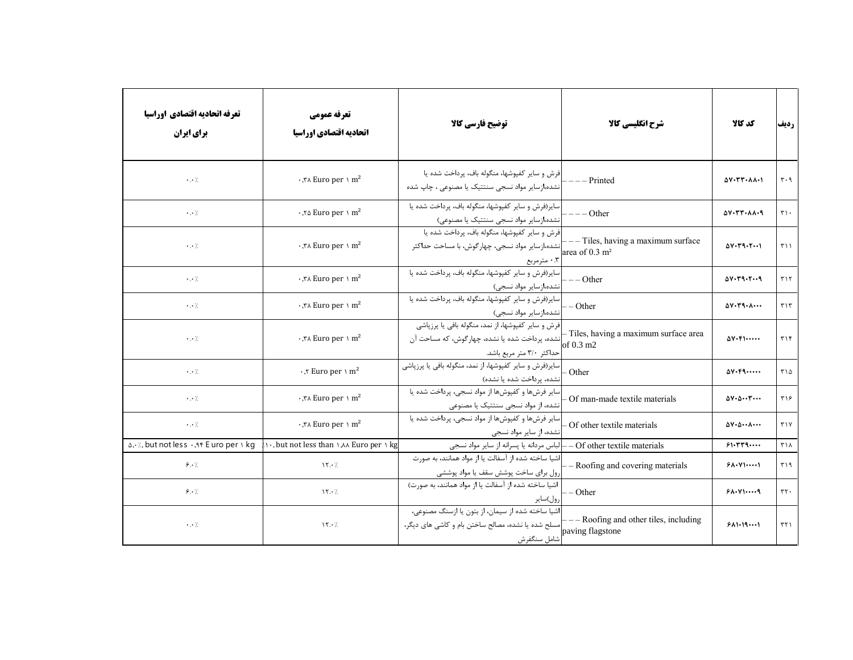| تعرفه اتحاديه اقتصادي اوراسيا<br>برای ایران | تعرفه عمومي<br>اتحاديه اقتصادي اوراسيا                                 | توضيح فارسي كالا                                                                                                                   | شرح انگلیسی کالا                                                 | كد كالا                                                                | رديف                              |
|---------------------------------------------|------------------------------------------------------------------------|------------------------------------------------------------------------------------------------------------------------------------|------------------------------------------------------------------|------------------------------------------------------------------------|-----------------------------------|
| $\cdot$ . $\cdot$ /                         | $\cdot$ , $\forall$ A Euro per \ m <sup>2</sup>                        | فرش و سایر کفپوشها، منگوله باف، پرداخت شده یا<br>نشده،ازسایر مواد نسجی سنتتیک یا مصنوعی ، چاپ شده                                  | --- Printed                                                      | $\Delta V \cdot \Upsilon \Upsilon \cdot \Lambda \wedge \cdot \Upsilon$ | $\mathbf{r} \cdot \mathbf{q}$     |
| $\cdot$ . $\cdot$ /                         | $\cdot$ , $\infty$ Euro per \ m <sup>2</sup>                           | سایر(فرش و سایر کفپوشها، منگوله باف، پرداخت شده یا<br>انشده،ازسایر مواد نسجی سنتتیک یا مصنوعی)                                     | $---$ Other                                                      | $\Delta V \cdot \Upsilon V \cdot \lambda \lambda \cdot q$              | $\uparrow\uparrow\uparrow$ .      |
| $\cdot$ . $\cdot$ /.                        | $\cdot$ , $\forall$ A Euro per \ m <sup>2</sup>                        | فرش و سایر کفپوشها، منگوله باف، پرداخت شده یا<br>نشده،ازسایر مواد نسجی، چهارگوش، با مساحت حداکثر<br>۰.۳ مترمربع                    | --- Tiles, having a maximum surface<br>area of $0.3 \text{ m}^2$ | $\Delta V \cdot T9 \cdot T \cdots$                                     | T11                               |
| $\cdot \cdot \cdot$                         | $\cdot$ , $\forall$ Euro per \ m <sup>2</sup>                          | سایر(فرش و سایر کفپوشها، منگوله باف، پرداخت شده یا<br>نشده،ازسایر مواد نسجی)                                                       | $---Other$                                                       | $\Delta V \cdot Y Q \cdot Y \cdot Q$                                   | $T\setminus T$                    |
| $\cdot$ . $\cdot$ /                         | $\cdot$ , $\forall$ Euro per \ m <sup>2</sup>                          | سایر(فرش و سایر کفپوشها، منگوله باف، پرداخت شده یا<br>نشده،ازسایر مواد نسجی)                                                       | - Other                                                          | $\Delta V \cdot Y \cdot \Lambda \cdots$                                | $\mathbf{r} \setminus \mathbf{r}$ |
| $\cdot$ . $\cdot$ /                         | $\cdot$ , $\forall$ A Euro per \ m <sup>2</sup>                        | فرش و سایر کفپوشها، از نمد، منگوله بافی یا پرزپاشی<br> نشده، پرداخت شده یا نشده، چهارگوش، که مساحت آن<br>حداكثر ٣/٠ متر مربع باشد. | - Tiles, having a maximum surface area<br>of 0.3 m2              | $\Delta V \cdot F \cdot \cdots$                                        | $\mathbf{y}$                      |
| $\cdot$ . $\cdot$ /                         | $\cdot$ , $\tau$ Euro per \ m <sup>2</sup>                             | سایر(فرش و سایر کفپوشها، از نمد، منگوله بافی یا پرزپاشی<br>نشده، پرداخت شده یا نشده)                                               | Other                                                            | $\Delta V \cdot F9 \cdots$                                             | $T\setminus \Delta$               |
| $\cdot$ . $\cdot$ /                         | $\cdot$ , $\forall$ Euro per \ m <sup>2</sup>                          | سایر فرشها و کفپوشها از مواد نسجی، پرداخت شده یا<br>نشده، از مواد نسجی سنتتیک یا مصنوعی                                            | Of man-made textile materials                                    | $\Delta V \cdot \Delta \cdots \Upsilon \cdots$                         | ٣١۶                               |
| $\cdot$ . $\cdot$ /                         | י, א $\text{Func per} \setminus \text{m}^2$                            | سایر فرشها و کفپوشها از مواد نسجی، پرداخت شده یا<br>نشده، از سایر مواد نسجی                                                        | - Of other textile materials                                     | $\Delta V \cdot \Delta \cdots \Delta \cdots$                           | $Y \vee Y$                        |
| a, . /., but not less ., A F E uro per I kg | $\cdots$ , but not less than $\cdots$ and $\cdots$ are per $\cdots$ kg | - لباس مردانه يا پسرانه از ساير مواد نسجى                                                                                          | Of other textile materials                                       | 51.779                                                                 | ۳۱۸                               |
| 9.1                                         | $\gamma \cdot \gamma$                                                  | اشیا ساخته شده از آسفالت یا از مواد همانند، به صورت<br>رول برای ساخت پوشش سقف یا مواد پوششی                                        | - Roofing and covering materials                                 | 51.4                                                                   | T                                 |
| 9.1                                         | $\gamma \cdot \gamma$                                                  | اشیا ساخته شده از آسفالت یا از مواد همانند، به صورت)<br>رول)ساير                                                                   | $-$ Other                                                        | 91.4                                                                   | $\tau\tau$ .                      |
| $\cdot$ . $\cdot$ /.                        | $\frac{15}{10}$                                                        | اشیا ساخته شده از سیمان، از بتون یا ازسنگ مصنوعی،<br>سلح شده یا نشده، مصالح ساختن بام و کاشی های دیگر،<br>شامل سنگفرش              | -- Roofing and other tiles, including<br>paving flagstone        | 511.191                                                                | ۳۲۱                               |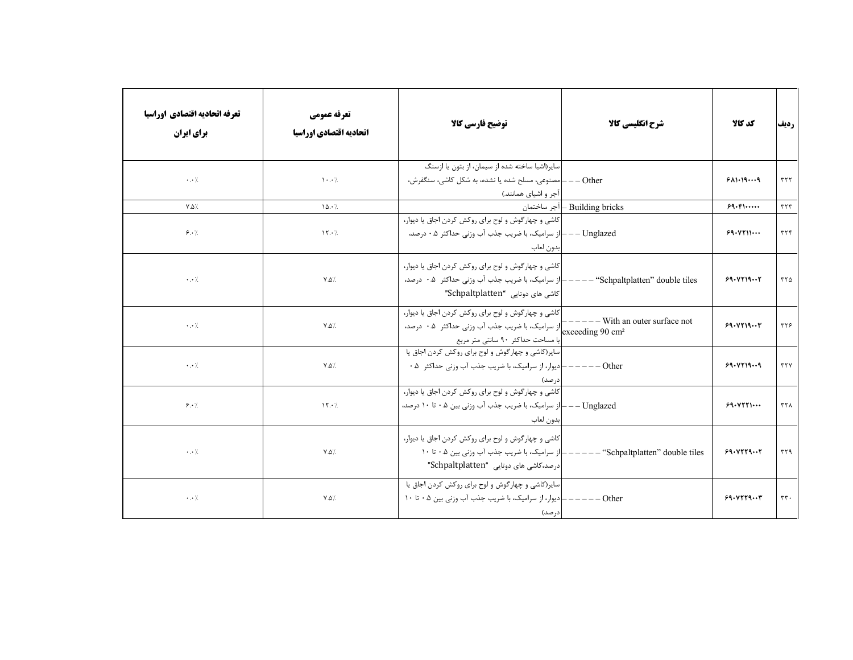| تعرفه اتحاديه اقتصادي اوراسيا<br><b>برای ایران</b> | تعرفه عمومي<br>اتحاديه اقتصادي اوراسيا    | توضيح فارسي كالا                                                                                                                             | شرح انگلیسی کالا                | كد كالا   | رديف             |
|----------------------------------------------------|-------------------------------------------|----------------------------------------------------------------------------------------------------------------------------------------------|---------------------------------|-----------|------------------|
| $\cdot \cdot \cdot$ /                              | $\mathcal{N} \cdot \cdot \mathcal{N}$     | سایر(اشیا ساخته شده از سیمان، از بتون یا ازسنگ<br>Other ——   مصنوعی، مسلح شده یا نشده، به شکل کاشی، سنگفرش،<br>آجر و اشیای همانند.)          |                                 | 911.199   | $\tau\tau\tau$   |
| $Y.\Delta$                                         | 10.7                                      |                                                                                                                                              | Building bricks – أجر ساختمان   | 99.51     | $\tau\tau\tau$   |
| 9.1                                                | $\gamma \cdot \gamma$                     | كاشي و چهارگوش و لوح براي روكش كردن اجاق يا ديوار،<br>Unglazed —— از سرامیک، با ضریب جذب آب وزنی حداکثر ۰.۵ درصد،<br>بدون لعاب               |                                 | 99.4711   | $\tau\tau\tau$   |
| $\cdot$ . $\cdot$ /.                               | $Y.\Delta'.$                              | کاشی و چهارگوش و لوح برای روکش کردن اجاق یا دیوار،<br> کاشی های دوتایی "Schpaltplatten"                                                      |                                 | 99.119    | ۳۲۵              |
| $\cdot$ . $\cdot$ /                                | $Y.\Delta'.$                              | كاشي و چهارگوش و لوح براي روكش كردن اجاق يا ديوار،<br>با مساحت حداكثر ٩٠ سانتي متر مربع                                                      | $---$ With an outer surface not | 99.4719   | ٣٢۶              |
| $\cdot \cdot \cdot$ /                              | $Y.\Delta'.$                              | سایر(کاشی و چهارگوش و لوح برای روکش کردن اجاق یا<br>· – دیوار، از سرامیک، با ضریب جذب آب وزنی حداکثر  ۰.۵<br>درصد)                           | $---$ Other                     | 99.419.09 | $\tau\tau\gamma$ |
| 9.7.                                               | $\gamma \cdot /$                          | کاشی و چهارگوش و لوح برای روکش کردن اجاق یا دیوار،<br>Unglazed – – –  از سرامیک، با ضریب جذب آب وزنی بین ۰.۵ تا ۱۰ درصد،<br>بدون لعاب        |                                 | 99.0111   | ۳۲۸              |
| $\cdot$ . $\cdot$ /                                | $\mathsf{Y}.\mathsf{Q}^{\cdot}\mathsf{L}$ | كاشي و چهارگوش و لوح براي روكش كردن اجاق يا ديوار،<br>از سرامیک، با ضریب جذب آب وزنی بین ۰.۵ تا ۱۰<br> درصد،کاشی های دوتایی "Schpaltplatten" | - "Schpaltplatten" double tiles | 99.9779   | ٣٢٩              |
| $\cdot$ . $\cdot$ /                                | $Y.\Delta'.$                              | سایر(کاشی و چهارگوش و لوح برای روکش کردن اجاق یا<br>·<br>· دیوار، از سرامیک، با ضریب جذب آب وزنی بین ۰.۵ تا ۱۰<br>درصد)                      | Other                           | 99.9779   | $\tau\tau$ .     |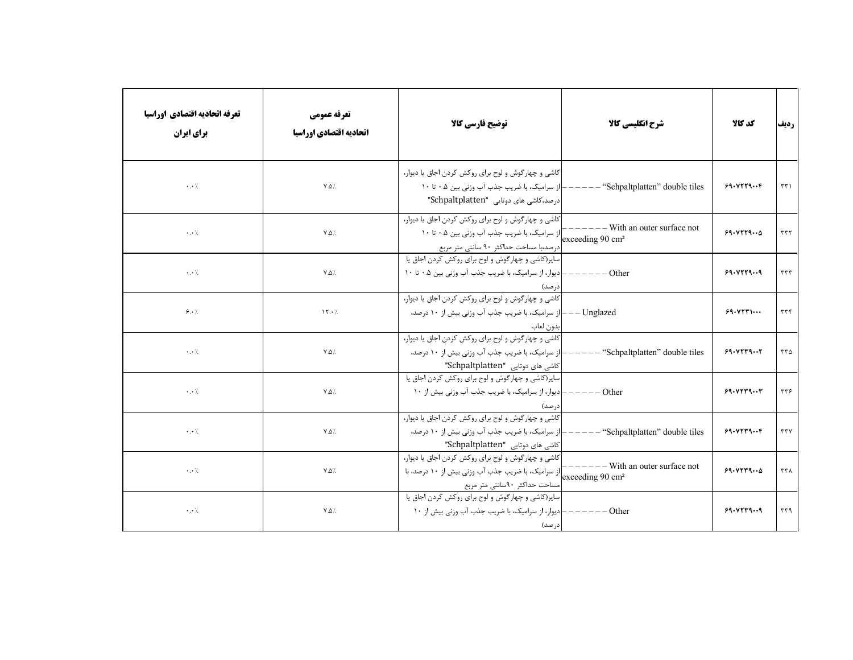| تعرفه اتحاديه اقتصادي اوراسيا<br><b>برای ایران</b> | تعرفه عمومي<br>اتحاديه اقتصادي اوراسيا | توضيح فارسي كالأ                                                                                                                                                                    | شرح انگلیسی کالا                    | كد كالا        | رديف             |
|----------------------------------------------------|----------------------------------------|-------------------------------------------------------------------------------------------------------------------------------------------------------------------------------------|-------------------------------------|----------------|------------------|
| $\cdot$ . $\cdot$ /.                               | $V.\Delta'.$                           | کاشی و چهارگوش و لوح برای روکش کردن اجاق یا دیوار،<br>ـ از سراميک، با ضريب جذب آب وزني بين ۰.۵ تا ۱۰<br> درصد،کاشی های دوتایی "Schpaltplatten"                                      | $---$ "Schpaltplatten" double tiles | $99.9779.$ .   | $\tau\tau\gamma$ |
| $\cdot$ . $\cdot$ /.                               | $Y.\Delta$ /                           | كاشي و چهارگوش و لوح براي روكش كردن اجاق يا ديوار،<br>درصد،با مساحت حداکثر ۹۰ سانتی متر مربع                                                                                        | - With an outer surface not         | 99.4779        | ۳۳۲              |
| $\cdot$ . $\cdot$ /.                               | $Y.\Delta'.$                           | سایر(کاشی و چهارگوش و لوح برای روکش کردن اجاق یا<br>Other —————— دیوار، از سرامیک، با ضریب جذب آب وزنی بین ۰.۵ تا ۱۰<br>ادرصد)                                                      |                                     | 99.0779.09     | rrr              |
| 8.7                                                | $\gamma \cdot \gamma$                  | کاشی و چهارگوش و لوح برای روکش کردن اجاق یا دیوار،<br>Unglazed – – –  از سرامیک، با ضریب جذب آب وزنی بیش از ۱۰ درصد،<br>بدون لعاب                                                   |                                     | 99.0571        | ۳۳۴              |
| $\cdot$ . $\cdot$ /                                | $Y.\Delta'.$                           | کاشی و چهارگوش و لوح برای روکش کردن اجاق یا دیوار،<br>  ز سرامیک، با ضریب جذب آب وزنی بیش از ۱۰ درصد،<br> کاشی های دوتایی "Schpaltplatten"                                          | - "Schpaltplatten" double tiles     | 99.9779        | $rr\Delta$       |
| $\cdot$ . $\cdot$ /.                               | $Y.\Delta'.$                           | سایر(کاشی و چهارگوش و لوح برای روکش کردن اجاق یا<br>- دیوار، از سرامیک، با ضریب جذب آب وزنی بیش از ۱۰<br>درصد)                                                                      | $-$ Other                           | 99.0779        | ۳۳۶              |
| $\cdot$ . $\cdot$ /                                | $Y.\Delta'.$                           | کاشی و چهارگوش و لوح برای روکش کردن اجاق یا دیوار،<br>Schpaltplatten" double tiles=" از سرامیک، با ضریب جذب آب وزنی بیش از ۱۰ درصد،<br>"Schpaltplatten" حای دوتایی "Schpaltplatten" |                                     | $99.9779.$ . F | ۳۳۷              |
| $\cdot$ . $\cdot$ /                                | $\mathsf{Y}.\mathsf{Q} \mathsf{Z}$     | كاشي و چهارگوش و لوح براي روكش كردن اجاق يا ديوار،<br><br>exceeding 90 cm2 از سرامیک، با ضریب جذب آب وزنی بیش از ۱۰ درصد، با<br> مساحت حداكثر ٩٠سانتي متر مربع                      | $---$ With an outer surface not     | 99.9779        | ۳۳۸              |
| $\cdot$ . $\cdot$ /                                | $Y.\Delta'.$                           | سایر(کاشی و چهارگوش و لوح برای روکش کردن اجاق یا<br>- دیوار، از سرامیک، با ضریب جذب آب وزنی بیش از ۱۰<br> درصد)                                                                     | Other                               | 99.9779.09     | ۳۳۹              |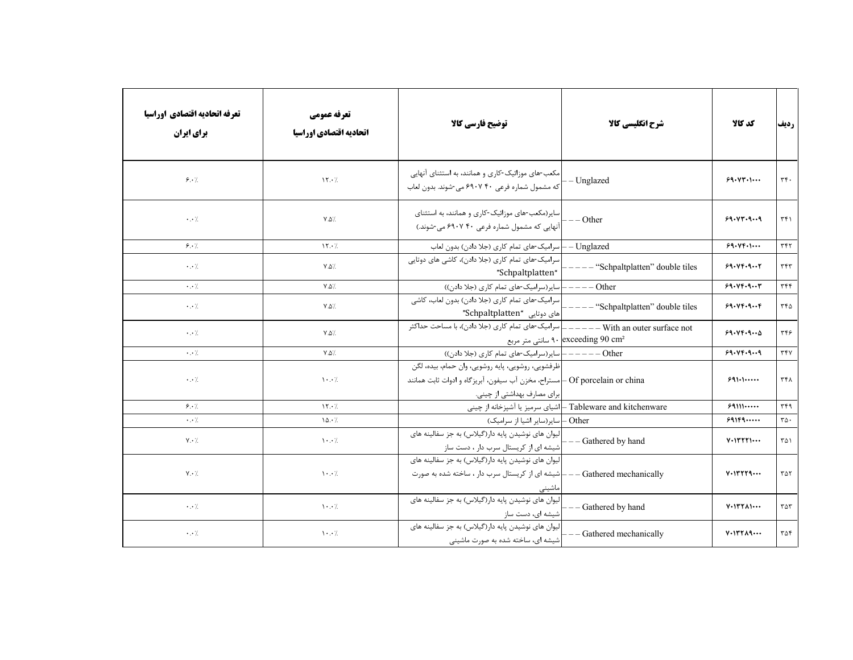| تعرفه اتحاديه اقتصادي اوراسيا<br>برای ایران | تعرفه عمومي<br>اتحاديه اقتصادي اوراسيا | توضيح فارسي كالا                                                                                                                                                  | شرح انگلیسی کالا                                            | كد كالا                                         | رديف                             |
|---------------------------------------------|----------------------------------------|-------------------------------------------------------------------------------------------------------------------------------------------------------------------|-------------------------------------------------------------|-------------------------------------------------|----------------------------------|
| 9.1                                         | 15.7                                   | مکعب-های موزائیک-کاری و همانند، به استثنای آنهایی<br>که مشمول شماره فرعی ۴۰ ۶۹۰۷ می-شوند. بدون لعاب                                                               | - Unglazed                                                  | 99.111                                          | $\tau f$ .                       |
| $\cdot \cdot$ /.                            | $\mathsf{Y}.\mathsf{Q} \mathsf{Z}$     | سایر(مکعب-های موزائیک-کاری و همانند، به استثنای<br>آنهایی که مشمول شماره فرعی ۴۰ ۶۹۰۷ می-شوند.)                                                                   | $--$ Other                                                  | 94.44.9.4                                       | $\uparrow\uparrow\uparrow$       |
| 9.1                                         | $\gamma \cdot \gamma$                  | ــــ  سرامیک-های تمام کاری (جلا دادن) بدون لعاب                                                                                                                   | - Unglazed                                                  | 99.11                                           | $\tau$ ۴۲                        |
| $\cdot$ . $\cdot$ /.                        | $Y.\Delta$ /                           | سرامیک-های تمام کاری (جلا دادن)، کاشی های دوتایی<br>"Schpaltplatten"                                                                                              | -- "Schpaltplatten" double tiles                            | 99.99.9                                         | $\tau$                           |
| $\cdot \cdot$ /.                            | $Y.\Delta'.$                           | Other -----  سایر(سرامیک-های تمام کاری (جلا دادن))                                                                                                                |                                                             | 99.199.9                                        | $\tau$ $\tau$                    |
| $\cdot$ . $\cdot$ /.                        | $Y.\Delta$                             | سرامیک-های تمام کاری (جلا دادن) بدون لعاب، کاشی<br>"Schpaltplatten" حوتایی"                                                                                       | - "Schpaltplatten" double tiles                             | 99.99.9                                         | ۳۴۵                              |
| $\cdot$ . $\cdot$ /.                        | $\mathsf{Y}.\mathsf{Q} \mathsf{Z}$     |                                                                                                                                                                   | ا سانتی متر مربع ۹۰ exceeding $90 \text{ cm}^2$             | 99.49.9                                         | ٣۴۶                              |
| $\cdot$ . $\cdot$ /                         | $Y.\Delta$                             |                                                                                                                                                                   |                                                             | 99.149.99                                       | ٣۴٧                              |
| $\cdot$ . $\cdot$ /.                        | $\cdot \cdot$ /                        | ظرفشويي، روشويي، پايه روشويي، وان حمام، بيده، لگن<br>Of porcelain or china ـ  مستراح، مخزن أب سيفون، أبريزگاه و ادوات ثابت همانند<br> برای مصارف بهداشتی از چینی. |                                                             | 991.1                                           | ۳۴۸                              |
| 9.1                                         | $\mathcal{N} \cdot \mathcal{L}$        |                                                                                                                                                                   | Tableware and kitchenware – اشیای سرمیز یا آشپزخانه از چینی | 99111                                           | ٣۴٩                              |
| $\cdot$ . $\cdot$ /                         | 10.7                                   | - Other – سایر(سایر اشیا از سرامیک)                                                                                                                               |                                                             | 991F9                                           | $r \Delta$ .                     |
| $Y \cdot /$                                 | $\mathcal{N} \cdot \cdot \mathcal{N}$  | لیوان های نوشیدن پایه دار(گیلاس) به جز سفالینه های<br>شیشه ای از کریستال سرب دار ، دست ساز                                                                        | - Gathered by hand                                          | $V \cdot V \cdot V \cdot V \cdot \cdot$         | ۳۵۱                              |
| $Y \cdot /$                                 | $\mathcal{N} \cdot \cdot \mathcal{N}$  | لیوان های نوشیدن پایه دار(گیلاس) به جز سفالینه های<br>شیشه ای از کریستال سرب دار ، ساخته شده به صورت<br>ماشيني                                                    | - Gathered mechanically                                     | $V \cdot 17779 \cdots$                          | $\tau \Delta \tau$               |
| $\cdot$ . $\cdot$ /.                        | $\mathcal{N} \cdot \cdot \mathcal{N}$  | لیوان های نوشیدن پایه دار(گیلاس) به جز سفالینه های<br>شیشه ای، دست ساز                                                                                            | Gathered by hand                                            | $V \cdot V \cdot V \cdot \wedge V \cdot \cdots$ | $\mathsf{r}\mathsf{a}\mathsf{r}$ |
| $\cdot$ . $\cdot$ /.                        | $\cdot \cdot$ /                        | لیوان های نوشیدن پایه دار(گیلاس) به جز سفالینه های<br>شیشه ای، ساخته شده به صورت ماشینی                                                                           | - Gathered mechanically                                     | $V \cdot V Y Y \wedge Q \cdots$                 | ۳۵۴                              |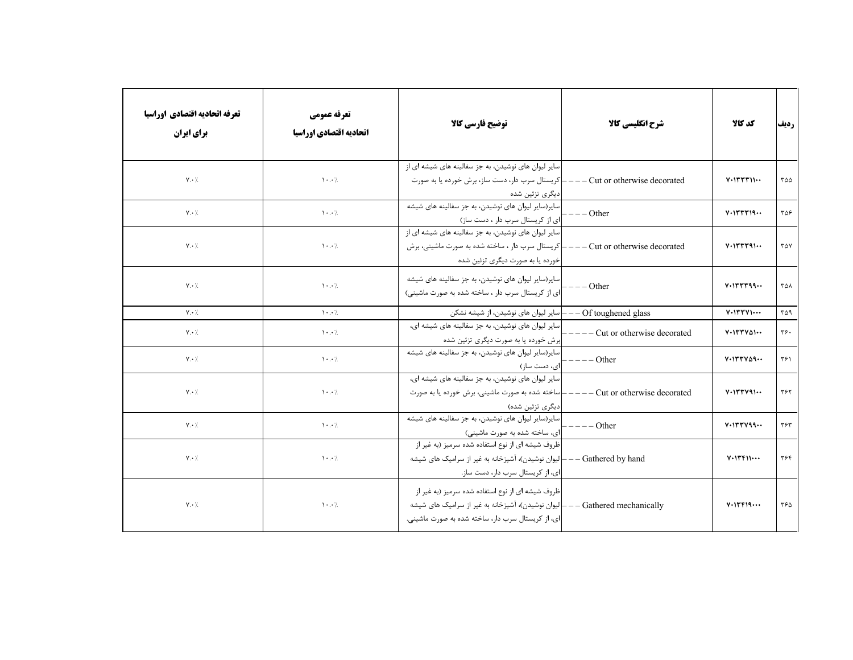| تعرفه اتحاديه اقتصادي اوراسيا<br>برای ایران | تعرفه عمومي<br>اتحاديه اقتصادي اوراسيا | توضيح فارسي كالا                                                                                                                                             | شرح انگلیسی کالا                 | كد كالا                                       | رديف           |
|---------------------------------------------|----------------------------------------|--------------------------------------------------------------------------------------------------------------------------------------------------------------|----------------------------------|-----------------------------------------------|----------------|
| $Y \cdot \gamma$                            | $\mathcal{N} \cdot \cdot \mathcal{N}$  | سایر لیوان های نوشیدن، به جز سفالینه های شیشه ای از<br> کریستال سرب دار، دست ساز، برش خورده یا به صورت<br> دیگری تزئین شده                                   | - Cut or otherwise decorated     | $V \cdot I \cap T \cap I \cap \cdots$         | ۳۵۵            |
| $Y \cdot /$                                 | $\mathcal{N}$ . $\mathcal{N}$          | سایر(سایر لیوان های نوشیدن، به جز سفالینه های شیشه<br>ای از کریستال سرب دار ، دست ساز)                                                                       | $--$ Other                       | $V \cdot V T T T 19 \cdots$                   | ۳۵۶            |
| $Y \cdot \mathcal{L}$                       | $\cdots$                               | سایر لیوان های نوشیدن، به جز سفالینه های شیشه ای از<br>– کریستال سرب دار ، ساخته شده به صورت ماشینی، برش<br>خورده یا به صورت دیگری تزئین شده                 | $---$ Cut or otherwise decorated | $V \cdot V V V V Q \cdots$                    | ۳۵۷            |
| $Y \cdot \mathcal{L}$                       | $\mathcal{N} \cdot \cdot \mathcal{N}$  | سایر(سایر لیوان های نوشیدن، به جز سفالینه های شیشه<br>ای از کریستال سرب دار ، ساخته شده به صورت ماشینی)                                                      | $--$ Other                       |                                               | ۳۵۸            |
| $V \cdot /$                                 | $\mathcal{N}$ . $\mathcal{N}$          | —————————————— سایر لیوان های نوشیدن، از شیشه نشکن                                                                                                           |                                  | $V \cdot I \cap V \cap V \cdot \cdot \cdot$   | ۳۵۹            |
| $V \cdot /$                                 | $\cdots$                               | سایر لیوان های نوشیدن، به جز سفالینه های شیشه ای،<br>ابرش خورده یا به صورت دیگری تزئین شده                                                                   | Cut or otherwise decorated       | $V\cdot VVV\omega\cdots$                      | $\mathbf{y}$ . |
| $V \cdot /$                                 | $\mathcal{N} \cdot \cdot \mathcal{N}$  | سایر(سایر لیوان های نوشیدن، به جز سفالینه های شیشه<br>ای، دست ساز)                                                                                           | $---Other$                       | $V \cdot V V V \wedge V \cdot V$              | ٣۶١            |
| $V \cdot /$                                 | $\cdot \cdot$ /                        | سایر لیوان های نوشیدن، به جز سفالینه های شیشه ای،<br>اساخته شده به صورت ماشینی، برش خورده یا به صورت<br> دیگری تزئین شده)                                    | - Cut or otherwise decorated     | $V \cdot V V V Q \cdots$                      | ٣۶٢            |
| $Y \cdot \gamma$                            | $\backslash\cdot\cdot/$                | سایر(سایر لیوان های نوشیدن، به جز سفالینه های شیشه<br>ای، ساخته شده به صورت ماشینی)                                                                          | Other                            | $V \cdot V V V 99 \cdots$                     | ٣۶٣            |
| $Y \cdot /$                                 | $\mathcal{N} \cdot \cdot \mathcal{N}$  | ظروف شیشه ای از نوع استفاده شده سرمیز (به غیر از<br>- لیوان نوشیدن)، آشپزخانه به غیر از سرامیک های شیشه<br> ای، از کریستال سرب دار، دست ساز.                 | Gathered by hand                 | $V \cdot V \cdot V \cdot W \cdot W$           | ٣۶۴            |
| $V \cdot \gamma$                            | $\backslash\cdot\cdot/$                | ظروف شیشه ای از نوع استفاده شده سرمیز (به غیر از<br>- لیوان نوشیدن)، آشپزخانه به غیر از سرامیک های شیشه<br>ای، از کریستال سرب دار، ساخته شده به صورت ماشینی. | - Gathered mechanically          | $V \cdot V \cdot V \cdot A \cdot \cdot \cdot$ | ٣۶۵            |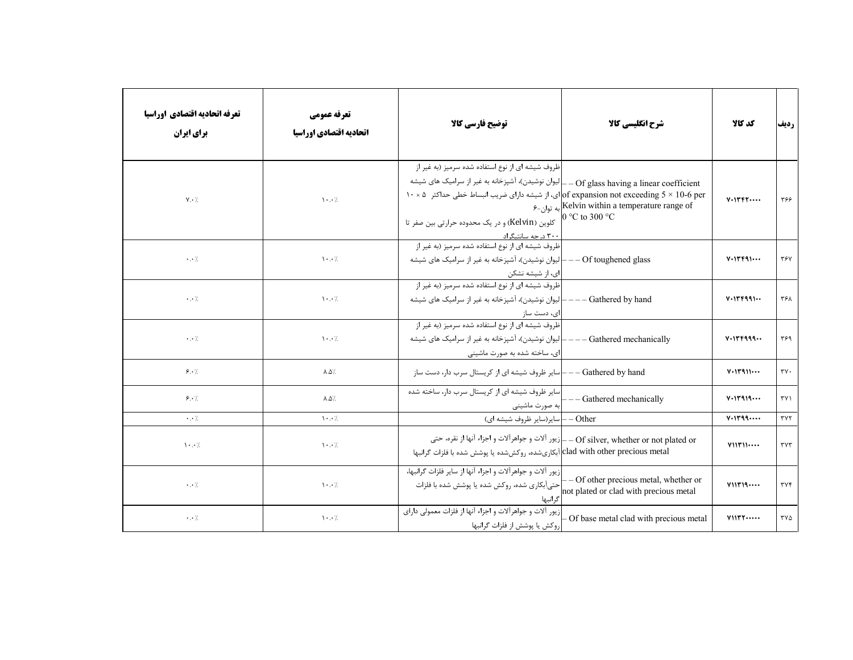| تعرفه اتحاديه اقتصادي اوراسيا<br>برای ایران | تعرفه عمومي<br>اتحاديه اقتصادي اوراسيا | توضيح فارسي كالآ                                                                                                                                                                                                                                                                                                                                                                     | شرح انگلیسی کالا                                                                        | كد كالا                                  | رديف                        |
|---------------------------------------------|----------------------------------------|--------------------------------------------------------------------------------------------------------------------------------------------------------------------------------------------------------------------------------------------------------------------------------------------------------------------------------------------------------------------------------------|-----------------------------------------------------------------------------------------|------------------------------------------|-----------------------------|
| $V \cdot /$                                 | $\mathcal{N}$ . $\mathcal{N}$          | ظروف شیشه ای از نوع استفاده شده سرمیز (به غیر از<br>لیوان نوشیدن)، آشپزخانه به غیر از سرامیک های شیشه $\left\vert \_\text{--Of} \right.\text{glass having a linear coefficient}$<br>ای، از شیشه دارای ضریب انبساط خطی حداکثر ۵ $\,$ ۰۰ × 0 of expansion not exceeding $5\times10$ -6 per<br>كلوين (Kelvin) و در يک محدوده حرارتي بين صفر تا<br><u>۳۰۰ د<sub>ر</sub> جه سانتیگراد</u> | $\epsilon$ به توان-۶ $K$ elvin within a temperature range of<br>0 °C to 300 °C          | $V \cdot V \cdot V \cdot V \cdot \cdots$ | ۳۶۶                         |
| $\cdot \cdot \cdot$                         | $\mathcal{N} \cdot \cdot \mathcal{N}$  | ظروف شیشه ای از نوع استفاده شده سرمیز (به غیر از<br>ـ لیوان نوشیدن)، آشپزخانه به غیر از سرامیک های شیشه<br>ای، از شیشه نشکن                                                                                                                                                                                                                                                          | $--$ Of toughened glass                                                                 | $V \cdot V \cdot F \cdot \cdot \cdot$    | ٣۶٧                         |
| $\cdot \cdot \cdot$                         | $\cdots$                               | ظروف شیشه ای از نوع استفاده شده سرمیز (به غیر از<br>· لیوان نوشیدن)، آشپزخانه به غیر از سرامیک های شیشه<br>ای، دست ساز                                                                                                                                                                                                                                                               | Gathered by hand                                                                        | $V \cdot V \cdot F991 \cdots$            | ٣۶٨                         |
| $\cdot \cdot \cdot$                         | $\mathcal{N} \cdot \cdot \mathcal{N}$  | ظروف شیشه ای از نوع استفاده شده سرمیز (به غیر از<br>لیوان نوشیدن)، آشپزخانه به غیر از سرامیک های شیشه<br> ای، ساخته شده به صورت ماشینی                                                                                                                                                                                                                                               | Gathered mechanically                                                                   | V.19999                                  | ٣۶٩                         |
| 9.1                                         | $\lambda \Delta /$                     |                                                                                                                                                                                                                                                                                                                                                                                      |                                                                                         | V.11911                                  | $\mathsf{r}\mathsf{v}\cdot$ |
| 9.1                                         | $\lambda \Delta$                       | سایر ظروف شیشه ای از کریستال سرب دار، ساخته شده<br> به صورت ماشینی                                                                                                                                                                                                                                                                                                                   | - Gathered mechanically                                                                 | $V \cdot V \cdot V \cdot A \cdot \cdots$ | $\Upsilon$                  |
| $\cdot$ . $\cdot$ /                         | $\cdot \cdot$ /                        | سایر(سایر ظروف شیشه ای)                                                                                                                                                                                                                                                                                                                                                              | Other                                                                                   | V.1199                                   | $\tau \vee \tau$            |
| $\cdot \cdot$ /                             | $\mathcal{N} \cdot \cdot \mathcal{N}$  | clad with other precious metal]آبکاریشده، روکششده یا پوشش شده با فلزات گرانبها                                                                                                                                                                                                                                                                                                       | Of silver, whether or not plated or __ إزيور آلات و جواهرآلات و اجزاء آنها از نقره، حتى | V11111                                   | $\tau$ $\gamma\tau$         |
| $\cdot$ . $\cdot$ /.                        | $\cdots$                               | زيور آلات و جواهرآلات و اجزاء آنها از ساير فلزات گرانبها،<br> حتی[بکاری شده، روکش شده یا پوشش شده با فلزات<br>گرانبها                                                                                                                                                                                                                                                                | - Of other precious metal, whether or<br>not plated or clad with precious metal         | V11119                                   | ٣٧۴                         |
| $\cdot$ . $\cdot$ /.                        | $\mathcal{N} \cdot \cdot \mathcal{N}$  | زیور آلات و جواهرآلات و اجزاء آنها از فلزات معمولی دارای<br> روكش يا پوشش از فلزات گرانبها                                                                                                                                                                                                                                                                                           | Of base metal clad with precious metal                                                  | V11YY                                    | ۳۷۵                         |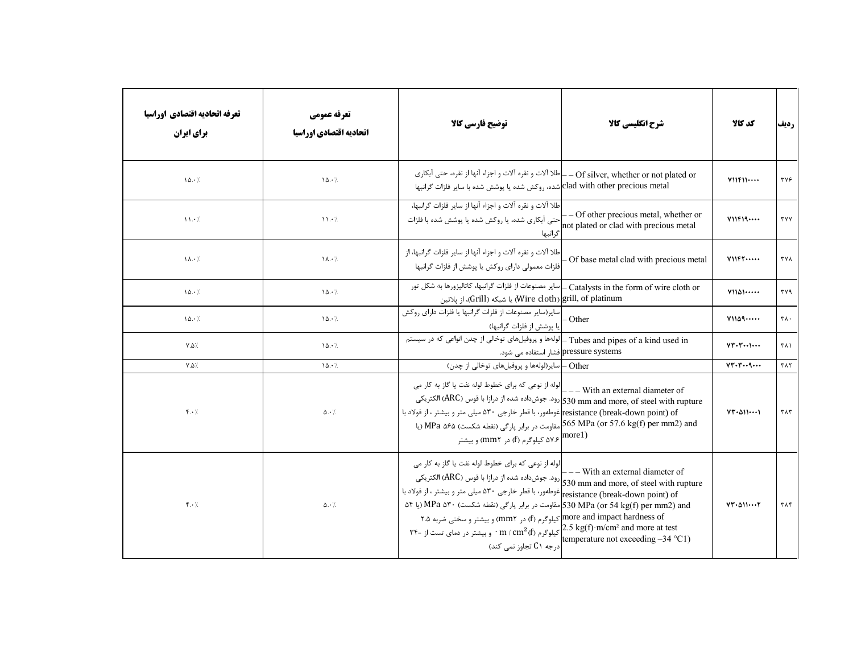| تعرفه اتحاديه اقتصادي اوراسيا<br>برای ایران | تعرفه عمومي<br>اتحاديه اقتصادي اوراسيا | توضیح فارسی کالا                                                                                                                                                                                                                                                                                                                                                                                                                                                                                                                                                               | شرح انگلیسی کالا                                                                 | كد كالا                   | رديف                         |
|---------------------------------------------|----------------------------------------|--------------------------------------------------------------------------------------------------------------------------------------------------------------------------------------------------------------------------------------------------------------------------------------------------------------------------------------------------------------------------------------------------------------------------------------------------------------------------------------------------------------------------------------------------------------------------------|----------------------------------------------------------------------------------|---------------------------|------------------------------|
| 10.7                                        | 10.7                                   | _ طلا آلات و نقره آلات و اجزاء آنها از نقره، حتى آبكارى<br>clad with other precious metal شده، روكش شده يا پوشش شده با ساير فلزات گرانبها                                                                                                                                                                                                                                                                                                                                                                                                                                      | - Of silver, whether or not plated or                                            | Y11F11                    | ٣٧۶                          |
| $\mathcal{N} \cdot \mathcal{N}$             | 11.7                                   | طلا آلات و نقره آلات و اجزاء آنها از ساير فلزات گرانبها،<br>حتی آبکاری شده، یا روکش شده یا پوشش شده با فلزات<br>گرانبها                                                                                                                                                                                                                                                                                                                                                                                                                                                        | -- Of other precious metal, whether or<br>not plated or clad with precious metal | Y11F19                    | <b>TYY</b>                   |
| $\lambda \cdot \lambda$                     | $\lambda \cdot \lambda$                | طلا آلات و نقره آلات و اجزاء آنها از ساير فلزات گرانبها، از<br>فلزات معمولی دارای روکش یا پوشش از فلزات گرانبها                                                                                                                                                                                                                                                                                                                                                                                                                                                                | Of base metal clad with precious metal                                           | V11F1                     | ۳۷۸                          |
| 10.7                                        | 10.7                                   | Catalysts in the form of wire cloth or ـ  سایر مصنوعات از فلزات گرانبها، کاتالیزورها به شکل تور<br>يا شبكه (Grill) يا شبكه (Wire cloth) grill, of platinum                                                                                                                                                                                                                                                                                                                                                                                                                     |                                                                                  | $Y11\Delta 1 \cdots$      | ٣٧٩                          |
| 10.7                                        | 10.7                                   | سایر(سایر مصنوعات از فلزات گرانبها یا فلزات دارای روکش<br>یا پوشش از فلزات گرانبها)                                                                                                                                                                                                                                                                                                                                                                                                                                                                                            | - Other                                                                          | Y1109                     | $\mathsf{r}\wedge\cdot$      |
| $Y.\Delta$ /.                               | 10.7                                   | Tubes and pipes of a kind used in ـ إلولهها و پروفيلهاى توخالي از چدن انواعى كه در سيستم                                                                                                                                                                                                                                                                                                                                                                                                                                                                                       | pressure systems فشار استفاده می شود.                                            | $VT - T - 1 - 1$          | ۳۸۱                          |
| $Y.\Delta$ /.                               | 10.7                                   | Other – سایر(لولهها و پروفیلهای توخالی از چدن)                                                                                                                                                                                                                                                                                                                                                                                                                                                                                                                                 |                                                                                  | VT.7q                     | $\mathsf{r}\wedge\mathsf{r}$ |
| $f \cdot /$                                 | $\Delta \cdot \gamma$                  | الوله از نوعی که برای خطوط لوله نفت یا گاز به کار می $\Big _{---}$ With an external diameter of<br>رود. جوشداده شده از درازا با قوس (ARC) الكتريكي(530 mm and more, of steel with rupture<br>resistance (break-down point) of غوطهور، با قطر خارجي ۵۳۰ ميلي متر و بيشتر ، از فولاد با<br>565 MPa (or 57.6 kg(f) per mm2) and مقاومت در برابر پارگی (نقطه شکست) MPa ۵۶۵ (یا<br>و بیشتر (f) در more1) و بیشتر (f) در more1)                                                                                                                                                      |                                                                                  | $VT - \Delta 1$           | $\tau \wedge \tau$           |
| $f \cdot \lambda$                           | $\Delta \cdot \gamma$                  | لوله از نوعی که برای خطوط لوله نفت یا گاز به کار می $\begin{bmatrix} -0.930 & -0.930 & -0.930 \end{bmatrix}$ رود. جوشداده شده از درازا با قوس (ARC) الکتریکی<br>S30 mm and more, of steel with rupture غوطهور، با قطر خارجی ۵۳۰ میلی متر و بیشتر ، از فو<br>۵۴ (S30 MPa (or 54 kg(f) per mm2) and مقاومت در برابر پارگی (نقطه شکست) MPa ۵۳۰ (یا ۵۴<br>more and impact hardness of کیلوگرم (f) در mm۲) و بیشتر و سختی ضربه ۲.۵<br>m / cm <sup>2</sup> (f) کیلوگرم (m / cm <sup>2</sup> (f) سیشتر در دمای تست از -۳۴<br>emperature not exceeding -34 °C1) درجه ۲۱ تجاوز نمی کند) |                                                                                  | $VT - \Delta 11 \cdots 7$ | ٣٨۴                          |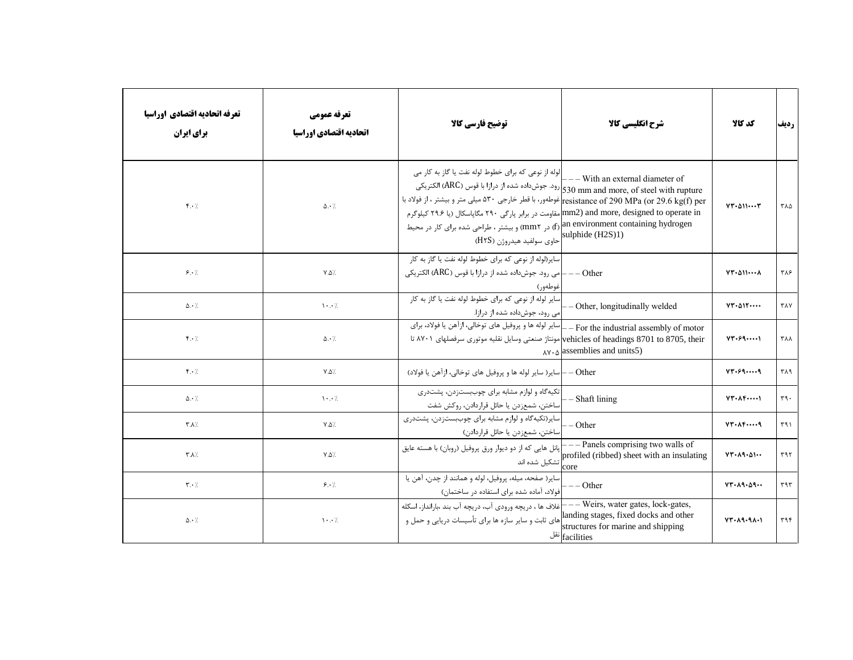| تعرفه اتحاديه اقتصادي اوراسيا<br>برای ایران | تعرفه عمومي<br>اتحاديه اقتصادي اوراسيا | توضيح فارسي كالأ                                                                                                                                                                                                                                                                                                                                                                                                                                                                                                    | شرح انگلیسی کالا                                                                                                                           | كد كالا                             | رديف            |
|---------------------------------------------|----------------------------------------|---------------------------------------------------------------------------------------------------------------------------------------------------------------------------------------------------------------------------------------------------------------------------------------------------------------------------------------------------------------------------------------------------------------------------------------------------------------------------------------------------------------------|--------------------------------------------------------------------------------------------------------------------------------------------|-------------------------------------|-----------------|
| $f \cdot \lambda$                           | $\Delta \cdot \frac{1}{2}$             | اوله از نوعی که برای خطوط لوله نفت یا گاز به کار می <br>  — — With an external diameter of —<br>رود. جوشداده شده از درازا با قوس (ARC) الكتريكي s30 mm and more, of steel with rupture<br>resistance of 290 MPa (or 29.6 kg(f) perإغوطهور، با قطر خارجي ۵۳۰ ميلي متر و بيشتر ، از فولاد با<br>mm2) and more, designed to operate in مقاومت در برابر پارگی ۲۹۰ مگاپاسکال (یا ۲۹.۶ کیلوگرم<br>m environment containing hydrogen) و بیشتر ، طراحی شده برای کار در محیط<br>[sulphide (H2S)1) احاوي سولفيد هيدروژن (H۲S) |                                                                                                                                            | $VT - \Delta 1$                     | ۳۸۵             |
| 8.7                                         | $Y.\Delta$ /.                          | سایر(لوله از نوعی که برای خطوط لوله نفت یا گاز به کار<br>_Other — —  مي رود. جوشداده شده از درازا با قوس (ARC) الكتريكي<br>غوطەور)                                                                                                                                                                                                                                                                                                                                                                                  |                                                                                                                                            | $VT - \Delta 1$                     | ٣٨۶             |
| $\Delta \cdot \frac{1}{2}$                  | $\mathcal{N} \cdot \cdot \mathcal{N}$  | سایر لوله از نوعی که برای خطوط لوله نفت یا گاز به کار<br>امی رود، جوشداده شده از درازا.                                                                                                                                                                                                                                                                                                                                                                                                                             | - Other, longitudinally welded                                                                                                             | VT.011                              | <b>TAY</b>      |
| $f \cdot \lambda$                           | $\Delta \cdot$ /                       | _ سایر لوله ها و پروفیل های توخالی، ازآهن یا فولاد، برای<br>vehicles of headings 8701 to 8705, their مونتاژ صنعتی وسایل نقلیه موتوری سرفصلهای ۸۷۰۱ تا                                                                                                                                                                                                                                                                                                                                                               | - For the industrial assembly of motor<br>$\Delta v \cdot \Delta$ assemblies and units 5)                                                  | $YY - 59$                           | <b>TAA</b>      |
| $\mathfrak{f} \cdot \mathfrak{h}$           | $Y.\Delta$ /                           | Other —  ساير( ساير لوله ها و پروفيل هاي توخالي، ازآهن يا فولاد)                                                                                                                                                                                                                                                                                                                                                                                                                                                    |                                                                                                                                            | VT.599                              | ۳۸۹             |
| $\Delta \cdot \frac{1}{2}$                  | $\mathcal{N} \cdot \cdot \mathcal{N}$  | تکیهگاه و لوازم مشابه برای چوببستزدن، پشتدری<br>ساختن، شمعزدن يا حائل قراردادن، روكش شفت                                                                                                                                                                                                                                                                                                                                                                                                                            | - Shaft lining                                                                                                                             | $VT - \Lambda F - \cdots$           | $\mathbf{r}$ 9. |
| $\mathbf{Y}.\mathbf{A}$                     | $\mathsf{Y}.\mathsf{Q} \mathsf{Z}$     | سایر(تکیهگاه و لوازم مشابه برای چوببستزدن، پشتدری<br> ساختن، شمعزدن يا حائل قراردادن)                                                                                                                                                                                                                                                                                                                                                                                                                               | $--$ Other                                                                                                                                 | $VT - \Lambda F - \cdots q$         | ۳۹۱             |
| ـ⁄ ۸. ۳                                     | $\mathsf{Y}.\mathsf{Q} \mathsf{Z}$     | پانل هایی که از دو دیوار ورق پروفیل (روبان) با هسته عایق                                                                                                                                                                                                                                                                                                                                                                                                                                                            |                                                                                                                                            | $VT - \lambda 9 - \Delta 1 -$       | ۳۹۲             |
| $\mathbf{r} \cdot \mathbf{A}$               | 9.1                                    | ساير( صفحه، ميله، پروفيل، لوله و همانند از چدن، آهن يا<br>فولاد، آماده شده برای استفاده در ساختمان)                                                                                                                                                                                                                                                                                                                                                                                                                 | $--$ Other                                                                                                                                 | $VT - \lambda 9 - \Delta 9 - \cdot$ | $\tau$ 9 $\tau$ |
| $\Delta \cdot \frac{1}{2}$                  | $\cdot \cdot$ /                        | ظلاف ها ، دريچه ورودي آب، دريچه آب بند ،بارانداز، اسكله $\hspace{0.1 cm} \vdash$<br>.<br> های ثابت و سایر سازه ها برای تأسیسات دریایی و حمل و                                                                                                                                                                                                                                                                                                                                                                       | -- Weirs, water gates, lock-gates,<br>landing stages, fixed docks and other<br>structures for marine and shipping<br>$ \text{facilities} $ | $YY - \lambda 9 - 9 \lambda - 1$    | ٣٩۴             |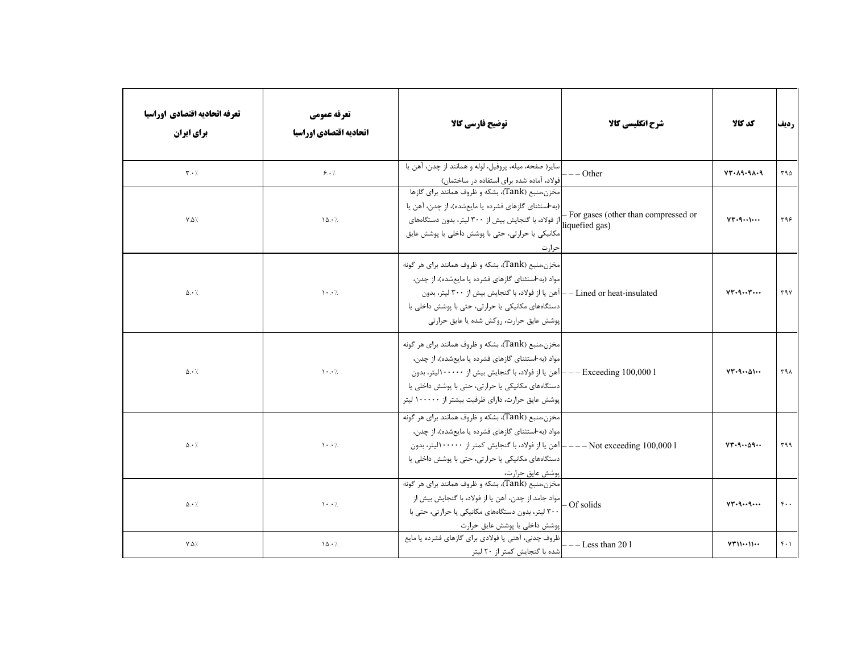| تعرفه اتحاديه اقتصادي اوراسيا<br>برای ایران | تعرفه عمومي<br>اتحاديه اقتصادي اوراسيا | توضيح فارسي كالآ                                                                                                                                                                                                                                                                               | شرح انگلیسی کالا                      | كد كالا                          | رديف             |
|---------------------------------------------|----------------------------------------|------------------------------------------------------------------------------------------------------------------------------------------------------------------------------------------------------------------------------------------------------------------------------------------------|---------------------------------------|----------------------------------|------------------|
| $\mathbf{r} \cdot \mathbf{A}$               | 5.7                                    | ساير( صفحه، ميله، پروفيل، لوله و همانند از چدن، آهن يا<br> فولاد، آماده شده برای استفاده در ساختمان)                                                                                                                                                                                           | $-$ Other                             | $YY - \lambda 9 - 9 \lambda - 9$ | ۳۹۵              |
| $Y.\Delta$ /                                | 10.7                                   | مخزن،منبع (Tank)، بشكه و ظروف همانند براي گازها<br>(به-استثنای گازهای فشرده یا مایعشده)، از چدن، آهن یا<br>مکانیکی یا حرارتی، حتی با پوشش داخلی یا پوشش عایق<br>حرارت                                                                                                                          | - For gases (other than compressed or | $VT-9-1$                         | ۳۹۶              |
| $\Delta \cdot$ /                            | $\mathcal{N}$                          | مخزن،منبع (Tank)، بشکه و ظروف همانند برای هر گونه<br>مواد (به-استثنای گازهای فشرده یا مایعشده)، از چدن،<br>Lined or heat-insulated — إآهن يا از فولاد، با گنجايش بيش از ٣٠٠ ليتر، بدون<br>دستگاههای مکانیکی یا حرارتی، حتی با پوشش داخلی یا<br> پوشش عایق حرارت، روکش شده یا عایق حرارتی       |                                       | VT.9r                            | ٣٩٧              |
| $\Delta \cdot$ /                            | $\mathcal{N} \cdot \cdot \mathcal{N}$  | مخزن،منبع (Tank)، بشکه و ظروف همانند براي هر گونه<br>مواد (به-استثنای گازهای فشرده یا مایعشده)، از چدن،<br>1 Exceeding 100,000 —— آهن يا از فولاد، با گنجايش بيش از ۱۰۰۰۰۰ليتر، بدون<br>دستگاههای مکانیکی یا حرارتی، حتی با پوشش داخلی یا<br>پوشش عایق حرارت، دارای ظرفیت بیشتر از ۱۰۰۰۰۰ لیتر |                                       | $VT - 9 \cdots \Delta 1 \cdots$  | ۳۹۸              |
| $\Delta \cdot /$                            | $\cdots$                               | مخزن،منبع (Tank)، بشکه و ظروف همانند برای هر گونه<br>مواد (به-استثنای گازهای فشرده یا مایعشده)، از چدن،<br>-[آهن يا از فولاد، با گنجايش كمتر از ۱۰۰۰۰۰ليتر، بدون<br>دستگاههای مکانیکی یا حرارتی، حتی با پوشش داخلی یا<br> پوشش عايق حرارت،                                                     | $---$ Not exceeding $100,0001$        | $VT-9 \cdots 09 \cdots$          | ٣٩٩              |
| $\Delta \cdot \frac{1}{2}$                  | $\cdots$                               | مخزن،منبع (Tank)، بشکه و ظروف همانند برای هر گونه<br> مواد جامد از چدن، آهن یا از فولاد، با گنجایش بیش از<br>۳۰۰ لیتر، بدون دستگاههای مکانیکی یا حرارتی، حتی با<br>پوشش داخلی یا پوشش عایق حرارت                                                                                               | - Of solids                           | VT.99                            | $\mathfrak{r}$   |
| $Y.\Delta'.$                                | $\lambda \Delta \cdot \lambda$         | ظروف چدنی، آهنی یا فولادی برای گازهای فشرده یا مایع<br> شده با گنجایش کمتر از ۲۰ لیتر                                                                                                                                                                                                          | $--$ Less than 20 1                   | VT1111                           | $f \cdot \gamma$ |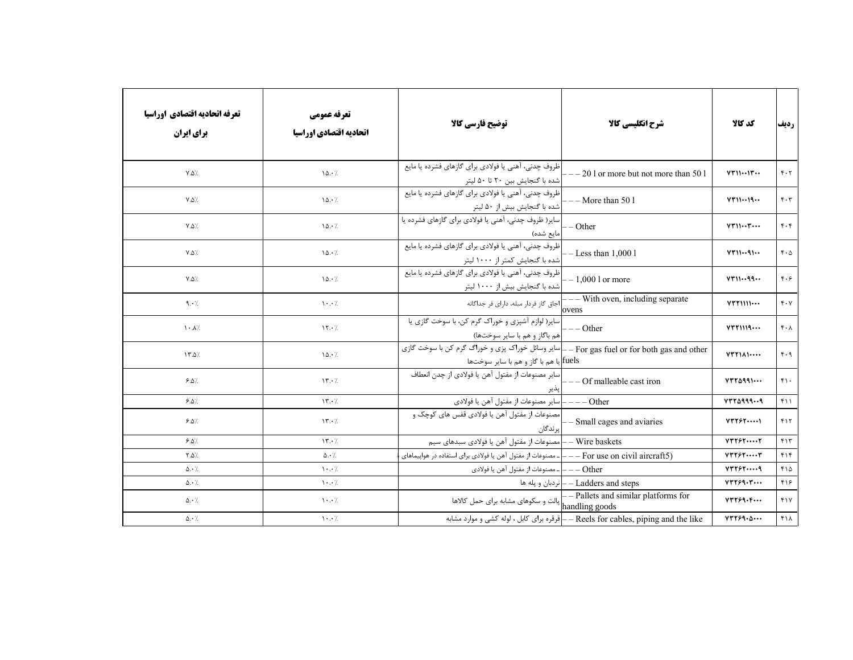| تعرفه اتحاديه اقتصادي اوراسيا<br>برای ایران | تعرفه عمومي<br>اتحاديه اقتصادي اوراسيا | توضيح فارسي كالا                                                                                                                      | شرح انگلیسی کالا                                                                          | كد كالا                                        | رديف                              |
|---------------------------------------------|----------------------------------------|---------------------------------------------------------------------------------------------------------------------------------------|-------------------------------------------------------------------------------------------|------------------------------------------------|-----------------------------------|
| $Y.\Delta$ /                                | 10.7                                   | ظروف چدنی، آهنی یا فولادی برای گازهای فشرده یا مایع<br> شده با گنجایش بین ۲۰ تا ۵۰ لیتر                                               | $-201$ or more but not more than 501                                                      | $VT \cup \cdots \cup T \cdots$                 | $F \cdot 7$                       |
| $Y.\Delta$ /                                | 10.7                                   | ظروف چدنی، آهنی یا فولادی برای گازهای فشرده یا مایع<br> شده با گنجایش بیش از ۵۰ لیتر                                                  | $--$ More than 50 1                                                                       | VT1119                                         | $\mathfrak{r} \cdot \mathfrak{r}$ |
| $Y.\Delta$ /                                | 10.7                                   | سایر( ظروف چدنی، آهنی یا فولادی برای گازهای فشرده یا<br>مايع شده)                                                                     | - Other                                                                                   | $VT \cup \cdots \top \cdots$                   | $\mathfrak{r} \cdot \mathfrak{r}$ |
| $Y.\Delta$ /                                | 10.7                                   | ظروف چدنی، آهنی یا فولادی برای گازهای فشرده یا مایع<br> شده با گنجایش کمتر از ۱۰۰۰ لیتر                                               | $-Less than 1,0001$                                                                       | VT1191                                         | $f \cdot \Delta$                  |
| $Y.\Delta$ /                                | 10.7                                   | ٰ ظروف چدنی، آهنی یا فولادی برای گازهای فشرده یا مایع<br> شده با گنجایش بیش از ۱۰۰۰ لیتر                                              | $-1,0001$ or more                                                                         | VT1199                                         | $f \cdot f$                       |
| 9.1                                         | $\backslash\cdot\cdot/$                | <sup>-</sup> اجاق گاز فردار مبله، دارای فر جداگانه                                                                                    | $\overline{\mathbf{---}}$ With oven, including separate<br>ovens                          | $Y^*Y$                                         | $f \cdot Y$                       |
| $\lambda \cdot \lambda$                     | 15.7                                   | سایر( لوازم آشپزی و خوراک گرم کن، با سوخت گازی یا<br>هم باگاز و هم با ساير سوختها)                                                    | $---Other$                                                                                | $VTY$ $N$                                      | $f \cdot \Lambda$                 |
| $\sqrt{7.2}$                                | 10.7                                   | For gas fuel or for both gas and other — إساير وسائل خوراك پزي و خوراگ گرم كن با سوخت گازي<br>.fuels]یا هم با گاز و هم با سایر سوختها |                                                                                           | VTY                                            | $f \cdot q$                       |
| 9.0                                         | $\gamma$                               | سایر مصنوعات از مفتول آهن یا فولادی از چدن انعطاف<br>پدير                                                                             | $--$ Of malleable cast iron                                                               | $VTY$ $A$ 99) $\cdots$                         | $f \cdot$                         |
| 9.0                                         | $\gamma$                               | Other ——— ساير مصنوعات از مفتول آهن يا فولادي                                                                                         |                                                                                           | $YYY\Delta$ 9999                               | $f \cup$                          |
| $9.8\%$                                     | $\gamma$                               | بر ندگان                                                                                                                              |                                                                                           | $Y \uparrow \uparrow \uparrow \uparrow \cdots$ | ٢١٢                               |
| $9.8\%$                                     | $\gamma$                               | Wire baskets — إمصنوعات از مفتول آهن يا فولادي سبدهاي سيم                                                                             |                                                                                           | YYYYY                                          | $f \mid \uparrow$                 |
| $Y.\Delta$                                  | $\Delta \cdot \frac{1}{2}$             | ————————————————————- مصنوعات از مفتول آهن یا فولادی برای استفاده در هواپیماهای ( For use on civil aircraft5                          |                                                                                           | $Y \Upsilon Y \varepsilon Y \cdots Y$          | $f \upharpoonright f$             |
| $\Delta \cdot /$                            | $\mathcal{N} \cdot \cdot \mathcal{N}$  | Other — —   ـ مصنوعات از مفتول آهن يا فولادي                                                                                          |                                                                                           | YYYYY9                                         | $f \wedge \Delta$                 |
| $\Delta \cdot /$                            | $\cdot \cdot$ /                        |                                                                                                                                       | نردبان و يله ها $-$ Ladders and steps                                                     | YYY59.7                                        | ۴۱۶                               |
| $\Delta \cdot /$                            | $\cdots$                               |                                                                                                                                       | – Pallets and similar platforms for پالت و سکوهای مشابه برای حمل کالاها<br>handling goods | YYY59.                                         | fY                                |
| $\Delta \cdot \gamma$                       | $\mathcal{N} \cdot \cdot \mathcal{N}$  |                                                                                                                                       | – أقرقره براي كابل ، لوله كشي و موارد مشابه – Reels for cables, piping and the like       | YYY59.0                                        | $f \wedge$                        |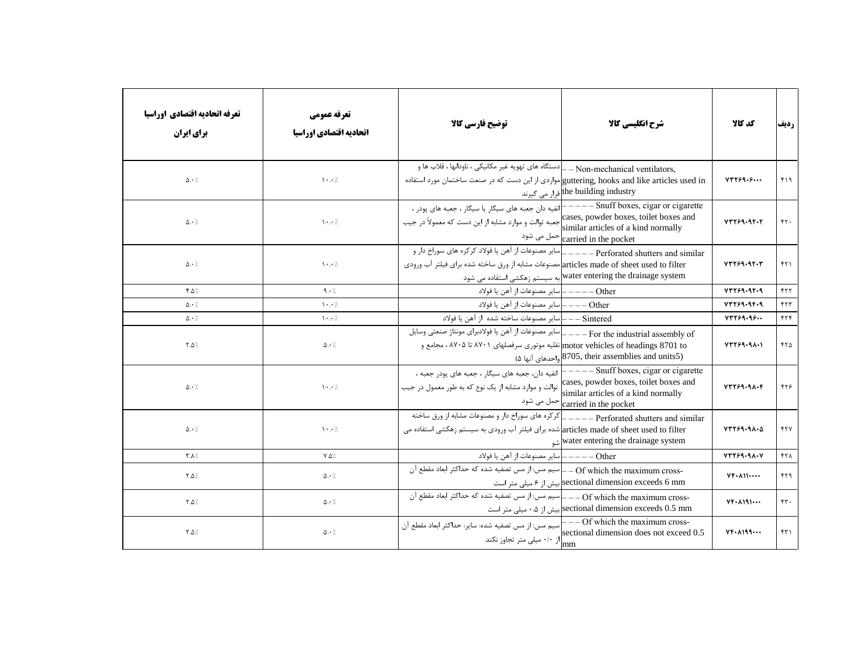| تعرفه اتحاديه اقتصادي اوراسيا<br>برای ایران | تعرفه عمومي<br>اتحاديه اقتصادي اوراسيا | توضيح فارسي كالأ                                                                                                                                                                    | شرح انگلیسی کالا                                                                                                 | كد كالا                         | رديف            |
|---------------------------------------------|----------------------------------------|-------------------------------------------------------------------------------------------------------------------------------------------------------------------------------------|------------------------------------------------------------------------------------------------------------------|---------------------------------|-----------------|
| $\Delta \cdot \gamma$                       | $\mathcal{N} \cdot \mathcal{N}$        | _Non-mechanical ventilators _ _ دستگاه های تهویه غیر مکانیکی ، ناودانها ، قلاب ها و<br>guttering, hooks and like articles used in مواردي از اين دست كه در صنعت ساختمان مورد استفاده | the building industry قرار می گیرند                                                                              | YYY59.5                         | $f \mid \theta$ |
| $\Delta \cdot \frac{1}{2}$                  | $\mathcal{N} \cdot \cdot \mathcal{N}$  | cases, powder boxes, toilet boxes and جعبه توالت و موارد مشابه از این دست که معمولاً در جیب                                                                                         | similar articles of a kind normally<br>carried in the pocket حمل می شود                                          | YYY59.9Y.7                      | rr.             |
| $\Delta \cdot \frac{1}{2}$                  | $\mathcal{N}$ . $\mathcal{N}$          | ِ سایر مصنوعات از آهن یا فولاد کرکره های سوراخ دار و<br>articles made of sheet used to filter مصنوعات مشابه از ورق ساخته شده براي فيلتر آب ورودي                                    | $---$ Perforated shutters and similar<br>water entering the drainage system به سيستم زهكشي استفاده مي شود        | YYY59.9YY                       | FT1             |
| $f.\Delta$                                  | 9.1                                    | Other ————  ساير مصنوعات از آهن يا فولاد                                                                                                                                            |                                                                                                                  | YYY59.9Y.9                      | FTT             |
| $\Delta \cdot \frac{1}{2}$                  | $\cdot \cdot$ /                        | Other ———   ساير مصنوعات از آهن يا فولاد                                                                                                                                            |                                                                                                                  | Y7759.96.9                      | FTT             |
| $\Delta \cdot \frac{1}{2}$                  | $\mathcal{N}$ . $\mathcal{N}$          | Sintered ——إساير مصنوعات ساخته شده از آهن يا فولاد                                                                                                                                  |                                                                                                                  | Y7759.95                        | FTF             |
| $Y.\Delta$                                  | $\Delta \cdot \frac{1}{2}$             | For the industrial assembly of ____  سایر مصنوعات از آهن یا فولادبرای مونتاژ صنعتی وسایل<br>motor vehicles of headings 8701 toتقلیه موتوری سرفصلهای ۸۷۰۱ تا ۸۷۰۵، مجامع و           | (2705, their assemblies and units5) واحدهای آنها ۵)                                                              | YYY99.91.1                      | $FT\Delta$      |
| $\Delta \cdot$ /                            | $\cdot \cdot$ /                        | انفيه دان، جعبه هاى سيگار ، جعبه هاى پودر جعبه ،<br>توالت و موارد مشابه از یک نوع که به طور معمول در جیب                                                                            | cases, powder boxes, toilet boxes and<br>similar articles of a kind normally<br>carried in the pocket حمل می شود | YYY59.9A.F                      | ۴۲۶             |
| $\Delta \cdot \frac{1}{2}$                  | $\cdot \cdot$ /                        | Perforated shutters and similar ____   كركره هاى سوراخ دار و مصنوعات مشابه از ورق ساخته<br>articles made of sheet used to filter شده برای فیلتر آب ورودی به سیستم زهکشی استفاده می  | water entering the drainage system                                                                               | YYY59.91.2                      | YYV             |
| <b>۳.۸/</b>                                 | $V.\Delta$                             |                                                                                                                                                                                     |                                                                                                                  | VTY59.91.4                      | ۴۲۸             |
| ∴۵.۲                                        | $\Delta \cdot$ /                       | -Of which the maximum cross – أسيم مس: از مس تصفيه شده كه حداكثر ابعاد مقطع آن                                                                                                      | sectional dimension exceeds 6 mm بیش از ۶ میلی متر است <sub>.</sub>                                              | $YF\cdot \Lambda$               | ۴۲۹             |
| ∴۵.۲                                        | $\Delta \cdot$ /                       | سیم مس: از مس تصفیه شده که حداکثر ابعاد مقطع آن – Of which the maximum cross-                                                                                                       | sectional dimension exceeds 0.5 mm بيش از ۰.۵ ميلي متر است                                                       | $YF - \Lambda$ $91$             | rr.             |
| ∴۵. ۲                                       | $\Delta \cdot$ /                       |                                                                                                                                                                                     |                                                                                                                  | $YF \cdot \Lambda$ 199 $\cdots$ | FT1             |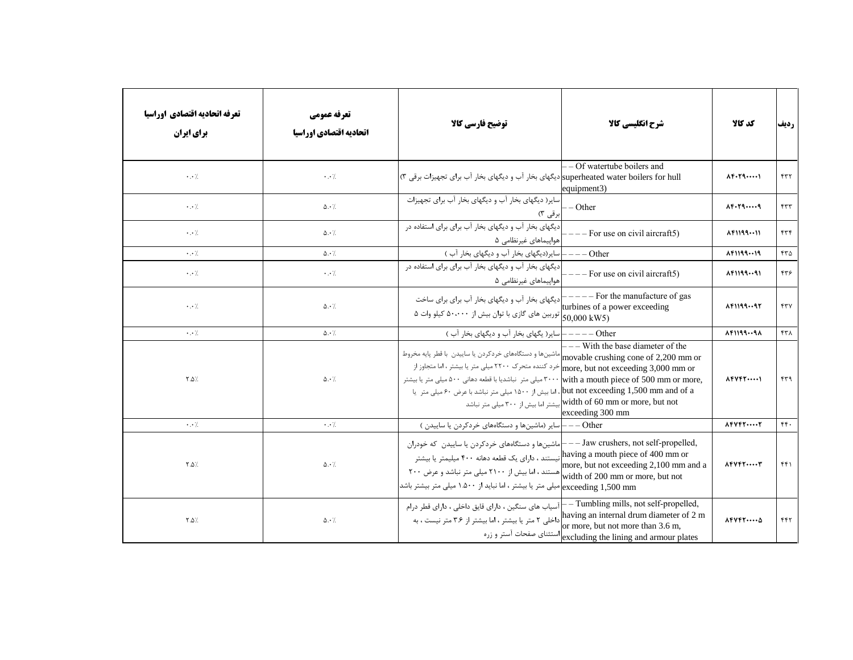| تعرفه اتحاديه اقتصادي اوراسيا<br>برای ایران | تعرفه عمومي<br>اتحاديه اقتصادي اوراسيا | توضیح فارسی کالا                                                                                                                                                                                                                                                                                                                                                                                          | شرح انگلیسی کالا                                                                                                                | كد كالا                           | رديف            |
|---------------------------------------------|----------------------------------------|-----------------------------------------------------------------------------------------------------------------------------------------------------------------------------------------------------------------------------------------------------------------------------------------------------------------------------------------------------------------------------------------------------------|---------------------------------------------------------------------------------------------------------------------------------|-----------------------------------|-----------------|
| $\cdot \cdot \cdot$                         | $\cdot \cdot \cdot$ /                  | superheated water boilers for hullادیگهای بخار آب و دیگهای بخار آب برای تجهیزات برقی ۳)                                                                                                                                                                                                                                                                                                                   | - Of watertube boilers and<br>equipment3)                                                                                       | $\Lambda$ F. $\Gamma$ 9           | ۴۳۲             |
| $\cdot \cdot \cdot$                         | $\Delta \cdot \gamma$                  | سایر( دیگهای بخار آب و دیگهای بخار آب برای تجهیزات<br>برقی ۳)                                                                                                                                                                                                                                                                                                                                             | - Other                                                                                                                         | $\lambda F \cdot T9 \cdots 9$     | FTT             |
| $\cdot \cdot \cdot$                         | $\Delta \cdot \gamma$                  | دیگهای بخار آب و دیگهای بخار آب برای برای استفاده در<br>هواپیماهای غیرنظامی ۵                                                                                                                                                                                                                                                                                                                             | - For use on civil aircraft5)                                                                                                   | AFT19911                          | rrf             |
| $\cdot$ . $\cdot$ /                         | $\Delta \cdot \frac{1}{2}$             | سایر(دیگهای بخار آب و دیگهای بخار آب )                                                                                                                                                                                                                                                                                                                                                                    | $--$ Other                                                                                                                      | 15119919                          | $rr\Delta$      |
| $\cdot$ . $\cdot$ /                         | $\cdot$ . $\cdot$ /                    | دیگهای بخار آب و دیگهای بخار آب برای برای استفاده در<br>هواپیماهای غیرنظامی ۵                                                                                                                                                                                                                                                                                                                             | $--$ For use on civil aircraft5)                                                                                                | $\lambda$ ۴119991                 | ۴۳۶             |
| $\cdot$ . $\cdot$ /.                        | $\Delta \cdot \frac{1}{2}$             | دیگهای بخار آب و دیگهای بخار آب برای برای ساخت                                                                                                                                                                                                                                                                                                                                                            | $---$ For the manufacture of gas<br>turbines of a power exceeding                                                               | 15119997                          | $\gamma \gamma$ |
| $\cdot$ . $\cdot$ /                         | $\Delta \cdot \frac{1}{2}$             | سایر( یگهای بخار آب و دیگهای بخار آب )                                                                                                                                                                                                                                                                                                                                                                    | $---Other$                                                                                                                      | 15119991                          | ۴۳۸             |
| $Y.\Delta$                                  | $\Delta \cdot \frac{1}{2}$             | movable crushing cone of 2,200 mm or ماشینها و دستگاههای خردکردن یا ساییدن با قطر پایه مخروط<br>more, but not exceeding 3,000 mm or حرد کننده متحرک ۲۲۰۰ میلی متر یا بیشتر ، اما متجاوز از<br>میلی متر نباشدیا با قطعه دهانی ۵۰۰ میلی متر اسلام ۳۰۰۰ میلی متر با بیشتر with a mouth piece of 500 mm or more,<br>but not exceeding 1,500 mm and of a، اما بیش از ۱۵۰۰ میلی متر نباشد با عرض ۶۰ میلی متر یا | $---$ With the base diameter of the<br>width of 60 mm or more, but not إبيشتر اما بيش از ٣٠٠ ميلي متر نباشد<br>exceeding 300 mm | $\Lambda$ FVFT $\dots$            | ۴۳۹             |
| $\cdot$ . $\cdot$ /.                        | $\cdot$ . $\cdot$ /                    | Other – – – سایر (ماشینها و دستگاههای خردکردن یا ساییدن )                                                                                                                                                                                                                                                                                                                                                 |                                                                                                                                 | $\Lambda$ FVFT $\dots$ T          | FF.             |
| $Y.\Delta$ %                                | $\Delta \cdot \gamma$                  | ماشینها و دستگاههای خردکردن یا ساییدن که خودران $\mathrel{\mathop{+}{=}}\mathrel{-}\mathrel{\mathop{-}}\mathrel{\mathop{-}}$ اماشینها و دستگاههای خردکردن یا ساییدن که خودران<br>maving a mouth piece of 400 mm or نیستند ، دارای یک قطعه دهانه ۴۰۰ میلیمتر یا بیشتر<br>more, but not exceeding 2,100 mm and a<br>width of 200 mm or more, but not میلی متر نباشد و عرض ۲۰۰<br>exceeding 1,500 mm         |                                                                                                                                 | $\Lambda$ FVF $\Gamma$ $\Upsilon$ | ۴۴۱             |
| $Y.\Delta$ %                                | $\Delta \cdot \frac{1}{2}$             | — Tumbling mills, not self-propelled, آسیاب های سنگین ، دارای قایق داخلی ، دارای قطر درام<br>داخلی ۲ متر یا بیشتر ، اما بیشتر از ۳.۶ متر نیست ، به                                                                                                                                                                                                                                                        | having an internal drum diameter of 2 m<br>or more, but not more than 3.6 m,<br>excluding the lining and armour plates          | $\Lambda$ FVFT $\cdots$           | ۴۴۲             |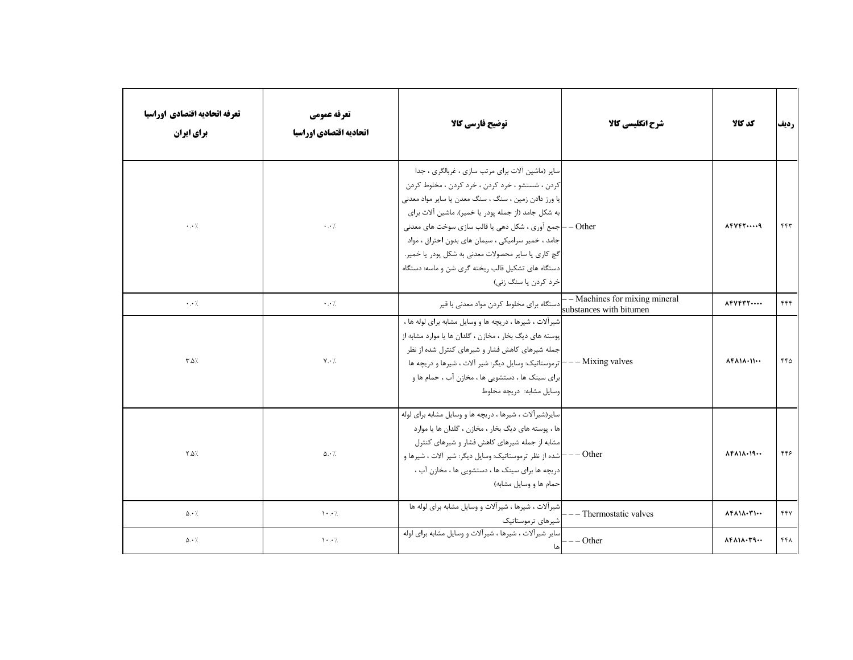| تعرفه اتحاديه اقتصادي اوراسيا<br>برای ایران | تعرفه عمومي<br>اتحاديه اقتصادي اوراسيا | توضیح فارسی کالا                                                                                                                                                                                                                                                                                                                                                                                                                                                        | شرح انگلیسی کالا                                           | كد كالا                                               | رديف |
|---------------------------------------------|----------------------------------------|-------------------------------------------------------------------------------------------------------------------------------------------------------------------------------------------------------------------------------------------------------------------------------------------------------------------------------------------------------------------------------------------------------------------------------------------------------------------------|------------------------------------------------------------|-------------------------------------------------------|------|
| $\cdot \cdot$ /                             | $\cdot \cdot$ /                        | سایر (ماشین آلات برای مرتب سازی ، غربالگری ، جدا<br>كردن ، شستشو ، خرد كردن ، خرد كردن ، مخلوط كردن<br>یا ورز دادن زمین ، سنگ ، سنگ معدن یا سایر مواد معدنی<br> به شكل جامد (از جمله پودر يا خمير). ماشين آلات براي<br>Other – إجمع آوري ، شكل دهي يا قالب سازي سوخت هاي معدني<br>جامد ، خمیر سرامیکی ، سیمان های بدون احتراق ، مواد<br>گچ کاري يا ساير محصولات معدني به شکل پودر يا خمير.<br>دستگاه های تشکیل قالب ریخته گری شن و ماسه: دستگاه<br>خرد کردن یا سنگ زنی) |                                                            | $\Lambda$ FVFT $\cdots$ q                             | ۴۴۳  |
| $\cdot$ . $\cdot$ /.                        | $\cdot$ . $\cdot$ /.                   | دستگاه برای مخلوط کردن مواد معدنی با قیر                                                                                                                                                                                                                                                                                                                                                                                                                                | - – Machines for mixing mineral<br>substances with bitumen | $\Lambda$ FVFTT $\cdots$                              | ۴۴۴  |
| $\uparrow \Delta$                           | $Y \cdot \lambda$                      | شیرآلات ، شیرها ، دریچه ها و وسایل مشابه برای لوله ها ،<br>پوسته های دیگ بخار ، مخازن ، گلدان ها یا موارد مشابه از<br>جمله شیرهای کاهش فشار و شیرهای کنترل شده از نظر<br>ترموستاتیک: وسایل دیگر: شیر آلات ، شیرها و دریچه ها $\vdash$<br>ابرای سینک ها ، دستشویی ها ، مخازن آب ، حمام ها و<br>وسایل مشابه: دریچه مخلوط                                                                                                                                                  | $--$ Mixing valves                                         | $\Lambda$ ۴ $\Lambda$ 1 $\Lambda$ . 11 $\cdots$       | ۴۴۵  |
| $Y.\Delta$                                  | $\Delta \cdot \frac{1}{2}$             | سایر (شیر آلات ، شیرها ، دریچه ها و وسایل مشابه برای لوله<br> ها ، پوسته های دیگ بخار ، مخازن ، گلدان ها یا موارد<br>مشابه از جمله شیرهای کاهش فشار و شیرهای کنترل<br>— شده از نظر ترموستاتیک: وسایل دیگر: شیر آلات ، شیرها و<br>دریچه ها برای سینک ها ، دستشویی ها ، مخازن آب ،<br>حمام ها و وسایل مشابه)                                                                                                                                                              | $--$ Other                                                 | $\Lambda$ ۴۸۱۸۰۱۹                                     | ۴۴۶  |
| $\Delta \cdot \frac{1}{2}$                  | $\cdot \cdot$ /                        | شیرآلات ، شیرها ، شیرآلات و وسایل مشابه برای لوله ها<br> شیرهای ترموستاتیک                                                                                                                                                                                                                                                                                                                                                                                              | - Thermostatic valves                                      | $\Lambda$ ۴ $\Lambda$ 1 $\Lambda$ $\cdot$ ۳1 $\cdots$ | 441  |
| $\Delta \cdot \frac{1}{2}$                  | $\cdot \cdot$ /                        | اسایر شیرآلات ، شیرها ، شیرآلات و وسایل مشابه برای لوله                                                                                                                                                                                                                                                                                                                                                                                                                 | $-$ Other                                                  | $\lambda$ ۴ $\lambda$ 1 $\lambda$ . $\mu$ 9           | ۴۴۸  |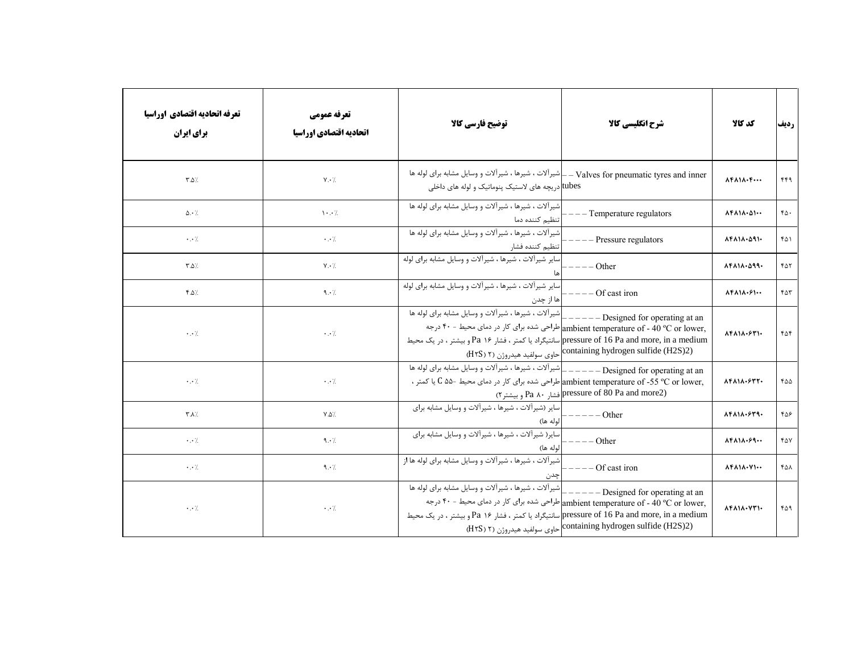| تعرفه اتحاديه اقتصادي اوراسيا<br>برای ایران | تعرفه عمومي<br>اتحاديه اقتصادي اوراسيا | توضيح فارسي كالآ                                                                                                                                    | شرح انگلیسی کالا                                                                                                                                                                       | كد كالا                                                             | رديف    |
|---------------------------------------------|----------------------------------------|-----------------------------------------------------------------------------------------------------------------------------------------------------|----------------------------------------------------------------------------------------------------------------------------------------------------------------------------------------|---------------------------------------------------------------------|---------|
| $\uparrow \Delta$ /                         | $Y \cdot \gamma$                       | Valves for pneumatic tyres and inner – إشيراًلات ، شيرها ، شيراًلات و وسايل مشابه براي لوله ها<br>tubes]دریچه های لاستیک پنوماتیک و لوله های داخلی  |                                                                                                                                                                                        | $\Lambda$ F $\Lambda$ $\Lambda$ $\cdot$ F $\cdots$                  | ۴۴۹     |
| $\Delta \cdot$ /                            | $\cdot \cdot$ /                        | شیر آلات ، شیرها ، شیر آلات و وسایل مشابه برای لوله ها<br>تنظيم كننده دما                                                                           | - Temperature regulators                                                                                                                                                               | $\Lambda$ ۴۸۱۸. $\Delta$ ۱                                          | $r_0$ . |
| $\cdot \cdot \cdot$                         | $\cdot$ . $\cdot$ /                    | شیرآلات ، شیرها ، شیرآلات و وسایل مشابه برای لوله ها<br>تنظيم كننده فشار                                                                            | Pressure regulators                                                                                                                                                                    | 14111.091.                                                          | ۴۵۱     |
| $\uparrow \Delta$ /                         | $Y \cdot \gamma$                       | سایر شیرآلات ، شیرها ، شیرآلات و وسایل مشابه برای لوله                                                                                              | Other                                                                                                                                                                                  | 14111.099.                                                          | ۴۵۲     |
| $f.\Delta$                                  | 9.1                                    | سایر شیرآلات ، شیرها ، شیرآلات و وسایل مشابه برای لوله<br>ها از چدن                                                                                 | Of cast iron                                                                                                                                                                           | $\Lambda$ ۴ $\Lambda$ 1 $\Lambda$ . $\mathcal{S}$ 1                 | ۴۵۳     |
| $\cdot \cdot \cdot$                         | $\cdot$ . $\cdot$ /.                   | شیرآلات ، شیرها ، شیرآلات و وسایل مشابه برای لوله ها<br>pressure of 16 Pa and more, in a medium سانتیگراد یا کمتر ، فشار ۱۶ Paبر بیشتر ، در یک محیط | - Designed for operating at an<br>,ambient temperature of - 40 °C or lower طراحی شده برای کار در دمای محیط - ۴۰ درجه<br>(H۲S) ۲) containing hydrogen sulfide (H2S)2)                   | $\Lambda$ F $\Lambda$ $\Lambda$ $\cdot$ $\epsilon$ $\Gamma$ $\cdot$ | ۴۵۴     |
| $\cdot \cdot$ /.                            | $\cdot$ . $\cdot$ /.                   | _ شیرآلات ، شیرها ، شیرآلات و وسایل مشابه برای لوله ها<br>,ambient temperature of -55 °C or lower طراحی شده برای کار در دمای محیط -۵۵ C یا کمتر ،   | $---$ Designed for operating at an<br>(Pressure of 80 Pa and more2) و بيشتر٢) Pa ٨٠                                                                                                    | $\Lambda$ F $\Lambda$ 1 $\Lambda$ · $\varphi$ ۳۲·                   | ۴۵۵     |
| $\uparrow \uparrow \uparrow \uparrow$       | $\mathsf{Y}.\mathsf{Q} \mathsf{Z}$     | سایر (شیرآلات ، شیرها ، شیرآلات و وسایل مشابه برای<br>الوله ها)                                                                                     | $---Ofher$                                                                                                                                                                             | $\lambda$ F $\lambda$ 1 $\lambda$ $\cdot$ $\epsilon$ rq $\cdot$     | ۴۵۶     |
| $\cdot$ . $\cdot$ /                         | 9.1                                    | سایر( شیرآلات ، شیرها ، شیرآلات و وسایل مشابه برای<br>لوله ها)                                                                                      | Other                                                                                                                                                                                  | $\Lambda$ ۴ $\Lambda$ 1 $\Lambda$ $\cdot$ ۶۹ $\cdots$               | ۴۵۷     |
| $\cdot$ . $\cdot$ /                         | 9.1                                    | شیر آلات ، شیرها ، شیر آلات و وسایل مشابه برای لوله ها از<br>چدن                                                                                    | Of cast iron                                                                                                                                                                           | ۸۴۸۱۸۰۷۱۰۰                                                          | ۴۵۸     |
| $\cdot$ . $\cdot$ /                         | $\cdot$ . $\cdot$ /                    | شیرآلات ، شیرها ، شیرآلات و وسایل مشابه برای لوله ها<br>pressure of 16 Pa and more, in a medium[سانتيگراد يا كمتر ، فشار 16 Pa و بيشتر ، در يک محيط | Designed for operating at an<br>ambient temperature of - 40 °C or lower, طراحی شده برای کار در دمای محیط - ۴۰ درجه<br>containing hydrogen sulfide (H2S)2) حاوی سولفید هیدروژن (H۲S) ۲) | $\Lambda$ F $\Lambda$ $\Lambda$ $\cdot$ $\Lambda$ $\Gamma$ $\cdot$  | ۴۵۹     |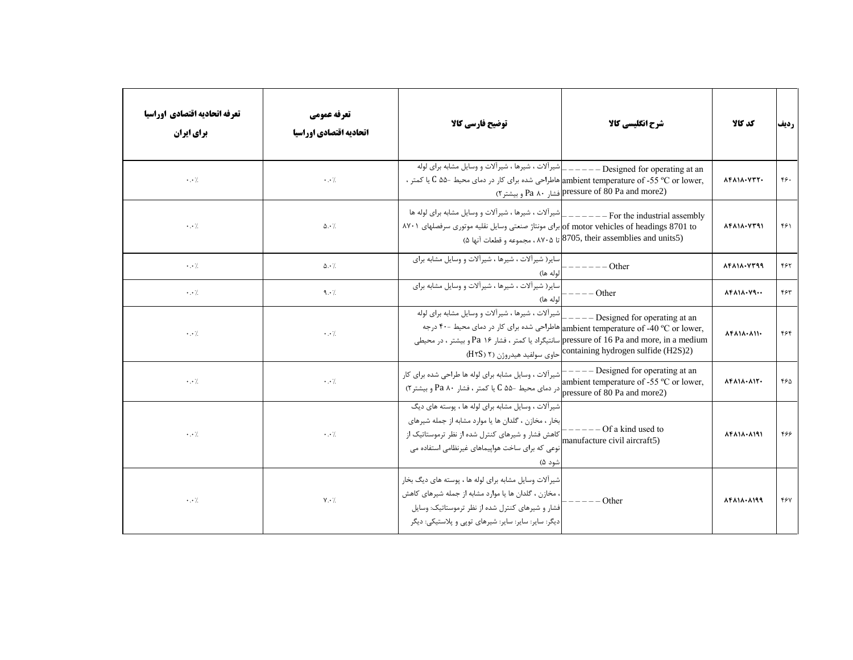| تعرفه اتحاديه اقتصادي اوراسيا<br><b>برای ایران</b> | تعرفه عمومي<br>اتحاديه اقتصادي اوراسيا | توضيح فارسي كالآ                                                                                                                                                                                                            | شرح انگلیسی کالا                                                                                                                                                                                                                                                   | كد كالا                                                                  | رديف                        |
|----------------------------------------------------|----------------------------------------|-----------------------------------------------------------------------------------------------------------------------------------------------------------------------------------------------------------------------------|--------------------------------------------------------------------------------------------------------------------------------------------------------------------------------------------------------------------------------------------------------------------|--------------------------------------------------------------------------|-----------------------------|
| $\cdot$ . $\cdot$ /                                | $\cdot \cdot \cdot$                    | ,ambient temperature of -55 °C or lower هاطراحی شده برای کار در دمای محیط -۵۵ C یا کمتر ،                                                                                                                                   | (Pa and more2) pressure of 80 Pa and more2) فشار 80 Pa و بيشتر٢)                                                                                                                                                                                                   | $\Lambda$ F $\Lambda$ $\Lambda$ $\cdot$ $\Upsilon$ $\Upsilon$ $\Upsilon$ | $\mathfrak{r}\mathfrak{s}.$ |
| $\cdot$ . $\cdot$ /<br>$\Delta \cdot \gamma$       |                                        | For the industrial assembly ————————————For the industrial assembly<br>of motor vehicles of headings 8701 toإبراي مونتاژ صنعتي وسايل نقليه موتوري سرفصلهاي ٨٧٠١                                                             | (8705, their assemblies and units5) تا ۸۷۰۵، مجموعه و قطعات آنها ۵)                                                                                                                                                                                                | 14111.4791                                                               | ۴۶۱                         |
| $\cdot \cdot \cdot$ /.                             | $\Delta \cdot \frac{1}{2}$             | سایر ( شیر آلات ، شیرها ، شیر آلات و وسایل مشابه برای<br>لوله ها)                                                                                                                                                           | Other                                                                                                                                                                                                                                                              | 14111.4799                                                               | ۴۶۲                         |
| $\cdot$ . $\cdot$ /                                | 9.1                                    | سایر( شیرآلات ، شیرها ، شیرآلات و وسایل مشابه برای<br>لوله ها)                                                                                                                                                              | $---Other$                                                                                                                                                                                                                                                         | $\lambda$ ۴ $\lambda$ 1 $\lambda$ $\cdot$ V۹ $\cdots$                    | ۴۶۳                         |
| $\cdot \cdot \cdot$                                | $\cdot \cdot \cdot$                    | شیرآلات ، شیرها ، شیرآلات و وسایل مشابه برای لوله                                                                                                                                                                           | $---$ Designed for operating at an<br>ambient temperature of -40 °C or lower, هاطراحی شده برای کار در دمای محیط -۴۰ درجه<br>pressure of 16 Pa and more, in a medium سانتیگراد یا کمتر ، فشار ۱۶ Paبیشتر ، در محیطی<br>(H۲S) ۲) containing hydrogen sulfide (H2S)2) | $\Lambda$ F $\Lambda$ $\Lambda$ $\cdot$ $\Lambda$ $\Lambda$              | ۴۶۴                         |
| $\cdot$ . $\cdot$ /                                | $\cdot$ . $\cdot$ /.                   | شیراً لات ، وسایل مشابه برای لوله ها طراحی شده برای کار<br>r المتر ، فشار ۲۰ Pa و بیشتر C ۵۵- میط -۵۵ و با کمتر ، فشار ۲۰ Pa و بیشتر ۲)                                                                                     | $---$ Designed for operating at an<br>ambient temperature of -55 °C or lower,                                                                                                                                                                                      | $\Lambda$ ۴۸۱۸. $\Lambda$ ۱۲.                                            | ۴۶۵                         |
| $\cdot$ . $\cdot$ /                                | $\cdot \cdot$ /.                       | شیرآلات ، وسایل مشابه برای لوله ها ، پوسته های دیگ<br> بخار ، مخازن ، گلدان ها یا موارد مشابه از جمله شیرهای<br>شود ۵)                                                                                                      | $---Of a kind used to$                                                                                                                                                                                                                                             | $\Lambda$ F $\Lambda$ 1 $\Lambda$ $\cdot$ $\Lambda$ 191                  | ۴۶۶                         |
| $\cdot$ . $\cdot$ /                                | $Y \cdot /$                            | شیرآلات وسایل مشابه برای لوله ها ، پوسته های دیگ بخار<br>، مخازن ، گلدان ها یا موارد مشابه از جمله شیرهای کاهش<br> فشار و شیرهای کنترل شده از نظر ترموستاتیک: وسایل<br>دیگر: سایر: سایر: سایر: شیرهای توپی و پلاستیکی: دیگر | - Other                                                                                                                                                                                                                                                            | 14111.1199                                                               | ۴۶۷                         |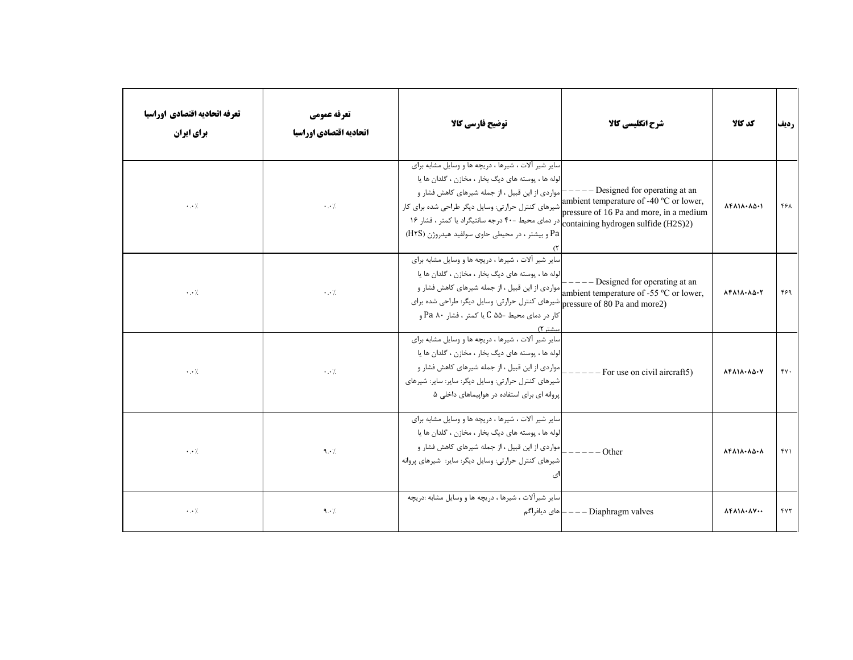| تعرفه اتحاديه اقتصادي اوراسيا<br>برای ایران | تعرفه عمومي<br>اتحاديه اقتصادي اوراسيا | توضيح فارسي كالآ                                                                                                                                                                                                                                                                                                                                                                   | شرح انگلیسی کالا                                                                                                     | كد كالا                                                                      | رديف     |
|---------------------------------------------|----------------------------------------|------------------------------------------------------------------------------------------------------------------------------------------------------------------------------------------------------------------------------------------------------------------------------------------------------------------------------------------------------------------------------------|----------------------------------------------------------------------------------------------------------------------|------------------------------------------------------------------------------|----------|
| $\cdot$ . $\cdot$ /.                        | $\cdot$ . $\cdot$ /                    | سایر شیر آلات ، شیرها ، دریچه ها و وسایل مشابه برای<br>الوله ها ، پوسته های دیگ بخار ، مخازن ، گلدان ها یا<br>- مواردی از این قبیل ، از جمله شیرهای کاهش فشار و<br>شیرهای کنترل حرارتی: وسایل دیگر طراحی شده برای کار<br>در دمای محیط -۴۰ درجه سانتیگراد یا کمتر ، فشار ۱۶ $\big _{\rm containing\ hydrogen\ sulfide\ (H2S)2)}$<br>Pa و بیشتر ، در محیطی حاوی سولفید هیدروژن (H۲S) | - Designed for operating at an<br>ambient temperature of -40 °C or lower,<br>pressure of 16 Pa and more, in a medium | $\Lambda$ F $\Lambda$ $\Lambda$ $\cdot$ $\Lambda$ $\Delta$ $\cdot$ $\Lambda$ | ۴۶۸      |
| $\cdot$ . $\cdot$ /.                        | $\cdot$ . $\cdot$ /.                   | سایر شیر آلات ، شیرها ، دریچه ها و وسایل مشابه برای<br> لوله ها ، پوسته های دیگ بخار ، مخازن ، گلدان ها یا<br>ambient temperature of -55 °C or lower, مواردي از اين قبيل ، از جمله شيرهاي كاهش فشار و<br>pressure of 80 Pa and more2) شیرهای کنترل حرارتی: وسایل دیگر: طراحی شده برای<br>کار در دمای محیط −۵۵ C یا کمتر ، فشار Pa ۸۰ و<br>ىشتر ۲)                                  | $---$ Designed for operating at an                                                                                   | $\Lambda$ F $\Lambda$ $\Lambda$ $\cdot$ $\Lambda$ $\Delta$ $\cdot$ r         | ۴۶۹      |
| $\cdot$ . $\cdot$ /                         | $\cdot$ . $\cdot$ /.                   | سایر شیر آلات ، شیرها ، دریچه ها و وسایل مشابه برای<br>الوله ها ، پوسته های دیگ بخار ، مخازن ، گلدان ها یا<br> مواردی از این قبیل ، از جمله شیرهای کاهش فشار و<br> شیرهای کنترل حرارتی: وسایل دیگر: سایر: سایر: شیرهای<br>پروانه ای برای استفاده در هواپیماهای داخلی ۵                                                                                                             | For use on civil aircraft5)                                                                                          | 14111.10.1                                                                   | $\gamma$ |
| $\cdot$ . $\cdot$ /                         | 9.1                                    | سایر شیر آلات ، شیرها ، دریچه ها و وسایل مشابه برای<br>لوله ها ، پوسته های دیگ بخار ، مخازن ، گلدان ها یا<br> مواردی از این قبیل ، از جمله شیرهای کاهش فشار و<br>شیرهای کنترل حرارتی: وسایل دیگر: سایر: شیرهای پروانه<br>ى                                                                                                                                                         | - Other                                                                                                              | $\Lambda$ F $\Lambda$ $\Lambda$ $\cdot$ $\Lambda$ $\Delta$ $\cdot$ $\Lambda$ | fY       |
| $\cdot$ . $\cdot$ /                         | 9.1                                    | سایر شیرآلات ، شیرها ، دریچه ها و وسایل مشابه :دریچه<br>– های دیافراگم                                                                                                                                                                                                                                                                                                             | $---$ Diaphragm valves                                                                                               | 84111.17                                                                     | ۴۷۲      |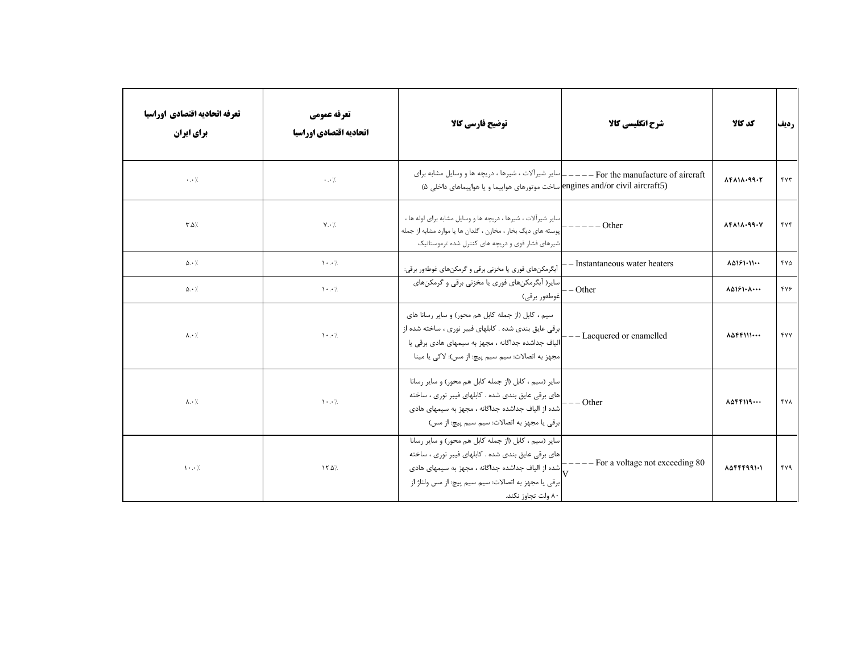| تعرفه اتحاديه اقتصادي اوراسيا<br>تعرفه عمومي<br><b>برای ایران</b><br>اتحاديه اقتصادي اوراسيا |                                       | توضيح فارسي كالآ<br>شرح انگلیسی کالا                                                                                                                                                                                                                              |                                              | كد كالا                                              | رديف                 |
|----------------------------------------------------------------------------------------------|---------------------------------------|-------------------------------------------------------------------------------------------------------------------------------------------------------------------------------------------------------------------------------------------------------------------|----------------------------------------------|------------------------------------------------------|----------------------|
| $\cdot$ . $\cdot$ /                                                                          | $\cdot \cdot \cdot$                   | _ سایر شیرآلات ، شیرها ، دریچه ها و وسایل مشابه برای<br>engines and/or civil aircraft5) ساخت موتورهای هواپیما و یا هواپیماهای داخلی ۵)                                                                                                                            | - For the manufacture of aircraft<br>$- - -$ | $\Lambda$ F $\Lambda$ $\Lambda$ $\cdot$ 99 $\cdot$ ۲ | $\gamma\gamma\gamma$ |
| $\uparrow \Delta$                                                                            | $Y \cdot \gamma$                      | سایر شیرآلات ، شیرها ، دریچه ها و وسایل مشابه برای لوله ها ،<br>Other<br>پوسته های دیگ بخار ، مخازن ، گلدان ها یا موارد مشابه از جمله<br>شیرهای فشار قوی و دریچه های کنترل شده ترموستاتیک                                                                         |                                              | 14111.99.1                                           | $f\vee f$            |
| $\Delta \cdot \frac{1}{2}$                                                                   | $\cdot \cdot$ /                       | آبگرمکنهای فوری یا مخزنی برقی و گرمکنهای غوطهور برقی:                                                                                                                                                                                                             | - Instantaneous water heaters                | 10181.11                                             | YV                   |
| $\Delta \cdot \frac{1}{2}$                                                                   | $\mathcal{N} \cdot \cdot \mathcal{N}$ | سایر( آبگرمکنهای فوری یا مخزنی برقی و گرمکنهای<br> غوطەور برقى)                                                                                                                                                                                                   | - Other                                      | $\Lambda\Delta$ $5$ $\cdot\Lambda\cdots$             | ۴٧۶                  |
| $\lambda \cdot \lambda$                                                                      | $\mathcal{N} \cdot \cdot \mathcal{N}$ | سیم ، کابل (از جمله کابل هم محور) و سایر رسانا های<br>برقی عایق بندی شده . کابلهای فیبر نوری ، ساخته شده از<br>الیاف جداشده جداگانه ، مجهز به سیمهای هادی برقی یا<br>مجهز به اتصالات: سيم سيم پيچ: از مس): لاكي يا مينا                                           | - Lacquered or enamelled                     | $\Lambda \Delta \mathsf{FFIII} \cdots$               | <b>FYY</b>           |
| $\lambda \cdot \lambda$                                                                      | $\cdot \cdot$ /                       | سایر (سیم ، کابل (از جمله کابل هم محور) و سایر رسانا<br> های برقی عایق بندی شده . کابلهای فیبر نوری ، ساخته<br>شده از الیاف جداشده جداگانه ، مجهز به سیمهای هادی<br> برقي يا مجهز به اتصالات: سيم سيم پيچ: از مس)                                                 | $--$ Other                                   | $\Lambda \Delta$ ۴۴۱۱۹                               | <b>FYA</b>           |
| $\cdot \cdot$ /                                                                              | 17.0/                                 | سایر (سیم ، کابل (از جمله کابل هم محور) و سایر رسانا<br>های برقی عایق بندی شده . کابلهای فیبر نوری ، ساخته<br>شده از الیاف جداشده جداگانه ، مجهز به سیمهای هادی $\overline{\nabla}$<br>برقي يا مجهز به اتصالات: سيم سيم پيچ: از مس ولتاژ از<br>۸۰ ولت تجاوز نکند. | - For a voltage not exceeding 80             | 1044491.1                                            | ۴۷۹                  |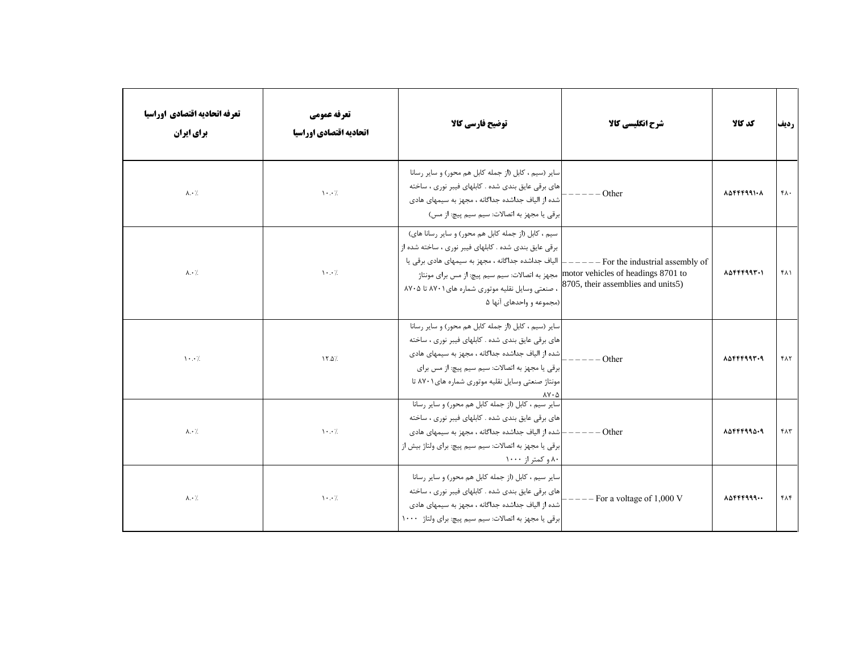| تعرفه اتحاديه اقتصادي اوراسيا<br>برای ایران | تعرفه عمومي<br>اتحاديه اقتصادي اوراسيا | توضيح فارسي كالا                                                                                                                                                                                                                                                                                        | شرح انگلیسی کالا                                                                                             | كد كالا                                   | رديف             |
|---------------------------------------------|----------------------------------------|---------------------------------------------------------------------------------------------------------------------------------------------------------------------------------------------------------------------------------------------------------------------------------------------------------|--------------------------------------------------------------------------------------------------------------|-------------------------------------------|------------------|
| $\lambda \cdot \lambda$                     | $\cdot \cdot$ /                        | سایر (سیم ، کابل (از جمله کابل هم محور) و سایر رسانا<br>های برقی عایق بندی شده . کابلهای فیبر نوری ، ساخته<br> شده از الیاف جداشده جداگانه ، مجهز به سیمهای هادی<br>ابرقی یا مجهز به اتصالات: سیم سیم پیچ: از مس)                                                                                       | Other                                                                                                        | $\Lambda \Delta$ FFF991. $\Lambda$        | $f \wedge \cdot$ |
| $\lambda \cdot \lambda$                     | $\cdot \cdot$ /                        | سیم ، کابل (از جمله کابل هم محور) و سایر رسانا های)<br>برقی عایق بندی شده . کابلهای فیبر نوری ، ساخته شده از<br>الیاف جداشده جداگانه ، مجهز به سیمهای هادی برقی یا<br>مجهز به اتصالات: سیم سیم پیچ: از مس برای مونتاژ<br>، صنعتی وسایل نقلیه موتوری شماره های ۸۷۰۱ تا ۸۷۰۵<br> (مجموعه و واحدهای آنها ۵ | - For the industrial assembly of<br>motor vehicles of headings 8701 to<br>8705, their assemblies and units5) | $\Lambda \Delta$ FFF99 $\Gamma$ .         | ۴۸۱              |
| $\cdot \cdot$ /                             | 17.0/                                  | سایر (سیم ، کابل (از جمله کابل هم محور) و سایر رسانا<br> های برقی عایق بندی شده . کابلهای فیبر نوری ، ساخته<br>شده از الیاف جداشده جداگانه ، مجهز به سیمهای هادی<br>برقی یا مجهز به اتصالات: سیم سیم پیچ: از مس برای<br> مونتاژ صنعتی وسایل نقلیه موتوری شماره های۲۰۱ تا                                | Other                                                                                                        | $\lambda \Delta$ FFF993.9                 | ۴۸۲              |
| $\lambda \cdot \lambda$                     | $\cdot \cdot$ /                        | سایر سیم ، کابل (از جمله کابل هم محور) و سایر رسانا<br>های برقی عایق بندی شده . کابلهای فیبر نوری ، ساخته<br>-<br>شده از الیاف جداشده جداگانه ، مجهز به سیمهای هادی<br>برقی یا مجهز به اتصالات: سیم سیم پیچ: برای ولتاژ بیش از<br>۸۰ و کمتر از ۱۰۰۰                                                     | $---Other$                                                                                                   | $\lambda \Delta$ FFF99 $\Delta$ $\cdot$ 9 | ۴۸۳              |
| $\lambda \cdot \lambda$                     | $\cdots$                               | سایر سیم ، کابل (از جمله کابل هم محور) و سایر رسانا<br>های برقی عایق بندی شده . کابلهای فیبر نوری ، ساخته<br>شده از الیاف جداشده جداگانه ، مجهز به سیمهای هادی<br>برقی یا مجهز به اتصالات: سیم سیم پیچ: برای ولتاژ ۱۰۰۰                                                                                 | For a voltage of 1,000 V                                                                                     | $\Lambda \Delta$ FFF999                   | ۴۸۴              |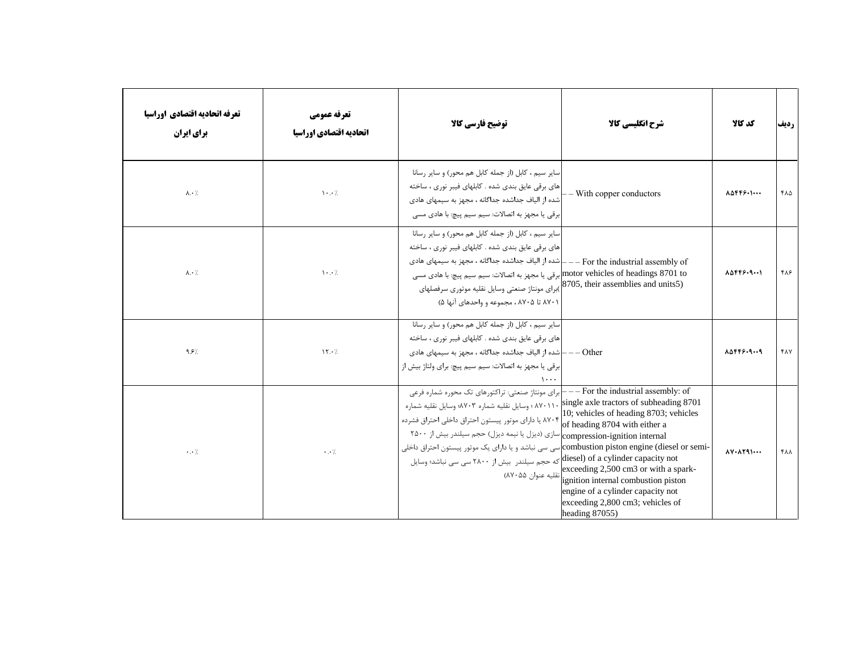| تعرفه اتحاديه اقتصادي اوراسيا<br>برای ایران | تعرفه عمومي<br>اتحاديه اقتصادي اوراسيا | توضيح فارسي كالآ                                                                                                                                                                                                                                                                                                                                                                                                                                                                                            | شرح انگلیسی کالا                                                                                                                                                                                                                                           | كد كالا                                             | رديف       |
|---------------------------------------------|----------------------------------------|-------------------------------------------------------------------------------------------------------------------------------------------------------------------------------------------------------------------------------------------------------------------------------------------------------------------------------------------------------------------------------------------------------------------------------------------------------------------------------------------------------------|------------------------------------------------------------------------------------------------------------------------------------------------------------------------------------------------------------------------------------------------------------|-----------------------------------------------------|------------|
| $\lambda \cdot \lambda$                     | $\cdot \cdot$ /                        | سایر سیم ، کابل (از جمله کابل هم محور) و سایر رسانا<br> های برقی عایق بندی شده . کابلهای فیبر نوری ، ساخته<br>شده از الیاف جداشده جداگانه ، مجهز به سیمهای هادی<br>برقی یا مجهز به اتصالات: سیم سیم پیچ: با هادی مسی                                                                                                                                                                                                                                                                                        | - With copper conductors                                                                                                                                                                                                                                   | $\Lambda \Delta \mathsf{FPS}\cdot \mathsf{I}\cdots$ | ۴۸۵        |
| $\lambda \cdot \lambda$                     | $\cdot \cdot$ /                        | سایر سیم ، کابل (از جمله کابل هم محور) و سایر رسانا<br> های برقی عایق بندی شده . کابلهای فیبر نوری ، ساخته<br>For the industrial assembly of -- - -   شده از الیاف جداشده جداگانه ، مجهز به سیمهای هادی<br>motor vehicles of headings 8701 toإرقى يا مجهز به اتصالات: سيم سيم پيچ: با هادى مسى<br>(8705, their assemblies and units5)برای مونتاژ صنعتی وسایل نقلیه موتوری سرفصلهای<br>۸۷۰۱ تا ۸۷۰۵ ، مجموعه و واحدهای آنها ۵)                                                                               |                                                                                                                                                                                                                                                            | $\Lambda \Delta F F F - 9 \cdots$                   | ۴۸۶        |
| 9.5%                                        | $\mathcal{N} \cdot \mathcal{L}$        | سایر سیم ، کابل (از جمله کابل هم محور) و سایر رسانا<br> های برقی عایق بندی شده . کابلهای فیبر نوری ، ساخته<br>شده از الیاف جداشده جداگانه ، مجهز به سیمهای هادی $\mathord{\text{--}}\,{-\mathord{\text{--}}\,{\mathord{\rm O}}$<br>برقی یا مجهز به اتصالات: سیم سیم پیچ: برای ولتاژ بیش از                                                                                                                                                                                                                  |                                                                                                                                                                                                                                                            | 85445.9.19                                          | <b>FAY</b> |
| $\cdot$ . $\cdot$ /                         | $\cdot$ . $\cdot$ /                    | ——For the industrial assembly: of —— جراي مونتاژ صنعتي: تراكتورهاي تك محوره شماره فرعي<br>۸۷۰۱۱۰ ؛ وسایل نقلیه شماره ۸۷۰۳؛ وسایل نقلیه شماره<br>, ۷۷. IU, venicles of heading 8703 یا دارای موتور پیستون احتراق داخلی احتراق فشرده<br>of heading 8704 with either a<br>سازی (دیزل یا نیمه دیزل) حجم سیلندر بیش از ۲۵۰۰<br>ـcombustion piston engine (diesel or semi) سی سی نباشد و یا دارای یک موتور پیستون احتراق داخلی<br>diesel) of a cylinder capacity not كه حجم سيلندر بيش از ۲۸۰۰ سي سي نباشد؛ وسايل | single axle tractors of subheading 8701<br>10; vehicles of heading 8703; vehicles<br>xceeding 2,500 cm3 or with a spark-<br>ignition internal combustion piston<br>engine of a cylinder capacity not<br>exceeding 2,800 cm3; vehicles of<br>heading 87055) | $\Lambda V \cdot \Lambda Y 9 1 \cdots$              | ۴۸۸        |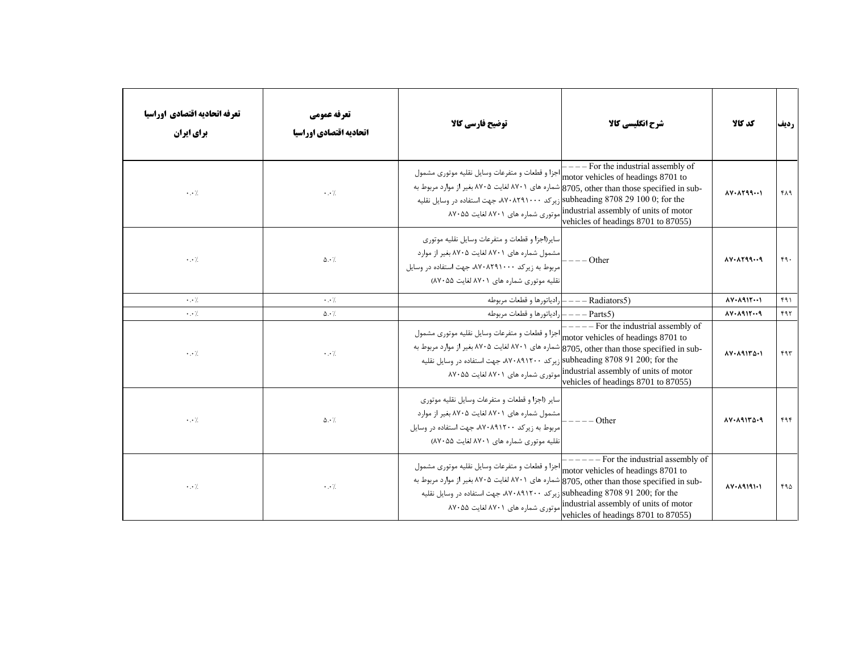| تعرفه اتحاديه اقتصادي اوراسيا<br>برای ایران | تعرفه عمومي<br>اتحاديه اقتصادي اوراسيا | توضيح فارسي كالأ                                                                                                                                                                                                                                                | شرح انگلیسی کالا                                                                                                                                                                             | كد كالا                                        | رديف |
|---------------------------------------------|----------------------------------------|-----------------------------------------------------------------------------------------------------------------------------------------------------------------------------------------------------------------------------------------------------------------|----------------------------------------------------------------------------------------------------------------------------------------------------------------------------------------------|------------------------------------------------|------|
| $\cdot$ . $\cdot$ /                         | $\cdot$ . $\cdot$ /                    | اجزا و قطعات و متفرعات وسايل نقليه موتوري مشمول<br>-8705, other than those specified in subإشماره هاي ٧٠١٨ لغايت ٧٠٥، بغير از موارد مربوط به<br>یرکد ۸۷۰۸۲۹۱۰۰۰۰ جهت استفاده در وسایل نقلیه (الاد ۱۰۰ $\text{subleading} \ 8708 \ 29 \ 100 \ 0; \text{for the}$ | $---$ For the industrial assembly of<br>motor vehicles of headings 8701 to<br>industrial assembly of units of motor(موتوری شماره های ۸۷۰۱ لغایت ۸۷۰۵۵<br>vehicles of headings 8701 to 87055) | $\Lambda V \cdot \Lambda Y 99 \cdots$          | ۴۸۹  |
| $\cdot$ . $\cdot$ /.                        | $\Delta \cdot$ /.                      | سایر (اجزا و قطعات و متفرعات وسایل نقلیه موتوری<br> مشمول شماره های ۸۷۰۱ لغایت ۸۷۰۵ بغیر از موارد<br>مربوط به زیرکد ۸۷۰۸۲۹۱۰۰۰، جهت استفاده در وسایل<br>انقلیه موتوری شماره های ۸۷۰۱ لغایت ۸۷۰۵۵)                                                               | $-$ Other                                                                                                                                                                                    | $\Lambda V \cdot \Lambda Y 99 \cdots 9$        | 49.  |
| $\cdot$ . $\cdot$ /.                        | $\cdot$ . $\cdot$ /                    | – رادياتورها و قطعات مربوطه                                                                                                                                                                                                                                     | -- Radiators5)                                                                                                                                                                               | $\Lambda V \cdot \Lambda Q \setminus Y \cdots$ | ۴۹۱  |
| $\cdot$ . $\cdot$ /.                        | $\Delta \cdot \frac{1}{2}$             | (Parts5 ——— رادياتورها و قطعات مربوطه                                                                                                                                                                                                                           |                                                                                                                                                                                              | $10 - 1915 - 9$                                | ۴۹۲  |
| $\cdot$ . $\cdot$ /                         | $\cdot \cdot \cdot$                    | motor vehicles of headings 8701 to" جزا و قطعات و متفرعات وسايل نقليه موتوري مشمول<br>-8705, other than those specified in sub شماره های ۷۰۱ لغایت ۷۰۵، بغیر از موارد مربوط به<br>subheading 8708 91 200; for the زیرکد ۸۷۰۸۹۱۲۰۰، جهت استفاده در وسایل نقلیه   | $---$ For the industrial assembly of<br>industrial assembly of units of motor(موتوری شماره های ۸۷۰۱ لغایت ۸۷۰۵۵<br>vehicles of headings 8701 to 87055)                                       | 14118011                                       | ۴۹۳  |
| $\cdot$ . $\cdot$ /                         | $\Delta \cdot \frac{1}{2}$             | سایر (اجزا و قطعات و متفرعات وسایل نقلیه موتوری<br> مشمول شماره های ۸۷۰۱ لغایت ۸۷۰۵ بغیر از موارد<br> مربوط به زیرکد ۸۷۰۸۹۱۲۰۰، جهت استفاده در وسایل<br>نقلیه موتوری شماره های ۸۷۰۱ لغایت ۸۷۰۵۵)                                                                | $---Other$                                                                                                                                                                                   | 14.19142.9                                     | ۴۹۴  |
| $\cdot \cdot /$                             | $\cdot$ . $\cdot$ /                    | motor vehicles of headings 8701 to اجزا و قطعات و متفرعات وسايل نقليه موتوري مشمول<br>-8705, other than those specified in sub شماره های ۷۰۱ لغایت ۷۰۵، بغیر از موارد مربوط به<br>subheading 8708 91 200; for theإزيركد ٨٧٠٨٩١٢٠٠، جهت استفاده در وسايل نقليه   | - For the industrial assembly of<br>industrial assembly of units of motor[موتوری شماره های ۸۷۰۱ لغایت ۸۷۰۵۵<br>vehicles of headings 8701 to 87055)                                           | $1.19191 - 0.0001$                             | ۴۹۵  |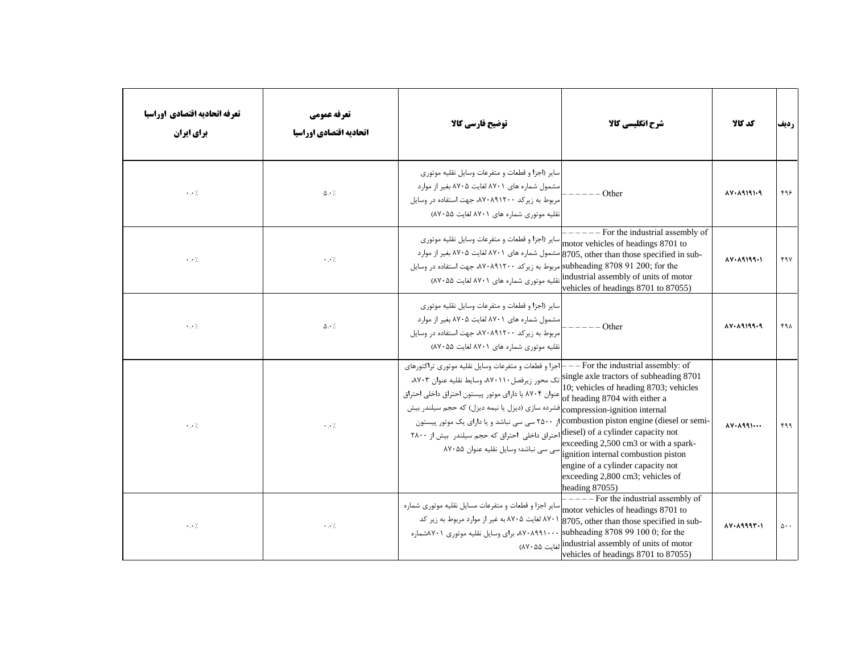| تعرفه اتحاديه اقتصادي اوراسيا<br>برای ایران | تعرفه عمومي<br>اتحاديه اقتصادي اوراسيا | توضيح فارسي كالآ                                                                                                                                                                                                                                                                                                                                                                                                                                                                    | شرح انگلیسی کالا                                                                                                                                                                                                                                                                                                                                 | كد كالا                                        | رديف                 |
|---------------------------------------------|----------------------------------------|-------------------------------------------------------------------------------------------------------------------------------------------------------------------------------------------------------------------------------------------------------------------------------------------------------------------------------------------------------------------------------------------------------------------------------------------------------------------------------------|--------------------------------------------------------------------------------------------------------------------------------------------------------------------------------------------------------------------------------------------------------------------------------------------------------------------------------------------------|------------------------------------------------|----------------------|
| $\cdot \cdot \cdot$ /                       | $\Delta \cdot \frac{1}{2}$             | سایر (اجزا و قطعات و متفرعات وسایل نقلیه موتوری<br>مشمول شماره های ۸۷۰۱ لغایت ۸۷۰۵ بغیر از موارد<br> مربوط به زیرکد ۸۷۰۸۹۱۲۰۰، جهت استفاده در وسایل<br>نقلیه موتوری شماره های ۸۷۰۱ لغایت ۸۷۰۵۵)                                                                                                                                                                                                                                                                                     | Other                                                                                                                                                                                                                                                                                                                                            | $10 - 19191 - 9$                               | ۴۹۶                  |
| $\cdot \cdot \cdot$ /                       | $\cdot$ . $\cdot$ /                    | ساير (اجزا و قطعات و متفرعات وسايل نقليه موتوري<br>-8705, other than those specified in sub مشمول شماره های ۸۷۰۱ لغایت ۷۰۵۸ بغیر از موارد<br>subheading 8708 91 200; for theامربوط به زیرکد ۸۷۰۸۹۱۲۰۰ جهت استفاده در وسایل<br>نقلیه موتوری شماره های ۸۷۰۱ لغایت ۸۷۰۵۵)                                                                                                                                                                                                              | - For the industrial assembly of<br>motor vehicles of headings 8701 to<br>industrial assembly of units of motor<br>vehicles of headings 8701 to 87055)                                                                                                                                                                                           | $1.19199 - 1$                                  | ۴۹۷                  |
| $\cdot$ . $\cdot$ /                         | $\Delta \cdot \frac{1}{2}$             | سایر (اجزا و قطعات و متفرعات وسایل نقلیه موتوری<br> مشمول شماره های ۸۷۰۱ لغایت ۸۷۰۵ بغیر از موارد<br>مربوط به زیرکد ۸۷۰۸۹۱۲۰۰، جهت استفاده در وسایل<br>نقلیه موتوری شماره های ۸۷۰۱ لغایت ۸۷۰۵۵)                                                                                                                                                                                                                                                                                     | Other                                                                                                                                                                                                                                                                                                                                            | $\Lambda V$ $\cdot$ $\Lambda$ 9199 $\cdot$ 9   | ۴۹۸                  |
| $\cdot$ . $\cdot$ /.                        | $\cdot \cdot \cdot$                    | اجزا و قطعات و متفرعات وسايل نقليه موتوري تراكتورهاي $\left --\text{For the industrial assembly: of }\right.$<br>single axle tractors of subheading 8701 تک محور زیرفصل ۸۷۰۱۱۰، وسایط نقلیه عنوان ۸۷۰۳.<br>عنوان ۸۷۰۴ یا دارای موتور پیستون احتراق داخلی احتراق<br>compression-ignition internal)فشرده سازي (ديزل يا نيمه ديزل) كه حجم سيلندر بيش<br>diesel) of a cylinder capacity not احتراق داخلی احتراق که حجم سیلندر بیش از ۲۸۰۰<br>رت<br>سی سی نباشد؛ وسایل نقلیه عنوان ۸۷۰۵۵ | 10; vehicles of heading 8703; vehicles<br>of heading 8704 with either a<br>-combustion piston engine (diesel or semi)از ۲۵۰۰ سی سی نباشد و یا دارای یک موتور پیستون<br>exceeding 2,500 cm3 or with a spark-<br>ignition internal combustion piston<br>engine of a cylinder capacity not<br>exceeding 2,800 cm3; vehicles of<br>heading $87055$ ) | $\Lambda V \cdot \Lambda q q$                  | ۴۹۹                  |
| $\cdot$ . $\cdot$ /                         | $\cdot \cdot \cdot$ /                  | سایر اجزا و قطعات و متفرعات مسایل نقلیه موتوری شماره<br>۸۷۰۱ لغایت ۸۷۰۵ به غیر از موارد مربوط به زیر کد<br>۸۷۰۸۹۹۱۰۰۰، برای وسایل نقلیه موتوری ۸۷۰۱شماره                                                                                                                                                                                                                                                                                                                            | $---$ For the industrial assembly of<br>motor vehicles of headings 8701 to<br>8705, other than those specified in sub-<br>subheading $8708991000$ ; for the<br>industrial assembly of units of motor) الغايت ۵۵<br>vehicles of headings 8701 to 87055)                                                                                           | $\Lambda V \cdot \Lambda$ 999 $\Gamma \cdot$ 1 | $\Delta \cdot \cdot$ |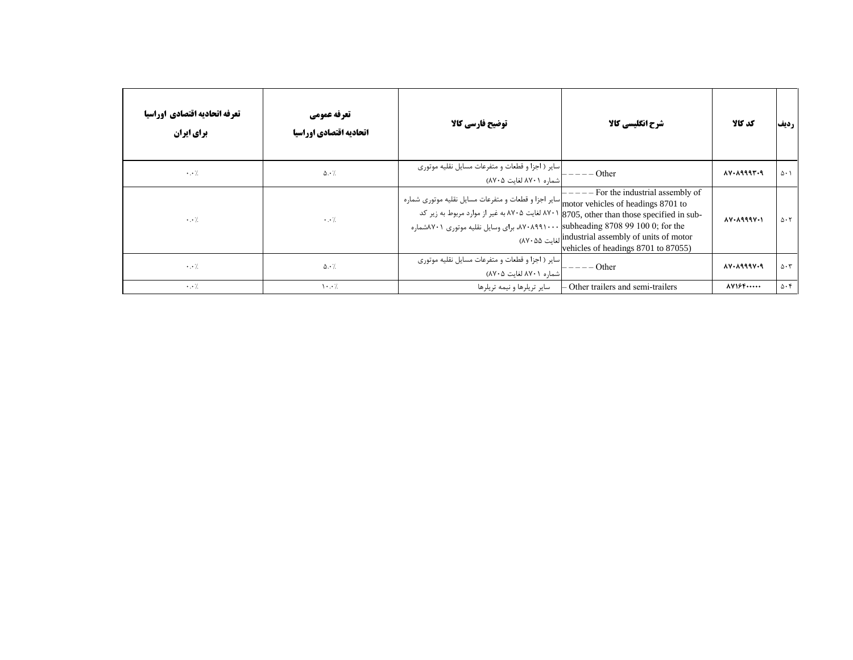| تعرفه اتحاديه اقتصادي اوراسيا<br>برای ایران | تعرفه عمومي<br>اتحاديه اقتصادي اوراسيا | توضيح فارسي كالا                                                                                                                                                                           | شرح انگلیسی کالا                                                                                                                                                                                                                  | كد كالا                                   | رديف                        |
|---------------------------------------------|----------------------------------------|--------------------------------------------------------------------------------------------------------------------------------------------------------------------------------------------|-----------------------------------------------------------------------------------------------------------------------------------------------------------------------------------------------------------------------------------|-------------------------------------------|-----------------------------|
| $\cdot \cdot$ /.                            | $\Delta \cdot \frac{1}{2}$             | سایر ( اجزا و قطعات و متفرعات مسایل نقلیه موتوری<br>اشماره ۸۷۰۱ لغایت ۸۷۰۵)                                                                                                                | Other                                                                                                                                                                                                                             | 14.19997.9                                | $\Delta \cdot$ \            |
| $\cdot \cdot$ /.                            | $\cdot \cdot$ /.                       | motor vehicles of headings 8701 to $\big _\text{motor}$ vehicles of headings 8701 to<br>ملاره ۸۷۰۸۹۹۱۰۰۰ <mark> subheading 8708 99 100 0; for the برای وسایل نقلیه موتوری ۸۷۰۱شماره</mark> | - For the industrial assembly of<br>-۸۷۰۱ لغایت ۸۷۰۵ به غیر از موارد مربوط به زیر کد X۷۰۱ لغایت ۸۷۰۵ به غیر از موارد مربوط به زیر کد<br>industrial assembly of units of motor) لغايت ٨٧٠۵۵<br>vehicles of headings 8701 to 87055) | $\Lambda V \cdot \Lambda$ 999 $V \cdot V$ | $\Delta \cdot 7$            |
| $\cdot \cdot$ /                             | $\Delta \cdot \frac{1}{2}$             | سایر ( اجزا و قطعات و متفرعات مسایل نقلیه موتوری<br> شماره ۸۷۰۱ لغایت ۸۷۰۵)                                                                                                                | Other                                                                                                                                                                                                                             | $\lambda V \cdot \lambda$ 999 $V \cdot$ 9 | $\Delta \cdot 7$            |
| $\cdot \cdot \cdot$ /                       | $\cdot \cdot$ /                        | سایر تریلرها و نیمه تریلرها                                                                                                                                                                | - Other trailers and semi-trailers                                                                                                                                                                                                | $\Lambda V$ $S$ $F$ $\cdots$              | $\Delta \cdot \mathfrak{f}$ |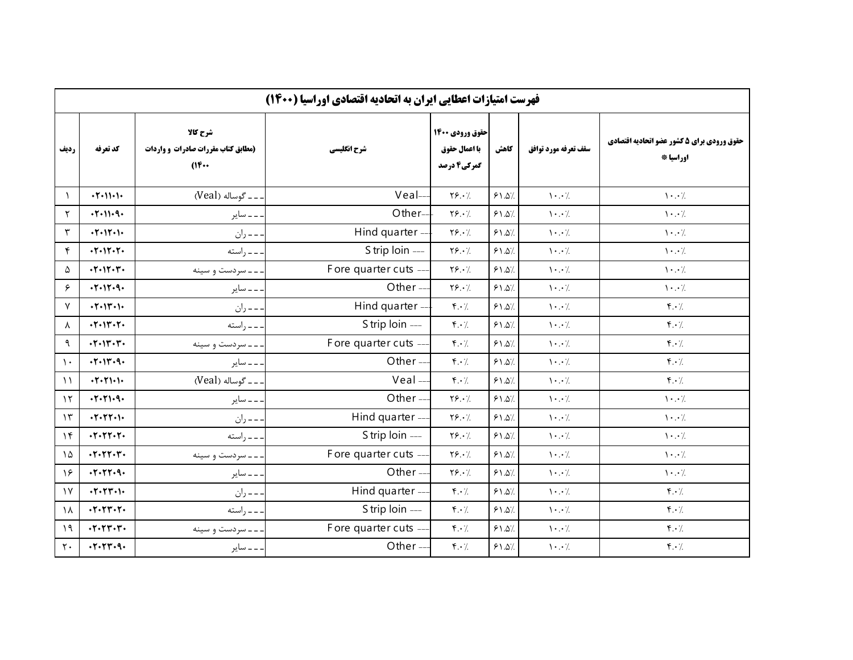|                  | فهرست امتیازات اعطایی ایران به اتحادیه اقتصادی اوراسیا (۱۴۰۰) |                                                       |                      |                                                 |       |                                       |                                                         |  |
|------------------|---------------------------------------------------------------|-------------------------------------------------------|----------------------|-------------------------------------------------|-------|---------------------------------------|---------------------------------------------------------|--|
| رديف             | كد تعرفه                                                      | شرح كالا<br>(مطابق کتاب مقررات صادرات و واردات<br>(16 | شرح انگلیسی          | حقوق ورودي 1400<br>با اعمال حقوق<br>گمرکی4 درصد | كاهش  | سقف تعرفه مورد توافق                  | حقوق ورودي براي 5 كشور عضو اتحاديه اقتصادي<br>اوراسيا * |  |
| $\lambda$        | $+7 - 11 - 1$                                                 | ـ ـ گوساله (Veal)                                     | Veal-                | $Y\S. \cdot$                                    | 51.07 | $\mathcal{N} \cdot \cdot \mathcal{N}$ | $\cdot \cdot$ /.                                        |  |
| ٢                | .7.11.9.                                                      | ۔۔ سایر                                               | Other--              | Y5.7                                            | 51.07 | $\backslash\cdot\cdot$ /.             | $\cdot \cdot$ /.                                        |  |
| ٣                | $+7 - 17 - 1$                                                 | - - ران                                               | Hind quarter --      | $Y\S. \cdot$                                    | 51.07 | $\backslash\cdot\cdot$ /.             | $\mathcal{N} \cdot \cdot \mathcal{N}$                   |  |
| ۴                | $-1 - 11 - 1$                                                 | - - راسته                                             | S trip loin ---      | $Y$ $9.1$                                       | 51.07 | $\cdot \cdot$ /.                      | $\cdot \cdot$ /.                                        |  |
| ۵                | .7.117.7.                                                     | . ـ ـ سردست و سينه                                    | Fore quarter cuts -- | $Y\S. \cdot$                                    | 51.07 | $\cdot \cdot$ /.                      | $\cdot \cdot$ /.                                        |  |
| ۶                | .7.17.9.                                                      | . _ _ ساير                                            | Other-               | $Y$ $9.1$                                       | 51.07 | $\mathcal{N} \cdot \cdot \mathcal{N}$ | $\mathcal{N} \cdot \cdot \mathcal{N}$                   |  |
| $\mathsf{v}$     | $-1 - 11 - 1 -$                                               | . ــ ـ ران                                            | Hind quarter --      | $f.\cdot$ /.                                    | 51.07 | $\cdot \cdot$ /.                      | $\mathfrak{f} \cdot \mathfrak{c}$                       |  |
| $\lambda$        | $+7 - 17 - 7$                                                 | - - - راسته                                           | S trip loin ---      | $\mathfrak{f} \cdot \mathfrak{c}$               | 51.07 | $\mathcal{N} \cdot \cdot \mathcal{N}$ | $f \cdot \gamma$                                        |  |
| ٩                | $\cdot$ $\cdot$ $\cdot$ $\cdot$ $\cdot$ $\cdot$               | - - - سردست و سينه                                    | Fore quarter cuts -- | $\mathfrak{f} \cdot \mathfrak{f}$               | 51.07 | $\mathcal{N} \cdot \cdot \mathcal{N}$ | $f \cdot \gamma$                                        |  |
| $\mathcal{L}$    | .7.117.9.                                                     | . _ _ ساير                                            | Other-               | $\mathfrak{f} \cdot \mathfrak{f}$               | 51.07 | $\mathcal{N} \cdot \cdot \mathcal{N}$ | $f \cdot \gamma$                                        |  |
| $\lambda$        | $+7.71.1$                                                     | . ــ ـ گوساله (Veal)                                  | $Veal -$             | $f.\cdot$ /                                     | 51.07 | $\mathcal{N} \cdot \cdot \mathcal{N}$ | $\mathfrak{f} \cdot \mathfrak{c}$                       |  |
| $\gamma$         | .7.71.9.                                                      | ۔۔ سایر                                               | Other-               | $Y\S. \cdot \gamma$                             | 51.07 | $\mathcal{N} \cdot \cdot \mathcal{N}$ | $\cdot \cdot$ /                                         |  |
| $\gamma$         | $+7 - 77 - 1$                                                 | – – ران                                               | Hind quarter -       | $Y\S. \cdot \frac{1}{2}$                        | 51.07 | $\backslash\cdot\cdot$ /.             | $\cdot \cdot$ /.                                        |  |
| $\gamma$         | $+7 - 77 - 7$                                                 | - - راسته                                             | S trip loin ---      | $Y\S. \cdot \gamma$                             | 51.07 | $\backslash\cdot\cdot/$               | $\mathcal{N} \cdot \cdot \mathcal{N}$                   |  |
| $\lambda \Delta$ | $\cdot$ $\cdot$ $\cdot$ $\cdot$ $\cdot$ $\cdot$               | --سردست وسينه                                         | Fore quarter cuts -  | $Y\S. \cdot \frac{1}{2}$                        | 51.07 | $\mathcal{N} \cdot \cdot \mathcal{N}$ | $\cdot \cdot$ /.                                        |  |
| $\gamma$ ۶       | .7.77.9.                                                      | ۔ ۔ سایر                                              | Other-               | $Y\S. \cdot \gamma$                             | 51.07 | $\mathcal{N} \cdot \cdot \mathcal{N}$ | $\mathcal{N} \cdot \cdot \mathcal{N}$                   |  |
| $\gamma$         | $+7 - 77 - 1$                                                 | - - ران                                               | Hind quarter --      | $\mathbf{r} \cdot \mathbf{y}$                   | 51.07 | $\backslash\cdot\cdot$ /.             | $f \cdot \gamma$                                        |  |
| $\lambda$        | $+7 - 77 - 7$                                                 | - - راسته                                             | S trip loin ---      | $\mathfrak{f} \cdot \mathfrak{f}$               | 51.07 | $\cdot \cdot$ /.                      | $\mathbf{f} \cdot \mathbf{y}$                           |  |
| 19               | $+7 - 77 - 7$                                                 | - ـ سردست و سينه                                      | Fore quarter cuts -- | $\mathbf{r} \cdot \mathbf{y}$                   | 51.07 | $\mathcal{N} \cdot \cdot \mathcal{N}$ | $f \cdot /$                                             |  |
| $\mathbf{r}$ .   | .7.77.9.                                                      | ۔۔۔ سایر                                              | Other-               | $\mathfrak{f} \cdot \mathfrak{c}$               | 51.07 | $\backslash \cdot$ . $\backslash$     | $\mathfrak{f} \cdot \mathfrak{f}$                       |  |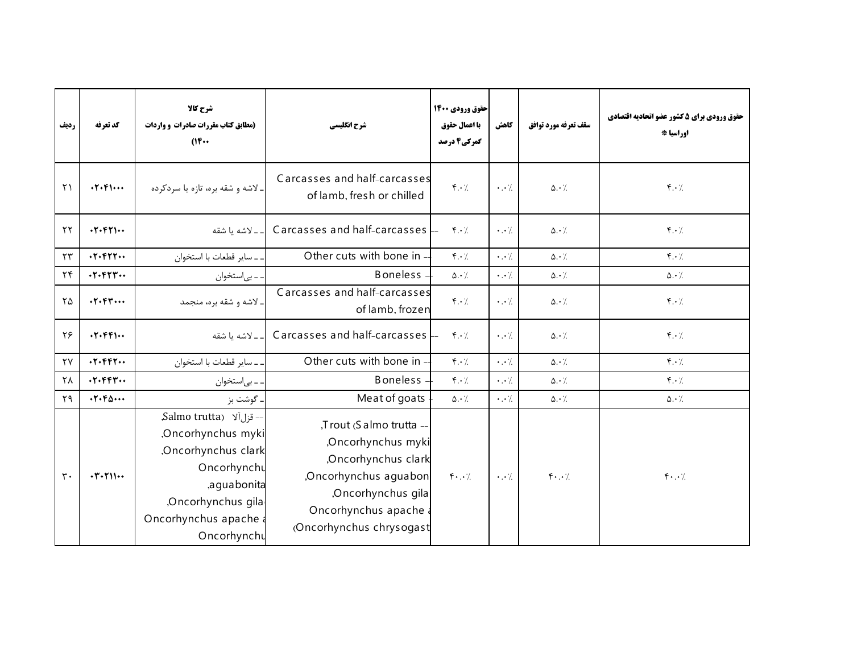| رديف                   | كد تعرفه                                                        | شرح كالا<br>(مطابق کتاب مقررات صادرات و واردات<br>$(16 \cdots$                                                                                                  | شرح انگلیسی                                                                                                                                                       | حقوق ورودي ۱۴۰۰<br>با اعمال حقوق<br>گمرکی4 درصد | كاهش                | سقف تعرفه مورد توافق          | حقوق ورودي براي 5 كشور عضو اتحاديه اقتصادي<br>اوراسيا * |
|------------------------|-----------------------------------------------------------------|-----------------------------------------------------------------------------------------------------------------------------------------------------------------|-------------------------------------------------------------------------------------------------------------------------------------------------------------------|-------------------------------------------------|---------------------|-------------------------------|---------------------------------------------------------|
| $\mathsf{r}\setminus$  | $.7.9$                                                          | . لاشه و شقه بره، تازه یا سردکرده                                                                                                                               | Carcasses and half-carcasses<br>of lamb, fresh or chilled                                                                                                         | $f \cdot \gamma$                                | $\cdot \cdot \cdot$ | $\Delta \cdot \frac{1}{2}$    | $f \cdot \gamma$                                        |
| $\tau\tau$             | .7.671                                                          | ـ لاشه يا شقه                                                                                                                                                   | Carcasses and half-carcasses $-$                                                                                                                                  | $\mathfrak{f} \cdot \mathfrak{c}$               | $\cdot \cdot$ /     | $\Delta \cdot \gamma$         | $\mathfrak{f} \cdot \mathfrak{c}$                       |
| $\tau\tau$             | .7.977                                                          | ـ ساير قطعات با استخوان                                                                                                                                         | Other cuts with bone in                                                                                                                                           | $\mathfrak{r} \cdot \mathfrak{c}$               | $\cdot \cdot \cdot$ | $\Delta \cdot \gamma$         | $f \cdot \gamma$                                        |
| $\mathbf{Y}$           | $\cdot$ $\cdot$ $\cdot$ $\cdot$ $\cdot$ $\cdot$ $\cdot$ $\cdot$ | . ـ بي استخوان                                                                                                                                                  | <b>Boneless</b>                                                                                                                                                   | $\Delta \cdot \gamma$                           | $\cdot$ . $\cdot$ / | $\Delta \cdot \gamma$         | $\Delta \cdot \frac{1}{2}$                              |
| $\mathsf{Y}\Delta$     | .7.64                                                           | ـ لاشه و شقه بره، منجمد                                                                                                                                         | Carcasses and half-carcasses<br>of lamb, frozen                                                                                                                   | $f \cdot \gamma$                                | $\cdot \cdot$ /     | $\Delta \cdot \frac{1}{2}$    | $\mathfrak{f} \cdot \mathfrak{c}$                       |
| ٢۶                     | .7.991                                                          | ـ لاشه يا شقه                                                                                                                                                   | Carcasses and half-carcasses -                                                                                                                                    | $\mathfrak{f} \cdot \mathfrak{c}$               | $\cdot \cdot$ /     | $\Delta \cdot \gamma$         | $f \cdot \gamma$                                        |
| $\mathsf{Y}\mathsf{Y}$ | .7.997                                                          | . ـ ساير قطعات با استخوان                                                                                                                                       | Other cuts with bone in                                                                                                                                           | $\mathfrak{r} \cdot \mathfrak{c}$               | $\cdot \cdot \cdot$ | $\Delta \cdot \gamma$         | $f \cdot \gamma$                                        |
| $\mathsf{Y}\Lambda$    | $\cdot$ $\cdot$ $\cdot$ $\cdot$ $\cdot$ $\cdot$ $\cdot$ $\cdot$ | . ـ بي ستخوان                                                                                                                                                   | <b>Boneless</b>                                                                                                                                                   | $\mathbf{f} \cdot \mathbf{y}$                   | $\cdot \cdot \cdot$ | $\Delta \cdot$ /              | $\mathfrak{f} \cdot \mathfrak{f}$                       |
| Y9                     | $\cdot \mathbf{Y} \cdot \mathbf{F} \Delta \cdots$               | . گوشت بز                                                                                                                                                       | Meat of goats                                                                                                                                                     | $\Delta \cdot \gamma$                           | $\cdot \cdot \cdot$ | $\Delta \cdot$ /              | $\Delta \cdot \frac{1}{2}$                              |
| $\mathbf{r}$ .         | $\cdot$ $\cdot$ $\cdot$ $\cdot$ $\cdot$                         | -- قزل آلا Salmo trutta),<br>Oncorhynchus myki<br>Oncorhynchus clark<br>Oncorhynchu<br>,a qua bonita<br>Oncorhynchus gila<br>Oncorhynchus apache<br>Oncorhynchu | ,Trout (Salmo trutta -<br>Oncorhynchus myki<br>Oncorhynchus clark<br>Oncorhynchus aguabon<br>Oncorhynchus gila<br>Oncorhynchus apache<br>(Oncorhynchus chrysogast | $f \cdot \cdot$                                 | $\cdot \cdot$ /.    | $\mathfrak{f}\cdot\cdot\cdot$ | $\mathfrak{f}\cdot\cdot\cdot$ /.                        |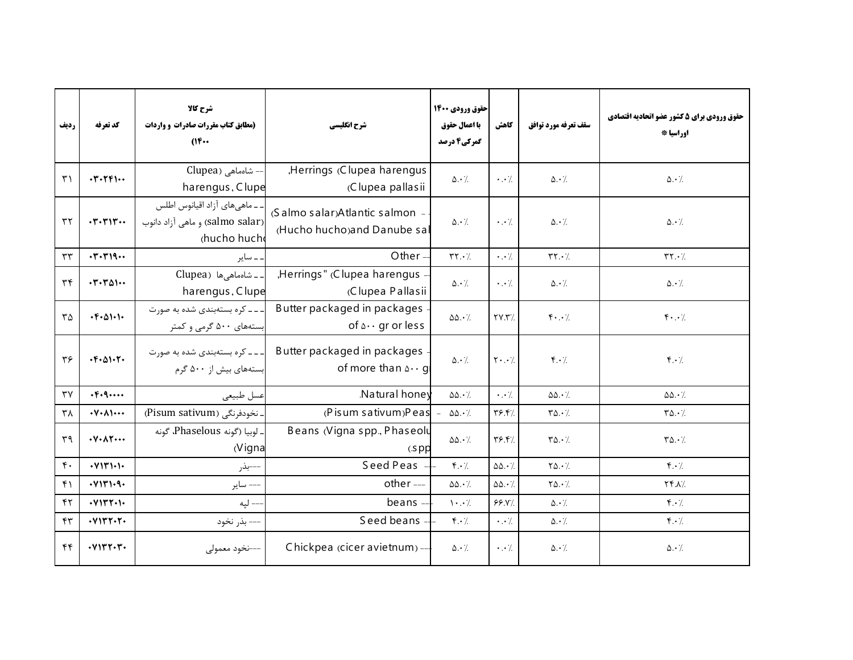| رديف                        | كد تعرفه                                                          | شرح كالا<br>(مطابق کتاب مقررات صادرات و واردات<br>(16                            | شرح انگلیسی                                                       | حقوق ورودي 1400<br>با اعمال حقوق<br>گمرکی4 درصد | كاهش                             | سقف تعرفه مورد توافق                       | حقوق ورودي براي 5 كشور عضو اتحاديه اقتصادي<br>اوراسيا * |
|-----------------------------|-------------------------------------------------------------------|----------------------------------------------------------------------------------|-------------------------------------------------------------------|-------------------------------------------------|----------------------------------|--------------------------------------------|---------------------------------------------------------|
| $\uparrow$                  | $\cdot$ $\cdot$ $\cdot$ $\cdot$ $\cdot$ $\cdot$ $\cdot$           | -- شاەماھى (Clupea<br>harengus, Clupe                                            | ,Herrings (Clupea harengus<br>(Clupea pallasii                    | $\Delta \cdot$ /                                | $\cdot \cdot \cdot$              | $\Delta \cdot \frac{1}{2}$                 | $\Delta \cdot \gamma$                                   |
| $\tau\tau$                  | $\cdot$ $\mathsf{r}\cdot\mathsf{r}\cdot\mathsf{r}\cdot\mathsf{r}$ | ۔ ـ ماهی های آزاد اقیانوس اطلس<br>(salmo salar) و ماهي آزاد دانوب<br>chucho huch | (Salmo salar)Atlantic salmon -<br>(Hucho hucho)and Danube sal     | $\Delta \cdot \frac{1}{2}$                      | $\cdot \cdot$ /.                 | $\Delta \cdot \frac{1}{2}$                 | $\Delta \cdot \frac{1}{2}$                              |
| $\tau\tau$                  |                                                                   | ۔ سایر                                                                           | Other $=$                                                         | $\mathbf{Y} \cdot \mathbf{Y}$                   | $\cdot \cdot$ /                  | $\mathbf{Y} \mathbf{Y} \cdot \mathbf{Z}$   | $\mathbf{Y} \cdot \mathbf{Y}$                           |
| $\tau$                      | $\cdot$ $\cdot$ $\cdot$ $\cdot$ $\cdot$                           | . ـ شامماهی ها (Clupea<br>harengus, Clupe                                        | "Herrings" (Clupea harengus<br>(Clupea Pallasii                   | $\Delta \cdot \frac{1}{2}$                      | $\cdot \cdot \cdot$              | $\Delta \cdot \gamma$                      | $\Delta \cdot \gamma$                                   |
| $\mathsf{r}\mathsf{\Delta}$ | $\cdot$ $F \cdot \Delta$ 1 $\cdot$ 1 $\cdot$                      | ـ ـ ـ ـ کره بستهبندی شده به صورت<br>بستههای ۵۰۰ گرمی و کمتر                      | Butter packaged in packages<br>of $\Delta \cdot \cdot$ gr or less | $\Delta\Delta\cdot\%$                           | YY.7                             | $\mathfrak{f}\cdot\cdot$ /.                | $\mathfrak{f}\cdot\cdot\cdot$ /.                        |
| ٣۶                          | $\cdot$ $F \cdot \Delta$ $\cdot$ $T \cdot$                        | ۔۔۔ کرہ بستهبندی شدہ به صورت<br> بستههای بیش از ۵۰۰ گرم                          | Butter packaged in packages<br>of more than $\Delta \cdot q$      | $\Delta \cdot \gamma$                           | $\mathbf{Y} \cdot \cdot \cdot$ / | $\mathfrak{f} \cdot \mathfrak{c}$          | $f \cdot \gamma$                                        |
| $\mathsf{r}\mathsf{v}$      | $\cdot \mathsf{F} \cdot \mathsf{q} \cdots$                        | عسل طبيعي                                                                        | Natural honey                                                     | $\Delta\Delta \cdot \frac{1}{2}$                | $\cdot \cdot \cdot$              | $\Delta\Delta \cdot \frac{1}{2}$           | $\Delta\Delta \cdot \frac{1}{2}$                        |
| $\mathsf{r}_\lambda$        | $\cdot \mathsf{Y} \cdot \mathsf{A} \mathsf{Y} \cdots$             | . نخودفرنگی (Pisum sativum)                                                      | $(P$ is um sativum) Peas $-$                                      | $\Delta\Delta \cdot \frac{1}{2}$                | Y5.5                             | $\mathbf{Y}\mathbf{\Delta}\cdot\mathbf{Z}$ | $\mathbf{Y}\mathbf{\Delta}\cdot\mathbf{Z}$              |
| $r_{9}$                     | $\cdot$ Y $\cdot$ A $\uparrow$ $\cdots$                           | ـ لوبيا (گونه Phaselous، گونه<br>(Vigna                                          | Beans (Vigna spp., Phaseolu<br>$(s$ pp                            | $\Delta\Delta\cdot\%$                           | Y5.5                             | $\mathbf{Y}\mathbf{\Delta}\cdot\mathbf{Z}$ | $\mathbf{Y}\Delta \cdot \mathbf{Z}$                     |
| $\mathfrak{f}$ .            | Y1Y1Y                                                             | ---بذر                                                                           | Seed Peas                                                         | $f \cdot \gamma$                                | $\Delta\Delta.\cdot$ /           | $Y\Delta.$                                 | $f \cdot \gamma$                                        |
| $f \cap$                    | .41111.9.                                                         | ---- ساير                                                                        | other ---                                                         | $\Delta\Delta \cdot \frac{1}{2}$                | $\Delta\Delta.\cdot$ /           | $Y\Delta.\cdot$ /.                         | $YY \Lambda$                                            |
| $\mathsf{f}\mathsf{r}$      | Y1YYYY                                                            | --- لپه                                                                          | beans $-$                                                         | $\mathcal{N} \cdot \cdot \mathcal{N}$           | 99.1                             | $\Delta \cdot$ /.                          | $\mathfrak{f} \cdot \mathfrak{f}$                       |
| $\mathbf{r}$                |                                                                   | --- بذر نخود                                                                     | Seed beans -                                                      | $\mathfrak{f} \cdot \mathfrak{c}$               | $\cdot \cdot \cdot$ /.           | $\Delta \cdot \frac{1}{2}$                 | $f \cdot /$                                             |
| f(f)                        | $\cdot$ $V1$ $V1$ $V1$ $V1$                                       | ----نخود معمولى                                                                  | Chickpea (cicer avietnum) --                                      | $\Delta \cdot \frac{1}{2}$                      | $\cdot \cdot$ /.                 | $\Delta \cdot \frac{1}{2}$                 | $\Delta \cdot$ /.                                       |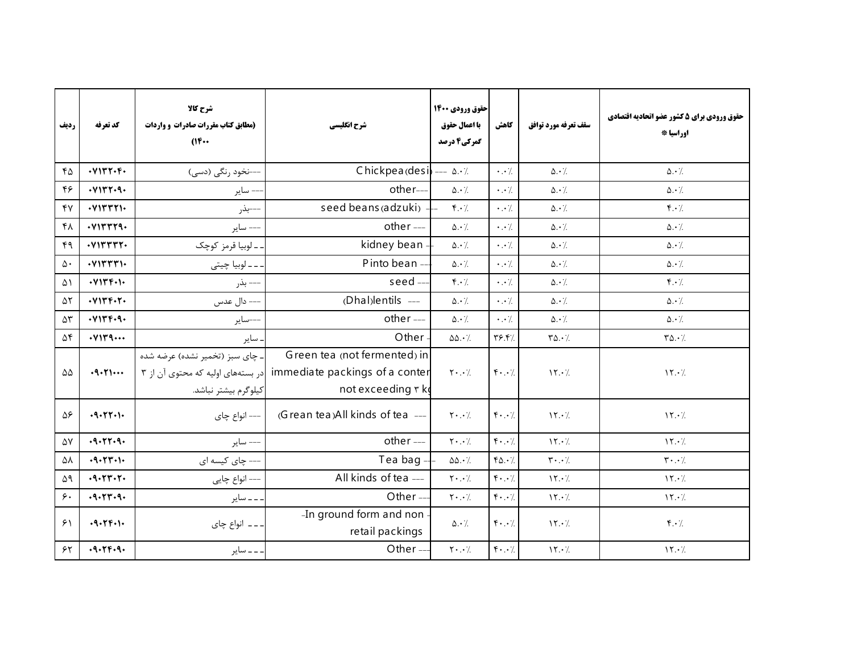| رديف                | كد تعرفه                    | شرح كالا<br>(مطابق کتاب مقررات صادرات و واردات<br>$(16 \cdots$                               | شرح انگلیسی                                                                         | حقوق ورودي 1400<br>با اعمال حقوق<br>گمرکی4 درصد | كاهش                                                 | سقف تعرفه مورد توافق                       | حقوق ورودي براي 5 كشور عضو اتحاديه اقتصادي<br>اوراسيا * |
|---------------------|-----------------------------|----------------------------------------------------------------------------------------------|-------------------------------------------------------------------------------------|-------------------------------------------------|------------------------------------------------------|--------------------------------------------|---------------------------------------------------------|
| 60                  | . Y1YY. F.                  | ---نخود رنگی (دسی)                                                                           | Chickpea (desi $\leftarrow \Delta \cdot \frac{1}{2}$                                |                                                 | $\cdot \cdot \cdot$                                  | $\Delta \cdot$ /                           | $\Delta \cdot \frac{1}{2}$                              |
| ۴۶                  | .41147.9.                   | - ساير                                                                                       | other-                                                                              | $\Delta \cdot \frac{1}{2}$                      | $\cdot \cdot$ /.                                     | $\Delta \cdot$ /                           | $\Delta \cdot \gamma$                                   |
| YY                  | $\cdot$ VITTTI $\cdot$      | ---بذر                                                                                       | seed beans (adzuki)                                                                 | $f \cdot /$                                     | $\cdot$ . $\cdot$ /                                  | $\Delta \cdot$ /                           | $\mathbf{f} \cdot \mathbf{y}$                           |
| ۴۸                  | Y1YYY9.                     | --- ساير                                                                                     | other ---                                                                           | $\Delta \cdot /$                                | $\cdot \cdot \cdot$                                  | $\Delta \cdot \frac{1}{2}$                 | $\Delta \cdot \frac{1}{2}$                              |
| ۴۹                  | $\cdot$ $V1$ $V1$ $V1$ $V1$ | ۔ ـ لوبيا قرمز كوچک                                                                          | kidney bean -                                                                       | $\Delta \cdot$ /.                               | $\cdot \cdot \cdot$                                  | $\Delta \cdot$ /.                          | $\Delta \cdot \frac{1}{2}$                              |
| $\Delta \cdot$      | $\cdot$ VITTTI $\cdot$      | . ــ ــ لوبيا چيتى                                                                           | Pinto bean --                                                                       | $\Delta \cdot \gamma$                           | $\cdot \cdot$ /                                      | $\Delta \cdot$ /.                          | $\Delta \cdot \frac{1}{2}$                              |
| ۵۱                  | . V17F.                     | --- بذر                                                                                      | seed-                                                                               | $\mathfrak{f}\cdot\mathfrak{c}$                 | $\cdot$ . $\cdot$ /                                  | $\Delta \cdot$ /.                          | $f.\cdot$ /.                                            |
| $\Delta \Upsilon$   | . V15F.7.                   | ---- دال عدس                                                                                 | (Dhal)lentils ---                                                                   | $\Delta \cdot$ /.                               | $\cdot \cdot \cdot$                                  | $\Delta \cdot$ /.                          | $\Delta \cdot \frac{1}{2}$                              |
| $\Delta \mathsf{r}$ | . V15F.9.                   | ---ساير                                                                                      | other ---                                                                           | $\Delta \cdot \gamma$                           | $\cdot$ . $\cdot$ /                                  | $\Delta \cdot$ /.                          | $\Delta \cdot \gamma$                                   |
| $\Delta \mathbf{f}$ | .4                          | . ساير                                                                                       | Other                                                                               | $\Delta\Delta \cdot \frac{1}{2}$                | Y5.5                                                 | $\mathbf{Y}\mathbf{\Delta}\cdot\mathbf{Z}$ | $\mathbf{Y}\mathbf{\Delta}\cdot\mathbf{A}$              |
| $\Delta\Delta$      | .9.51                       | ـ چای سبز (تخمیر نشده) عرضه شده<br>در بستههای اولیه که محتوی آن از ۳<br>كيلوگرم بيشتر نباشد. | Green tea (not fermented) in<br>immediate packings of a conter<br>not exceeding r k | $\mathbf{Y} \cdot \cdot \cdot$ /                | $\mathfrak{f}\cdot\cdot\cdot$ /                      | 15.7                                       | $\mathcal{N} \cdot \mathcal{V}$                         |
| ۵۶                  | .9.55.1.                    | ---- انواع چای                                                                               | (Grean tea)All kinds of tea ---                                                     | $Y \cdot . \cdot$                               | $\mathfrak{f}\cdot\cdot\cdot$                        | 15.7                                       | 15.7                                                    |
| ۵٧                  | $-9 - 77 - 9$               | --- ساير                                                                                     | other ---                                                                           | $\mathbf{Y} \cdot \cdot \cdot$ /                | $\mathfrak{f}\cdot\cdot\cdot$ /                      | 15.7                                       | $\mathcal{N} \cdot \mathcal{L}$                         |
| ۵٨                  | $-9 - 77 - 1$               | ---- چای کیسه ای                                                                             | Tea bag -                                                                           | $\Delta\Delta \cdot \frac{1}{2}$                | $Y_0.\cdot$                                          | $\mathbf{y} \cdot \cdot \mathbf{y}$        | $\mathbf{r} \cdot \cdot \mathbf{7}$                     |
| ۵۹                  | $-9 - 77 - 7$               | --- انواع چايې                                                                               | All kinds of tea ---                                                                | $\mathbf{Y} \cdot \cdot \cdot$ /                | $\mathfrak{f}\cdot\cdot\cdot$                        | $\gamma \cdot \gamma$                      | $\mathcal{N} \cdot \mathcal{L}$                         |
| $\zeta$ .           | $-9 - 77 - 9$               | . _ _ ساير                                                                                   | Other $-$                                                                           | $\mathbf{Y} \cdot \cdot \cdot$ /                | $f \cdot \cdot \cdot$                                | 15.7                                       | 15.7                                                    |
| 51                  | .9.79.1.                    | ۔۔۔ انواع چای                                                                                | -In ground form and non<br>retail packings                                          | $\Delta \cdot \frac{1}{2}$                      | $\mathfrak{f}\cdot\cdot\cdot$                        | $\mathcal{N} \cdot \mathcal{L}$            | $\mathfrak{f} \cdot \mathfrak{f}$                       |
| $\gamma$            | .9.79.9.                    | ۔ ۔ ۔ سایر                                                                                   | Other-                                                                              | $\mathbf{Y}\cdot\cdot\cdot$ /.                  | $\mathfrak{f}\boldsymbol{\cdot}\boldsymbol{\cdot}$ / | 15.7                                       | 15.7                                                    |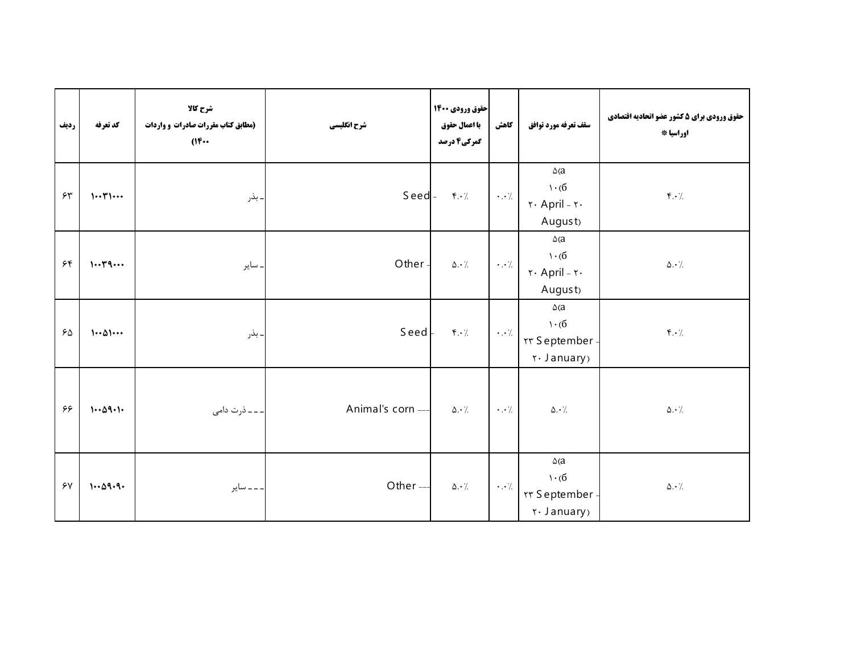| رديف     | كد تعرفه                             | شرح کالا<br>(مطابق کتاب مقررات صادرات و واردات<br>(16 | شرح انگلیسی      | حقوق ورودي ۱۴۰۰<br>با اعمال حقوق<br>گمرکی4 درصد | كاهش                 | سقف تعرفه مورد توافق                                                                                                            | حقوق ورودي براي 5 كشور عضو اتحاديه اقتصادي<br>اوراسيا * |
|----------|--------------------------------------|-------------------------------------------------------|------------------|-------------------------------------------------|----------------------|---------------------------------------------------------------------------------------------------------------------------------|---------------------------------------------------------|
| 55       | $1 \cdot \cdot 71 \cdot \cdot \cdot$ | ـ بذر                                                 | $S$ eed $-$      | $\mathfrak{r} \cdot \mathfrak{c}$               | $\cdot$ . $\cdot$ /. | $\Delta(a)$<br>$\cdot$ (б<br>$\mathsf{r} \cdot \mathsf{April} - \mathsf{r} \cdot$<br>August <sub>)</sub>                        | $\mathfrak{f}.\mathfrak{\cdot}\mathfrak{/}$             |
| 55       | 1.79                                 | . ساير                                                | Other-           | $\Delta \cdot$ /.                               | $\cdot$ . $\cdot$ /. | $\Delta(a)$<br>$\mathcal{L} \cdot (\mathcal{L})$<br>$\mathsf{r} \cdot \mathsf{April} - \mathsf{r} \cdot$<br>August <sub>)</sub> | $\Delta \cdot$ /                                        |
| 50       | $1 \cdot \Delta 1 \cdot \cdot \cdot$ | ـ بذر                                                 | Seed             | $f \cdot \gamma$                                | $\cdot \cdot$ /      | $\Delta$ (a<br>$\mathcal{L}(\mathbf{6})$<br><b>TY September</b><br>יז January)                                                  | $\mathfrak{f}.\mathfrak{f}$                             |
| ۶۶       | 1.09.1                               | ۔ ـ ذرت دامی                                          | Animal's corn -- | $\Delta \cdot$ /.                               | $\cdot \cdot$ /      | $\Delta \cdot$ /.                                                                                                               | $\Delta \cdot \dot{}$ /.                                |
| $\gamma$ | 1.09.9.                              | ۔ ۔ ۔ سایر                                            | Other-           | $\Delta \cdot$ /.                               | $\cdot$ . $\cdot$ /  | $\Delta(a)$<br>$\mathcal{L} \cdot (6)$<br><b>TY September</b><br>יז January)                                                    | $\Delta \cdot$ /.                                       |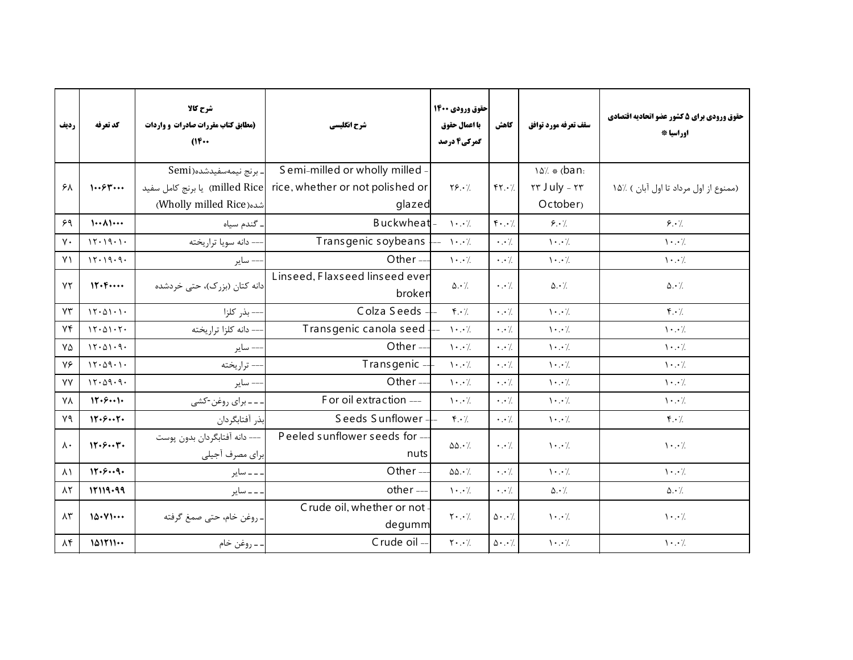| رديف                 | كد تعرفه          | شرح كالا<br>(مطابق کتاب مقررات صادرات و واردات<br>$(16 \cdots$ | شرح انگلیسی                      | حقوق ورودي 1400<br>با اعمال حقوق<br>گمرکی4 درصد | كاهش                          | سقف تعرفه مورد توافق                      | حقوق ورودي براي 5 كشور عضو اتحاديه اقتصادي<br>اوراسيا * |
|----------------------|-------------------|----------------------------------------------------------------|----------------------------------|-------------------------------------------------|-------------------------------|-------------------------------------------|---------------------------------------------------------|
|                      |                   | ـ برنج نيمەسفيدشده(Semi                                        | Semi-milled or wholly milled     |                                                 |                               | 14% (ban:                                 |                                                         |
| ۶۸                   | 1.584             | milled Rice ) یا برنج کامل سفید                                | rice, whether or not polished or | $Y\S. \cdot$                                    | YY.7                          | Tr July - Tr                              | (ممنوع از اول مرداد تا اول آبان ) ٪۱۵                   |
|                      |                   | شده(Wholly milled Rice)                                        | glazed                           |                                                 |                               | October <sub>)</sub>                      |                                                         |
| 59                   | $\cdots$ $\wedge$ | ۔ گندم سیاہ                                                    | Buckwheat-                       | $\cdot \cdot$ /                                 | $\mathfrak{f}\cdot\cdot\cdot$ | 8.7                                       | 8.7                                                     |
| $\mathsf{v}\cdot$    | 15.19.1.          | -- دانه سويا تراريخته                                          | Transgenic soybeans              | $- \cdot \cdot$ /                               | $\cdot \cdot$ /               | $\mathcal{N} \cdot \cdot \mathcal{N}$     | $\cdot \cdot$ /                                         |
| Y <sub>1</sub>       | 15.19.9.          | –– ساير                                                        | Other-                           | $\cdot \cdot$ /                                 | $\cdot \cdot \cdot$           | $\backslash\cdot\cdot$ /.                 | $\cdot \cdot$ /                                         |
| YY                   | 11.6              | دانه کتان (بزرک)، حتی خردشده                                   | Linseed, Flaxseed linseed ever   | $\Delta \cdot \frac{1}{2}$                      | $\cdot \cdot$ /.              | $\Delta \cdot \frac{1}{2}$                | $\Delta \cdot \frac{1}{2}$                              |
|                      |                   |                                                                | broken                           |                                                 |                               |                                           |                                                         |
| YY                   | 15.01.1.          | --- بذر كلزا                                                   | Colza Seeds                      | $\mathfrak{f} \cdot \mathfrak{c}$               | $\cdot \cdot \cdot$           | $\mathcal{N} \cdot \cdot \mathcal{N}$     | $\mathfrak{f} \cdot \mathfrak{f}$                       |
| Yf                   | 15.01.5.          | -- دانه كلزا تراريخته                                          | Transgenic canola seed           | $\mathcal{N} \cdot \cdot \mathcal{N}$           | $\cdot \cdot$ /               | $\cdot \cdot$ /.                          | $\cdot \cdot$ /                                         |
| $Y\Delta$            | 15.01.9.          | –– ساير                                                        | Other $-$                        | $\cdot \cdot$ /                                 | $\cdot \cdot \cdot$           | $\mathcal{N} \cdot \cdot \mathcal{N}$     | $\cdot \cdot$ /                                         |
| ٧۶                   | 15.09.1.          | - تراريخته                                                     | Transgenic                       | $\mathcal{N} \cdot \cdot \mathcal{N}$           | $\cdot$ . $\cdot$ /           | $\mathcal{N} \cdot \cdot \mathcal{N}$     | $\cdot \cdot$ /.                                        |
| <b>YY</b>            | 15.09.9.          | –– ساير                                                        | Other-                           | $\mathcal{N} \cdot \cdot \mathcal{N}$           | $\cdot \cdot$ /               | $\mathcal{N} \cdot \cdot \mathcal{N}$     | $\cdot \cdot$ /                                         |
| <b>YA</b>            | 11.5              | ۔۔برای روغن-کشی                                                | For oil extraction ---           | $\mathcal{N} \cdot \cdot \mathcal{N}$           | $\cdot \cdot$ /               | $\mathcal{N} \cdot \cdot \mathcal{N}$     | $\cdot \cdot$ /                                         |
| ٧٩                   | 17.57.            | بذر أفتابگردان                                                 | Seeds Sunflower -                | $\mathfrak{f} \cdot \mathfrak{f}$               | $\cdot \cdot$ /               | $\mathcal{N} \cdot \cdot \mathcal{N}$     | $\mathbf{f} \cdot \mathbf{y}$                           |
| $\Lambda$ .          | 17.57.            | --- دانه آفتابگردان بدون پوست                                  | Peeled sunflower seeds for --    | $\Delta\Delta \cdot \gamma$                     | $\cdot \cdot \cdot$           | $\cdot \cdot$ /                           | $\cdot \cdot$ /                                         |
|                      |                   | براي مصرف أجيلي                                                | nuts                             |                                                 |                               |                                           |                                                         |
| $\lambda$            | 17.59.            | ۔۔ سایر                                                        | Other-                           | $\Delta\Delta \cdot \frac{1}{2}$                | $\cdot$ . $\cdot$ /           | $\mathcal{N} \cdot \cdot \mathcal{N}$     | $\mathcal{N} \cdot \cdot \mathcal{N}$                   |
| $\Lambda \Upsilon$   | 17119.99          | ۔۔ سایر                                                        | other ---                        | $\mathcal{N}$ . $\mathcal{N}$                   | $\cdot$ . $\cdot$ /           | $\Delta \cdot \frac{1}{2}$                | $\Delta \cdot \gamma$                                   |
| $\Lambda \mathsf{r}$ | 10.41             |                                                                | Crude oil, whether or not        | $\mathbf{Y} \cdot \cdot \cdot$ /                |                               |                                           | $\cdot \cdot$ /                                         |
|                      |                   | ـ روغن خام، حتى صمغ گرفته                                      | degumm                           |                                                 |                               | $\Delta \cdot . \cdot$<br>$\cdot \cdot$ / |                                                         |
| $\lambda$ ۴          | 101111            | . ــ روغن خام                                                  | Crude oil -                      | $\mathbf{Y} \cdot \cdot \cdot$ /                | $\Delta \cdot . \cdot$        | $\cdot \cdot$ /                           | $\cdot \cdot$ /                                         |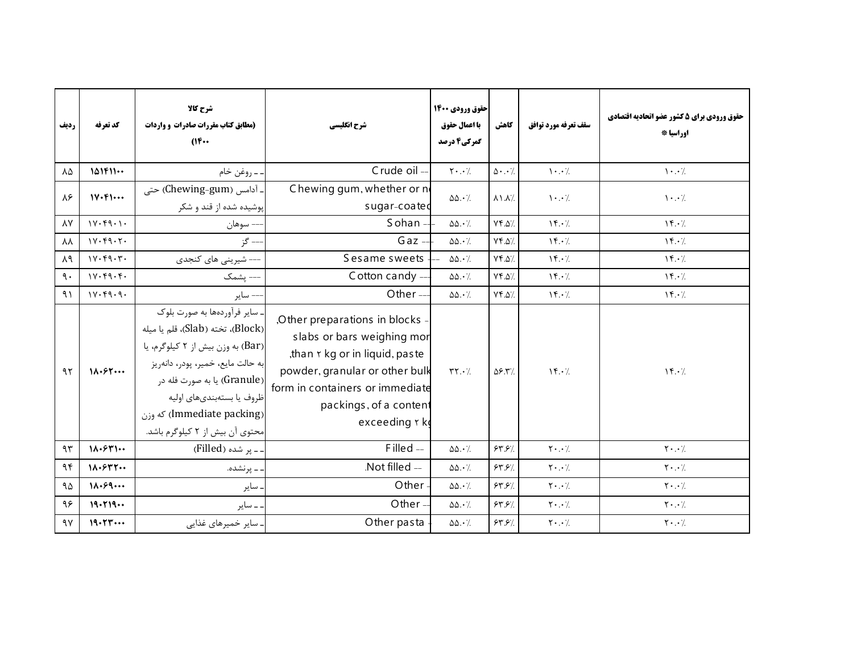| رديف            | كد تعرفه                   | شرح كالا<br>(مطابق کتاب مقررات صادرات و واردات<br>(1)                                                                                                                                                                                                                     | شرح انگلیسی                                                                                                                                                                                                 | حقوق ورودي 1400<br>با اعمال حقوق<br>گمرکی4 درصد | كاهش                            | سقف تعرفه مورد توافق                                     | حقوق ورودي براي 5 كشور عضو اتحاديه اقتصادي<br>اوراسيا * |
|-----------------|----------------------------|---------------------------------------------------------------------------------------------------------------------------------------------------------------------------------------------------------------------------------------------------------------------------|-------------------------------------------------------------------------------------------------------------------------------------------------------------------------------------------------------------|-------------------------------------------------|---------------------------------|----------------------------------------------------------|---------------------------------------------------------|
| ٨۵              | 101F11                     | . ــ روغن خام                                                                                                                                                                                                                                                             | Crude oil -                                                                                                                                                                                                 | $\mathbf{Y} \cdot \cdot \mathbf{Z}$             | $\Delta \cdot \cdot \cdot$      | $\mathcal{N}$ . $\mathcal{N}$                            | $\cdot \cdot$ /                                         |
| ٨۶              | 11.51                      | . آدامس (Chewing-gum) حتى<br>پوشیده شده از قند و شکر                                                                                                                                                                                                                      | Chewing gum, whether or n<br>sugar-coated                                                                                                                                                                   | $\Delta\Delta\cdot$ /.                          | $\lambda$ \ $\lambda$ $\lambda$ | $\mathcal{N} \cdot \cdot \mathcal{N}$                    | $\cdot \cdot$ /                                         |
| $\lambda Y$     | $1Y \cdot Y9 \cdot 1$      | --- سوهان                                                                                                                                                                                                                                                                 | S ohan $-$                                                                                                                                                                                                  | $\Delta\Delta \cdot \frac{1}{2}$                | YY.A                            | $Y \cdot \lambda$                                        | $Y \cdot \ell$                                          |
| ΛA              | 1Y.49.7.                   | -- گز                                                                                                                                                                                                                                                                     | $Gaz -$                                                                                                                                                                                                     | $\Delta\Delta \cdot /$                          | YY.A                            | $\mathcal{N} \cdot \mathcal{L}$                          | $\mathcal{N} \cdot \mathcal{L}$                         |
| $\lambda$ ٩     | 1Y.49.7.                   | --- شیرینی های کنجدی                                                                                                                                                                                                                                                      | Sesame sweets                                                                                                                                                                                               | $\Delta\Delta\cdot\frac{1}{2}$                  | $Yf.\Delta$                     | $\mathcal{N} \cdot \mathcal{L}$                          | $\mathcal{N} \cdot \mathcal{L}$                         |
| $\mathcal{A}$ . | 1Y.49.4.                   | --- يشمک                                                                                                                                                                                                                                                                  | Cotton candy --                                                                                                                                                                                             | $\Delta\Delta \cdot \frac{1}{2}$                | YY.A                            | $\mathcal{N} \cdot \mathcal{L}$                          | $\mathcal{N} \cdot \mathcal{L}$                         |
| 9)              | 11.49.9.                   | – ساير                                                                                                                                                                                                                                                                    | Other $-$                                                                                                                                                                                                   | $\Delta\Delta \cdot \gamma$                     | YY.A                            | $Y \cdot \lambda$                                        | $\mathcal{N} \cdot \mathcal{V}$                         |
| 95              | 11.55                      | . سایر فرآوردهها به صورت بلوک<br>(Block)، تخته (Slab)، قلم يا ميله<br>(Bar) به وزن بیش از ۲ کیلوگرم، یا<br>به حالت مايع، خمير، پودر، دانەريز<br>(Granule) يا به صورت فله در<br>ظروف یا بستهبندیهای اولیه<br>(Immediate packing) که وزن<br>محتوى أن بيش از ٢ كيلوگرم باشد. | Other preparations in blocks<br>slabs or bars weighing mor<br>than r kg or in liquid, paste<br>powder, granular or other bulk<br>form in containers or immediate<br>packings, of a content<br>exceeding r k | $\mathbf{Y} \cdot \mathbf{Y}$                   | $\Delta$ ۶.۳/                   | $Y \cdot \ell$                                           | $Y \cdot \ell$                                          |
| 95              | $1\Lambda$ . $5\Upsilon$ 1 | ۔۔ پر شدہ (Filled)                                                                                                                                                                                                                                                        | Filled-                                                                                                                                                                                                     | $\Delta\Delta\cdot\frac{1}{2}$                  | 55.57                           | $\mathbf{Y}\boldsymbol{\cdot}$ . $\boldsymbol{\cdot}$ /. | $Y \cdot \cdot$ /                                       |
| 95              | 11.577                     | . ــ پرنشده.                                                                                                                                                                                                                                                              | .Not filled --                                                                                                                                                                                              | $\Delta\Delta \cdot \frac{1}{2}$                | 54.57                           | $\mathbf{Y}\boldsymbol{\cdot}$ . $\boldsymbol{\cdot}$ /. | $\mathbf{Y} \cdot \cdot \cdot$                          |
| ۹۵              | 11.59                      | . ساير                                                                                                                                                                                                                                                                    | Other                                                                                                                                                                                                       | $\Delta\Delta \cdot \frac{1}{2}$                | 54.57                           | $Y \cdot . \cdot$ /.                                     | $\mathsf{Y} \cdot \cdot \mathsf{A}$                     |
| ۹۶              | 19.719                     | . ــ ساير                                                                                                                                                                                                                                                                 | Other-                                                                                                                                                                                                      | $\Delta\Delta \cdot \frac{1}{2}$                | 54.57                           | $Y \cdot \cdot$ /                                        | $Y \cdot \cdot$ /                                       |
| 9V              | 19.57                      | . سایر خمیرهای غذایی                                                                                                                                                                                                                                                      | Other pasta                                                                                                                                                                                                 | $\Delta\Delta \cdot \frac{1}{2}$                | 54.57                           | $\mathbf{Y} \cdot \cdot \cdot$ /                         | $\mathbf{Y} \cdot \cdot \cdot$                          |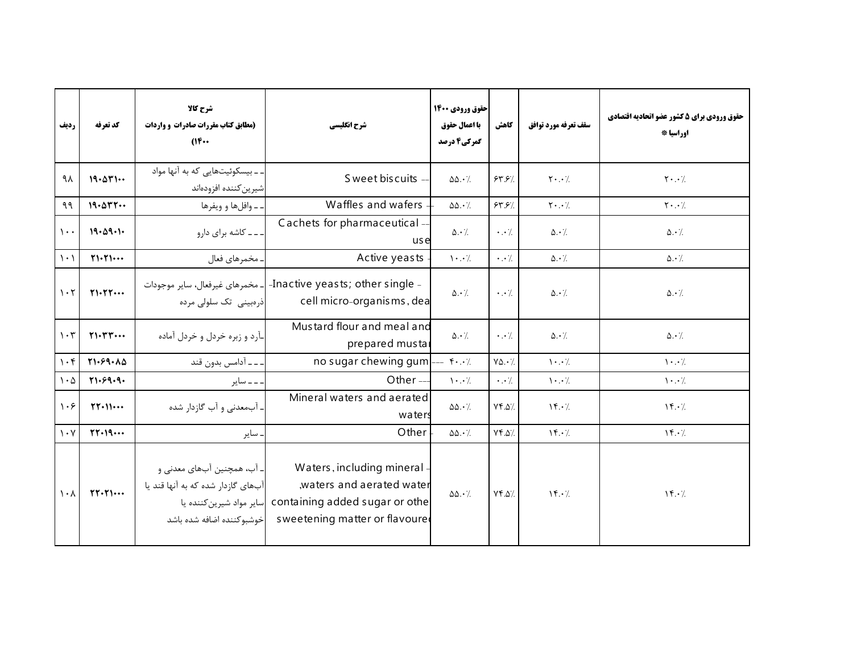| رديف                            | كد تعرفه                              | شرح كالا<br>(مطابق کتاب مقررات صادرات و واردات<br>$(16 \cdots$                                                            | شرح انگلیسی                                                                                                                | حقوق ورودي 1400<br>با اعمال حقوق<br>گمرکی4 درصد | كاهش                   | سقف تعرفه مورد توافق                  | حقوق ورودي براي 5 كشور عضو اتحاديه اقتصادي<br>اوراسيا * |
|---------------------------------|---------------------------------------|---------------------------------------------------------------------------------------------------------------------------|----------------------------------------------------------------------------------------------------------------------------|-------------------------------------------------|------------------------|---------------------------------------|---------------------------------------------------------|
| ۹λ                              | 19.011                                | ۔۔بیسکوئیتھایی که به آنها مواد<br>شيرين كننده افزودهاند                                                                   | S weet biscuits -                                                                                                          | $\Delta\Delta \cdot \frac{1}{2}$                | 54.57                  | $\mathbf{Y} \cdot \cdot \mathbf{Z}$   | $\mathbf{Y} \cdot \cdot \mathbf{Z}$                     |
| ۹۹                              | 19.077                                | ۔ وافلها و ویفرها                                                                                                         | Waffles and wafers                                                                                                         | $\Delta\Delta \cdot \gamma$                     | 54.57                  | $Y \cdot . \cdot$ /.                  | $\mathbf{Y} \cdot \cdot \mathbf{Z}$                     |
| $\mathcal{L}$ .                 | 19.09.1.                              | ۔۔۔ کاشه برای دارو                                                                                                        | Cachets for pharmaceutical -<br>use                                                                                        | $\Delta \cdot \gamma$                           | $\cdot \cdot \cdot$    | $\Delta \cdot \frac{1}{2}$            | $\Delta \cdot \gamma$                                   |
| $\setminus \cdot$               | $Y\rightarrow Y\rightarrow \cdots$    | . مخمرهای فعال                                                                                                            | Active yeasts                                                                                                              | $\cdot \cdot$ /                                 | $\cdot \cdot$ /        | $\Delta \cdot \gamma$                 | $\Delta \cdot \frac{1}{2}$                              |
| $\mathcal{L} \cdot \mathcal{L}$ | Y1.7Y                                 | ـ مخمرهای غیرفعال، سایر موجودات<br>ذرەبينى تک سلولى مردە                                                                  | -Inactive yeasts; other single -<br>cell micro-organisms, dea                                                              | $\Delta \cdot \frac{1}{2}$                      | $\cdot \cdot \cdot$ /. | $\Delta \cdot \frac{1}{2}$            | $\Delta \cdot \frac{1}{2}$                              |
| $\mathcal{U} \cdot \mathcal{V}$ | $Y\cdot YY\cdots$                     | ـآرد و زبره خردل و خردل آماده                                                                                             | Mustard flour and meal and<br>prepared mustal                                                                              | $\Delta \cdot \frac{1}{2}$                      | $\cdot \cdot \cdot$    | $\Delta \cdot \frac{1}{2}$            | $\Delta \cdot \gamma$                                   |
| $\mathcal{U} \cdot \mathcal{F}$ | Y1.59.10                              | ۔۔ آدامس بدون قند                                                                                                         | no sugar chewing gum $\left[-5.6\right]$                                                                                   |                                                 | $Y\Delta.7$            | $\cdot \cdot$ /                       | $\cdot \cdot$ /                                         |
| $\mathcal{N} \cdot \mathcal{O}$ | Y1.59.9.                              | ۔۔ سایر                                                                                                                   | Other $-$                                                                                                                  | $\cdot \cdot$ /                                 | $\cdot \cdot$ /        | $\mathcal{N} \cdot \cdot \mathcal{N}$ | $\mathcal{N} \cdot \cdot \mathcal{N}$                   |
| $\cdot$ ۶                       | $\Upsilon\Upsilon\cdot\Upsilon\cdots$ | آبمعدنی و آب گازدار شده                                                                                                   | Mineral waters and aerated<br>waters                                                                                       | $\Delta\Delta\cdot\%$                           | $YF.\Delta$            | $\mathcal{N} \cdot \mathcal{L}$       | $\mathcal{N} \cdot \mathcal{L}$                         |
| $\mathcal{N} \cdot \mathcal{N}$ | $YY-19$                               | ساير                                                                                                                      | Other                                                                                                                      | $\Delta\Delta \cdot \frac{1}{2}$                | $Yf.\Delta$            | $Y \cdot \ell$                        | $\mathcal{N} \cdot \mathcal{L}$                         |
| $\lambda \cdot \lambda$         | $\Upsilon\Upsilon\cdot\Upsilon\cdots$ | ـ آب، همچنین آبهای معدنی و<br>آبهای گازدار شده که به آنها قند یا<br>سایر مواد شیرین کننده یا<br>خوشبوكننده اضافه شده باشد | Waters, including mineral -<br>waters and aerated water<br>containing added sugar or othe<br>sweetening matter or flavoure | $\Delta\Delta \cdot /$                          | YY.A                   | $\mathcal{N} \cdot \mathcal{L}$       | $\mathcal{N} \cdot \mathcal{L}$                         |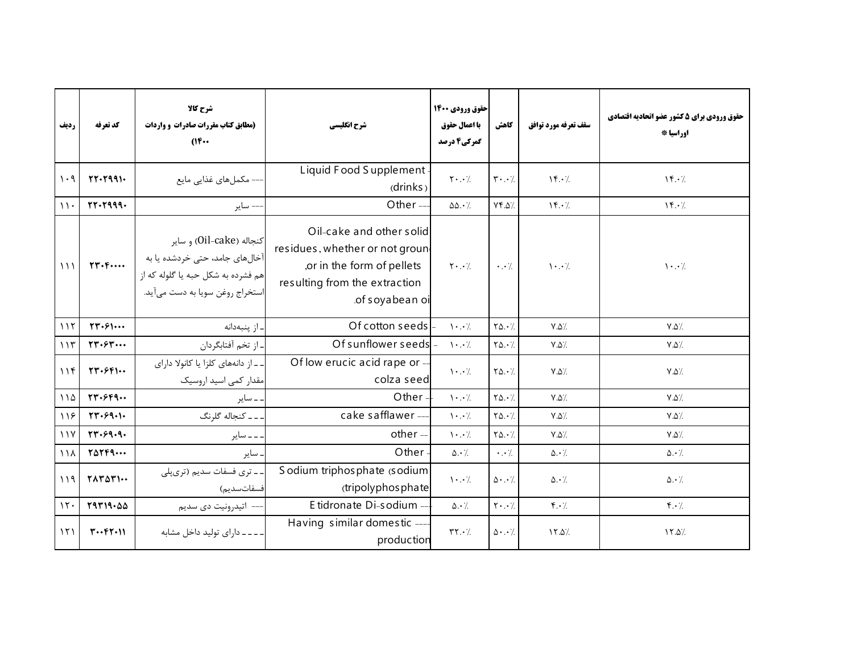| رديف          | كد تعرفه                                              | شرح كالا<br>(مطابق کتاب مقررات صادرات و واردات<br>$(16 \cdots$                                                                                                                              | شرح انگلیسی                                                                                                                                 | حقوق ورودي 1400<br>با اعمال حقوق<br>گمرکی4 درصد | كاهش                                | سقف تعرفه مورد توافق                                     | حقوق ورودي براي 5 كشور عضو اتحاديه اقتصادي<br>اوراسيا * |
|---------------|-------------------------------------------------------|---------------------------------------------------------------------------------------------------------------------------------------------------------------------------------------------|---------------------------------------------------------------------------------------------------------------------------------------------|-------------------------------------------------|-------------------------------------|----------------------------------------------------------|---------------------------------------------------------|
| $\cdot$ 9     | $TT - T991 -$                                         | – مکملهای غذایی مایع                                                                                                                                                                        | Liquid Food Supplement<br>drinks                                                                                                            | $\mathsf{Y} \cdot \cdot \cdot$ /                | $\mathbf{r} \cdot \cdot \mathbf{7}$ | $\left\langle \mathbf{F} \cdot \mathbf{A} \right\rangle$ | $\mathcal{N} \cdot \mathcal{L}$                         |
| $\mathcal{U}$ | $rr-1999-$                                            | -- ساير                                                                                                                                                                                     | Other-                                                                                                                                      | $\Delta\Delta \cdot \frac{1}{2}$                | YY.A                                | $Y \cdot \lambda$                                        | $\mathcal{N} \cdot \mathcal{L}$                         |
| 111           |                                                       | كنجاله (Oil-cake) و ساير<br><mark>آخالهای جامد، حتی خردشده یا به</mark> م<br>ی ریست یا به به به مسجد به ۲۳۰۴۰۰۰۰<br>هم فشرده به شکل حبه یا گلوله که از  <br>استخراج روغن سويا به دست مىآيد. | Oil-cake and other solid<br>residues, whether or not groun<br>,or in the form of pellets<br>resulting from the extraction<br>of soyabean oi | $Y \cdot . \cdot$                               | $\cdot \cdot \cdot$ /.              | $\cdot \cdot$ /                                          | $\cdot \cdot$ /                                         |
| 117           | $\Upsilon \Upsilon \cdot \varepsilon \cdots$          | - از ينبهدانه                                                                                                                                                                               | Of cotton seeds                                                                                                                             | $\cdot \cdot$ /                                 | $Y\Delta.7$                         | $V.\Delta'.$                                             | $V.\Delta$                                              |
| 115           | rr.5r                                                 | ـ از تخم آفتابگردان                                                                                                                                                                         | Of sunflower seeds                                                                                                                          | $\cdots$                                        | $Y\Delta.7$                         | $Y.\Delta'.$                                             | $V.\Delta'.$                                            |
| 118           | $\Upsilon \Upsilon \cdot \varepsilon \Upsilon \cdots$ | ـ ـ از دانههای کلزا یا کانولا دارای<br>مقدار کمی اسید اروسیک                                                                                                                                | Of low erucic acid rape or -<br>colza seed                                                                                                  | $\cdot \cdot$ /                                 | $Y\Delta. \cdot \gamma$             | $V.\Delta'.$                                             | $V.\Delta'.$                                            |
| 110           | rr.5F9                                                | ۔ سایر                                                                                                                                                                                      | Other-                                                                                                                                      | $\mathcal{N} \cdot \cdot \mathcal{N}$           | $Y\Delta.7$                         | $Y.\Delta'.$                                             | $V.\Delta'$                                             |
| 198           | 57.59.1.                                              | ۔۔ کنجاله گلرنگ                                                                                                                                                                             | cake safflawer ---                                                                                                                          | $\cdot \cdot$ /                                 | $Y\Delta.7$                         | $V.\Delta'.$                                             | $V.\Delta'$                                             |
| 11Y           | 57.59.9.                                              | ۔۔ سایر                                                                                                                                                                                     | other-                                                                                                                                      | $\cdot \cdot$ /                                 | $Y\Delta.7$                         | $V.\Delta'.$                                             | $V.\Delta'.$                                            |
| $\bigwedge$   | $Y\Delta Y P 9 \cdots$                                | . ساير                                                                                                                                                                                      | Other-                                                                                                                                      | $\Delta \cdot \gamma$                           | $\cdot \cdot \cdot$                 | $\Delta \cdot$ /                                         | $\Delta \cdot \gamma$                                   |
| 119           | YAYAY                                                 | ۔ ـ تری فسفات سدیم (تریپلی<br>فسفاتسديم)                                                                                                                                                    | S odium triphos phate (s odium<br>(tripolyphos phate                                                                                        | $\cdot \cdot$ /                                 | $\Delta \cdot . \cdot \rangle$      | $\Delta \cdot \frac{1}{2}$                               | $\Delta \cdot \frac{1}{2}$                              |
| 15.           | 79719.00                                              | –– اتيدرونيت دى سديم                                                                                                                                                                        | E tidronate Di-sodium -                                                                                                                     | $\Delta \cdot \gamma$                           | $\mathbf{Y} \cdot \cdot \cdot$      | $\mathfrak{r} \cdot \mathfrak{c}$                        | $f \cdot \gamma$                                        |
| 151           | $T \cdot \cdot f \cdot \cdot \cdot$                   | - - - - دارای تولید داخل مشابه                                                                                                                                                              | Having similar domestic --<br>production                                                                                                    | $\mathsf{r}\mathsf{r}\cdot\mathsf{A}$           | $\Delta \cdot \cdot \cdot$          | 17.0                                                     | 17.0                                                    |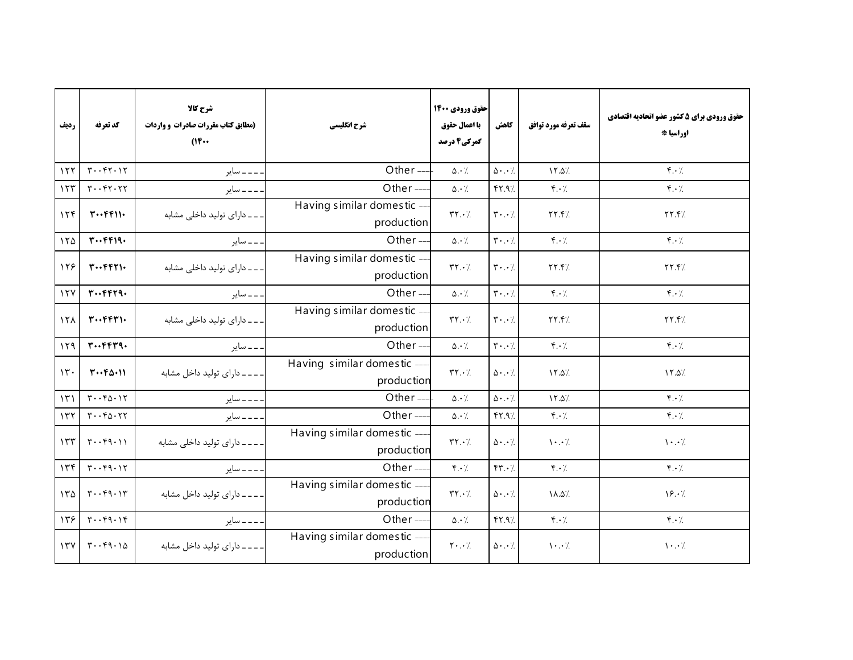| رديف            | كد تعرفه                           | شرح كالا<br>(مطابق کتاب مقررات صادرات و واردات<br>(164) | شرح انگلیسی                               | حقوق ورودي 1400<br>با اعمال حقوق<br>گمرکی4 درصد | كاهش                                | سقف تعرفه مورد توافق                  | حقوق ورودي براي 5 كشور عضو اتحاديه اقتصادي<br>اوراسيا * |
|-----------------|------------------------------------|---------------------------------------------------------|-------------------------------------------|-------------------------------------------------|-------------------------------------|---------------------------------------|---------------------------------------------------------|
| 155             | $T \cdot T \cdot T$                | ___ ساير                                                | Other-                                    | $\Delta \cdot \gamma$                           | $\Delta \cdot \cdot \cdot$ /        | $Y.\Delta$                            | $\mathfrak{f} \cdot \mathfrak{f}$                       |
| 155             | $r \cdot r \cdot r \cdot r$        | ۔۔۔ سایر                                                | Other-                                    | $\Delta \cdot$ /.                               | YY.9/                               | $f \cdot \gamma$                      | $f \cdot \gamma$                                        |
| 156             | $T \cdot \cdot F F$                | ۔۔۔ دارای تولید داخلی مشابه                             | Having similar domestic -<br>production   | $\mathbf{Y} \cdot \mathbf{A}$                   | $\mathbf{y} \cdot \cdot \mathbf{y}$ | YY.                                   | YY.Y                                                    |
| 150             | $T \cdot \cdot F F 19 \cdot$       | ۔۔ سایر                                                 | Other-                                    | $\Delta \cdot \gamma$                           | $\mathbf{Y} \cdot \cdot \cdot$      | $f \cdot \gamma$                      | $\mathfrak{f} \cdot \mathfrak{h}$                       |
| 128             | $T \cdot \cdot F F T$              | ۔۔۔ دارای تولید داخلی مشابه                             | Having similar domestic -<br>production   | $\mathbf{Y} \cdot \mathbf{Y}$                   | $\mathbf{r}\cdot\cdot\mathbf{A}$    | YY.                                   | YY.Y                                                    |
| 15Y             | $r \cdots r r r q.$                | ۔۔ سایر                                                 | Other $-$                                 | $\Delta \cdot \gamma$                           | $\mathbf{r}\cdot\cdot\cdot$ /       | $f \cdot \gamma$                      | $\mathfrak{f} \cdot \mathfrak{c}$                       |
| 15 <sub>A</sub> | $T \cdot \cdot F F T$              | ۔۔دارای تولید داخلی مشابه                               | Having similar domestic -<br>production   | $\mathbf{Y} \cdot \mathbf{Y}$                   | $\mathbf{y} \cdot \cdot \mathbf{y}$ | YY.                                   | YY.Y                                                    |
| 159             | $r \cdot r r r q.$                 | ۔۔ سایر                                                 | Other-                                    | $\Delta \cdot \gamma$                           | $\mathbf{r} \cdot \cdot \mathbf{7}$ | $f \cdot \gamma$                      | $f \cdot \gamma$                                        |
| $\mathcal{N}$ . | $T \cdot f \Delta \cdot U$         | - - - - دارای تولید داخل مشابه                          | Having similar domestic --<br>production  | $\mathbf{Y} \cdot \mathbf{A}$                   | $\Delta \cdot$ . $\cdot$ /          | 17.0/                                 | 15.0/                                                   |
| $\mathcal{N}$   | $T \cdot f_0 \cdot T$              | ___ ساير                                                | Other-                                    | $\Delta \cdot \gamma$                           | $\Delta \cdot$ . $\cdot$ /          | $Y.\Delta$                            | $f \cdot \gamma$                                        |
| 157             | $r \cdot r \Delta \cdot r \tau$    | ـ ـ ـ ـ ساير                                            | Other-                                    | $\Delta \cdot$ /                                | YY.9                                | $\mathfrak{f} \cdot \mathfrak{f}$     | $f \cdot \gamma$                                        |
| 157             | $T \cdot T$                        | ۔۔۔۔ دارای تولید داخلی مشابه                            | Having similar domestic ---<br>production | $\mathbf{Y} \cdot \mathbf{Y}$                   | $\Delta \cdot$ . $\cdot$ /          | $\mathcal{N} \cdot \cdot \mathcal{N}$ | $\cdot \cdot$ /.                                        |
| 176             | $T \cdot f9 \cdot 17$              | ۔۔۔ سایر                                                | Other-                                    | $f \cdot \gamma$                                | YY.7                                | $f \cdot \gamma$                      | $f.\cdot$ /.                                            |
| 150             | $\mathbf{r} \cdot \mathbf{r}$ 9.1  | ---- دارای تولید داخل مشابه                             | Having similar domestic --<br>production  | $\mathbf{Y} \cdot \mathbf{Y}$                   | $\Delta \cdot$ . $\cdot$ /          | $\Lambda \Delta L$                    | 19.7                                                    |
| 159             | $\mathbf{r} \cdot \mathbf{r}$ 9.14 | ۔۔۔ سایر                                                | Other-                                    | $\Delta \cdot$ /.                               | YY.9                                | $\mathfrak{f} \cdot \mathfrak{f}$     | $\mathfrak{f} \cdot \mathfrak{f}$                       |
| 17Y             | $T \cdot T$                        | ____ دارای تولید داخل مشابه                             | Having similar domestic ---<br>production | $\mathbf{Y} \cdot \cdot \mathbf{Y}$             | $\Delta \cdot$ . $\cdot$ /          | $\backslash\cdot\cdot/$               | $\cdot \cdot$ /.                                        |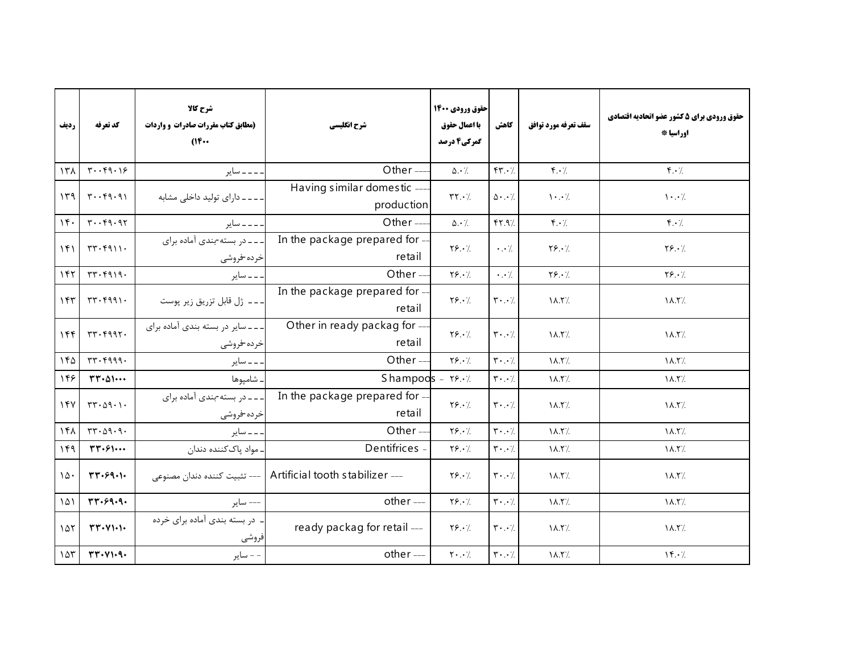| رديف                     | كد تعرفه                                       | شرح كالا<br>(مطابق کتاب مقررات صادرات و واردات<br>$(16 \cdots$ | شرح انگلیسی                                                    | حقوق ورودي 1400<br>با اعمال حقوق<br>گمرکی4 درصد | كاهش                                | سقف تعرفه مورد توافق | حقوق ورودي براي 5 كشور عضو اتحاديه اقتصادي<br>اوراسيا * |
|--------------------------|------------------------------------------------|----------------------------------------------------------------|----------------------------------------------------------------|-------------------------------------------------|-------------------------------------|----------------------|---------------------------------------------------------|
| 151                      | $\mathbf{r} \cdot \mathbf{r} \cdot \mathbf{r}$ | _ _ _ _ ساير                                                   | Other-                                                         | $\Delta \cdot \gamma$                           | FT.7                                | $f \cdot \gamma$     | $f \cdot \gamma$                                        |
| 149                      | $T \cdot f 9.91$                               | ۔۔۔۔ دارای تولید داخلی مشابه                                   | Having similar domestic --<br>production                       | $\mathbf{Y} \cdot \mathbf{A}$                   | $\Delta \cdot$ . $\cdot$ /.         | $\cdot \cdot$ /      | $\cdot \cdot$ /                                         |
| 14.                      | $r \cdot r q \cdot q r$                        | ____ ساير                                                      | Other-                                                         | $\Delta \cdot \gamma$                           | YY.9                                | $f \cdot \gamma$     | $f \cdot \gamma$                                        |
| 151                      | TT.7911.                                       | ---- در بسته-بندی آماده برای<br>خرده-فروشى                     | In the package prepared for -<br>retail                        | $Y\S. \cdot \frac{1}{2}$                        | $\cdot \cdot$ /                     | $Y\S. \cdot$ /       | $Y\S. \cdot$ /                                          |
| 157                      | TT.7919.                                       | ۔ ۔ ۔ سایر                                                     | Other-                                                         | Y5.7                                            | $\cdot \cdot$ /                     | $Y\S.$               | $Y\S.$                                                  |
| $ \gamma \gamma $        | rr.5991.                                       | ـ ـ ـ ـ ژل قابل تزريق زير پوست                                 | In the package prepared for -<br>retail                        | $Y\S. \cdot$                                    | $\mathbf{r} \cdot \cdot \mathbf{7}$ | $\lambda$ .۲/        | $\lambda$ .۲/                                           |
| 156                      | $rr.$ $r997.$                                  | - - - سایر در بسته بندی آماده برای<br>خرده-فروشى               | Other in ready packag for --<br>retail                         | $Y\S. \cdot$                                    | $\mathbf{r} \cdot \cdot \mathbf{1}$ | $\lambda$ .۲/        | $\lambda$ .۲/                                           |
| 140                      | $rr.$ $rqqq.$                                  | . ــ ــ ساير                                                   | Other-                                                         | Y5.7                                            | $\mathbf{Y} \cdot \cdot \cdot$      | $\lambda$            | $\lambda$ .۲/                                           |
| 148                      | $TT - \Delta 1 \cdots$                         | ـ شامپوها                                                      | Shampoos - $Y8.47$                                             |                                                 | $\mathbf{r} \cdot \cdot \mathbf{7}$ | $\lambda$ .۲/        | $\lambda$ .۲/                                           |
| 15Y                      | $TT - \Delta 9 - 1$                            | ___ در بسته-بندی آماده برای<br>خرده-فروشى                      | In the package prepared for -<br>retail                        | $Y\S. \cdot$                                    | $\mathbf{r} \cdot \cdot \mathbf{7}$ | $\lambda$ . T        | $\lambda$ .۲/                                           |
| 141                      | $rr \cdot \Delta q \cdot q$ .                  | ۔۔ سایر                                                        | Other-                                                         | Y5.7                                            | $\mathbf{r} \cdot \cdot \mathbf{7}$ | $\lambda$            | $\lambda$ . T/.                                         |
| 149                      | $\mathbf{r}\mathbf{r}\cdot\mathbf{s}\cdots$    | . مواد پاککننده دندان                                          | Dentifrices -                                                  | $Y\S. \cdot \gamma$                             | $\mathbf{r} \cdot \cdot \mathbf{7}$ | $\lambda$            | $\lambda$ .۲/                                           |
| $\lambda \Delta \cdot$   | $TT - 59 - 1$                                  |                                                                | --- Artificial tooth stabilizer   --- تثبيت كننده دندان مصنوعي | $Y\S. \cdot$                                    | $\mathbf{y} \cdot \cdot \mathbf{y}$ | $\lambda$ .۲/        | $\lambda$ .۲/                                           |
| $\lambda \Delta \lambda$ | rr.99.9.                                       | ––– ساير                                                       | other ---                                                      | Y5.7                                            | $\mathbf{r} \cdot \cdot \mathbf{7}$ | $\lambda$            | $\lambda$ .۲/                                           |
| 10 <sub>1</sub>          | $\Upsilon\Upsilon\cdot V\Upsilon\cdot V$       | ـ در بسته بندی آماده برای خرده<br>فروشى                        | ready packag for retail ---                                    | $Y$ ۶.۰/                                        | $\mathbf{r} \cdot \cdot \mathbf{7}$ | $\lambda$ .۲/        | $\lambda$ .۲/                                           |
| 105                      | rr. V1.9.                                      | - - ساير                                                       | other ---                                                      | $\mathbf{Y} \cdot \cdot \cdot$ /                | $\mathbf{r} \cdot \cdot \mathbf{A}$ | $\lambda$ .۲/        | $\mathcal{N} \cdot \mathcal{L}$                         |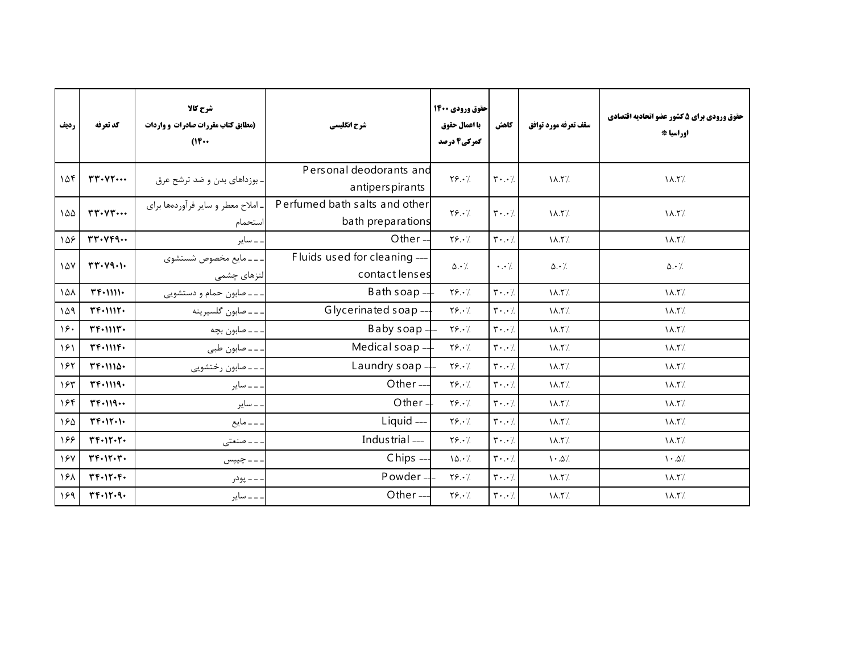| رديف | كد تعرفه                                   | شرح كالا<br>(مطابق کتاب مقررات صادرات و واردات<br>$(16 \cdots$ | شرح انگلیسی                                        | احقوق ورودي 1400<br>با اعمال حقوق<br>گمرکی4 درصد | كاهش                                | سقف تعرفه مورد توافق            | حقوق ورودي براي 5 كشور عضو اتحاديه اقتصادي<br>اوراسيا * |
|------|--------------------------------------------|----------------------------------------------------------------|----------------------------------------------------|--------------------------------------------------|-------------------------------------|---------------------------------|---------------------------------------------------------|
| ۱۵۴  | rr. V                                      | . بوزداهای بدن و ضد ترشح عرق                                   | Personal deodorants and<br>antiperspirants         | $Y\S. \cdot$                                     | $\mathbf{r} \cdot \cdot \mathbf{y}$ | $\Lambda$ .۲/                   | $\Lambda$ .۲/                                           |
| ۱۵۵  | $rr\cdot \vee r\cdots$                     | ـ املاح معطر و ساير فرآوردهها براي<br>استحمام                  | Perfumed bath salts and other<br>bath preparations | $Y\S. \cdot$                                     | $\mathbf{r} \cdot \cdot \mathbf{y}$ | $\lambda$ . $\zeta$             | $\lambda$ .۲/                                           |
| ١۵۶  | rr. VFA                                    | ۔ سایر                                                         | Other $-$                                          | $Y\S.$                                           | $\mathbf{r} \cdot \cdot \mathbf{7}$ | $\lambda$ .۲/                   | $\Lambda$ .۲/                                           |
| 147  | rr. V9.                                    | . ـ ـ مايع مخصوص شستشوى<br>لنزهای چشمی                         | Fluids used for cleaning ---<br>contact lenses     | $\Delta \cdot \frac{1}{2}$                       | $\cdot \cdot \cdot$ /.              | $\Delta \cdot \gamma$           | $\Delta \cdot \gamma$                                   |
| 101  | $TFT+1111$                                 | ـ ـ ـ صابون حمام و دستشويي                                     | Bath soap $-$                                      | Y5.7                                             | $\mathbf{r} \cdot \cdot \mathbf{7}$ | $\Lambda$ .۲/                   | $\Lambda$ . Y/.                                         |
| ۱۵۹  | $TFT+111T+$                                | ـ ـ ـ صابون گلسيرينه                                           | Glycerinated soap ---                              | $Y$ ۶.۰/                                         | $\mathbf{r} \cdot \cdot \mathbf{7}$ | $\lambda$ .۲/                   | $\lambda$ .۲/                                           |
| 19.  | $Tf$ . $111f$ .                            | . ــ ــ صابون بچه                                              | Baby soap-                                         | $Y\S. \cdot$                                     | $\mathbf{r} \cdot \cdot \mathbf{7}$ | $\lambda$ .۲/                   | $\Lambda$ .۲/                                           |
| ۱۶۱  | $T F \cdot 111 F \cdot$                    | ـ ـ ـ صابون طبي                                                | Medical soap-                                      | Y5.7                                             | $\mathbf{r} \cdot \cdot \mathbf{v}$ | $\lambda$ .۲/                   | $\Lambda$ .۲/                                           |
| ۱۶۲  | $Tf+111\Delta$                             | ۔۔۔ صابون رختشویی                                              | Laundry soap -                                     | $Y\S. \cdot /$                                   | $\mathbf{r} \cdot \cdot \mathbf{7}$ | $\lambda$ .۲/                   | $\lambda$ . $\lambda$ .                                 |
| ۱۶۳  | $TFT-1119-$                                | . _ _ ساير                                                     | Other $-$                                          | $Y$ $9.1$                                        | $\mathbf{r} \cdot \cdot \mathbf{y}$ | $\lambda$ .۲/                   | $\lambda$ . T/.                                         |
| 184  | $TF+119$                                   | ۔ سایر                                                         | Other-                                             | $Y\Sigma \cdot \frac{1}{2}$                      | $\mathbf{r} \cdot \cdot \mathbf{v}$ | $\Lambda$ .۲/                   | $\Lambda$ .۲/                                           |
| ١۶۵  | $\Upsilon F \cdot \Upsilon \cdot \Upsilon$ | ۔۔۔ مایع                                                       | Liquid ---                                         | $Y\S. \cdot \gamma$                              | $\mathbf{r} \cdot \cdot \mathbf{7}$ | $\lambda$ .۲/                   | $\lambda$ .۲/                                           |
| 188  | $YF\cdot Y\cdot Y\cdot$                    | - - صنعتی                                                      | Industrial ---                                     | $Y\S. \cdot \gamma$                              | $\mathbf{r} \cdot \cdot \mathbf{y}$ | $\lambda$ .۲/                   | $\lambda$ . T/.                                         |
| 187  | $YF\cdot Y\cdot Y\cdot$                    | ۔۔ چیپس                                                        | $Chips -$                                          | 10.7                                             | $\mathbf{r} \cdot \cdot \mathbf{v}$ | $\mathcal{N} \cdot \mathcal{N}$ | $\cdot \Delta$ /                                        |
| ١۶٨  | $YF\cdot Y\cdot F\cdot$                    | ـ ـ ـ ـ پودر                                                   | Powder-                                            | Y5.7                                             | $\mathbf{r} \cdot \cdot \mathbf{7}$ | $\lambda$ .۲/                   | $\Lambda$ .۲/                                           |
| 159  | $T F \cdot 1 T \cdot 9 \cdot$              | . ــ ـ ساير                                                    | Other-                                             | $Y$ ۶. $\cdot$ /                                 | $\mathbf{y} \cdot \cdot \mathbf{y}$ | $\lambda$ .۲/                   | $\Lambda$ .۲/                                           |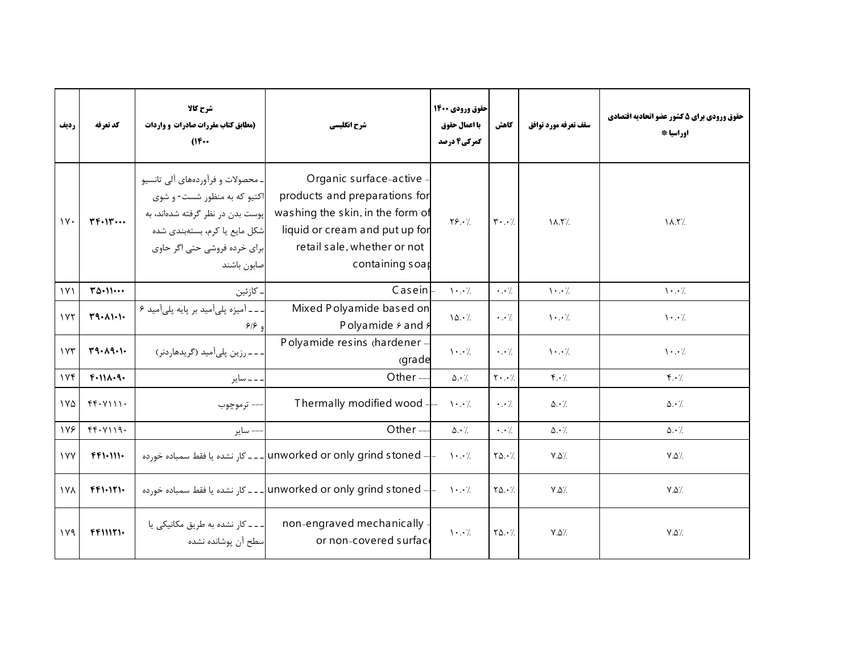| رديف          | كد تعرفه                     | شرح کالا<br>(مطابق کتاب مقررات صادرات و واردات<br>$^{\prime\prime\prime\cdot\cdot}$                                                                                                   | شرح انگلیسی                                                                                                                                                                     | حقوق ورودي 1400<br>با اعمال حقوق<br>گمرکی4 درصد | كاهش                                      | سقف تعرفه مورد توافق                  | حقوق ورودي براي 5 كشور عضو اتحاديه اقتصادي<br>اوراسيا * |
|---------------|------------------------------|---------------------------------------------------------------------------------------------------------------------------------------------------------------------------------------|---------------------------------------------------------------------------------------------------------------------------------------------------------------------------------|-------------------------------------------------|-------------------------------------------|---------------------------------------|---------------------------------------------------------|
| $\mathcal{W}$ | $YF\cdot Y\cdot \cdot \cdot$ | ـ محصولات و فرآوردههای آلی تانسیو<br>اکتیو که به منظور شست- و شوی<br>پوست بدن در نظر گرفته شدهاند، به<br>شکل مایع یا کرم، بستهبندی شده<br>برای خرده فروشی حتی اگر حاوی<br>صابون باشند | Organic surface-active<br>products and preparations for<br>washing the skin, in the form of<br>liquid or cream and put up for<br>retail sale, whether or not<br>containing soar | $Y\S.$                                          | $\mathbf{Y} \cdot \cdot \mathbf{Z}$       | $\lambda$ .۲/                         | $\lambda$ .۲/                                           |
| $\gamma$      | $T\Delta \cdot 11 \cdots$    | . كازئين                                                                                                                                                                              | Casein                                                                                                                                                                          | $\cdot \cdot$ /                                 | $\cdot \cdot \cdot$                       | $\mathcal{N} \cdot \cdot \mathcal{N}$ | $\mathcal{N} \cdot \cdot \mathcal{N}$                   |
| 1YY           | T9.111                       | - - آمیزه پلیآمید بر پایه پلیآمید ۶<br>و ۶۱۶                                                                                                                                          | Mixed Polyamide based on<br>Polyamide $\frac{1}{2}$ and $\frac{1}{2}$                                                                                                           | 10.7                                            | $\cdot \cdot \cdot$                       | $\cdot \cdot$ /                       | $\cdot \cdot$ /                                         |
| 1YY           | T9.19.1                      | - - - رزين پلي آميد (گريدهاردنر)                                                                                                                                                      | Polyamide resins (hardener -<br>(grade                                                                                                                                          | $\mathcal{N} \cdot \cdot \mathcal{N}$           | $\cdot$ . $\cdot$ /                       | $\cdot \cdot$ /                       | $\mathcal{N} \cdot \cdot \mathcal{N}$                   |
| 116           | F.111.9.                     | ۔۔ سایر                                                                                                                                                                               | Other-                                                                                                                                                                          | $\Delta \cdot \frac{1}{2}$                      | $\mathbf{Y} \cdot \cdot \cdot \mathbf{Z}$ | $f \cdot \gamma$                      | $f \cdot \gamma$                                        |
| ١٧۵           | $f(f \cdot Y)$               | — ترموچوب                                                                                                                                                                             | Thermally modified wood --                                                                                                                                                      | $\mathcal{N}$                                   | $\cdot \cdot$ /.                          | $\Delta \cdot \gamma$                 | $\Delta \cdot \frac{1}{2}$                              |
| 178           | FF. Y119.                    | –– ساير                                                                                                                                                                               | Other $-$                                                                                                                                                                       | $\Delta \cdot \angle$                           | $\cdot \cdot \cdot$                       | $\Delta \cdot \gamma$                 | $\Delta \cdot \frac{1}{2}$                              |
| <b>IVY</b>    | $FFT+111+$                   |                                                                                                                                                                                       | - unworked or only grind stoned   ـ ـ ـ كار نشده يا فقط سمباده خورده                                                                                                            | $\mathcal{N}$                                   | $Y\Delta.\cdot$                           | $\mathsf{Y}.\mathsf{Q} \mathsf{Z}$    | $Y.\Delta'.$                                            |
| <b>IVA</b>    | FF1.171.                     |                                                                                                                                                                                       | ا ـ ـ كار نشده يا فقط سمباده خورده unworked or only grind stoned --- كار نشده يا فقط سمباده خورده                                                                               |                                                 | $Y\Delta.$                                | $V.\Delta'.$                          | $V.\Delta$                                              |
| 119           | $F$ $F$ $N$ $T$ $\cdot$      | ۔۔۔ کار نشدہ به طریق مکانیکی یا<br>سطح آن يوشانده نشده                                                                                                                                | non-engraved mechanically<br>or non-covered surface                                                                                                                             | $\cdot \cdot$ /                                 | $Y\Delta. \cdot \gamma$                   | $V.\Delta'.$                          | $Y.\Delta$                                              |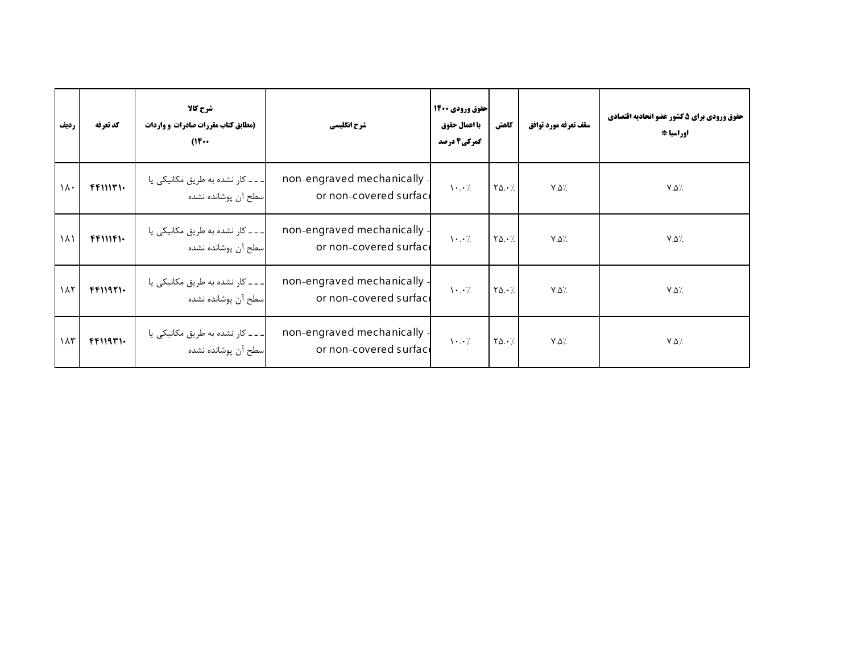| رديف               | كد تعرفه                | شرح کالا<br>(مطابق کتاب مقررات صادرات و واردات<br>$(16 \cdots$ | شرح انگلیسی                                         | حقوق ورودي 1400<br>با اعمال حقوق<br>گمرکی4 درصد | كاهش                                       | سقف تعرفه مورد توافق      | حقوق ورودي براي 5 كشور عضو اتحاديه اقتصادي<br>اوراسيا * |
|--------------------|-------------------------|----------------------------------------------------------------|-----------------------------------------------------|-------------------------------------------------|--------------------------------------------|---------------------------|---------------------------------------------------------|
| $\lambda \cdot$    | $F$ $F$ $N$ $T$ $\cdot$ | _ _ _ كار نشده به طريق مكانيكي يا<br>اسطح آن پوشانده نشده      | non-engraved mechanically<br>or non-covered surface | $\cdot \cdot$ /                                 | $\mathbf{Y}\mathbf{\Delta}\cdot\mathbf{Z}$ | $V.\Delta$                | $\lor \Diamond \rangle$                                 |
| ۱۸۱                | FFDIP                   | ___ کار نشده به طریق مکانیکی یا<br>اسطح آن پوشانده نشده        | non-engraved mechanically<br>or non-covered surface | $\cdot \cdot$ /                                 | $Y\Delta \cdot \frac{1}{2}$                | $V.\Delta$                | $\lor \Diamond \rangle$                                 |
| $\lambda$          | FFT1971.                | ___ کار نشده به طریق مکانیکی یا<br>اسطح آن پوشانده نشده        | non-engraved mechanically<br>or non-covered surface | $\cdot \cdot$ /                                 | $Y\Delta \cdot \frac{1}{2}$                | $V.\Delta$                | $\lor \Diamond \rangle$                                 |
| $\lambda \uparrow$ | FFT19T1.                | _ _ _ كار نشده به طريق مكانيكي يا<br>سطح آن پوشانده نشده       | non-engraved mechanically<br>or non-covered surface | $\cdot \cdot$ /                                 | $\mathbf{Y}\mathbf{\Delta}\cdot\mathbf{Z}$ | $\mathsf{Y}.\mathsf{Q}$ / | $\lor \Diamond \rangle$                                 |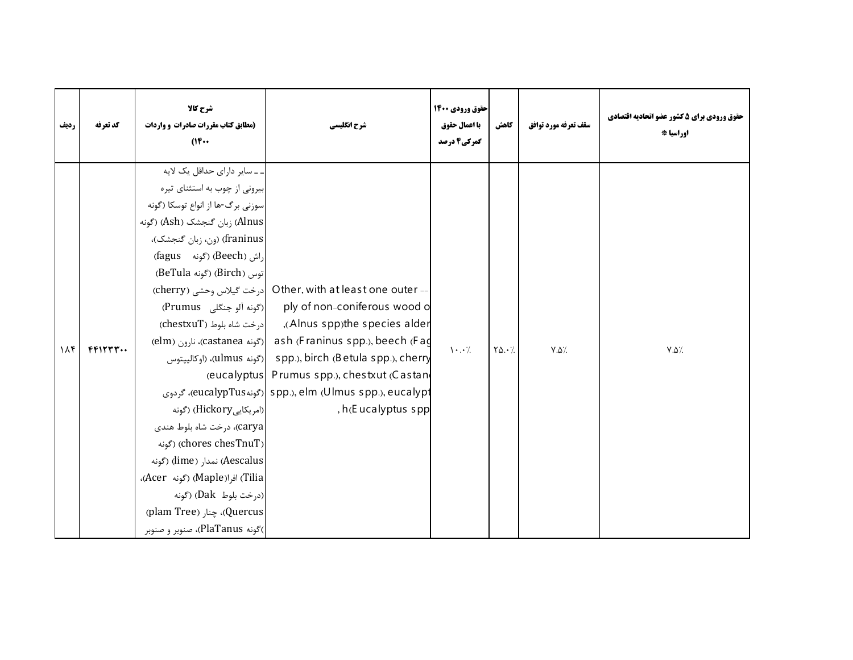| رديف | كد تعرفه | شرح كالا<br>(مطابق کتاب مقررات صادرات و واردات<br>$(16 \cdots$                                                                                                                                                                                                                                                                                                                                                                                                         | شرح انگلیسی                                                                                                                                                                                                                                                                                                                                                                                                                    | حقوق ورودي ۱۴۰۰<br>با اعمال حقوق<br>گمرکی4 درصد | كاهش        | سقف تعرفه مورد توافق | حقوق ورودی برای ۵ کشور عضو اتحادیه اقتصادی<br>اوراسيا * |
|------|----------|------------------------------------------------------------------------------------------------------------------------------------------------------------------------------------------------------------------------------------------------------------------------------------------------------------------------------------------------------------------------------------------------------------------------------------------------------------------------|--------------------------------------------------------------------------------------------------------------------------------------------------------------------------------------------------------------------------------------------------------------------------------------------------------------------------------------------------------------------------------------------------------------------------------|-------------------------------------------------|-------------|----------------------|---------------------------------------------------------|
| 11f  | FFTTT    | ۔۔سایر دارای حداقل یک لایه<br>بیرونی از چوب به استثنای تیره<br>سوزنی برگ-ها از انواع توسکا (گونه<br>Alnus) زبان گنجشک (Åsh) (گونه<br>franinus) (ون، زبان گنجشک)،<br>(fagus (گونه) (Beech)<br>(Birch) (گونه BeTula)<br>(امریکایی Hickory) (گونه<br>carya)، درخت شاه بلوط هندی<br>(Chores chesTnuT) (گونه<br>(Aescalus) نمدار (lime) (گونه<br>(Tilia) افرا(Maple) (گونه Acer)،<br>(درخت بلوط Dak) (گونه<br>(Quercus)، چنار (plam Tree)<br>)گونه PlaTanus)، صنوبر و صنوبر | Other, with at least one outer  درخت گیلاس وحشی (cherry)<br>ply of non-coniferous wood o  (گونه آلو جنگلی)<br>(Alnus spp)the species alder), وادرخت شاه بلوط (chestxuT)<br>elm) (Castanea  رګونه (Franinus spp.), beech (Fa<br>ulmus   رګونه (ulmus   رګونه (ulmus   رګونه (ulmus )، (اوکالییتوس<br>(eucalyptus Prumus spp.), chestxut (Castan<br>eucalypTus) spp.), elm (Ulmus spp.), eucalypt)، گردوی<br>, h(E ucalyptus spp | $\mathcal{N}$ . $\mathcal{N}$                   | $Y\Delta.7$ | $V.\Delta$ %         | $Y.\Delta'.$                                            |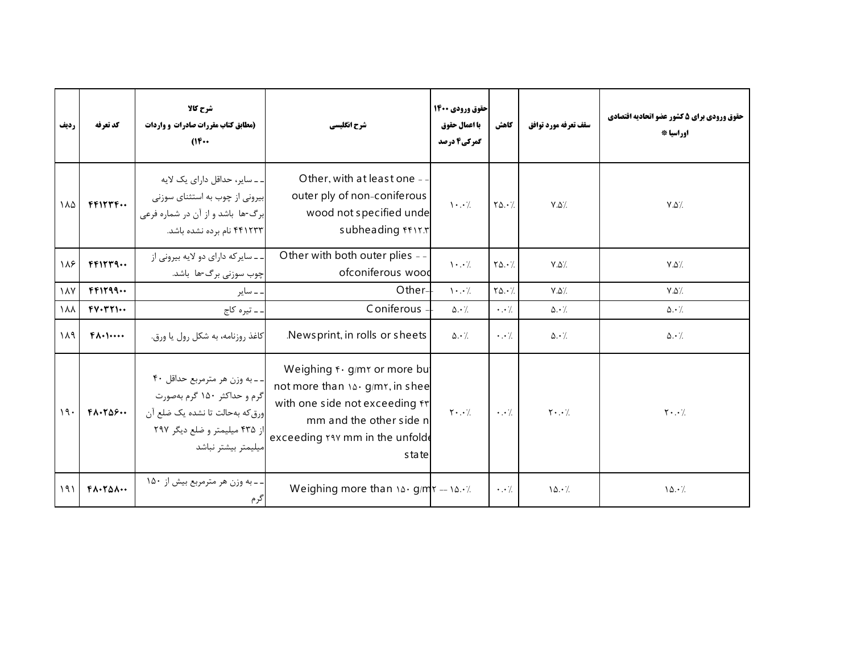| رديف | كد تعرفه                      | شرح کالا<br>(مطابق کتاب مقررات صادرات و واردات<br>$(16 \cdots$                                                                                          | شرح انگلیسی                                                                                                                                                             | احقوق ورودي 1400<br>با اعمال حقوق<br>گمرکی4 درصد | كاهش                  | سقف تعرفه مورد توافق  | حقوق ورودي براي 5 كشور عضو اتحاديه اقتصادي<br>اوراسيا * |
|------|-------------------------------|---------------------------------------------------------------------------------------------------------------------------------------------------------|-------------------------------------------------------------------------------------------------------------------------------------------------------------------------|--------------------------------------------------|-----------------------|-----------------------|---------------------------------------------------------|
| ١٨۵  | FFTYF                         | ۔۔سایر، حداقل دارای یک لایه<br>بیرونی از چوب به استثنای سوزنی<br>برگ-ها باشد و از آن در شماره فرعی<br>۴۴۱۲۳۳ نام برده نشده باشد.                        | Other, with at least one -<br>outer ply of non-coniferous<br>wood not specified unde<br>subheading frir.r                                                               | $\cdot \cdot$ /                                  | $Y\Delta.7$           | $V.\Delta'.$          | $V.\Delta'.$                                            |
| ١٨۶  | FFTYT9                        | ۔۔ سایر که دارای دو لایه بیرونی از<br>چوب سوزنی برگ-ها باشد.                                                                                            | Other with both outer plies --<br>ofconiferous wood                                                                                                                     | $\mathcal{N} \cdot \cdot \mathcal{N}$            | $Y\Delta.7$           | $Y.\Delta'.$          | $V.\Delta$                                              |
| ۱۸۷  | FFT199                        | ۔ سایر                                                                                                                                                  | Other-                                                                                                                                                                  | $\mathcal{N} \cdot \cdot \mathcal{N}$            | $Y\Delta.7$           | $Y.\Delta'.$          | $V.\Delta'.$                                            |
| ١٨٨  | $FY\cdot rY\cdot\cdot$        | . ــ تيره كاج                                                                                                                                           | Coniferous                                                                                                                                                              | $\Delta \cdot$ /                                 | $\cdot \cdot \cdot$   | $\Delta \cdot$ /      | $\Delta \cdot \frac{1}{2}$                              |
| ١٨٩  | $f(\lambda)$                  | كاغذ روزنامه، به شكل رول يا ورق.                                                                                                                        | Newsprint, in rolls or sheets                                                                                                                                           | $\Delta \cdot \gamma$                            | $\cdot \cdot$ /       | $\Delta \cdot \gamma$ | $\Delta \cdot \gamma$ .                                 |
| 19.  | $F\Lambda$ . $T\Delta F$      | -- به وزن هر مترمربع حداقل ۴۰<br>گرم و حداکثر ۱۵۰ گرم بهصورت<br>ورق كه بهحالت تا نشده يك ضلع آن<br>از ۴۳۵ میلیمتر و ضلع دیگر ۲۹۷<br>بيليمتر بيشتر نباشد | Weighing f · g/mr or more bu<br>not more than 14. g/mr, in shee<br>with one side not exceeding fr<br>mm and the other side n<br>exceeding rav mm in the unfold<br>state | $Y \cdot \cdot$ /                                | $\cdot \cdot \cdot$ / | $Y \cdot \cdot /$     | $\mathbf{Y} \cdot \cdot \cdot$ /                        |
| 191  | $F\Lambda$ . $T\Delta\Lambda$ | ـ ـ به وزن هر مترمربع بيش از ۱۵۰<br>گرم                                                                                                                 | Weighing more than $10 \cdot g/m = 10 \cdot 7$                                                                                                                          |                                                  | $\cdot$ . $\cdot$ /.  | 10.7                  | 10.7                                                    |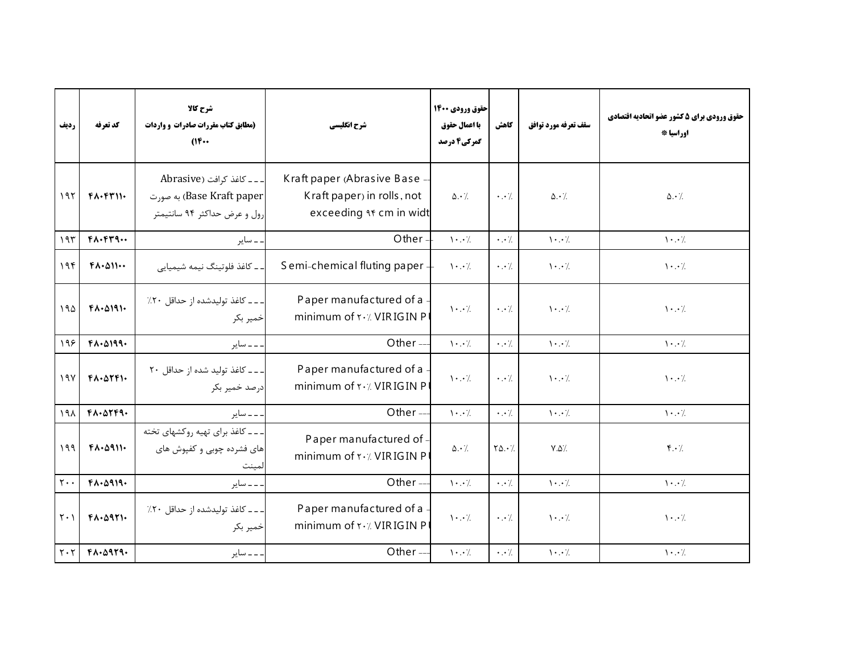| رديف                          | كد تعرفه                            | شرح كالا<br>(مطابق کتاب مقررات صادرات و واردات<br>$(16 \cdots$                        | شرح انگلیسی                                                                                  | حقوق ورودي 1400<br>با اعمال حقوق<br>گمرکی4 درصد | كاهش                   | سقف تعرفه مورد توافق                  | حقوق ورودي براي 5 كشور عضو اتحاديه اقتصادي<br>اوراسيا * |
|-------------------------------|-------------------------------------|---------------------------------------------------------------------------------------|----------------------------------------------------------------------------------------------|-------------------------------------------------|------------------------|---------------------------------------|---------------------------------------------------------|
| 197                           | $F\Lambda$ . $F\Upsilon$ $\Upsilon$ | ___ كاغذ كرافت (Abrasive<br>Base Kraft paper) به صورت<br>رول و عرض حداکثر ۹۴ سانتیمتر | Kraft paper (Abrasive Base -<br>Kraft paper) in rolls, not<br>exceeding <i>af</i> cm in widt | $\Delta \cdot \frac{1}{2}$                      | $\cdot \cdot \cdot$ /. | $\Delta \cdot \gamma$                 | $\Delta \cdot \frac{1}{2}$                              |
| 195                           | $F\Lambda$ . $F\Upsilon$ q          | ۔ سایر                                                                                | Other-                                                                                       | $\mathcal{N} \cdot \mathcal{N}$                 | $\cdot \cdot \cdot$    | $\mathcal{N} \cdot \cdot \mathcal{N}$ | $\mathcal{N}$ . $\mathcal{N}$                           |
| 19f                           | $F\Lambda$ . $\Delta$ 11            | ۔ کاغذ فلوتینگ نیمه شیمیایی                                                           | Semi-chemical fluting paper -                                                                | $\cdot \cdot$ /                                 | $\cdot \cdot$ /.       | $\cdot \cdot$ /                       | $\cdot \cdot$ /                                         |
| 190                           | $FA-0191-$                          | . _ _ كاغذ توليدشده از حداقل ٢٠٪<br>خمير بكر                                          | Paper manufactured of a<br>minimum of $\mathsf{r} \cdot \mathsf{r}$ . VIRIGIN P              | $\cdot \cdot$ /                                 | $\cdot \cdot$ /        | $\cdot \cdot$ /                       | $\cdot \cdot$ /                                         |
| ۱۹۶                           | $F\Lambda$ . $\Delta$ 199.          | ۔ ۔ سایر                                                                              | Other-                                                                                       | $\mathcal{N} \cdot \cdot \mathcal{N}$           | $\cdot \cdot$ /.       | $\mathcal{N} \cdot \cdot \mathcal{N}$ | $\mathcal{N} \cdot \cdot \mathcal{N}$                   |
| 19V                           | $FA \cdot \Delta \Upsilon F$        | ۔۔۔ کاغذ تولید شدہ از حداقل ۲۰<br>درصد خمیر بکر                                       | Paper manufactured of a<br>minimum of <b>Y</b> . / VIRIGIN P                                 | $\mathcal{N} \cdot \cdot \mathcal{N}$           | $\cdot \cdot$ /        | $\cdot \cdot$ /                       | $\cdot \cdot$ /                                         |
| ۱۹۸                           | FA.07F9.                            | ۔۔ سایر                                                                               | Other-                                                                                       | $\mathcal{N} \cdot \cdot \mathcal{N}$           | $\cdot \cdot$ /        | $\mathcal{N} \cdot \cdot \mathcal{N}$ | $\mathcal{N} \cdot \cdot \mathcal{N}$                   |
| ۱۹۹                           | $FA - \Delta 911 -$                 | ۔۔۔ کاغذ برای تھیه روکشهای تخته<br>های فشرده چوبی و کفپوش های                         | Paper manufactured of -<br>minimum of <b>Y</b> . / VIRIGIN P                                 | $\Delta \cdot \gamma$                           | $Y\Delta.7$            | $Y.\Delta'.$                          | $f \cdot \gamma$                                        |
| $\mathsf{r}\cdot\mathsf{.}$   | $F\Lambda$ . $\Delta$ 919.          | ۔۔ سایر                                                                               | Other-                                                                                       | $\mathcal{N} \cdot \mathcal{N}$                 | $\cdot \cdot \cdot$    | $\mathcal{N} \cdot \cdot \mathcal{N}$ | $\mathcal{N} \cdot \cdot \mathcal{N}$                   |
| $\mathsf{r} \cdot \mathsf{l}$ | $F\Lambda$ . $\Delta$ 971.          | ـ ـ كاغذ توليدشده از حداقل ٢٠٪<br>خمير بكر                                            | Paper manufactured of a<br>minimum of <b>Y</b> . / VIRIGIN P                                 | $\cdot \cdot$ /                                 | $\cdot \cdot$ /.       | $\cdot \cdot$ /                       | $\cdot \cdot$ /                                         |
| $Y \cdot Y$                   | FA.0979.                            | . <i>ـ ـ س</i> اير                                                                    | Other-                                                                                       | $\cdot \cdot$ /                                 | $\cdot \cdot \cdot$    | $\cdot \cdot$ /                       | $\mathcal{N} \cdot \cdot \mathcal{N}$                   |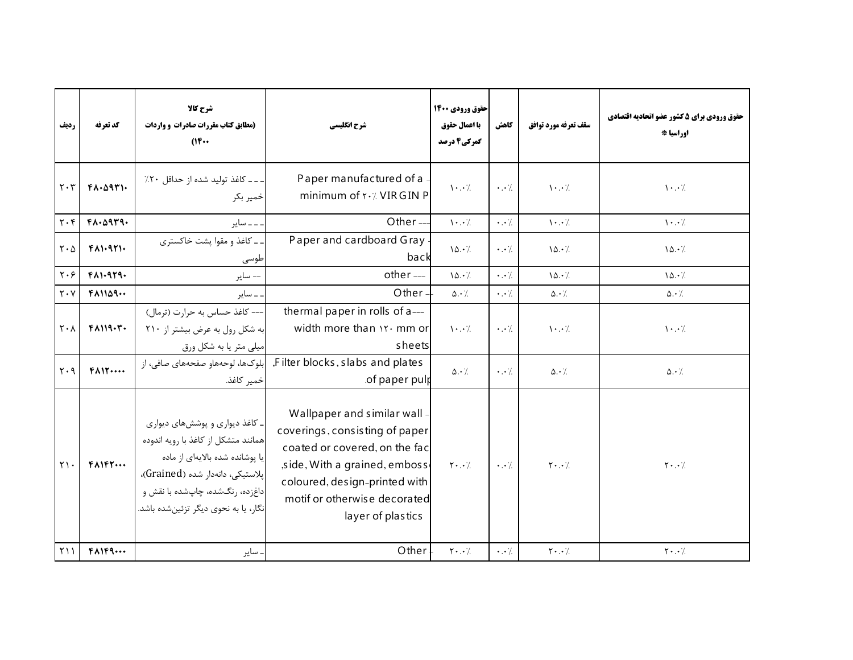| رديف                               | كد تعرفه                           | شرح کالا<br>(مطابق کتاب مقررات صادرات و واردات<br>(1)                                                                                                                                                                   | شرح انگلیسی                                                                                                                                                                                                           | حقوق ورودي 1400<br>با اعمال حقوق<br>گمرکی4 درصد | كاهش                 | سقف تعرفه مورد توافق                  | حقوق ورودي براي 5 كشور عضو اتحاديه اقتصادي<br>اوراسيا * |
|------------------------------------|------------------------------------|-------------------------------------------------------------------------------------------------------------------------------------------------------------------------------------------------------------------------|-----------------------------------------------------------------------------------------------------------------------------------------------------------------------------------------------------------------------|-------------------------------------------------|----------------------|---------------------------------------|---------------------------------------------------------|
| $\mathbf{Y} \cdot \mathbf{Y}$      | FA.09T1.                           | . ــ ــ كاغذ توليد شده از حداقل ٢٠٪<br>خمير بكر                                                                                                                                                                         | Paper manufactured of a<br>minimum of <b>Y</b> · / VIR GIN P                                                                                                                                                          | $\cdot \cdot$ /                                 | $\cdot \cdot$ /.     | $\cdot \cdot$ /                       | $\cdot \cdot$ /                                         |
| $\mathbf{y} \cdot \mathbf{r}$      | FA.0919.                           | ۔۔ سایر                                                                                                                                                                                                                 | Other-                                                                                                                                                                                                                | $\cdot \cdot$ /                                 | $\cdot \cdot$ /      | $\mathcal{N} \cdot \cdot \mathcal{N}$ | $\cdot \cdot$ /                                         |
| $\mathsf{r} \cdot \mathsf{\Delta}$ | $F\Lambda$ $\cdot$ 97 $\cdot$      | ۔ کاغذ و مقوا یشت خاکستری<br>طوسی                                                                                                                                                                                       | Paper and cardboard Gray<br>back                                                                                                                                                                                      | 10.7                                            | $\cdot \cdot$ /.     | 10.7                                  | 10.7                                                    |
| $\mathbf{y} \cdot \mathbf{y}$      | $F\Lambda$ 1.979.                  | -- ساير                                                                                                                                                                                                                 | other --                                                                                                                                                                                                              | 10.7                                            | $\cdot$ . $\cdot$ /. | 10.7                                  | 10.7                                                    |
| $\mathbf{y} \cdot \mathbf{y}$      | $F$ $\wedge$ $N$ $\wedge$ $\wedge$ | ۔ سایر                                                                                                                                                                                                                  | Other                                                                                                                                                                                                                 | $\Delta \cdot \gamma$                           | $\cdot$ . $\cdot$ /. | $\Delta \cdot$ /                      | $\Delta \cdot \gamma$                                   |
| $\mathbf{Y} \cdot \mathbf{V}$      | $F$ $\Lambda$ $119.7$ .            | --- كاغذ حساس به حرارت (ترمال)<br>به شکل رول به عرض بیشتر از ۲۱۰<br>میلی متر یا به شکل ورق                                                                                                                              | thermal paper in rolls of a---<br>width more than \r · mm or<br>sheets                                                                                                                                                | $\cdots$                                        | $\cdot \cdot$ /.     | $\cdot \cdot$ /                       | $\cdot \cdot$ /                                         |
| $\mathbf{y} \cdot \mathbf{q}$      | $F\Lambda$                         | إبلوكها، لوحههاو صفحههای صافی، از<br>خمير كاغذ.                                                                                                                                                                         | ,Filter blocks, slabs and plates<br>of paper pulp                                                                                                                                                                     | $\Delta \cdot \frac{1}{2}$                      | $\cdot \cdot$ /.     | $\Delta \cdot$ /.                     | $\Delta \cdot \gamma$                                   |
| $\gamma \cdot$                     | $F\Lambda$                         | ـ کاغذ دیواری و پوششهای دیواری<br>همانند متشكل از كاغذ با رويه اندوده<br>یا پوشانده شده بالایهای از ماده<br>پلاستیکی، دانهدار شده (Grained)،<br>داغزده، رنگشده، چاپشده با نقش و<br>نگار، یا به نحوی دیگر تزئینشده باشد. | Wallpaper and similar wall -<br>coverings, consisting of paper<br>coated or covered, on the fac<br>side, With a grained, emboss<br>coloured, design-printed with<br>motif or otherwise decorated<br>layer of plastics | $\mathbf{Y} \cdot \cdot \mathbf{Z}$             | $\cdot$ . $\cdot$ /  | $\mathbf{Y} \cdot \cdot \mathbf{Z}$   | $\mathbf{Y} \cdot \cdot \mathbf{Z}$                     |
| Y                                  | $F\Lambda$ $F\Lambda\cdots$        | ساير                                                                                                                                                                                                                    | Other                                                                                                                                                                                                                 | $Y \cdot . \cdot$ /.                            | $\cdot$ . $\cdot$ /. | $\mathbf{Y} \cdot \cdot \cdot$ /.     | $Y \cdot . \cdot$ /.                                    |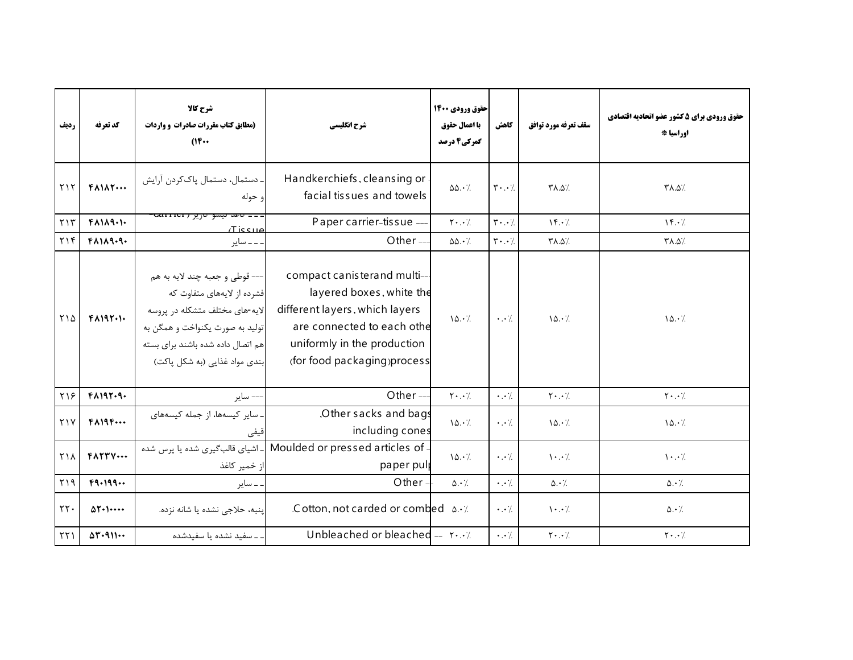| رديف                       | كد تعرفه                             | شرح كالا<br>(مطابق کتاب مقررات صادرات و واردات<br>$^{\prime\prime\prime\cdot\cdot}$                                                                                                                     | شرح انگلیسی                                                                                                                                                                           | حقوق ورودي ۱۴۰۰  <br>با اعمال حقوق<br>گمرکی4 درصد | كاهش                                | سقف تعرفه مورد توافق                  | حقوق ورودي براي 5 كشور عضو اتحاديه اقتصادي<br>اوراسيا * |
|----------------------------|--------------------------------------|---------------------------------------------------------------------------------------------------------------------------------------------------------------------------------------------------------|---------------------------------------------------------------------------------------------------------------------------------------------------------------------------------------|---------------------------------------------------|-------------------------------------|---------------------------------------|---------------------------------------------------------|
| Y                          | $FA1\Lambda$                         | . دستمال، دستمال پاککردن آرایش<br>و حوله                                                                                                                                                                | Handkerchiefs, cleansing or<br>facial tissues and towels                                                                                                                              | $\Delta\Delta\cdot$ /.                            | $\mathbf{r} \cdot \cdot \mathbf{7}$ | /۵.۵٪                                 | /۵.۵/۳                                                  |
| $Y \setminus Y$            | $F\Lambda$ $\Lambda$ 9.1.            | <u>۔ ۔ تاعد نیشو آبریز ( Carrici</u><br>میری تا آ                                                                                                                                                       | Paper carrier-tissue ---                                                                                                                                                              | $Y \cdot \cdot /$                                 | $\mathbf{y} \cdot \cdot \mathbf{y}$ | $\mathcal{N} \cdot \mathcal{V}$       | $\mathcal{N} \cdot \mathcal{L}$                         |
| YY                         | $F\Lambda$ $\Lambda$ 9.9.            | ۔۔ سایر                                                                                                                                                                                                 | Other $-$                                                                                                                                                                             | $\Delta\Delta\cdot$ %.                            | $\mathbf{r} \cdot \cdot \mathbf{1}$ | /۵.۵٪                                 | ٪۵.۵7                                                   |
| ۲۱۵                        | $F$ $A$ $19$ $T$ $\cdot$ $1$ $\cdot$ | --- قوطي و جعبه چند لايه به هم<br>فشرده از لایههای متفاوت که<br>لايه-هاي مختلف متشكله در پروسه<br>تولید به صورت یکنواخت و همگن به<br>هم اتصال داده شده باشند برای بسته<br>بندی مواد غذایی (به شکل پاکت) | compact canisterand multi-<br>layered boxes, white the<br>different layers, which layers<br>are connected to each othe<br>uniformly in the production<br>(for food packaging) process | 10.7                                              | $\cdot \cdot \cdot$                 | 10.7                                  | 10.7                                                    |
| ۲۱۶                        | $F$ $A$ $195.9$ .                    | –– ساير                                                                                                                                                                                                 | Other-                                                                                                                                                                                | $Y \cdot \cdot /$                                 | $\cdot \cdot \cdot$                 | $\mathbf{Y} \cdot \cdot \cdot$        | $Y \cdot \cdot$ /                                       |
| Y                          | $F\Lambda$ $19F$                     | . سایر کیسهها، از جمله کیسههای<br>إقيفي                                                                                                                                                                 | Other sacks and bags<br>including cones                                                                                                                                               | 10.7                                              | $\cdot \cdot$ /                     | 10.7                                  | 10.7                                                    |
| ٢١٨                        | $F\Lambda T T V \cdots$              | ـ اشیای قالب <i>گ</i> یری شده یا پرس شده<br>از خمیر کاغذ                                                                                                                                                | Moulded or pressed articles of -<br>paper pulp                                                                                                                                        | 10.7                                              | $\cdot \cdot \cdot$                 | $\cdot$                               | $\cdot \cdot$ /                                         |
| Y                          | F9.199                               | . ــ ساير                                                                                                                                                                                               | Other                                                                                                                                                                                 | $\Delta \cdot \gamma$                             | $\cdot \cdot \cdot$                 | $\Delta \cdot \frac{1}{2}$            | $\Delta \cdot \frac{1}{2}$                              |
| $\Upsilon\Upsilon$ .       | $\Delta \Upsilon$                    | پنبه، حلاجی نشده یا شانه نزده.                                                                                                                                                                          | .C otton, not carded or combed $\Delta \cdot \ell$ .                                                                                                                                  |                                                   | $\cdot \cdot$ /                     | $\mathcal{N} \cdot \cdot \mathcal{N}$ | $\Delta \cdot \frac{1}{2}$                              |
| $\uparrow\uparrow\uparrow$ | $\Delta Y - 911$                     | . ــ سفید نشده یا سفیدشده                                                                                                                                                                               | Unbleached or bleached -- $\mathbf{y} \cdot \mathbf{y}$                                                                                                                               |                                                   | $\cdot$ . $\cdot$ /                 | $\mathbf{Y} \cdot \cdot \cdot$ /      | $\mathbf{Y} \cdot \cdot \mathbf{Z}$                     |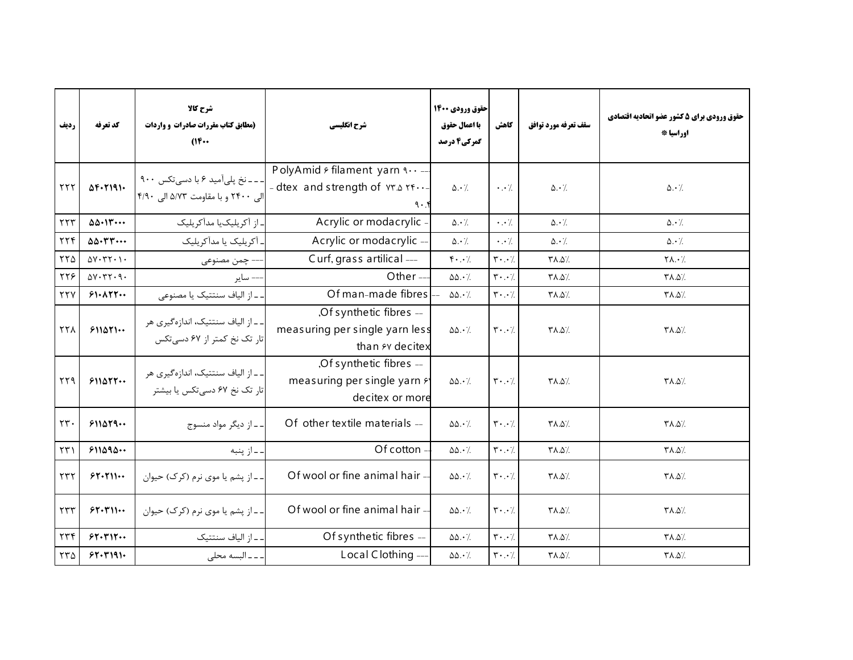| رديف                 | كد تعرفه                                            | شرح كالا<br>(مطابق کتاب مقررات صادرات و واردات<br>$(16 \cdots$         | شرح انگلیسی                                                                            | حقوق ورودي 1400<br>با اعمال حقوق<br>گمرکی4 درصد | كاهش                                | سقف تعرفه مورد توافق       | حقوق ورودي براي 5 كشور عضو اتحاديه اقتصادي<br>اوراسيا * |
|----------------------|-----------------------------------------------------|------------------------------------------------------------------------|----------------------------------------------------------------------------------------|-------------------------------------------------|-------------------------------------|----------------------------|---------------------------------------------------------|
| $\tau\tau\tau$       | $\Delta F - T191 -$                                 | - - - نخ پلیآمید ۶ با دسیتکس ۹۰۰<br>الی ۲۴۰۰ و با مقاومت ۵/۷۳ الی ۴/۹۰ | PolyAmid & filament yarn ٩٠٠-<br>- dtex and strength of $Y^*$ . $Y^*$ .<br>$9 \cdot x$ | $\Delta \cdot /$                                | $\cdot \cdot$ /.                    | $\Delta \cdot \frac{1}{2}$ | $\Delta \cdot \gamma$                                   |
| $\tau\tau\tau$       | $\Delta \Delta \cdot 1 \mathsf{r} \cdots$           | ۔ از آکریلیکیا مدآکریلیک                                               | Acrylic or modacrylic -                                                                | $\Delta \cdot \gamma$                           | $\cdot \cdot \cdot$                 | $\Delta \cdot \gamma$      | $\Delta \cdot \angle$                                   |
| $\tau\tau f$         | $\Delta \Delta \cdot \Upsilon \Upsilon \cdots$      | ـ آکریلیک یا مدآکریلیک                                                 | Acrylic or modacrylic -                                                                | $\Delta \cdot \gamma$                           | $\cdot$ . $\cdot$ /.                | $\Delta \cdot \frac{1}{2}$ | $\Delta \cdot \frac{1}{2}$                              |
| $\tau\tau\Delta$     | $\Delta V \cdot \Upsilon \Upsilon \cdot \Upsilon$   | --- چمن مصنوعی                                                         | Curf, grass artilical ---                                                              | $\mathfrak{f}\cdot\cdot\cdot$                   | $\mathbf{r} \cdot \cdot \mathbf{y}$ | /۵.۵٪                      | $Y\Lambda.$                                             |
| ٢٢۶                  | $\Delta V \cdot \Upsilon \Upsilon \cdot \Upsilon$ . | - ساير                                                                 | Other $-$                                                                              | $\Delta\Delta \cdot \frac{1}{2}$                | $\mathbf{r} \cdot \cdot \mathbf{7}$ | $Y\Lambda.\Delta'.$        | /۵.۵/۳                                                  |
| YYV                  | 51.177                                              | ـ از الياف سنتتيک يا مصنوعي                                            | Of man-made fibres                                                                     | $\Delta\Delta \cdot \gamma$                     | $\mathbf{y} \cdot \cdot \mathbf{y}$ | /۵.۵/                      | /۵.۵٪                                                   |
| <b>٢٢٨</b>           | 511071                                              | ـ ـ از الياف سنتتيک، اندازهگيري هر<br>تار تک نخ کمتر از ۶۷ دسی تکس     | ,Of synthetic fibres --<br>measuring per single yarn less<br>than <i>F</i> decitex     | $\Delta\Delta\cdot\%$                           | $\mathbf{r} \cdot \cdot \mathbf{1}$ | /۵.۵/۳                     | /۵.۵/۳                                                  |
| $\gamma\gamma\gamma$ | 511077                                              | ـ ـ از الياف سنتتيک، اندازهگيري هر<br>تار تک نخ ۶۷ دسی تکس یا بیشتر    | ,Of synthetic fibres --<br>measuring per single yarn $f$<br>decitex or more            | $\Delta\Delta\cdot\%$                           | $\mathbf{r} \cdot \cdot \mathbf{7}$ | /۵.۵/۳                     | /۵.۵/۳                                                  |
| $\tau\tau$ .         | $511\Delta 79$                                      | ۔۔از دیگر مواد منسوج                                                   | Of other textile materials --                                                          | $\Delta\Delta\cdot\%$                           | $\mathbf{Y} \cdot \cdot \cdot$ /    | /۵.۵/۳                     | /۵.۵/                                                   |
| $\tau\tau$           | 511090                                              | . ـ از پنبه                                                            | Of cotton -                                                                            | $\Delta\Delta \cdot \gamma$ .                   | $\mathbf{y} \cdot \cdot \mathbf{y}$ | /۵.۸۳                      | /۵.۸۳                                                   |
| $\tau\tau\tau$       | 57.711                                              | ۔۔از یشم یا موی نرم (کرک) حیوان                                        | Of wool or fine animal hair -                                                          | $\Delta\Delta \cdot \gamma$                     | $\mathbf{Y} \cdot \cdot \cdot$ /    | /۵.۵/                      | /۵.۵/                                                   |
| $\tau\tau\tau$       | 55.5                                                | ۔۔از پشم یا موی نرم (کرک) حیوان                                        | Of wool or fine animal hair -                                                          | $\Delta\Delta\cdot\%$                           | $\mathbf{r} \cdot \cdot \mathbf{7}$ | /۵.۵/۳                     | /۵.۵/۳                                                  |
| $\tau\tau f$         | 51.711                                              | ـ ـ از الياف سنتتيك                                                    | Of synthetic fibres --                                                                 | $\Delta\Delta \cdot \frac{1}{2}$                | $\mathbf{r} \cdot \cdot \mathbf{7}$ | /۰.۵/                      | <b>TA.0%</b>                                            |
| ٢٣۵                  | 57.7191.                                            | . ـ ـ ـ البسه محلى                                                     | Local Clothing-                                                                        | $\Delta\Delta\cdot\frac{1}{2}$                  | $\mathbf{r}\cdot\cdot\cdot$ /       | $\Upsilon \wedge \Delta$   | /۵.۵٪                                                   |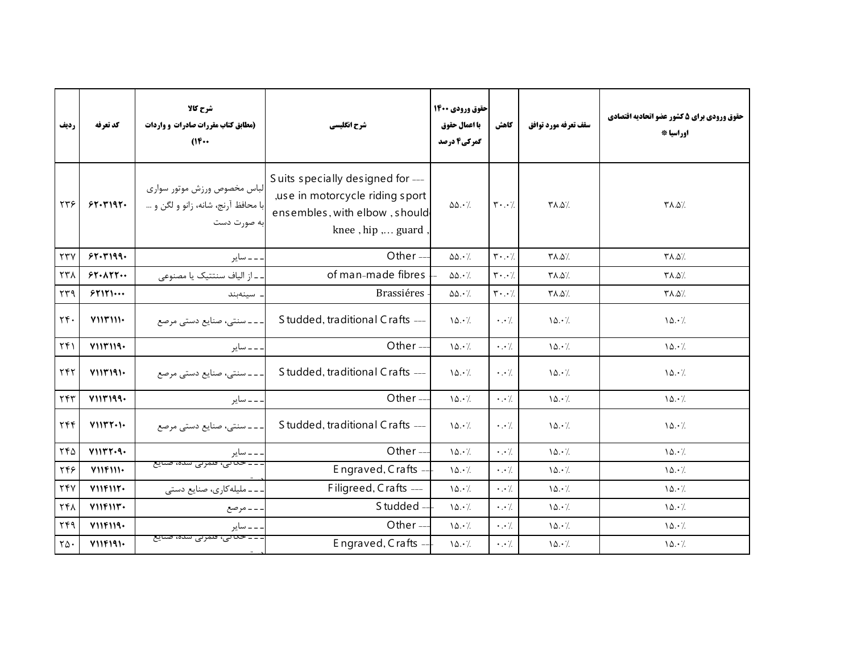| رديف                 | كد تعرفه          | شرح كالا<br>(مطابق کتاب مقررات صادرات و واردات<br>(16                             | شرح انگلیسی                                                                                                              | حقوق ورودي 1400<br>با اعمال حقوق<br>گمرکی4 درصد | كاهش                                | سقف تعرفه مورد توافق     | حقوق ورودي براي 5 كشور عضو اتحاديه اقتصادي<br>اوراسيا * |
|----------------------|-------------------|-----------------------------------------------------------------------------------|--------------------------------------------------------------------------------------------------------------------------|-------------------------------------------------|-------------------------------------|--------------------------|---------------------------------------------------------|
| ٢٣۶                  | 51.191.           | لباس مخصوص ورزش موتور سوارى<br>با محافظ آرنج، شانه، زانو و لگن و …<br>به صورت دست | Suits specially designed for ---<br>,use in motorcycle riding sport<br>ensembles, with elbow, should<br>knee, hip  guard | $\Delta\Delta \cdot \frac{1}{2}$                | $\mathbf{Y} \cdot \cdot \cdot$ /    | /۵.۵/۳                   | /۵.۵/۳                                                  |
| $\tau\tau\gamma$     | 57.7199.          | ۔۔ سایر                                                                           | Other-                                                                                                                   | $\Delta\Delta\cdot$ /.                          | $\mathbf{r} \cdot \cdot \mathbf{7}$ | $Y\Lambda.\Delta'.$      | /۵.۵/۳                                                  |
| ٢٣٨                  | 57.177            | ۔ از الیاف سنتتیک یا مصنوعی                                                       | of man-made fibres                                                                                                       | $\Delta\Delta\cdot$ /.                          | $\mathbf{r} \cdot \cdot \mathbf{7}$ | $\Upsilon \wedge \Delta$ | /۵.۵٪                                                   |
| $\tau\tau\gamma$     | 57171             | سينەبند                                                                           | <b>Brassiéres</b>                                                                                                        | $\Delta\Delta \cdot \frac{1}{2}$                | $\mathbf{y} \cdot \cdot \mathbf{y}$ | $Y\Lambda.\Delta'.$      | /۵.۵/۳                                                  |
| $\tau f$ .           | $Y \cup Y \cup Y$ | ۔۔۔سنتی، صنایع دستی مرصع                                                          | Studded, traditional Crafts ---                                                                                          | 10.7                                            | $\cdot \cdot$ /.                    | 10.7                     | 10.7                                                    |
| $\Upsilon(f)$        | Y11Y119.          | ۔۔ سایر                                                                           | Other-                                                                                                                   | 10.7                                            | $\cdot \cdot$ /.                    | 10.7                     | 10.7                                                    |
| YYY                  | Y111191           | ۔۔سنتی، صنایع دستی مرصع                                                           | Studded, traditional Crafts ---                                                                                          | 10.7                                            | $\cdot \cdot \cdot$ /.              | 10.7                     | 10.7                                                    |
| ٢۴٣                  | V11Y199.          | ۔۔ سایر                                                                           | Other-                                                                                                                   | 10.7                                            | $\cdot \cdot$ /                     | 10.7                     | 10.7                                                    |
| $\tau$ ۴۴            | V111T1.1.         | ـ ـ ـ ـ سنتى، صنايع دستى مرصع                                                     | Studded, traditional Crafts ---                                                                                          | 10.7                                            | $\cdot \cdot \cdot$                 | 10.4                     | 10.7                                                    |
| ٢۴۵                  | V1157.9.          | ۔ ۔ سایر                                                                          | Other-                                                                                                                   | 10.7                                            | $\cdot \cdot$ /                     | 10.7                     | 10.7                                                    |
| ٢۴۶                  | $Y \cup Y \cup Y$ | <del>۔ ۔ حد نی، قلمزنی سدہ، صنایع</del>                                           | Engraved, Crafts -                                                                                                       | 10.7                                            | $\cdot \cdot$ /                     | 10.7                     | 10.7                                                    |
| <b>٢۴</b> ٧          | $Y \cup Y \cup Y$ | ۔۔ملیله کاری، صنایع دستی                                                          | Filigreed, Crafts ---                                                                                                    | 10.7                                            | $\cdot \cdot \cdot$                 | 10.7                     | 10.7                                                    |
| ٢۴٨                  | V11F11F.          | ۔۔ مرصع                                                                           | Studded -                                                                                                                | 10.7                                            | $\cdot \cdot$ /                     | 10.7                     | $\lambda \Delta \cdot \lambda$                          |
| ۲۴۹                  | V11F119.          | ساير                                                                              | Other $-$                                                                                                                | 10.7                                            | $\cdot \cdot$ /                     | 10.7                     | 10.7                                                    |
| $\mathsf{Y}\Delta$ . | Y11F191.          | ۔۔حدیبی، فلمرنی سدہ، صنایع                                                        | Engraved, Crafts -                                                                                                       | 10.7                                            | $\cdot \cdot$ /.                    | 10.7                     | 10.7                                                    |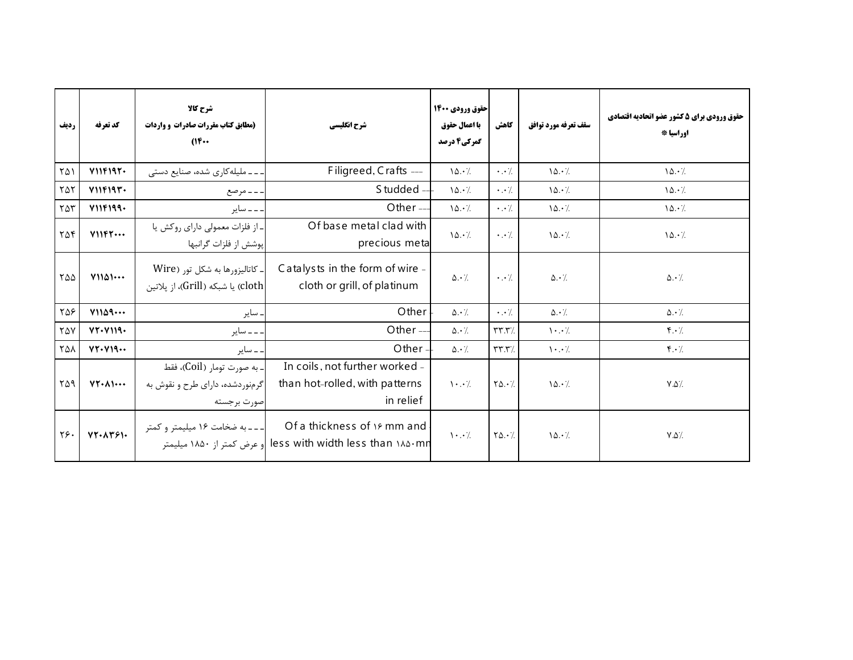| رديف | كد تعرفه                     | شرح کالا<br>(مطابق کتاب مقررات صادرات و واردات<br>$(16 \cdots$                | شرح انگلیسی                                                                         | حقوق ورودي 1400<br>با اعمال حقوق<br>گمرکی4 درصد | كاهش                               | سقف تعرفه مورد توافق                  | حقوق ورودي براي 5 كشور عضو اتحاديه اقتصادي<br>اوراسيا * |
|------|------------------------------|-------------------------------------------------------------------------------|-------------------------------------------------------------------------------------|-------------------------------------------------|------------------------------------|---------------------------------------|---------------------------------------------------------|
| ۲۵۱  | V11F197.                     | ۔۔ملیله کاری شده، صنایع دستی                                                  | Filigreed, Crafts ---                                                               | 10.7                                            | $\cdot \cdot$ /                    | 10.7                                  | 10.7                                                    |
| ۲۵۲  | V11F19Y                      | ۔۔مرصع                                                                        | Studded --                                                                          | 10.7                                            | $\cdot$ . /                        | 10.7                                  | $\lambda \Delta \cdot \lambda$                          |
| ۲۵۳  | V11F199.                     | ۔۔ سایر                                                                       | Other $-$                                                                           | 10.7                                            | $\cdot$ . $\cdot$ /.               | 10.7                                  | 10.7                                                    |
| ۲۵۴  | $Y \cup Y \cdot \cdot \cdot$ | ـ از فلزات معمولي داراي روكش يا<br>پوشش از فلزات گرانبها                      | Of base metal clad with<br>precious meta                                            | 10.7                                            | $\cdot \cdot \cdot$                | 10.7                                  | 10.7                                                    |
| ۲۵۵  | Y1101                        | ـ كاتاليزورها به شكل تور (Wire<br> cloth) یا شبکه (Grill)، از پلاتین          | Catalysts in the form of wire -<br>cloth or grill, of platinum                      | $\Delta \cdot \gamma$                           | $\cdot \cdot \cdot$ /              | $\Delta \cdot \gamma$ .               | $\Delta \cdot$ /                                        |
| ۲۵۶  | Y1109                        | ساير                                                                          | Other                                                                               | $\Delta \cdot \gamma$                           | $\cdot \cdot$ /                    | $\Delta \cdot \gamma$                 | $\Delta \cdot \gamma$                                   |
| ٢۵٧  | VT. V119.                    | ۔۔ سایر                                                                       | Other $-$                                                                           | $\Delta \cdot \frac{1}{2}$                      | $\mathbf{y} \mathbf{x} \mathbf{y}$ | $\mathcal{N} \cdot \cdot \mathcal{N}$ | $\mathbf{f} \cdot \mathbf{h}$                           |
| ٢۵٨  | VT. V19                      | ۔۔ سایر                                                                       | Other $=$                                                                           | $\Delta \cdot /$                                | $\mathbf{r}\mathbf{r}.\mathbf{r}$  | $\cdot \cdot$ /                       | $\mathfrak{f} \cdot \mathfrak{f}$                       |
| ٢۵٩  | $VT - \lambda \cdots$        | - به صورت تومار (Coil)، فقط<br>گرمنوردشده، دارای طرح و نقوش به<br>صورت برجسته | In coils, not further worked -<br>than hot-rolled, with patterns<br>in relief       | $\cdot \cdot$ /                                 | $Y\Delta.7$                        | 10.7                                  | $V.\Delta$                                              |
| ٢۶.  | $VT - \Lambda T5$            | ـ ـ ـ ـ به ضخامت ١۶ میلیمتر و کمتر<br>او عرض کمتر از ۱۸۵۰ میلیمتر             | Of a thickness of 19 mm and<br>less with width less than $\lambda \Delta \cdot m n$ | $\cdot \cdot$ /                                 | $Y\Delta.7$                        | 10.7                                  | $\lor \Diamond \rangle$                                 |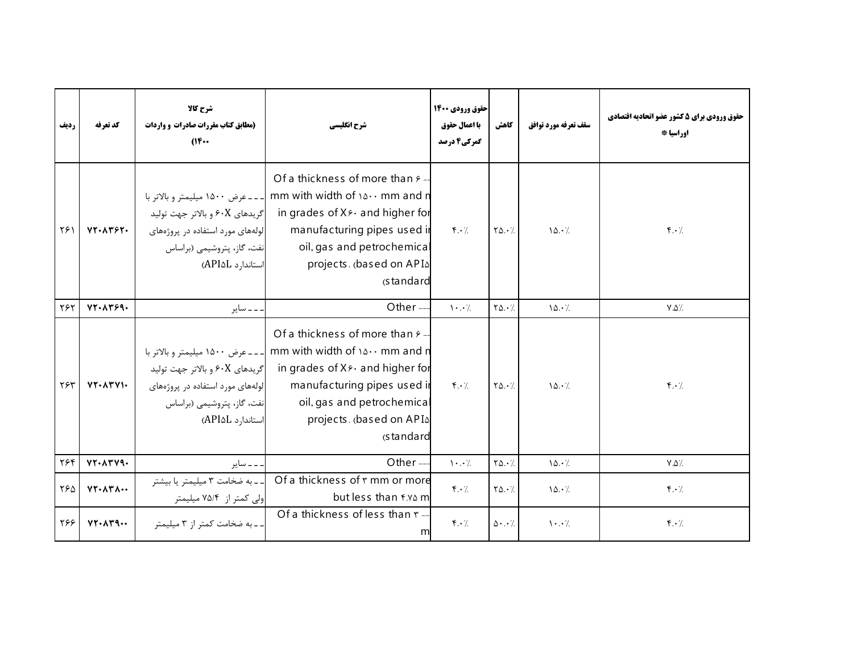| رديف | كد تعرفه                           | شرح کالا<br>(مطابق کتاب مقررات صادرات و واردات<br>(1)                                                                | شرح انگلیسی                                                                                                                                                                                                                                                            | حقوق ورودي ۱۴۰۰<br>با اعمال حقوق<br>گمرکی4 درصد | كاهش                         | سقف تعرفه مورد توافق | حقوق ورودي براي 5 كشور عضو اتحاديه اقتصادي<br>اوراسيا * |
|------|------------------------------------|----------------------------------------------------------------------------------------------------------------------|------------------------------------------------------------------------------------------------------------------------------------------------------------------------------------------------------------------------------------------------------------------------|-------------------------------------------------|------------------------------|----------------------|---------------------------------------------------------|
| ۲۶۱  | $VT. \wedge r$ $\wedge r$ .        | گريدهاي ۶۰X و بالاتر جهت توليد<br>لولههای مورد استفاده در پروژههای<br>نفت، گاز، پتروشیمی (براساس<br>استاندارد API۵L) | Of a thickness of more than $\epsilon$ -<br>mm with width of ۱۵۰۰ mm and n  ___عرض ۱۵۰۰ میلیمتر و بالاتر با<br>in grades of Xs and higher for<br>manufacturing pipes used in<br>oil, gas and petrochemica<br>projects. (based on APIA<br>(standard                     | $\mathbf{f} \cdot \mathbf{A}$                   | $Y\Delta \cdot \frac{1}{2}$  | 10.7                 | $\mathbf{f} \cdot \mathbf{A}$                           |
| ٢۶٢  | $VT-AY59-$                         | ۔ ۔ سایر                                                                                                             | Other $-$                                                                                                                                                                                                                                                              | $\cdot \cdot$ /                                 | $Y\Delta.7$                  | 10.7                 | $V.\Delta'.$                                            |
| ٢۶٣  | $VT - \Lambda T V$                 | گريدهاي ۶۰X و بالاتر جهت توليد<br>لولههای مورد استفاده در پروژههای<br>نفت، گاز، پتروشیمی (براساس<br>استاندارد API۵L) | Of a thickness of more than $\epsilon$ -<br>mm with width of ۱۵۰۰ mm and n  ___عرض ۱۵۰۰ میلیمتر و بالاتر با<br>in grades of $X \rightarrow \infty$ and higher for<br>manufacturing pipes used in<br>oil, gas and petrochemica<br>projects. (based on APIA<br>standard) | $\mathbf{f} \cdot \mathbf{A}$                   | $Y\Delta. \cdot \mathcal{L}$ | 10.7                 | $\mathbf{r} \cdot \mathbf{A}$                           |
| ٢۶۴  | $VT.$ $\lambda$ $T$ $\gamma$ $q$ . | . ــ ــ ساير                                                                                                         | Other-                                                                                                                                                                                                                                                                 | $\cdot \cdot$ /                                 | $Y\Delta.7$                  | 10.7                 | $Y.\Delta$                                              |
| ٢۶۵  | $VT - \Lambda T \Lambda -$         | - - به ضخامت ٣ میلیمتر یا بیشتر<br>ولی کمتر از ۷۵/۴ میلیمتر                                                          | Of a thickness of r mm or more<br>but less than f.v. m                                                                                                                                                                                                                 | $\mathfrak{f} \cdot \mathfrak{c}$               | $Y\Delta.7$                  | 10.4                 | $\mathbf{r} \cdot \mathbf{A}$                           |
| ۲۶۶  | $VT - \Lambda T9 -$                | ـ ـ به ضخامت كمتر از ٣ ميليمتر                                                                                       | Of a thickness of less than r-<br>m                                                                                                                                                                                                                                    | $f \cdot \gamma$                                | $\Delta \cdot . \cdot$ /     | $\cdot \cdot$ /      | $\mathfrak{f} \cdot \mathfrak{f}$                       |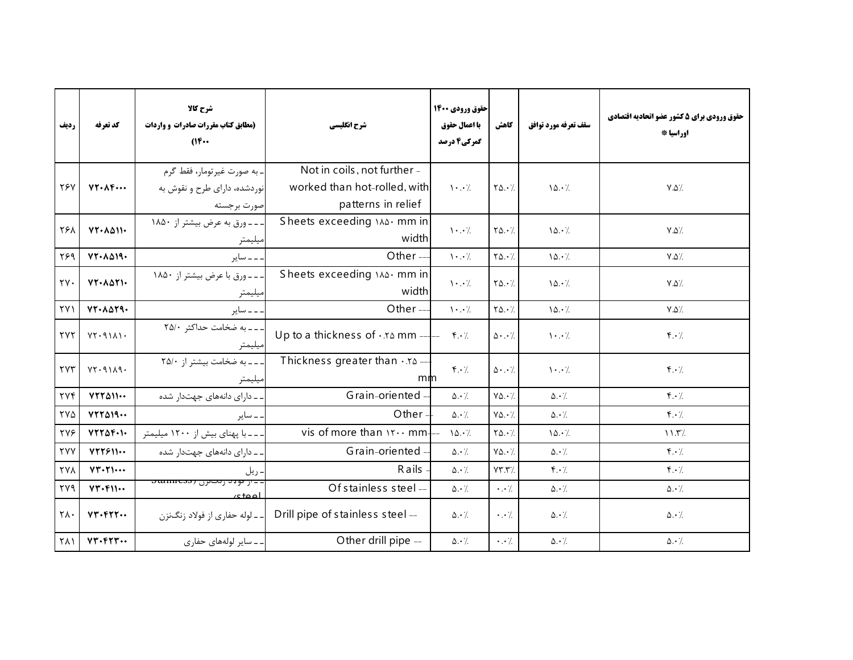| رديف                     | كد تعرفه                   | شرح کالا<br>(مطابق کتاب مقررات صادرات و واردات<br>$(16 \cdots$              | شرح انگلیسی                                                                       | حقوق ورودي 1400<br>با اعمال حقوق<br>گمرکی4 درصد | كاهش                       | سقف تعرفه مورد توافق              | حقوق ورودي براي 5 كشور عضو اتحاديه اقتصادي<br>اوراسيا * |
|--------------------------|----------------------------|-----------------------------------------------------------------------------|-----------------------------------------------------------------------------------|-------------------------------------------------|----------------------------|-----------------------------------|---------------------------------------------------------|
| <b>TEV</b>               | $VT - \Lambda F \cdots$    | ۔ به صورت غیر تومار، فقط گرم<br>نوردشده، دارای طرح و نقوش به<br>صورت برجسته | Not in coils, not further -<br>worked than hot-rolled, with<br>patterns in relief | $\cdot \cdot$ /                                 | $Y\Delta.$                 | 10.7                              | $V.\Delta$                                              |
| ٢۶٨                      | $VT - \Lambda \Delta 11 -$ | ـ ـ ـ ورق به عرض بيشتر از ١٨٥٠<br>ميليمتر                                   | Sheets exceeding \^& mm in<br>width                                               | $\cdot \cdot$ /                                 | $Y\Delta.7$                | 10.7                              | $Y.\Delta'.$                                            |
| Y59                      | $VT - \Lambda \Delta 19 -$ | ۔۔ سایر                                                                     | Other-                                                                            | $\mathcal{N}$ . $\mathcal{N}$                   | $Y\Delta.\cdot$ %          | 10.7                              | $V.\Delta$                                              |
| $\gamma$                 | $VT - \Lambda \Delta T$    | ---ورق با عرض بيشتر از ١٨٥٠<br>ميليمتر                                      | Sheets exceeding \^& mm in<br>width                                               | $\mathcal{N} \cdot \cdot \mathcal{N}$           | $Y\Delta.7$                | 10.7                              | $Y.\Delta'.$                                            |
| $\uparrow \vee \uparrow$ | $VT - \lambda \Delta Y$ 9. | ۔۔۔ سایر                                                                    | Other-                                                                            | $\mathcal{N} \cdot \cdot \mathcal{N}$           | $Y\Delta.\cdot$ %          | 10.7                              | $Y.\Delta'.$                                            |
| <b>TYT</b>               | VT.9111.                   | ـ ـ به ضخامت حداكثر ٢٥/٠<br>ميليمتر                                         | Up to a thickness of $\cdot$ x a mm $  \cdot$ x $\cdot$ /                         |                                                 | $\Delta$                   | $\cdot \cdot$ /                   | $\mathbf{f} \cdot \mathbf{h}$                           |
| <b>TYT</b>               | VT.9119.                   | --- به ضخامت بيشتر از ٢٥/٠<br>ميليمتر                                       | Thickness greater than $\cdot$ . To -<br>mm                                       | $\mathfrak{f} \cdot \mathfrak{c}$               | $\Delta \cdot \cdot \cdot$ | $\cdot \cdot$ /                   | $\mathbf{f} \cdot \mathbf{y}$                           |
| $\gamma \gamma$          | $YYY\Delta 11$             | ۔ ـ دارای دانههای جهتدار شده                                                | Grain-oriented -                                                                  | $\Delta \cdot$ /.                               | $Y\Delta.\cdot$ /          | $\Delta \cdot \gamma$             | $\mathfrak{r} \cdot \mathfrak{c}$                       |
| <b>TYA</b>               | $VTY \wedge 19 \cdots$     | ۔ سایر                                                                      | Other                                                                             | $\Delta \cdot \gamma$                           | $Y\Delta.$                 | $\Delta \cdot$ /                  | $\mathfrak{f} \cdot \mathfrak{c}$                       |
| <b>TYS</b>               | $YYY\Delta Y \cdot V$      | ـ ـ با پهنای بیش از ۱۲۰۰ میلیمتر                                            | vis of more than $15 \cdot 1$ mm.                                                 | 10.7                                            | $Y\Delta.\cdot$ %          | 10.7                              | 11.5%                                                   |
| <b>TYY</b>               | YYY511                     | ۔ دارای دانههای جهتدار شده                                                  | Grain-oriented -                                                                  | $\Delta \cdot \frac{1}{2}$                      | $Y\Delta.\cdot$ /          | $\Delta \cdot$ /                  | $f \cdot \gamma$                                        |
| <b>TYA</b>               | $VT - T$                   | ـ ريل                                                                       | <b>Rails</b>                                                                      | $\Delta \cdot \frac{1}{2}$                      | YY.Y'.                     | $\mathfrak{r} \cdot \mathfrak{c}$ | $f \cdot \gamma$                                        |
| YY9                      | $VT - F11 -$               | <del>. ـ از قولاد زنتاترن (canness)</del><br>امم <del>ا</del> ی             | Of stainless steel --                                                             | $\Delta \cdot \frac{1}{2}$                      | $\cdot \cdot \cdot$        | $\Delta \cdot$ /.                 | $\Delta \cdot /$                                        |
| $\mathsf{Y}\Lambda$      | $VT.$ $FT.$                | ۔۔ لوله حفاري از فولاد زنگنزن                                               | Drill pipe of stainless steel --                                                  | $\Delta \cdot \frac{1}{2}$                      | $\cdot \cdot \cdot$        | $\Delta \cdot \dot{}$ /.          | $\Delta \cdot \frac{1}{2}$                              |
| <b>TA1</b>               | $VT.$ $FT.$                | ۔۔سایر لولههای حفاری                                                        | Other drill pipe --                                                               | $\Delta \cdot \frac{1}{2}$                      | $\cdot \cdot \cdot$        | $\Delta \cdot \frac{1}{2}$        | $\Delta \cdot \frac{1}{2}$                              |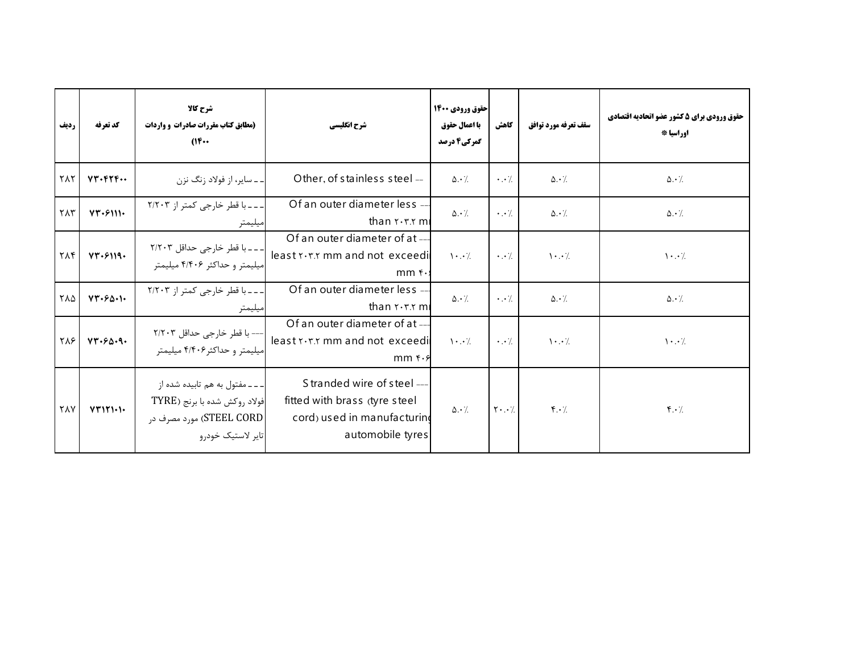| رديف                 | كد تعرفه              | شرح کالا<br>(مطابق کتاب مقررات صادرات و واردات<br>$(16 \cdots$                                                      | شرح انگلیسی                                                                                                    | حقوق ورودي 1400<br>با اعمال حقوق<br>گمرکی4 درصد | كاهش                                | سقف تعرفه مورد توافق          | حقوق ورودي براي 5 كشور عضو اتحاديه اقتصادي<br>اوراسيا * |
|----------------------|-----------------------|---------------------------------------------------------------------------------------------------------------------|----------------------------------------------------------------------------------------------------------------|-------------------------------------------------|-------------------------------------|-------------------------------|---------------------------------------------------------|
| ٢٨٢                  | $VT.$ $FTF$           | ـ ـ ـ ساير، از فولاد زنگ نزن                                                                                        | Other, of stainless steel --                                                                                   | $\Delta \cdot \frac{1}{2}$                      | $\cdot \cdot \cdot$ .               | $\Delta \cdot \frac{1}{2}$    | $\Delta \cdot \frac{1}{2}$                              |
| $\gamma \wedge \tau$ | VT.5111.              | ۔۔۔ با قطر خارجی کمتر از ۲/۲۰۳<br>ىيليمتر                                                                           | Of an outer diameter less --<br>than $x \cdot x$ m                                                             | $\Delta \cdot \frac{1}{2}$                      | $\cdot \cdot$ /                     | $\Delta \cdot \frac{1}{2}$    | $\Delta \cdot \frac{1}{2}$                              |
| <b>TAF</b>           | $YY \cdot 5119 \cdot$ | _ _ _ با قطر خارجي حداقل ۲/۲۰۳<br>میلیمتر و حداکثر ۴/۴۰۶ میلیمتر                                                    | Of an outer diameter of at --<br>least x . T. r mm and not exceedi<br>$mm$ f.                                  | $\cdot \cdot$ /                                 | $\cdot \cdot \cdot$ .               | $\cdot \cdot$ /               | $\cdot \cdot$ /                                         |
| $Y\Lambda\Delta$     | VT.50.1               | ۔۔۔با قطر خارجی کمتر از ۲/۲۰۳<br>يليمتر                                                                             | Of an outer diameter less --<br>than r.r.r ml                                                                  | $\Delta \cdot \gamma$                           | $\cdot$                             | $\Delta \cdot \frac{1}{2}$    | $\Delta \cdot \frac{1}{2}$                              |
| <b>TAS</b>           | VT.56.9.              | --- با قطر خارجي حداقل ۲/۲۰۳<br>میلیمتر و حداکثر ۴/۴۰۶ میلیمتر                                                      | Of an outer diameter of at --<br>least x . T. x mm and not exceedi<br>$mm f.\xi$                               | $\cdot \cdot$ /                                 | $\cdot \cdot \cdot$ .               | $\cdot \cdot$ /               | $\cdot \cdot$ /                                         |
| <b>٢٨٧</b>           | VT11111               | ـ ـ ـ ـ مفتول به هم تابيده شده از<br>فولاد روكش شده با برنج (TYRE<br> STEEL CORD) مورد مصرف در<br>تاير لاستيک خودرو | Stranded wire of steel ---<br>fitted with brass (tyre steel<br>cord) used in manufacturing<br>automobile tyres | $\Delta \cdot \frac{1}{2}$                      | $\mathsf{Y} \cdot \cdot \mathsf{A}$ | $\mathbf{f} \cdot \mathbf{A}$ | $\mathbf{f} \cdot \mathbf{A}$                           |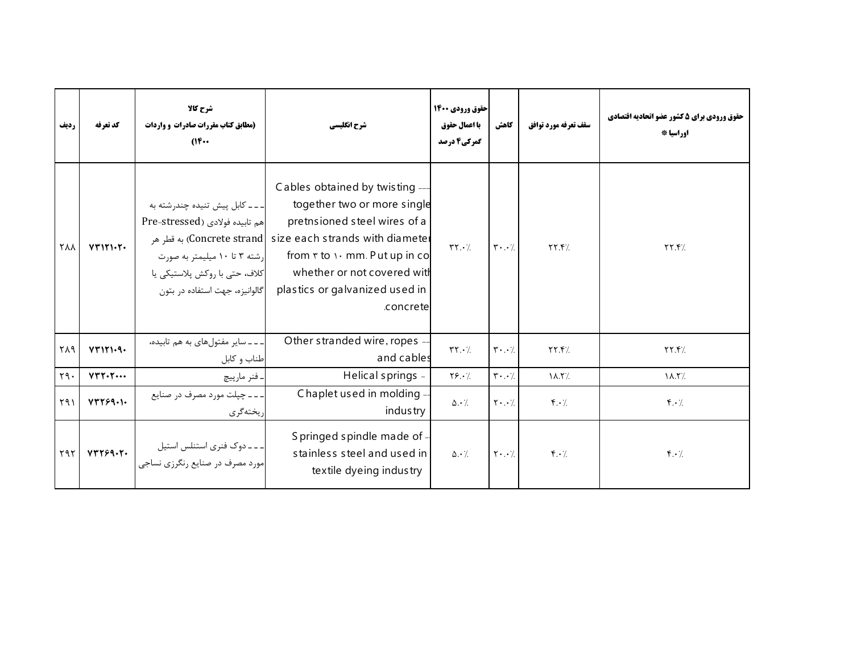| رديف       | كد تعرفه | شرح کالا<br>(مطابق کتاب مقررات صادرات و واردات<br>$(16 \cdots$                                                                                                        | شرح انگلیسی                                                                                                                                                                                                                                                                                  | حقوق ورودي 1400<br>با اعمال حقوق<br>گمرکی4 درصد | كاهش                                | سقف تعرفه مورد توافق          | حقوق ورودي براي 5 كشور عضو اتحاديه اقتصادي<br>اوراسيا * |
|------------|----------|-----------------------------------------------------------------------------------------------------------------------------------------------------------------------|----------------------------------------------------------------------------------------------------------------------------------------------------------------------------------------------------------------------------------------------------------------------------------------------|-------------------------------------------------|-------------------------------------|-------------------------------|---------------------------------------------------------|
| <b>TAA</b> | VT1Y1YY  | _ _ _ كابل پيش تنيده چندرشته به<br> هم تابيده فولادي (Pre-stressed<br>رشته ۳ تا ۱۰ میلیمتر به صورت<br>كلاف، حتى با روكش پلاستيكي يا<br>گالوانیزه، جهت استفاده در بتون | Cables obtained by twisting --<br>together two or more single<br>pretnsioned steel wires of a<br>ا به قطر هر (Concrete strand  size each strands with diamete।<br>from $\mathbf r$ to $\cdots$ mm. Put up in co<br>whether or not covered with<br>plastics or galvanized used in<br>concrete | $\mathbf{Y} \mathbf{Y} \cdot \mathbf{Z}$        | $\mathbf{r} \cdot \cdot \mathbf{v}$ | YY.5/                         | YY.5/                                                   |
| ٢٨٩        | VT111.9. | ـ ـ ـ ـ ساير مفتول هاى به هم تابيده،<br>طناب و کابل                                                                                                                   | Other stranded wire, ropes -<br>and cables                                                                                                                                                                                                                                                   | $\mathsf{r}\mathsf{r}\cdot\mathsf{A}$           | $\mathbf{r} \cdot \cdot \mathbf{v}$ | YY.7/                         | YY.7                                                    |
| Y9.        | YYYYY    | ۔ فنر مارپیچ                                                                                                                                                          | Helical springs -                                                                                                                                                                                                                                                                            | $Y\S. \cdot$                                    | $\mathbf{r} \cdot \cdot \mathbf{7}$ | $\lambda$ .۲/                 | $\lambda$ .۲/                                           |
| Y91        | YYY59.   | ۔۔۔ چپلت مورد مصرف در صنایع<br>يختهگري                                                                                                                                | Chaplet used in molding -<br>industry                                                                                                                                                                                                                                                        | $\Delta \cdot$ /                                | $\mathbf{Y} \cdot \cdot \cdot$      | $\mathbf{r} \cdot \mathbf{A}$ | $\mathbf{F} \cdot \mathbf{A}$                           |
| ۲۹۲        | YYY99.7. | - ـ ـ دوک فنری استنلس استیل<br>مورد مصرف در صنایع رنگرزی نساجی                                                                                                        | S pringed spindle made of -<br>stainless steel and used in<br>textile dyeing industry                                                                                                                                                                                                        | $\Delta \cdot \gamma$                           | $\mathbf{Y} \cdot \cdot \cdot$ /    | $\mathbf{f} \cdot \mathbf{A}$ | $\mathbf{f} \cdot \mathbf{A}$                           |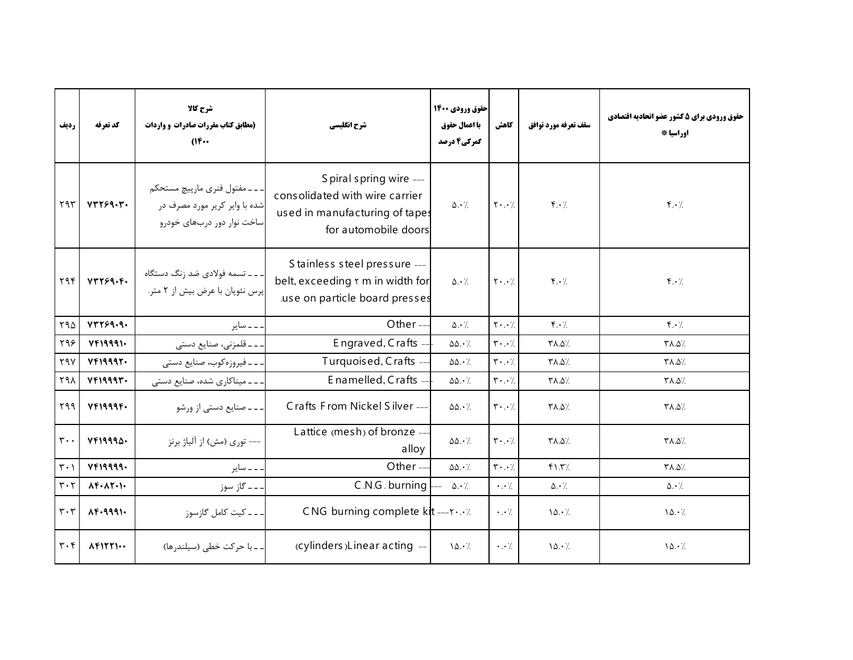| رديف                          | كد تعرفه                            | شرح كالا<br>(مطابق کتاب مقررات صادرات و واردات<br>$(16 \cdots$                             | شرح انگلیسی                                                                                                         | حقوق ورودي 1400<br>با اعمال حقوق<br>گمرکی4 درصد | كاهش                                | سقف تعرفه مورد توافق              | حقوق ورودي براي 5 كشور عضو اتحاديه اقتصادي<br>اوراسيا * |
|-------------------------------|-------------------------------------|--------------------------------------------------------------------------------------------|---------------------------------------------------------------------------------------------------------------------|-------------------------------------------------|-------------------------------------|-----------------------------------|---------------------------------------------------------|
| $Y$ 9 $Y$                     | VTT99.7.                            | ۔۔۔مفتول فنری مارپیچ مستحکم<br>شده با وایر کریر مورد مصرف در<br>ساخت نوار دور دربهای خودرو | S piral spring wire ---<br>consolidated with wire carrier<br>used in manufacturing of tapes<br>for automobile doors | $\Delta \cdot \frac{1}{2}$                      | $\mathbf{Y} \cdot \cdot \mathbf{Z}$ | $\mathfrak{f}\cdot\mathfrak{c}$   | $f \cdot /$                                             |
| ۲۹۴                           | YYY59. F.                           | ـ ـ ـ تسمه فولادي ضد زنگ دستگاه<br>پرس نئوپان با عرض بیش از ۲ متر.                         | Stainless steel pressure ---<br>belt, exceeding r m in width for<br>use on particle board presses                   | $\Delta \cdot \gamma$                           | $\mathbf{Y} \cdot \cdot \cdot$ /    | $f \cdot \gamma$                  | $f \cdot \gamma$                                        |
| Y90                           | YYY59.9.                            | ۔۔ سایر                                                                                    | Other $-$                                                                                                           | $\Delta \cdot \gamma$                           | $Y \cdot \cdot$                     | $\mathfrak{r} \cdot \mathfrak{c}$ | $\mathfrak{f} \cdot \mathfrak{f}$                       |
| ۲۹۶                           | YF19991                             | ۔۔قلمزنی، صنایع دستی                                                                       | Engraved, Crafts -                                                                                                  | $\Delta\Delta \cdot \frac{1}{2}$                | $\mathbf{r} \cdot \cdot \mathbf{7}$ | $Y\Lambda.\Delta'.$               | /۵.۸۳                                                   |
| $Y$ 9 $Y$                     | YF19997.                            | ۔۔فیروزہکوب، صنایع دستی                                                                    | Turquoised, Crafts -                                                                                                | $\Delta\Delta \cdot /$                          | $\mathbf{r} \cdot \cdot \mathbf{1}$ | /۵.۵/                             | /۵.۸۳                                                   |
| ٢٩٨                           | YF19997.                            | --میناکاری شده، صنایع دستی                                                                 | Enamelled, Crafts -                                                                                                 | $\Delta\Delta \cdot \frac{1}{2}$                | $\mathbf{r} \cdot \cdot \mathbf{7}$ | ∕۵.۵∀                             | /۵.۸۳                                                   |
| ۲۹۹                           | YF1999F.                            | ۔۔۔ صنایع دستی از ورشو                                                                     | Crafts From Nickel Silver-                                                                                          | $\Delta\Delta \cdot \frac{1}{2}$                | $\mathbf{y} \cdot \cdot \mathbf{y}$ | /۵.۵/                             | /۵.۵/                                                   |
| $\mathbf{r}$ .                | VFI9990.                            | ---- توري (مش) از آلياژ برنز                                                               | Lattice (mesh) of bronze --<br>alloy                                                                                | $\Delta\Delta\cdot$ /.                          | $\mathbf{r} \cdot \cdot \mathbf{7}$ | <b>TA.07.</b>                     | /۵.۵/۳                                                  |
| $\mathbf{r} \cdot \mathbf{1}$ | YF19999.                            | ۔۔ سایر                                                                                    | Other $-$                                                                                                           | $\Delta\Delta \cdot \frac{1}{2}$                | $\mathbf{r} \cdot \cdot \mathbf{7}$ | YY                                | /۵.۸۳                                                   |
| $\mathbf{r} \cdot \mathbf{r}$ | $\Lambda$ F. $\Lambda$ Y. $\Lambda$ | ۔۔ گاز سوز                                                                                 | C.N.G. burning                                                                                                      | $\Delta \cdot \gamma$                           | $\cdot$ . $\cdot$ /.                | $\Delta \cdot$ /.                 | $\Delta \cdot L$                                        |
| $\mathbf{r} \cdot \mathbf{r}$ | $\lambda$ .4441.                    | ۔ ۔ ۔ کیت کامل گازسوز                                                                      | CNG burning complete $k$ t --- $\cdot \cdot \cdot$ /                                                                |                                                 | $\cdot$                             | $\lambda \Delta \cdot \gamma$     | 10.7                                                    |
| $\mathbf{r} \cdot \mathbf{r}$ | $\Lambda$ FITTI $\cdots$            | ۔۔ با حرکت خطی (سیلندرها)                                                                  | (cylinders)Linear acting --                                                                                         | 10.7                                            | $\cdot \cdot \cdot$                 | 10.7                              | 10.7                                                    |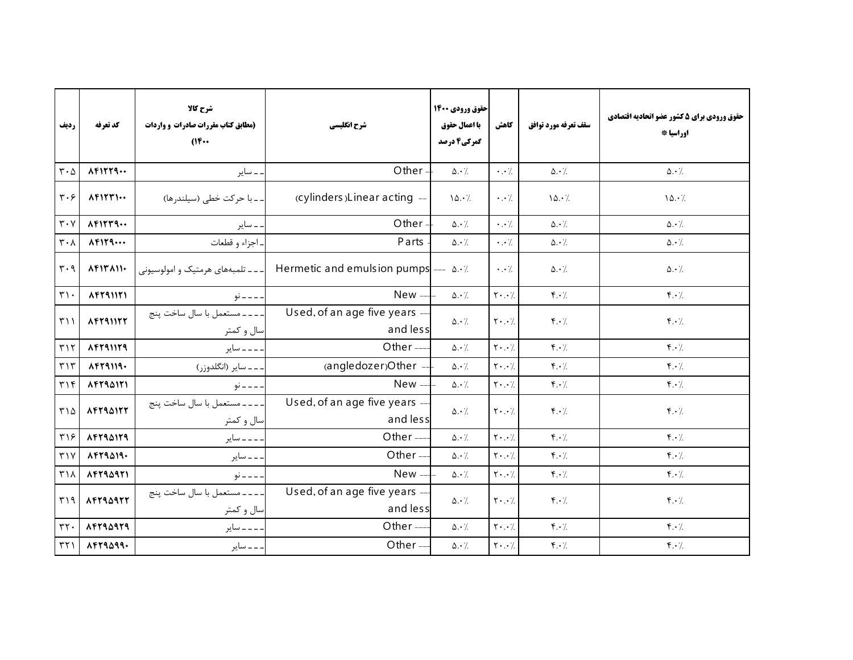| رديف                              | كد تعرفه                    | شرح كالا<br>(مطابق کتاب مقررات صادرات و واردات<br>$(16 \cdots$ | شرح انگلیسی                               | احقوق ورودي 1400<br>با اعمال حقوق<br>گمرکی4 درصد | كاهش                                      | سقف تعرفه مورد توافق              | حقوق ورودي براي 5 كشور عضو اتحاديه اقتصادي<br>اوراسيا * |
|-----------------------------------|-----------------------------|----------------------------------------------------------------|-------------------------------------------|--------------------------------------------------|-------------------------------------------|-----------------------------------|---------------------------------------------------------|
| $\mathbf{r} \cdot \mathbf{r}$     | AFTY9                       | ۔ سایر                                                         | Other -                                   | $\Delta \cdot \gamma$                            | $\cdot \cdot \cdot$                       | $\Delta \cdot \gamma$             | $\Delta \cdot \gamma$                                   |
| $\mathbf{r} \cdot \mathbf{r}$     | $\Lambda$ FITTI $\cdots$    | ۔۔با حرکت خطی (سیلندرها)                                       | (cylinders) Linear acting -               | 10.7                                             | $\cdot$ . $\cdot$ /.                      | 10.7                              | 10.7                                                    |
| $\mathbf{r} \cdot \mathbf{v}$     | $\Lambda$ FITT9             | ۔ سایر                                                         | Other-                                    | $\Delta \cdot \gamma$                            | $\cdot \cdot$ /                           | $\Delta \cdot \gamma$             | $\Delta \cdot \gamma$                                   |
| $\mathbf{r} \cdot \mathbf{v}$     | $\Lambda$ FIT9              | اجزاء و قطعات                                                  | Parts                                     | $\Delta \cdot \gamma$                            | $\cdot \cdot$ /                           | $\Delta \cdot$ /                  | $\Delta \cdot \frac{1}{2}$                              |
| $\mathbf{r} \cdot \mathbf{q}$     | $\Lambda$ FIT $\Lambda$ II. | ۔۔ تلمبههای هرمتیک و امولوسیونی                                | Hermetic and emulsion pumps $\frac{1}{2}$ |                                                  | $\cdot \cdot \cdot$ /.                    | $\Delta \cdot \gamma$             | $\Delta \cdot \gamma$                                   |
| $\mathbf{r}\cdot$                 | $\Lambda$ Fra $\eta$        | - - - - نو                                                     | $New -$                                   | $\Delta \cdot /$                                 | $\mathbf{Y} \cdot \cdot \cdot$            | $f \cdot \gamma$                  | $\mathbf{f} \cdot \mathbf{h}$                           |
| $\uparrow$ ) )                    | <b>AFTAIITT</b>             | ـ ـ ـ ـ مستعمل با سال ساخت پنج<br>سال و کمتر                   | Used, of an age five years -<br>and less  | $\Delta \cdot \gamma$                            | $\mathbf{Y} \cdot \cdot \cdot$            | $f \cdot \gamma$                  | $f \cdot \gamma$                                        |
| $\Gamma$                          | 14791179                    | ۔۔۔ سایر                                                       | Other-                                    | $\Delta \cdot \gamma$                            | $\mathbf{Y} \cdot \cdot \cdot$            | $f \cdot \gamma$                  | $f \cdot \gamma$                                        |
| $\eta \uparrow \eta$              | $\Lambda$ FT9 $119.$        | ۔۔۔سایر (انگلدوزر)                                             | (angledozer)Other --                      | $\Delta \cdot$ /.                                | $\mathbf{Y} \cdot \cdot \cdot$            | $f \cdot /$                       | $f \cdot \gamma$                                        |
| $\mathbf{r} \setminus \mathbf{r}$ | 14794171                    | . _ _ _ نو                                                     | New-                                      | $\Delta \cdot$ /.                                | $\mathbf{Y} \cdot \cdot \cdot \mathbf{A}$ | $f \cdot \gamma$                  | $f \cdot \gamma$                                        |
| ۳۱۵                               | <b>AFTRAITT</b>             | --- مستعمل با سال ساخت پنج<br>سال و کمتر                       | Used, of an age five years -<br>and less  | $\Delta \cdot \frac{1}{2}$                       | $Y \cdot . \cdot$                         | $f \cdot \gamma$                  | $\mathfrak{f} \cdot \mathfrak{c}$                       |
| $\mathbf{y}$                      | <b>AFTIAITI</b>             | ۔۔۔ سایر                                                       | Other-                                    | $\Delta \cdot \gamma$                            | $\mathbf{Y} \cdot \cdot \cdot$            | $\mathfrak{r} \cdot \mathfrak{c}$ | $f \cdot \gamma$                                        |
| $Y \vee Y$                        | $\lambda$ Frasia.           | ۔۔ سایر                                                        | Other-                                    | $\Delta \cdot \frac{1}{2}$                       | $Y \cdot . \cdot$                         | $f \cdot \gamma$                  | $\mathbf{f} \cdot \mathbf{h}$                           |
| $\mathsf{r}\wedge$                | 14444411                    | ___ نو                                                         | New-                                      | $\Delta \cdot \gamma$                            | $\mathbf{Y} \cdot \cdot \cdot$            | $f \cdot /$                       | $\mathfrak{f} \cdot \mathfrak{h}$                       |
| ۳۱۹                               | 14444447                    | --- مستعمل با سال ساخت پنج<br>سال و کمتر                       | Used, of an age five years -<br>and less  | $\Delta \cdot \frac{1}{2}$                       | $Y \cdot . \cdot$                         | $\mathfrak{f}\cdot\mathfrak{c}$   | $f \cdot \gamma$                                        |
| $rrf$ .                           | 14794979                    | . _ _ _ ساير                                                   | Other-                                    | $\Delta \cdot \frac{1}{2}$                       | $Y \cdot . \cdot$                         | $f \cdot \gamma$                  | $\mathfrak{f} \cdot \mathfrak{h}$                       |
| $\uparrow\uparrow\uparrow$        | $\lambda$ Frasaa.           | . _ _ ساير                                                     | Other-                                    | $\Delta \cdot \frac{1}{2}$                       | $\mathbf{Y} \cdot \cdot \cdot$            | $\mathfrak{f} \cdot \mathfrak{f}$ | $\mathfrak{f} \cdot \mathfrak{f}$                       |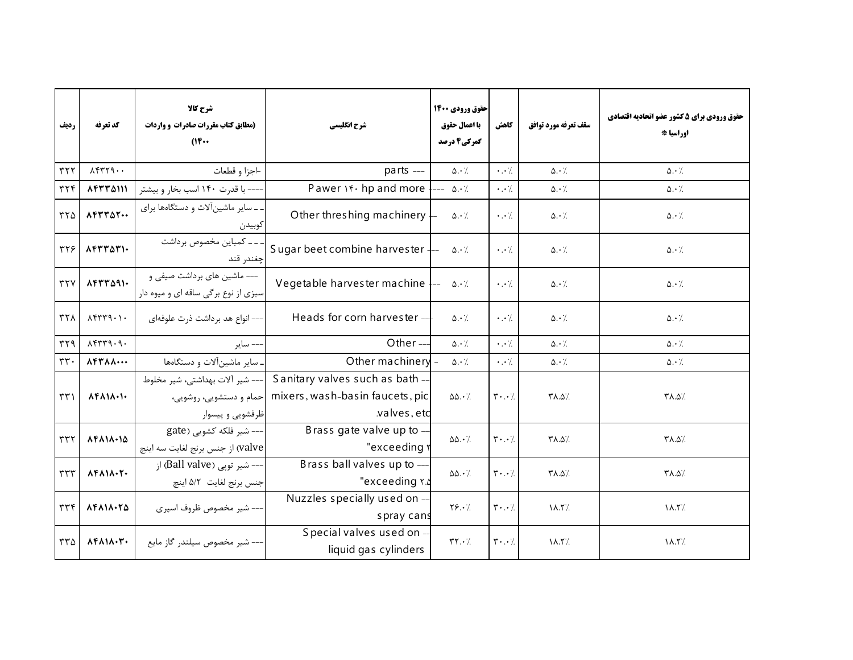| رديف                       | كد تعرفه                                   | شرح کالا<br>(مطابق کتاب مقررات صادرات و واردات<br>$(16 \cdots$                 | شرح انگلیسی                                                                       | حقوق ورودي 1400<br>با اعمال حقوق<br>گمرکی4 درصد | كاهش                                | سقف تعرفه مورد توافق       | حقوق ورودي براي 5 كشور عضو اتحاديه اقتصادي<br>اوراسيا * |
|----------------------------|--------------------------------------------|--------------------------------------------------------------------------------|-----------------------------------------------------------------------------------|-------------------------------------------------|-------------------------------------|----------------------------|---------------------------------------------------------|
| rrr                        | $\lambda$                                  | -اجزا و قطعات                                                                  | parts ---                                                                         | $\Delta \cdot \frac{1}{2}$                      | $\cdot \cdot \cdot$                 | $\Delta \cdot$ /           | $\Delta \cdot \frac{1}{2}$                              |
| $\tau\tau f$               | 14774111                                   | ---- با قدرت ۱۴۰ اسب بخار و بیشتر                                              | Pawer \f \cdot hp and more                                                        | $\Delta \cdot \gamma$                           | $\cdot \cdot \cdot$ /.              | $\Delta \cdot \frac{1}{2}$ | $\Delta \cdot \frac{1}{2}$                              |
| ۳۲۵                        | $\Lambda$ Frrat                            | ـ ـ ساير ماشين آلات و دستگاهها برای<br>كوبيدن                                  | Other threshing machinery                                                         | $\Delta \cdot \gamma$                           | $\cdot \cdot \cdot$ /.              | $\Delta \cdot$ /           | $\Delta \cdot \frac{1}{2}$                              |
| 377                        | $\Lambda$ Frrari.                          | ۔۔ کمباین مخصوص برداشت<br>چغندر قند                                            | Sugar beet combine harvester $\frac{1}{2}$                                        | $\Delta \cdot \frac{1}{2}$                      | $\cdot \cdot \cdot$                 | $\Delta \cdot \gamma$      | $\Delta \cdot \frac{1}{2}$                              |
| $\tau\tau\gamma$           | $\lambda$ Frraqi.                          | --- ماشین های برداشت صیفی و<br>سبزی از نوع برگی ساقه ای و میوه دار             | Vegetable harvester machine                                                       | $\Delta \cdot \frac{1}{2}$                      | $\cdot \cdot$ /.                    | $\Delta \cdot \Delta$      | $\Delta \cdot \gamma$                                   |
| $\tau\tau\Lambda$          | $\lambda$                                  | –– انواع هد برداشت ذرت علوفهای                                                 | Heads for corn harvester --                                                       | $\Delta \cdot \frac{1}{2}$                      | $\cdot \cdot \cdot$                 | $\Delta \cdot$ /           | $\Delta \cdot$ /                                        |
| $\eta$                     | $\lambda$ ۴۳۳۹.۹.                          | –– ساير                                                                        | Other-                                                                            | $\Delta \cdot \angle$                           | $\cdot \cdot \cdot$                 | $\Delta \cdot \gamma$      | $\Delta \cdot \frac{1}{2}$                              |
| $rrr$ .                    | $\Lambda$ Fr $\Lambda$ $\cdots$            | سایر ماشین آلات و دستگاهها                                                     | Other machinery                                                                   | $\Delta \cdot \frac{1}{2}$                      | $\cdot \cdot \cdot$ /.              | $\Delta \cdot$ /.          | $\Delta \cdot \gamma$                                   |
| $\uparrow\uparrow\uparrow$ | $\Lambda$ ۴ $\Lambda$ 1 $\Lambda$ .1.      | --- شير آلات بهداشتي، شير مخلوط<br>حمام و دستشويي، روشويي،<br>ظرفشويي و پيسوار | Sanitary valves such as bath -<br>mixers, wash-basin faucets, pic<br>valves, etc. | $\Delta\Delta \cdot \frac{1}{2}$                | $\mathbf{r} \cdot \cdot \mathbf{7}$ | /۵.۵/۳                     | /۵.۵/۳                                                  |
| rrr                        | $\Lambda$ FAI $\Lambda$ $\cdot$ I $\Delta$ | --- شیر فلکه کشویی (gate<br> valve) از جنس برنج لغايت سه اينچ                  | Brass gate valve up to -<br>"exceeding r                                          | $\Delta\Delta \cdot \frac{1}{2}$                | $\mathbf{y} \cdot \cdot \mathbf{y}$ | /۰.۵/                      | /۵.۸۳                                                   |
| $\tau\tau\tau$             | $\Lambda$ ۴۸۱۸.۲.                          | --- شير توپي (Ball valve) از<br>جنس برنج لغايت ٥/٢ اينچ                        | Brass ball valves up to ---<br>"exceeding ۲.۵                                     | $\Delta\Delta\cdot\%$                           | $\mathbf{r} \cdot \cdot \mathbf{7}$ | /۵.۵/۳                     | /۵.۵/۳                                                  |
| rrr                        | 14111.70                                   | --- شیر مخصوص ظروف اسپری                                                       | Nuzzles specially used on -<br>spray cans                                         | $Y\S. \cdot$                                    | $\mathbf{r}\cdot\cdot\cdot$ /.      | $\lambda$ . T $\lambda$ .  | $\lambda$ .۲/                                           |
| ۳۳۵                        | $\Lambda$ ۴۸۱۸.۳.                          | -- شیر مخصوص سیلندر گاز مایع                                                   | Special valves used on -<br>liquid gas cylinders                                  | $\mathbf{Y} \cdot \mathbf{Y}$                   | $\mathbf{r} \cdot \cdot \mathbf{7}$ | $\lambda$ .۲/              | $\lambda$ .۲/                                           |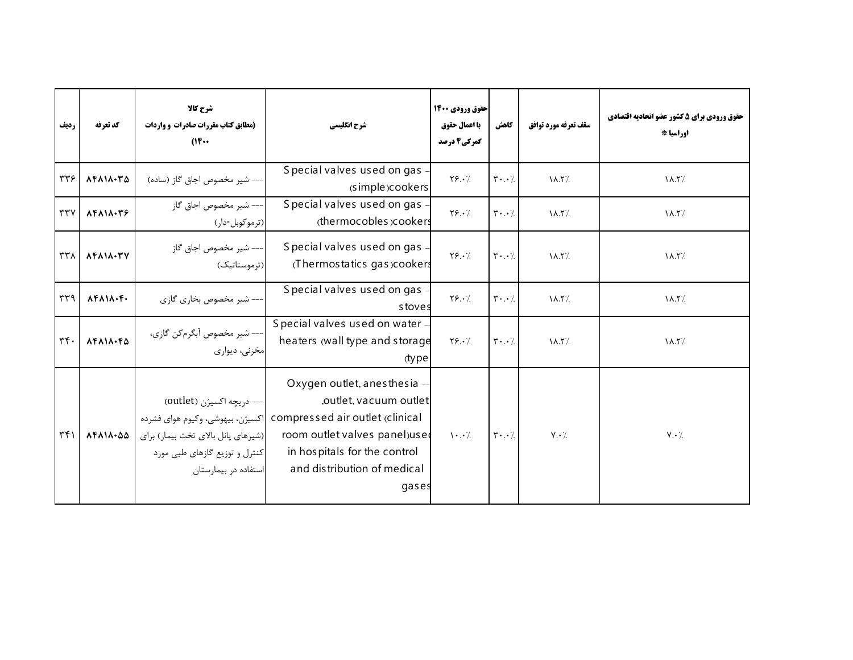| رديف                      | كد تعرفه                                   | شرح کالا<br>(مطابق کتاب مقررات صادرات و واردات<br>$(16 \cdots$                                                                                              | شرح انگلیسی                                                                                                                                                                                        | حقوق ورودي 1400<br>با اعمال حقوق<br>گمرکی4 درصد | كاهش                                | سقف تعرفه مورد توافق      | حقوق ورودي براي 5 كشور عضو اتحاديه اقتصادي<br>اوراسيا * |
|---------------------------|--------------------------------------------|-------------------------------------------------------------------------------------------------------------------------------------------------------------|----------------------------------------------------------------------------------------------------------------------------------------------------------------------------------------------------|-------------------------------------------------|-------------------------------------|---------------------------|---------------------------------------------------------|
| ٣٣۶                       | $\Lambda$ FAI $\Lambda$ ·۳ $\Delta$        | –– شیر مخصوص اجاق گاز (ساده)                                                                                                                                | Special valves used on gas<br>(simple)cookers                                                                                                                                                      | $Y$                                             | $\mathbf{r}\cdot\cdot\mathbf{A}$    | $\lambda$ .۲/             | $\lambda$ .۲/                                           |
| rrv                       | $\Lambda$ F $\Lambda$ $\Lambda$ $\cdot$ ۳۶ | --- شير مخصوص اجاق گاز<br>(ترموكوبل-دار)                                                                                                                    | Special valves used on gas<br>(thermocobles)cookers                                                                                                                                                | $Y$ ۶.۰/                                        | $\mathbf{r} \cdot \cdot \mathbf{7}$ | $\lambda$ .۲/             | $\lambda$ .۲/                                           |
| $\tau\tau\lambda$         | 14111.77                                   | --- شير مخصوص اجاق گاز<br>(ترموستاتیک)                                                                                                                      | Special valves used on gas<br>(Thermostatics gas)cookers                                                                                                                                           | $Y$ $9.1$                                       | $\mathbf{r} \cdot \cdot \mathbf{7}$ | $\lambda$ .۲/             | $\lambda$ .۲/                                           |
| $\mu$                     | $\lambda$ ۴ $\lambda$ ۱ $\lambda$ ·۴·      | – شیر مخصوص بخاری گازی                                                                                                                                      | Special valves used on gas<br>stoves                                                                                                                                                               | $Y$                                             | $\mathbf{r} \cdot \cdot \mathbf{7}$ | $\lambda$ .۲/             | $\lambda$ .۲/                                           |
| $\mathbf{r} \mathbf{r}$ . | $\Lambda$ ۴۸۱۸.۴۵                          | --- شير مخصوص أبگرمكن گازى،<br>مخزنی، دیواری                                                                                                                | Special valves used on water -<br>heaters (wall type and storage<br>(type                                                                                                                          | $Y$ ۶.۰/                                        | $\mathbf{r} \cdot \cdot \mathbf{7}$ | $\lambda$ . T $\lambda$ . | $\lambda$ .۲/                                           |
| $\upmu\upmu$              | 14111.00                                   | --- دريچه اکسيژن (outlet)<br>اکسیژن، بیهوشی، وکیوم هوای فشرده<br>(شیرهای پانل بالای تخت بیمار) برای<br>کنترل و توزیع گازهای طبی مورد<br>ستفاده در بیمارستان | Oxygen outlet, anes thesia -<br>,outlet, vacuum outlet<br>compressed air outlet (clinical<br>room outlet valves panel)used<br>in hospitals for the control<br>and distribution of medical<br>gases | $\cdot \cdot$ /                                 | $\mathbf{r} \cdot \cdot \mathbf{1}$ | $V \cdot \ell$            | $V \cdot \mathcal{L}$                                   |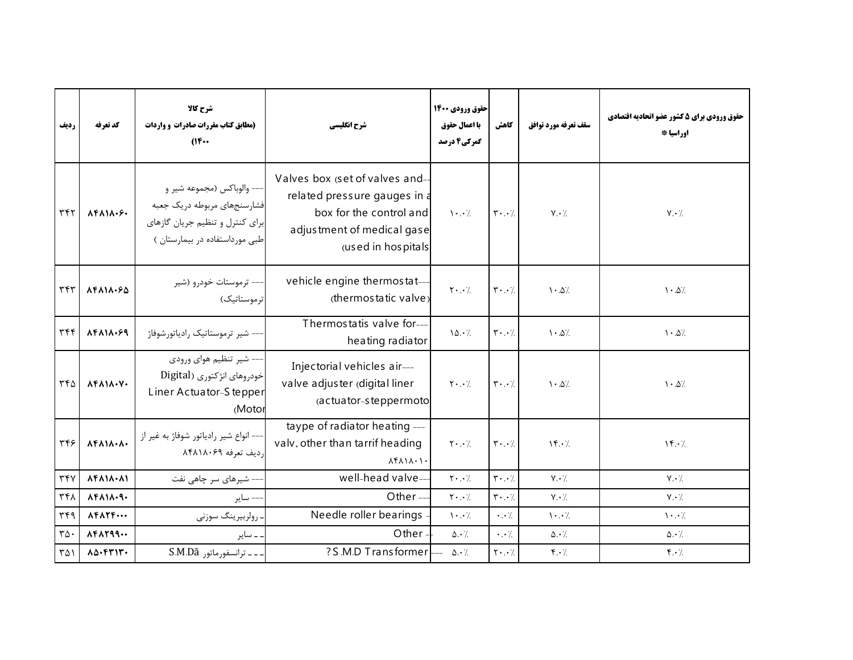| رديف                     | كد تعرفه                                                  | شرح کالا<br>(مطابق کتاب مقررات صادرات و واردات<br>$(16 \cdots$                                                                | شرح انگلیسی                                                                                                                                   | حقوق ورودي 1400<br>با اعمال حقوق<br>گمرکی4 درصد | كاهش                                | سقف تعرفه مورد توافق          | حقوق ورودي براي 5 كشور عضو اتحاديه اقتصادي<br>اوراسيا * |
|--------------------------|-----------------------------------------------------------|-------------------------------------------------------------------------------------------------------------------------------|-----------------------------------------------------------------------------------------------------------------------------------------------|-------------------------------------------------|-------------------------------------|-------------------------------|---------------------------------------------------------|
| ٣۴٢                      | $\lambda F \lambda 1 \lambda \cdot F$                     | --- والوباكس (مجموعه شير و<br>فشارسنجهاي مربوطه دريك جعبه<br>برای کنترل و تنظیم جریان گازهای<br>طبی مورداستفاده در بیمارستان) | Valves box (set of valves and-<br>related pressure gauges in a<br>box for the control and<br>adjustment of medical gase<br>(used in hospitals | $\cdot \cdot$ /                                 | $\mathbf{r} \cdot \cdot \mathbf{7}$ | $V \cdot /$                   | $Y \cdot \mathcal{L}$                                   |
| ٣۴٣                      | $\lambda$ F $\lambda$ 1 $\lambda$ . $\epsilon$ $\Delta$   | --- ترموستات خودرو (شیر<br>تر موستاتیک)                                                                                       | vehicle engine thermostat-<br>(thermostatic valve)                                                                                            | $\mathsf{Y} \cdot \cdot \cdot$ /                | $\mathbf{r} \cdot \cdot \mathbf{7}$ | $\cdot \Delta'$               | $1 - \Delta'$                                           |
| $\tau$                   | $\lambda$ F $\lambda$ 1 $\lambda$ . $\epsilon$ 9          | –– شیر ترموستاتیک رادیاتورشوفاژ                                                                                               | Thermostatis valve for---<br>heating radiator                                                                                                 | 10.7                                            | $\mathbf{y} \cdot \cdot \mathbf{y}$ | $\cdot \Delta$ /              | $\ensuremath{\mathcal{N}}\xspace \cdot \Delta /$        |
| ۳۴۵                      | $\Lambda$ ۴۸۱۸. $V$ .                                     | –– شیر تنظیم هوای ورودی<br>خودروهای انژکتوری (Digital<br>Liner Actuator-S tepper<br>(Motor                                    | Injectorial vehicles air---<br>valve adjuster (digital liner<br>(actuator-steppermoto                                                         | $\mathbf{Y} \cdot \cdot \cdot$ /                | $\mathbf{r} \cdot \cdot \mathbf{7}$ | $\cdot \Delta$ /              | $\ensuremath{\mathcal{N}}\xspace \cdot \Delta /$        |
| ٣۴۶                      | $\Lambda$ F $\Lambda$ $\Lambda$ $\cdot$ $\Lambda$ $\cdot$ | –– انواع شير رادياتور شوفاژ به غير از<br>رديف تعرفه ٨۴٨١٨٠۶٩                                                                  | taype of radiator heating ---<br>valv, other than tarrif heading<br>$\Lambda f \Lambda \Lambda \Lambda \cdot \Lambda$                         | $Y \cdot$                                       | $\mathbf{r} \cdot \cdot \mathbf{A}$ | $Y \cdot \ell$                | $\mathcal{N} \cdot \mathcal{L}$                         |
| $\tau \tau \nu$          | $\Lambda$ F $\Lambda$ 1 $\Lambda$ $\cdot$ $\Lambda$ 1     | –– شیرهای سر چاهی نفت                                                                                                         | well-head valve--                                                                                                                             | $\mathbf{Y} \cdot \cdot \mathbf{Z}$             | $\mathbf{r} \cdot \cdot \mathbf{7}$ | $V \cdot /$                   | $V \cdot /$                                             |
| ۳۴۸                      | $\Lambda$ ۴۸۱۸.۹.                                         | -- ساير                                                                                                                       | Other-                                                                                                                                        | $\mathbf{Y} \cdot \cdot \mathbf{Z}$             | $\mathbf{r} \cdot \cdot \mathbf{7}$ | $V \cdot \gamma$              | $Y \cdot \gamma$                                        |
| $\tau$ $\zeta$           | $\Lambda$ F $\Lambda$ T $F$                               | رولربيرينگ سوزني                                                                                                              | Needle roller bearings                                                                                                                        | $\mathcal{N} \cdot \mathcal{N}$                 | $\cdot \cdot \cdot$                 | $\mathcal{N}$ . $\mathcal{N}$ | $\mathcal{N}$ . $\mathcal{N}$                           |
| $\mathbf{r}\mathbf{w}$ . | $\lambda$ ۴ $\lambda$ ۲۹۹                                 | ۔ سایر                                                                                                                        | Other                                                                                                                                         | $\Delta \cdot /$                                | $\cdot \cdot \cdot$                 | $\Delta \cdot \frac{1}{2}$    | $\Delta \cdot \gamma$                                   |
| ۳۵۱                      | $\Lambda \Delta$ . $FT1T$ .                               | . ـ ـ ترانسفورماتور S.M.Dã                                                                                                    | ?S.M.D Transformer                                                                                                                            | $\Delta \cdot \frac{1}{2}$                      | $\mathbf{Y} \cdot \cdot \cdot$      | $f \cdot \gamma$              | $\mathfrak{f} \cdot \mathfrak{c}$                       |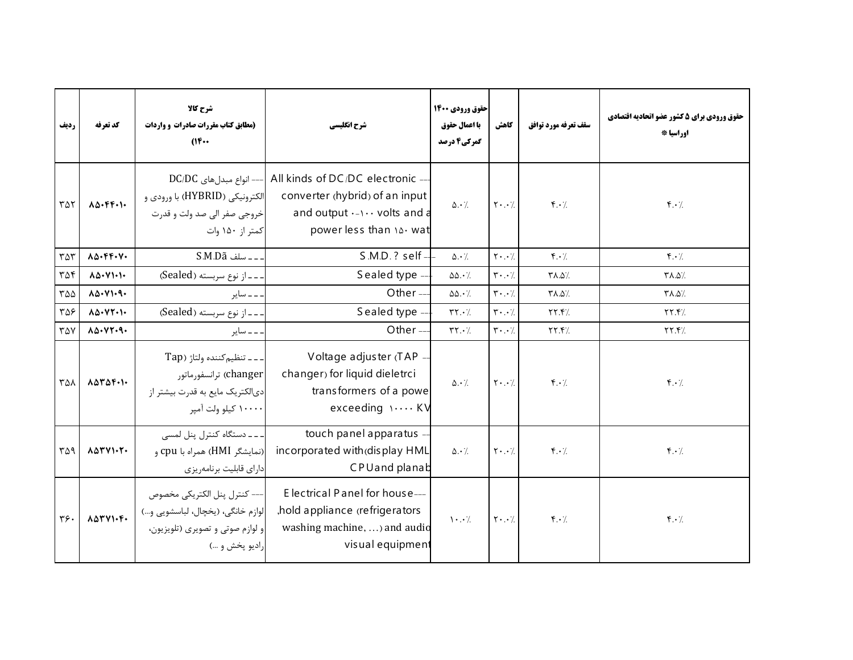| رديف               | كد تعرفه                                          | شرح کالا<br>(مطابق کتاب مقررات صادرات و واردات<br>$(16 \cdots$                                                                 | شرح انگلیسی                                                                                                                     | حقوق ورودي 1400<br>با اعمال حقوق<br>گمرکی4 درصد | كاهش                                | سقف تعرفه مورد توافق            | حقوق ورودي براي 5 كشور عضو اتحاديه اقتصادي<br>اوراسيا * |
|--------------------|---------------------------------------------------|--------------------------------------------------------------------------------------------------------------------------------|---------------------------------------------------------------------------------------------------------------------------------|-------------------------------------------------|-------------------------------------|---------------------------------|---------------------------------------------------------|
| ۳۵۲                | $\Lambda\Delta\cdot F$ F.I.                       | $DC/DC$ انواع مبدل های $\left  -- \right $<br>الکترونیکی (HYBRID) با ورودی و<br>خروجي صفر الي صد ولت و قدرت<br>کمتر از ۱۵۰ وات | All kinds of DC/DC electronic -<br>converter (hybrid) of an input<br>and output $\cdots$ volts and a<br>power less than 14. wat | $\Delta \cdot \gamma$                           | $\mathbf{Y} \cdot \cdot \mathbf{Z}$ | $\mathbf{f} \cdot \mathbf{A}$   | $\mathbf{r} \cdot \mathbf{A}$                           |
| $\tau \Delta \tau$ | $\Lambda\Delta\cdot$ FF.V.                        |                                                                                                                                | $S.M.D. ? self -$                                                                                                               | $\Delta \cdot \gamma$                           | $\mathbf{Y} \cdot \cdot \cdot$      | $f \cdot \gamma$                | $f.\cdot$                                               |
| ۳۵۴                | $\Lambda\Delta\cdot V$ 1.1.                       | -- از نوع سربسته (Sealed)                                                                                                      | Sealed type -                                                                                                                   | $\Delta\Delta \cdot \gamma$                     | $\mathbf{r} \cdot \cdot \mathbf{7}$ | /۵.۵/                           | /۵.۵/                                                   |
| ۳۵۵                | $\Lambda\Delta\cdot V$ 1.9.                       | ۔۔ سایر                                                                                                                        | Other $-$                                                                                                                       | $\Delta\Delta \cdot \frac{1}{2}$                | $\mathbf{r} \cdot \cdot \mathbf{7}$ | /۵.۵٪                           | /۵.۵/۳                                                  |
| ۳۵۶                | $\Lambda\Delta\cdot V\Upsilon\cdot V$             | - - از نوع سربسته (Sealed)                                                                                                     | Sealed type -                                                                                                                   | $\mathbf{Y} \cdot \mathbf{Y}$                   | $\mathbf{r} \cdot \cdot \mathbf{7}$ | YY.7/                           | YY.7                                                    |
| ۳۵۷                | 10.47.9.                                          | ۔۔ سایر                                                                                                                        | Other-                                                                                                                          | $\mathsf{r}\mathsf{r}\cdot\mathsf{r}$           | $\mathbf{r} \cdot \cdot \mathbf{7}$ | YY.7/                           | YY.7                                                    |
| ۳۵۸                | $\Lambda \Delta \Upsilon \Delta \Upsilon \cdot V$ | --- تنظيم كننده ولتاژ (Tap<br>changer) ترانسفورماتور<br>دیالکتریک مایع به قدرت بیشتر از<br>۱۰۰۰۰ کیلو ولت آمیر                 | Voltage adjuster (TAP -<br>changer) for liquid dieletrci<br>transformers of a powe<br>exceeding \  KV                           | $\Delta \cdot \gamma$                           | $\mathbf{Y} \cdot \cdot \mathbf{Z}$ | $f \cdot \gamma$                | $f \cdot \gamma$                                        |
| ۳۵۹                | 10411.7.                                          | ۔۔۔ دستگاہ کنترل پنل لمسی<br>(نمایشگر HMI) همراه با cpu و<br>دارای قابلیت برنامهریزی                                           | touch panel apparatus -<br>incorporated with (display HML<br><b>CPUand planab</b>                                               | $\Delta \cdot \frac{1}{2}$                      | $\mathbf{Y} \cdot \cdot \cdot$ /    | $\mathfrak{f}\cdot\mathfrak{c}$ | $\mathbf{f} \cdot \mathbf{y}$                           |
| ٣۶.                | $\Lambda \Delta \Upsilon V$ 1.4.                  | --- كنترل پنل الكتريكي مخصوص<br>لوازم خانگی، (يخچال، لباسشويي و)<br>و لوازم صوتي و تصويري (تلويزيون،<br>راديو پخش و …)         | E lectrical Panel for house---<br>hold appliance (refrigerators<br>washing machine,  and audio<br>visual equipment              | $\cdot \cdot$ /                                 | $Y \cdot . \cdot$ /                 | $f \cdot \gamma$                | $f \cdot \gamma$                                        |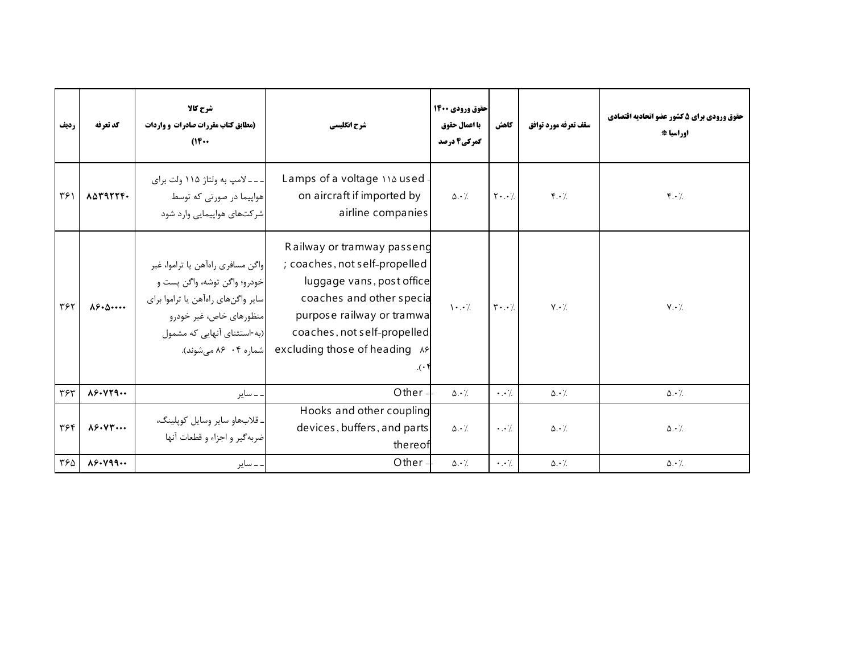| رديف | كد تعرفه                          | شرح کالا<br>(مطابق کتاب مقررات صادرات و واردات<br>$(16 \cdots$                                                                                                                             | شرح انگلیسی                                                                                                                                                                                                                                | حقوق ورودي 1400<br>با اعمال حقوق<br>گمرکی4 درصد | كاهش                       | سقف تعرفه مورد توافق          | حقوق ورودي براي 5 كشور عضو اتحاديه اقتصادي<br>اوراسيا * |
|------|-----------------------------------|--------------------------------------------------------------------------------------------------------------------------------------------------------------------------------------------|--------------------------------------------------------------------------------------------------------------------------------------------------------------------------------------------------------------------------------------------|-------------------------------------------------|----------------------------|-------------------------------|---------------------------------------------------------|
| ۳۶۱  | ASTRTTF.                          | ـ ـ ـ ـ لامپ به ولتاژ ۱۱۵ ولت برای<br>هواپیما در صورتی که توسط<br>شرکتهای هواپیمایی وارد شود                                                                                               | Lamps of a voltage in used.<br>on aircraft if imported by<br>airline companies                                                                                                                                                             | $\Delta \cdot \frac{1}{2}$                      | $\mathbf{Y} \cdot \cdot /$ | $\mathbf{f} \cdot \mathbf{h}$ | $f \cdot /$                                             |
| ٣۶٢  | $\lambda \xi \cdot \Delta \cdots$ | واگن مسافري راهأهن يا تراموا، غير<br> خودرو؛ واگن توشه، واگن پست و<br>سایر واگنهای راهآهن یا تراموا برای<br>منظورهای خاص، غیر خودرو<br>(به-استثنای آنهایی که مشمول<br>شماره ۰۴ ۸۶ میشوند). | Railway or tramway passeng<br>; coaches, not self-propelled<br>luggage vans, post office<br>coaches and other special<br>purpose railway or tramwa<br>coaches, not self-propelled<br>excluding those of heading AP<br>$\cdot$ ( $\cdot$ ). | $\mathcal{N}$ . $\mathcal{N}$                   | $\mathbf{r} \cdot \cdot /$ | $V \cdot /$                   | $Y \cdot \mathcal{L}$                                   |
| ٣۶٣  | $\lambda$ ۶۰۷۲۹                   | . ــ ساير                                                                                                                                                                                  | Other -                                                                                                                                                                                                                                    | $\Delta \cdot \frac{1}{2}$                      | $\cdot \cdot$ /.           | $\Delta \cdot \frac{1}{2}$    | $\Delta \cdot \gamma$                                   |
| ٣۶۴  | $\lambda$ ۶۰۷۳                    | ـ قلابهاو ساير وسايل كوپلينگ،<br>ضربه گير و اجزاء و قطعات آنها                                                                                                                             | Hooks and other coupling<br>devices, buffers, and parts<br>thereof                                                                                                                                                                         | $\Delta \cdot \frac{1}{2}$                      | $\cdot \cdot \cdot$        | $\Delta \cdot \gamma$         | $\Delta \cdot \frac{1}{2}$                              |
| ۳۶۵  | $\lambda$ ۶. $\gamma$ ۹۹          | . ــ ساير                                                                                                                                                                                  | Other $=$                                                                                                                                                                                                                                  | $\Delta \cdot$ /                                | $\cdot \cdot$ /            | $\Delta \cdot \gamma$ .       | $\Delta \cdot$ /                                        |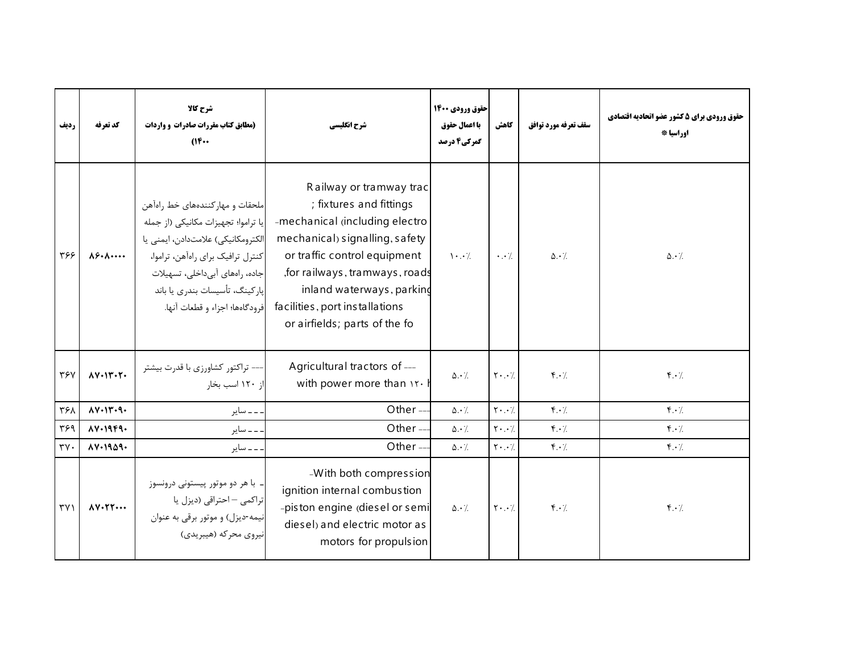| رديف                     | كد تعرفه                                    | شرح کالا<br>(مطابق کتاب مقررات صادرات و واردات<br>$(16 \cdots$                                                                                                                                                                                           | شرح انگلیسی                                                                                                                                                                                                                                                                               | حقوق ورودي 1400<br>با اعمال حقوق<br>گمرکی4 درصد | كاهش                                | سقف تعرفه مورد توافق              | حقوق ورودي براي 5 كشور عضو اتحاديه اقتصادي<br>اوراسيا * |
|--------------------------|---------------------------------------------|----------------------------------------------------------------------------------------------------------------------------------------------------------------------------------------------------------------------------------------------------------|-------------------------------------------------------------------------------------------------------------------------------------------------------------------------------------------------------------------------------------------------------------------------------------------|-------------------------------------------------|-------------------------------------|-----------------------------------|---------------------------------------------------------|
| ۳۶۶                      | $\lambda$ ۶۰ $\lambda$ ۰۰۰۰۰                | ملحقات و مهار کنندههای خط راهآهن<br>يا تراموا؛ تجهيزات مكانيكي (از جمله<br>الكترومكانيكي) علامتدادن، ايمنى يا<br>كنترل ترافيك براي راهآهن، تراموا،<br>جاده، راههای آبیداخلی، تسهیلات<br>یارکینگ، تأسیسات بندری یا باند<br>فرودگاهها؛ اجزاء و قطعات آنها. | Railway or tramway trac<br>; fixtures and fittings<br>-mechanical (including electro<br>mechanical) signalling, safety<br>or traffic control equipment<br>, for railways, tramways, roads<br>inland waterways, parking<br>facilities, port installations<br>or airfields; parts of the fo | $\mathcal{N} \cdot \cdot \mathcal{N}$           | $\cdot \cdot \cdot$                 | $\Delta \cdot \frac{1}{2}$        | $\Delta \cdot \frac{1}{2}$                              |
| ٣۶٧                      | $\Lambda V \cdot I \Upsilon \cdot \Upsilon$ | --- تراکتور کشاورزی با قدرت بیشتر<br>از ۱۲۰ اسب بخار                                                                                                                                                                                                     | Agricultural tractors of ---<br>with power more than it.                                                                                                                                                                                                                                  | $\Delta \cdot \gamma$                           | $Y \cdot . \cdot$                   | $f \cdot \gamma$                  | $f \cdot \gamma$                                        |
| ٣۶٨                      | $\Lambda V \cdot 1V \cdot 9$                | ۔۔ سایر                                                                                                                                                                                                                                                  | Other-                                                                                                                                                                                                                                                                                    | $\Delta \cdot /$                                | $\mathbf{Y} \cdot \cdot \mathbf{A}$ | $\mathfrak{r} \cdot \mathfrak{c}$ | $\mathfrak{f} \cdot \mathfrak{f}$                       |
| ٣۶٩                      | $AY-19F9-$                                  | ۔۔ سایر                                                                                                                                                                                                                                                  | Other $-$                                                                                                                                                                                                                                                                                 | $\Delta \cdot \gamma$                           | $Y \cdot$                           | $\mathfrak{f} \cdot \mathfrak{c}$ | $f \cdot \gamma$                                        |
| $\mathbf{y} \mathbf{v}$  | 111.1909.                                   | ۔۔ سایر                                                                                                                                                                                                                                                  | Other $-$                                                                                                                                                                                                                                                                                 | $\Delta \cdot$ /.                               | $\mathbf{Y} \cdot \cdot \mathbf{A}$ | $\mathfrak{f} \cdot \mathfrak{c}$ | $\mathfrak{f} \cdot \mathfrak{c}$                       |
| $\uparrow \vee \uparrow$ | $\Lambda$ Y. $\Upsilon$ Y                   | ۔ با هر دو موتور پیستونی درونسوز<br>تراکمی – احتراقی (دیزل یا<br>نیمه-دیزل) و موتور برقی به عنوان<br>نيروي محركه (هيبريدي)                                                                                                                               | -With both compression<br>ignition internal combustion<br>-piston engine (diesel or semi<br>diesel) and electric motor as<br>motors for propulsion                                                                                                                                        | $\Delta \cdot$ /                                | $Y \cdot . \cdot$                   | $f \cdot \gamma$                  | $\mathfrak{f} \cdot \mathfrak{f}$                       |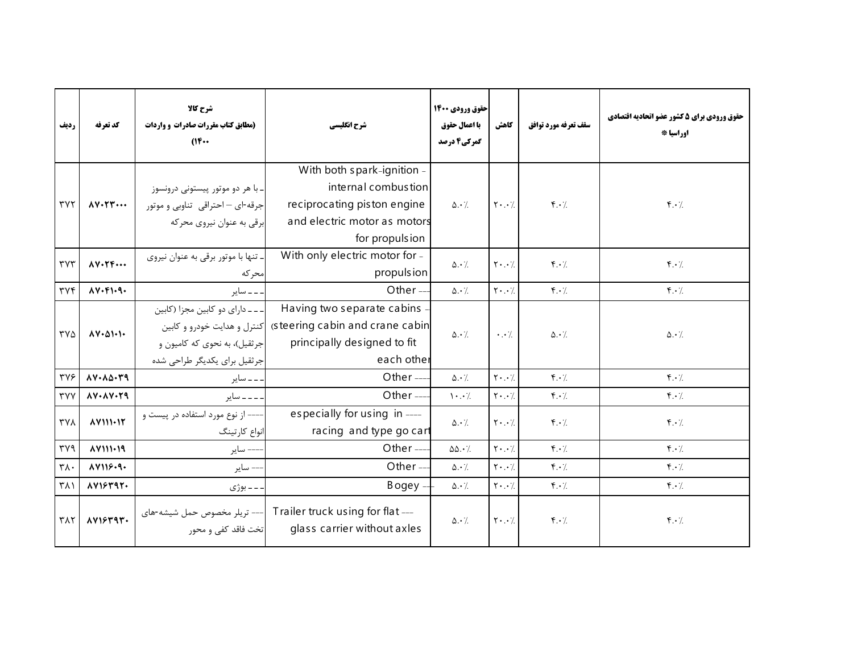| رديف                             | كد تعرفه                                   | شرح کالا<br>(مطابق کتاب مقررات صادرات و واردات<br>(1)                                             | شرح انگلیسی                                                                                                                           | حقوق ورودي 1400<br>با اعمال حقوق<br>گمرکی4 درصد | كاهش                                | سقف تعرفه مورد توافق              | حقوق ورودي براي 5 كشور عضو اتحاديه اقتصادي<br>اوراسيا * |
|----------------------------------|--------------------------------------------|---------------------------------------------------------------------------------------------------|---------------------------------------------------------------------------------------------------------------------------------------|-------------------------------------------------|-------------------------------------|-----------------------------------|---------------------------------------------------------|
| $\mathsf{r}\mathsf{v}\mathsf{r}$ | $\Lambda V \cdot \Upsilon \Upsilon \cdots$ | ـ با هر دو موتور پیستونی درونسوز<br>جرقه-ای – احتراقی تناوبی و موتور<br>برقی به عنوان نیروی محرکه | With both spark-ignition -<br>internal combustion<br>reciprocating piston engine<br>and electric motor as motors<br>for propulsion    | $\Delta \cdot \gamma$                           | $\mathsf{Y} \cdot \cdot \cdot$ /    | $\mathbf{f} \cdot \mathbf{A}$     | $\mathfrak{r} \cdot \mathfrak{c}$                       |
| $\mathsf{r}\mathsf{v}\mathsf{r}$ | $\Lambda V \cdot \Upsilon \Upsilon \cdots$ | ۔ تنها با موتور برقی به عنوان نیروی<br>محر که                                                     | With only electric motor for -<br>propulsion                                                                                          | $\Delta \cdot \frac{1}{2}$                      | $Y \cdot \cdot /$                   | $\mathfrak{f}\cdot\mathfrak{c}$   | $\mathfrak{r} \cdot \mathfrak{c}$                       |
| $\tau \vee \tau$                 | $\Lambda V \cdot F \cdot Q \cdot$          | ۔ ۔ ۔ سایر                                                                                        | Other $-$                                                                                                                             | $\Delta \cdot \angle$                           | $\mathbf{Y} \cdot \cdot \mathbf{A}$ | $\mathfrak{f} \cdot \mathfrak{f}$ | $\mathfrak{f} \cdot \mathfrak{f}$                       |
| ۳۷۵                              | $\Lambda V \cdot \Delta V \cdot V$         | ۔۔۔ دارای دو کابین مجزا (کابین<br> جرثقیل)، به نحوی که کامیون و<br>جرثقیل برای یکدیگر طراحی شده   | Having two separate cabins<br>steering cabin and crane cabin كنترل و هدايت خودرو و كابين<br>principally designed to fit<br>each other | $\Delta \cdot \gamma$                           | $\cdot$                             | $\Delta \cdot$ /                  | $\Delta \cdot \frac{1}{2}$                              |
| <b>٣٧۶</b>                       | $\Lambda V \cdot \Lambda \Delta \cdot Y$ 9 | . _ _ ساير                                                                                        | Other $--$                                                                                                                            | $\Delta \cdot \gamma$                           | $Y \cdot$                           | $\mathfrak{r} \cdot \mathfrak{c}$ | $\mathfrak{f} \cdot \mathfrak{f}$                       |
| <b>TYY</b>                       | $\lambda V \cdot \lambda V \cdot Y$ 9      | ۔۔۔ سایر                                                                                          | Other $-$                                                                                                                             | $\cdot \cdot$ /                                 | $\mathbf{Y} \cdot \cdot \cdot$      | $\mathbf{f} \cdot \mathbf{A}$     | $\mathfrak{f} \cdot \mathfrak{f}$                       |
| $\gamma\gamma\lambda$            |                                            | --- از نوع مورد استفاده در پیست و<br>انواع كارتينگ                                                | especially for using in ----<br>racing and type go cart                                                                               | $\Delta \cdot \gamma$                           | $Y \cdot . \cdot$                   | $f \cdot \gamma$                  | $\mathbf{F} \cdot \mathbf{A}$                           |
| $\mathsf{r}\mathsf{v}\mathsf{q}$ | AY111.19                                   | --- ساير                                                                                          | Other-                                                                                                                                | $\Delta\Delta \cdot \gamma$                     | $\mathbf{Y} \cdot \cdot \mathbf{Y}$ | $\mathbf{f} \cdot \mathbf{A}$     | $\mathfrak{f} \cdot \mathfrak{c}$                       |
| $\mathsf{r}\wedge\cdot$          | AY119.9.                                   | –– ساير                                                                                           | Other-                                                                                                                                | $\Delta \cdot \gamma$                           | $\mathbf{Y} \cdot \cdot \mathbf{Y}$ | $\mathfrak{r} \cdot \mathfrak{c}$ | $\mathfrak{f} \cdot \mathfrak{f}$                       |
| $\uparrow \wedge \uparrow$       | AY15497.                                   | ۔ ۔ بوژی                                                                                          | $Bogey -$                                                                                                                             | $\Delta \cdot$ /.                               | $Y \cdot$                           | $f \cdot \gamma$                  | $\mathfrak{f} \cdot \mathfrak{f}$                       |
| $\mathsf{r}\wedge\mathsf{r}$     | AY15797.                                   | --- تریلر مخصوص حمل شیشه-های<br>تخت فاقد کفی و محور                                               | Trailer truck using for flat ---<br>glass carrier without axles                                                                       | $\Delta \cdot \frac{1}{2}$                      | $\mathbf{Y} \cdot \cdot \cdot$ /    | $\mathbf{f} \cdot \mathbf{A}$     | $\mathbf{F} \cdot \mathbf{A}$                           |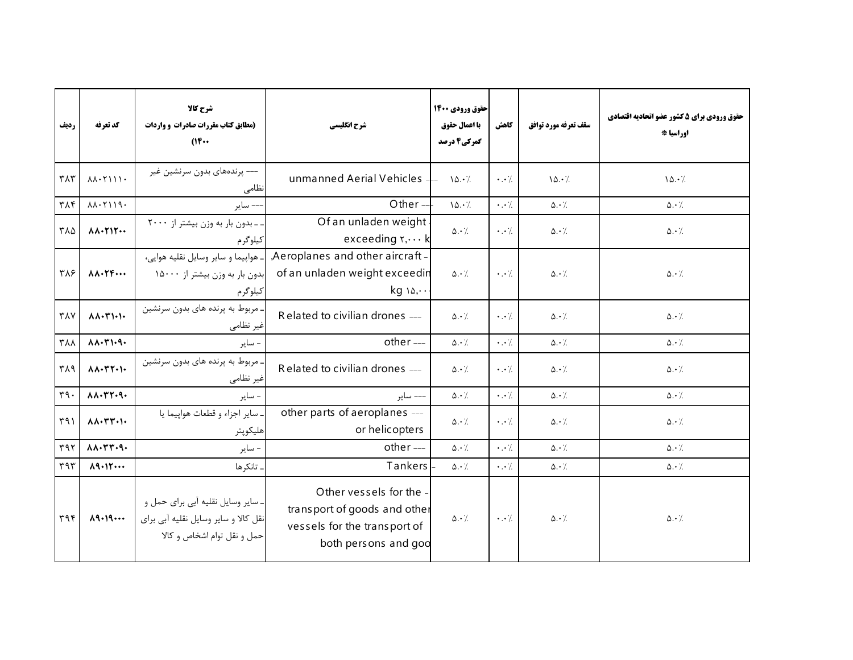| رديف                          | كد تعرفه                                                   | شرح كالا<br>(مطابق کتاب مقررات صادرات و واردات<br>$(16 \cdots$                                           | شرح انگلیسی                                                                                                   | حقوق ورودي 1400<br>با اعمال حقوق<br>گمرکی4 درصد | كاهش                 | سقف تعرفه مورد توافق    | حقوق ورودي براي 5 كشور عضو اتحاديه اقتصادي<br>اوراسيا * |
|-------------------------------|------------------------------------------------------------|----------------------------------------------------------------------------------------------------------|---------------------------------------------------------------------------------------------------------------|-------------------------------------------------|----------------------|-------------------------|---------------------------------------------------------|
| $\mathsf{r}\wedge\mathsf{r}$  | $\lambda \lambda \cdot \Upsilon$                           | --- پرندەھاي بدون سرنشين غير<br>نظامی                                                                    | unmanned Aerial Vehicles                                                                                      | 10.7                                            | $\cdot$ . $\cdot$ /. | 10.7                    | 10.7                                                    |
| $\eta \wedge \eta$            | $\lambda \lambda \cdot \Upsilon$ 119.                      | ساير                                                                                                     | Other-                                                                                                        | 10.7                                            | $\cdot \cdot \cdot$  | $\Delta \cdot \gamma$   | $\Delta \cdot$ /.                                       |
| ۳۸۵                           | $\Lambda \Lambda \cdot \Upsilon \Upsilon \cdots$           | ـ بدون بار به وزن بيشتر از ٢٠٠٠<br>كيلوگرم                                                               | Of an unladen weight<br>exceeding r,  k                                                                       | $\Delta \cdot \frac{1}{2}$                      | $\cdot$ . $\cdot$ /. | $\Delta \cdot \gamma$   | $\Delta \cdot \frac{1}{2}$                              |
| ٣٨۶                           | $\Lambda \Lambda \cdot \Upsilon \Upsilon \cdots$           | . هواييما و ساير وسايل نقليه هواي <i>ي</i> ،<br>بدون بار به وزن بیشتر از ۱۵۰۰۰<br>كيلوگرم                | Aeroplanes and other aircraft -<br>of an unladen weight exceedin<br>$kg \wedge \Diamond, \cdot \cdot$         | $\Delta \cdot \gamma$                           | $\cdot$ . $\cdot$ /. | $\Delta \cdot \gamma$   | $\Delta \cdot \gamma$                                   |
| $Y\wedge Y$                   | $\Lambda \Lambda \cdot \Upsilon \setminus \cdot \cdot$     | ـ مربوط به پرنده های بدون سرنشین<br>غیر نظامی                                                            | Related to civilian drones ---                                                                                | $\Delta \cdot$ /                                | $\cdot \cdot \cdot$  | $\Delta \cdot$ /.       | $\Delta \cdot$ /                                        |
| $\mathsf{r}_{\Lambda\Lambda}$ | $\Lambda \Lambda \cdot \Upsilon \setminus \neg \neg$       | - ساير                                                                                                   | other ---                                                                                                     | $\Delta \cdot \angle$                           | $\cdot \cdot \cdot$  | $\Delta \cdot \gamma$   | $\Delta \cdot /$                                        |
| ٣٨٩                           | $\Lambda \Lambda \cdot \Upsilon \Upsilon \cdot \Upsilon$   | . مربوط به پرنده های بدون سرنشین<br>غیر نظامی                                                            | Related to civilian drones ---                                                                                | $\Delta \cdot \gamma$                           | $\cdot \cdot \cdot$  | $\Delta \cdot \gamma$ . | $\Delta \cdot \gamma$                                   |
| rr9.                          | $\lambda \lambda \cdot \Upsilon \Upsilon \cdot \P$         | - ساير                                                                                                   | –– ساير                                                                                                       | $\Delta \cdot \gamma$                           | $\cdot \cdot \cdot$  | $\Delta \cdot \gamma$   | $\Delta \cdot \gamma$                                   |
| $\Gamma$ ۹۱                   | $\Lambda \Lambda \cdot \Upsilon \Upsilon \cdot \Upsilon$   | سایر اجزاء و قطعات هواییما یا<br>هليكوپتر                                                                | other parts of aeroplanes ---<br>or helicopters                                                               | $\Delta \cdot \gamma$                           | $\cdot \cdot \cdot$  | $\Delta \cdot$ /        | $\Delta\cdot$ /                                         |
| $\eta \eta \gamma$            | $\lambda \lambda \cdot \Upsilon \Upsilon \cdot \Upsilon$ . | - ساير                                                                                                   | other ---                                                                                                     | $\Delta \cdot \gamma$                           | $\cdot$ . $\cdot$ /. | $\Delta \cdot \gamma$   | $\Delta \cdot \angle$                                   |
| $\eta \eta \tau$              | $\Lambda$ 9.12                                             | تانكرها                                                                                                  | Tankers                                                                                                       | $\Delta \cdot$ /.                               | $\cdot \cdot \cdot$  | $\Delta \cdot$ /        | $\Delta \cdot$ /.                                       |
| $\tau$ 94                     | $\lambda$ 9.19                                             | ـ ساير وسايل نقليه آبي براي حمل و<br>نقل کالا و سایر وسایل نقلیه آبی برای<br>حمل و نقل توام اشخاص و کالا | Other vessels for the<br>transport of goods and other<br>vessels for the transport of<br>both persons and god | $\Delta \cdot \frac{1}{2}$                      | $\cdot$ . $\cdot$ /. | $\Delta \cdot \gamma$   | $\Delta \cdot \gamma$                                   |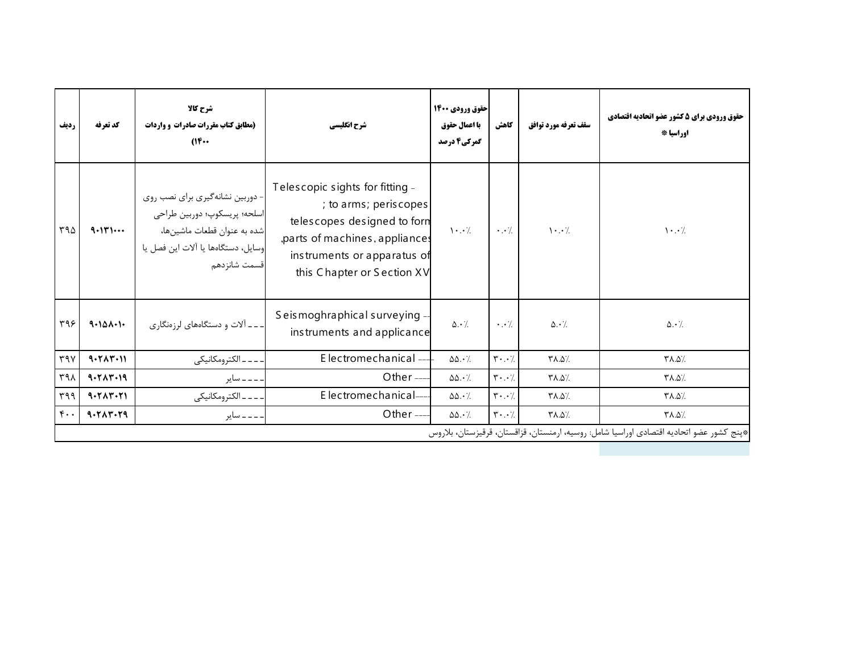| رديف             | كد تعرفه  | شرح کالا<br>(مطابق کتاب مقررات صادرات و واردات<br>$(16 \cdots$                                                                                       | شرح انگلیسی                                                                                                                                                                            | حقوق ورودي 1400<br>با اعمال حقوق<br>گمرکی4 درصد | كاهش                                | سقف تعرفه مورد توافق | حقوق ورودي براي 5 كشور عضو اتحاديه اقتصادي<br>اوراسيا *                                  |
|------------------|-----------|------------------------------------------------------------------------------------------------------------------------------------------------------|----------------------------------------------------------------------------------------------------------------------------------------------------------------------------------------|-------------------------------------------------|-------------------------------------|----------------------|------------------------------------------------------------------------------------------|
| ۳۹۵              | 9.111     | - دوربین نشانهگیری برای نصب روی<br>اسلحه؛ پريسكوپ؛ دوربين طراحي<br>شده به عنوان قطعات ماشينها،<br>وسايل، دستگاهها يا آلات اين فصل يا<br>قسمت شانزدهم | Telescopic sights for fitting -<br>; to arms; periscopes<br>telescopes designed to forn<br>,parts of machines, appliances<br>instruments or apparatus of<br>this Chapter or Section XV | $\cdot \cdot$ /                                 | $\cdot \cdot \cdot$                 | $\cdot \cdot$ /      | $\cdot \cdot$ /                                                                          |
| 495              | 9.101.1   | ـ ـ ـ اَلات و دستگاههای لرزهنگاری                                                                                                                    | Seismoghraphical surveying -<br>instruments and applicance                                                                                                                             | $\Delta \cdot$ /.                               | $\cdot \cdot$ /                     | $\Delta \cdot$ /     | $\Delta \cdot \gamma$                                                                    |
| ٣٩٧              | 9.717.11  | ۔۔ الکترومکانیکی                                                                                                                                     | Electromechanical-                                                                                                                                                                     | $\Delta\Delta\cdot\frac{1}{2}$                  | $\mathbf{r} \cdot \cdot \mathbf{y}$ | ٪۵.۵7                | /۰.۵/۳                                                                                   |
| ۳۹۸              | 9.5117.19 | ۔ ۔ ۔ سایر                                                                                                                                           | Other $---$                                                                                                                                                                            | $\Delta\Delta \cdot \frac{1}{2}$                | $\mathbf{r} \cdot \cdot \mathbf{y}$ | ٪۵.۵7                | /۵.۵/۳                                                                                   |
| 499              | 9.717.71  | ۔۔ الکترومکانیکی                                                                                                                                     | Electromechanical-                                                                                                                                                                     | $\Delta\Delta \cdot \frac{1}{2}$                | $\mathbf{r} \cdot \cdot \mathbf{y}$ | /۵.۵/۳               | /۵.۵/۳                                                                                   |
| $\mathfrak{r}$ . | 9.717.79  | . ــ ــ ــ ساير                                                                                                                                      | Other $---$                                                                                                                                                                            | $\Delta\Delta\cdot$ /.                          | $\mathbf{r} \cdot \cdot \mathbf{v}$ | /۵.۵/۳               | /۵.۵/۳                                                                                   |
|                  |           |                                                                                                                                                      |                                                                                                                                                                                        |                                                 |                                     |                      | *پنج كشور عضو اتحاديه اقتصادي اوراسيا شامل: روسيه، ارمنستان، قزاقستان، قرقيزستان، بلاروس |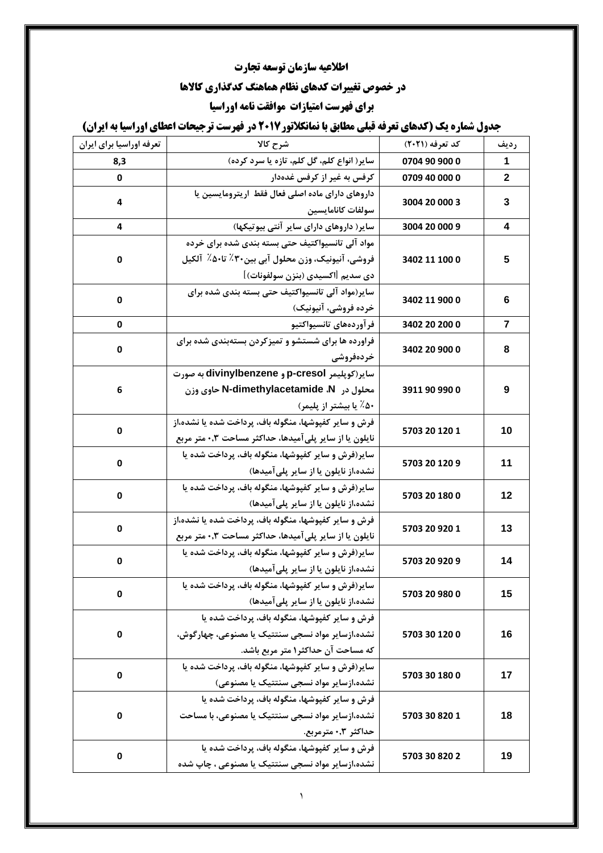## **اطالعیه سازمان توسعه تجارت**

# **در خصوص تغییرات کدهای نظام هماهنگ کدگذاری کاالها**

### **برای فهرست امتیازات موافقت نامه اوراسیا**

### **جدول شماره یک (کدهای تعرفه قبلی مطابق با نمانکلاتور2017 در فهرست ترجیحات اعطای اوراسیا به ایران)**

| تعرفه اوراسيا براي ايران | شرح کالا                                                              | کد تعرفه (۲۰۲۱) | رديف           |
|--------------------------|-----------------------------------------------------------------------|-----------------|----------------|
| 8,3                      | سایر( انواع کلم، گل کلم، تازه یا سرد کرده)                            | 0704 90 900 0   | 1              |
| 0                        | کرفس به غیر از کرفس غدهدار                                            | 0709 40 000 0   | $\mathbf{2}$   |
| 4                        | داروهای دارای ماده اصلی فعال فقط اریترومایسین یا<br>سولفات كانامايسين | 3004 20 000 3   | 3              |
| 4                        | سایر( داروهای دارای سایر آنتی بیوتیکها)                               | 3004 20 000 9   | 4              |
|                          | مواد آلی تانسیواکتیف حتی بسته بندی شده برای خرده                      |                 |                |
| 0                        | فروشی، آنیونیک، وزن محلول آبی بین۳۰٪ تا۵۰٪  آلکیل                     | 3402 11 100 0   | 5              |
|                          | دي سديم [اكسيدي (بنزن سولفونات)]                                      |                 |                |
|                          | سایر(مواد آلی تانسیواکتیف حتی بسته بندی شده برای                      |                 |                |
| 0                        | خرده فروشی، آنیونیک)                                                  | 3402 11 900 0   | 6              |
| 0                        | فرآوردههاى تانسيواكتيو                                                | 3402 20 200 0   | $\overline{7}$ |
|                          | فراورده ها برای شستشو و تمیزکردن بستهبندی شده برای                    |                 |                |
| 0                        | خردەفروشى                                                             | 3402 20 900 0   | 8              |
|                          | سایر(کوپلیمر p-cresol و divinylbenzene به صورت                        |                 | 9              |
| 6                        | محلول در N-dimethylacetamide ،N حاوی وزن                              | 3911 90 990 0   |                |
|                          | ۵۰٪ یا بیشتر از پلیمر)                                                |                 |                |
|                          | فرش و سایر کفپوشها، منگوله باف، پرداخت شده یا نشده،از                 |                 |                |
| 0                        | نایلون یا از سایر پلی آمیدها، حداکثر مساحت ۰٫۳ متر مربع               | 5703 20 120 1   | 10             |
|                          | سایر(فرش و سایر کفپوشها، منگوله باف، پرداخت شده یا                    | 5703 20 120 9   | 11             |
| 0                        | نشده،از نایلون یا از سایر پلیآمیدها)                                  |                 |                |
| 0                        | سایر(فرش و سایر کفپوشها، منگوله باف، پرداخت شده یا                    |                 | 12             |
|                          | نشده،از نایلون یا از سایر پلیآمیدها)                                  | 5703 20 180 0   |                |
| 0                        | فرش و سایر کفپوشها، منگوله باف، پرداخت شده یا نشده،از                 | 5703 20 920 1   | 13             |
|                          | نایلون یا از سایر پلی آمیدها، حداکثر مساحت ۰٫۳ متر مربع               |                 |                |
| 0                        | سایر(فرش و سایر کفپوشها، منگوله باف، پرداخت شده یا                    | 5703 20 920 9   | 14             |
|                          | نشده،از نایلون یا از سایر پلیآمیدها)                                  |                 |                |
| U                        | سایر(فرش و سایر کفپوشها، منگوله باف، پرداخت شده یا                    | 5703 20 980 0   | 15             |
|                          | نشده،از نایلون یا از سایر پلی آمیدها)                                 |                 |                |
|                          | فرش و سایر کفیوشها، منگوله باف، پرداخت شده یا                         |                 |                |
| 0                        | نشده،ازسایر مواد نسجی سنتتیک یا مصنوعی، چهار گوش،                     | 5703 30 120 0   | 16             |
|                          | که مساحت آن حداکثر۱ متر مربع باشد.                                    |                 |                |
| 0                        | سایر(فرش و سایر کفپوشها، منگوله باف، پرداخت شده یا                    | 5703 30 180 0   | 17             |
|                          | نشده،ازسایر مواد نسجی سنتتیک یا مصنوعی)                               |                 |                |
|                          | فرش و سایر کفیوشها، منگوله باف، پرداخت شده یا                         |                 |                |
| 0                        | نشده،ازسایر مواد نسجی سنتتیک یا مصنوعی، با مساحت                      | 5703 30 820 1   | 18             |
|                          | حداكثر ۰٫۳» مترمربع.                                                  |                 |                |
| 0                        | فرش و سایر کفیوشها، منگوله باف، پرداخت شده یا                         | 5703 30 820 2   | 19             |
|                          | نشده،ازسایر مواد نسجی سنتتیک یا مصنوعی ، چاپ شده                      |                 |                |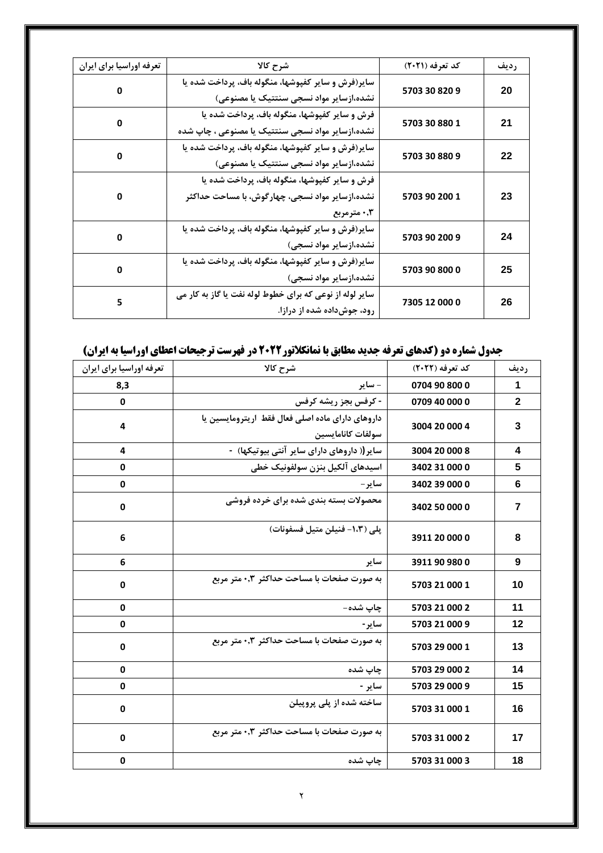| تعرفه اوراسيا براي ايران | شرح کالا                                                 | کد تعرفه (۲۰۲۱) | رديف |
|--------------------------|----------------------------------------------------------|-----------------|------|
| 0                        | سایر(فرش و سایر کفپوشها، منگوله باف، پرداخت شده یا       | 5703 30 820 9   | 20   |
|                          | نشده،ازسایر مواد نسجی سنتتیک یا مصنوعی)                  |                 |      |
| 0                        | فرش و سایر کفپوشها، منگوله باف، پرداخت شده یا            | 5703 30 880 1   | 21   |
|                          | نشده،ازسایر مواد نسجی سنتتیک یا مصنوعی ، چاپ شده         |                 |      |
|                          | سایر(فرش و سایر کفپوشها، منگوله باف، پرداخت شده یا       |                 | 22   |
| 0                        | نشده،ازسایر مواد نسجی سنتتیک یا مصنوعی)                  | 5703 30 880 9   |      |
|                          | فرش و سایر کفپوشها، منگوله باف، پرداخت شده یا            |                 |      |
| 0                        | نشده،ازسایر مواد نسجی، چهارگوش، با مساحت حداکثر          | 5703 90 200 1   | 23   |
|                          | ۰٫۳ مترمربع                                              |                 |      |
|                          | سایر(فرش و سایر کفپوشها، منگوله باف، پرداخت شده یا       |                 |      |
| 0                        | نشده،ازسایر مواد نسجی)                                   | 5703 90 200 9   | 24   |
|                          | سایر(فرش و سایر کفپوشها، منگوله باف، پرداخت شده یا       |                 |      |
| 0                        | نشده،ازسایر مواد نسجی)                                   | 5703 90 800 0   | 25   |
|                          | سایر لوله از نوعی که برای خطوط لوله نفت یا گاز به کار می |                 |      |
| 5                        | رود، جوشداده شده از درازا.                               | 7305 12 000 0   | 26   |

## **جدول شماره دو (کدهای تعرفه جدید مطابق با نمانکلاتور2022 در فهرست ترجیحات اعطای اوراسیا به ایران)**

| تعرفه اوراسيا براي ايران | شرح كالا                                                              | کد تعرفه (۲۰۲۲) | رديف           |
|--------------------------|-----------------------------------------------------------------------|-----------------|----------------|
| 8,3                      | - ساير                                                                | 0704 90 800 0   | 1              |
| 0                        | - کرفس بجز ریشه کرفس                                                  | 0709 40 000 0   | $\mathbf{2}$   |
| 4                        | داروهای دارای ماده اصلی فعال فقط اریترومایسین یا<br>سولفات كانامايسين | 3004 20 000 4   | 3              |
| 4                        | سایر (( داروهای دارای سایر آنتی بیوتیکها) -                           | 3004 20 000 8   | 4              |
| 0                        | اسيدهاي آلكيل بنزن سولفونيك خطى                                       | 3402 31 000 0   | 5              |
| $\mathbf 0$              | ساير –                                                                | 3402 39 000 0   | $6\phantom{1}$ |
| $\mathbf 0$              | محصولات بسته بندی شده برای خرده فروشی                                 | 3402 50 000 0   | $\overline{7}$ |
| 6                        | پلي (١،٣- فنيلن متيل فسفونات)                                         | 3911 20 000 0   | 8              |
| 6                        | ساير                                                                  | 3911 90 980 0   | 9              |
| $\mathbf 0$              | به صورت صفحات با مساحت حداکثر ۰٫۳ متر مربع                            | 5703 21 000 1   | 10             |
| 0                        | چاپ شده-                                                              | 5703 21 000 2   | 11             |
| 0                        | ساير-                                                                 | 5703 21 000 9   | 12             |
| $\mathbf 0$              | به صورت صفحات با مساحت حداکثر ۰٫۳ متر مربع                            | 5703 29 000 1   | 13             |
| $\mathbf 0$              | چاپ شده                                                               | 5703 29 000 2   | 14             |
| 0                        | ساير -                                                                | 5703 29 000 9   | 15             |
| 0                        | ساخته شده از پلی پروپیلن                                              | 5703 31 000 1   | 16             |
| 0                        | به صورت صفحات با مساحت حداکثر ۰٫۳ متر مربع                            | 5703 31 000 2   | 17             |
| $\mathbf 0$              | چاپ شده                                                               | 5703 31 000 3   | 18             |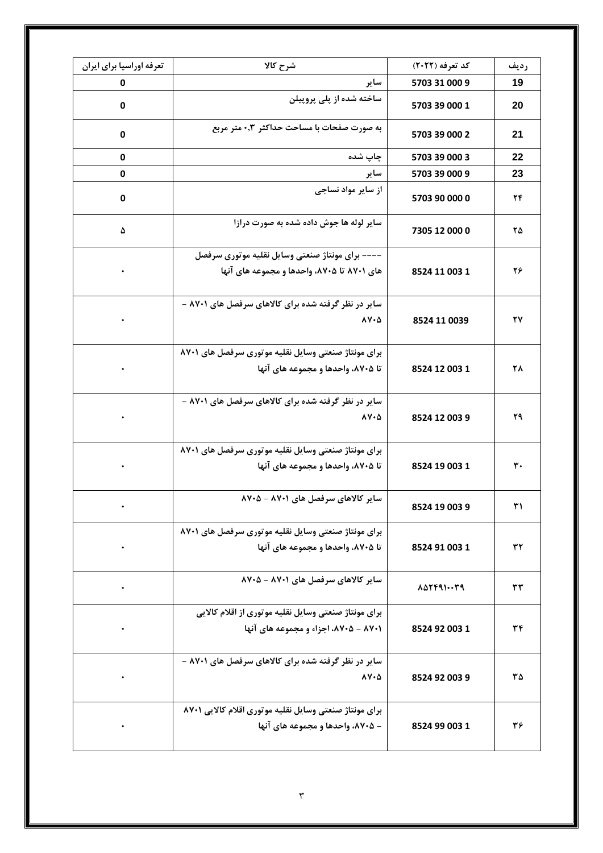| تعرفه اوراسيا براي ايران | شرح كالا                                               | کد تعرفه (۲۰۲۲) | رديف |
|--------------------------|--------------------------------------------------------|-----------------|------|
| 0                        | ساير                                                   | 5703 31 000 9   | 19   |
| $\mathbf 0$              | ساخته شده از پلی پروپیلن                               | 5703 39 000 1   | 20   |
| $\mathbf 0$              | به صورت صفحات با مساحت حداکثر ۰٫۳ متر مربع             | 5703 39 000 2   | 21   |
| 0                        | چاپ شده                                                | 5703 39 000 3   | 22   |
| 0                        | ساير                                                   | 5703 39 000 9   | 23   |
| 0                        | از سایر مواد نساجی                                     | 5703 90 000 0   | ۲۴   |
| ۵                        | سایر لوله ها جوش داده شده به صورت درازا                | 7305 12 000 0   | ۲۵   |
|                          | –––– برای مونتاژ صنعتی وسایل نقلیه موتوری سرفصل        |                 |      |
| $\bullet$                | های ۸۷۰۱ تا ۸۷۰۵، واحدها و مجموعه های آنها             | 8524 11 003 1   | ۲۶   |
| $\bullet$                | سایر در نظر گرفته شده برای کالاهای سرفصل های ۸۷۰۱ -    |                 |      |
|                          | $\lambda V \cdot \Delta$                               | 8524 11 0039    | ۲۷   |
|                          | برای مونتاژ صنعتی وسایل نقلیه موتوری سرفصل های ۸۷۰۱    |                 |      |
| ٠                        | تا ۸۷۰۵، واحدها و مجموعه های آنها                      | 8524 12 003 1   | ٢٨   |
|                          | سایر در نظر گرفته شده برای کالاهای سرفصل های ۸۷۰۱ -    |                 |      |
|                          | $\lambda V \cdot \Delta$                               | 8524 12 003 9   | ۲۹   |
|                          | برای مونتاژ صنعتی وسایل نقلیه موتوری سرفصل های ۸۷۰۱    |                 |      |
|                          | تا ۸۷۰۵، واحدها و مجموعه های آنها                      | 8524 19 003 1   | ٣٠   |
|                          | سایر کالاهای سرفصل های ۸۷۰۱ - ۸۷۰۵                     | 8524 19 003 9   | ٣١   |
|                          | برای مونتاژ صنعتی وسایل نقلیه موتوری سرفصل های ۸۷۰۱    |                 |      |
| $\bullet$                | تا ۸۷۰۵، واحدها و مجموعه های آنها                      | 8524 91 003 1   | ٣٢   |
| $\bullet$                | سایر کالاهای سرفصل های ۸۷۰۱ - ۸۷۰۵                     | 8554159         | ٣٣   |
|                          | برای مونتاژ صنعتی وسایل نقلیه موتوری از اقلام کالایی   |                 |      |
| $\bullet$                | ۸۷۰۱ - ۸۷۰۵، اجزاء و مجموعه های آنها                   | 8524 92 003 1   | ٣۴   |
|                          | سایر در نظر گرفته شده برای کالاهای سرفصل های ۸۷۰۱ -    |                 |      |
| $\bullet$                | $\lambda V \cdot \Delta$                               | 8524 92 003 9   | ۳۵   |
| $\bullet$                | برای مونتاژ صنعتی وسایل نقلیه موتوری اقلام کالایی ۸۷۰۱ |                 |      |
|                          | - ۸۷۰۵، واحدها و مجموعه های آنها                       | 8524 99 003 1   | ٣۶   |